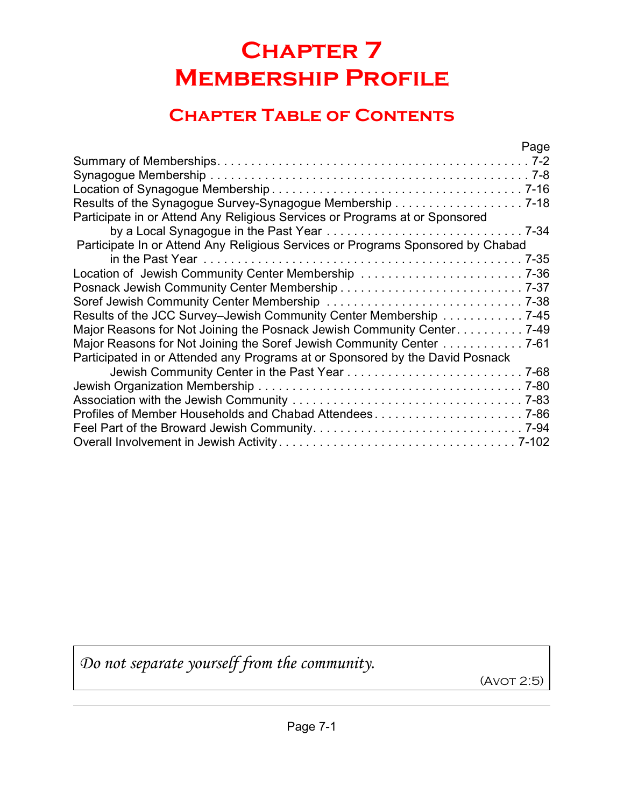## **Chapter 7 Membership Profile**

## **Chapter Table of Contents**

|                                                                                 | Page |
|---------------------------------------------------------------------------------|------|
|                                                                                 |      |
|                                                                                 |      |
|                                                                                 |      |
|                                                                                 |      |
| Participate in or Attend Any Religious Services or Programs at or Sponsored     |      |
|                                                                                 |      |
| Participate In or Attend Any Religious Services or Programs Sponsored by Chabad |      |
|                                                                                 |      |
| Location of Jewish Community Center Membership 7-36                             |      |
|                                                                                 |      |
|                                                                                 |      |
| Results of the JCC Survey-Jewish Community Center Membership 7-45               |      |
| Major Reasons for Not Joining the Posnack Jewish Community Center 7-49          |      |
| Major Reasons for Not Joining the Soref Jewish Community Center 7-61            |      |
| Participated in or Attended any Programs at or Sponsored by the David Posnack   |      |
|                                                                                 |      |
|                                                                                 |      |
|                                                                                 |      |
| Profiles of Member Households and Chabad Attendees7-86                          |      |
|                                                                                 |      |
|                                                                                 |      |
|                                                                                 |      |

*Do not separate yourself from the community.*

(Avot 2:5)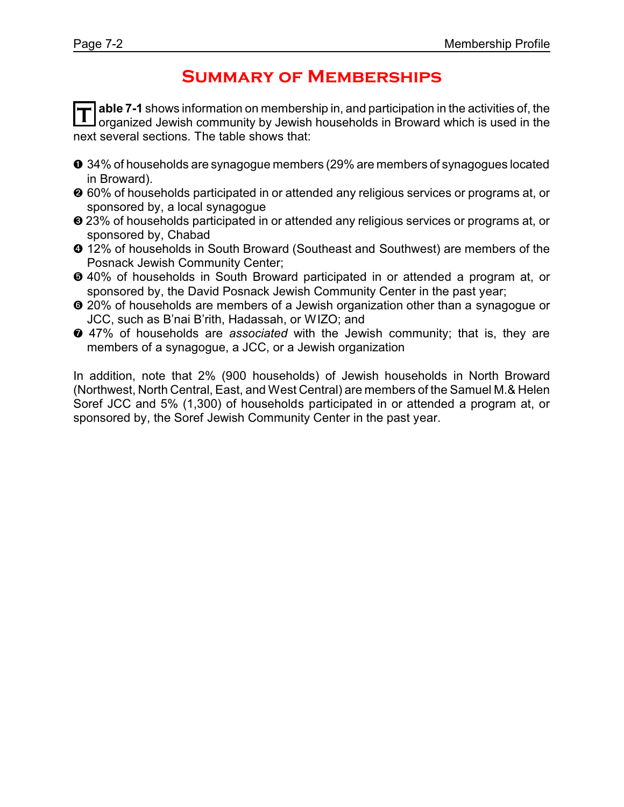## **Summary of Memberships**

**T able 7-1** shows information on membership in, and participation in the activities of, the organized Jewish community by Jewish households in Broward which is used in the next several sections. The table shows that:

- **O** 34% of households are synagogue members (29% are members of synagogues located in Broward).
- $\odot$  60% of households participated in or attended any religious services or programs at, or sponsored by, a local synagogue
- $\odot$  23% of households participated in or attended any religious services or programs at, or sponsored by, Chabad
- $\odot$  12% of households in South Broward (Southeast and Southwest) are members of the Posnack Jewish Community Center;
- ð 40% of households in South Broward participated in or attended a program at, or sponsored by, the David Posnack Jewish Community Center in the past year;
- $\odot$  20% of households are members of a Jewish organization other than a synagogue or JCC, such as B'nai B'rith, Hadassah, or WIZO; and
- ò 47% of households are *associated* with the Jewish community; that is, they are members of a synagogue, a JCC, or a Jewish organization

In addition, note that 2% (900 households) of Jewish households in North Broward (Northwest, North Central, East, and West Central) are members of the Samuel M.& Helen Soref JCC and 5% (1,300) of households participated in or attended a program at, or sponsored by, the Soref Jewish Community Center in the past year.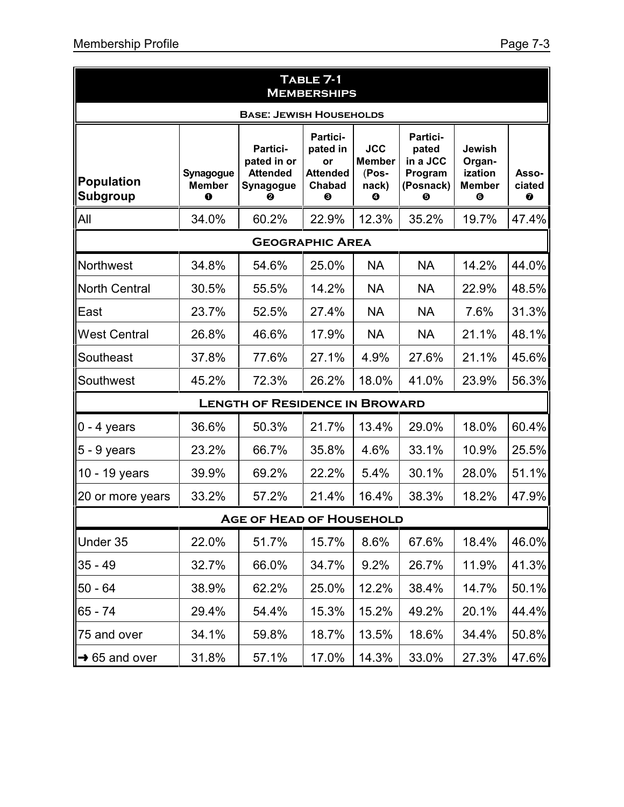|                                | TABLE 7-1<br><b>MEMBERSHIPS</b> |                                                                     |                                                              |                                                                   |                                                            |                                                   |                      |  |
|--------------------------------|---------------------------------|---------------------------------------------------------------------|--------------------------------------------------------------|-------------------------------------------------------------------|------------------------------------------------------------|---------------------------------------------------|----------------------|--|
| <b>BASE: JEWISH HOUSEHOLDS</b> |                                 |                                                                     |                                                              |                                                                   |                                                            |                                                   |                      |  |
| Population<br><b>Subgroup</b>  | Synagogue<br><b>Member</b><br>0 | Partici-<br>pated in or<br><b>Attended</b><br><b>Synagogue</b><br>A | Partici-<br>pated in<br>or<br><b>Attended</b><br>Chabad<br>❸ | <b>JCC</b><br><b>Member</b><br>(Pos-<br>nack)<br>$\boldsymbol{0}$ | Partici-<br>pated<br>in a JCC<br>Program<br>(Posnack)<br>❺ | Jewish<br>Organ-<br>ization<br><b>Member</b><br>❻ | Asso-<br>ciated<br>0 |  |
| <b>All</b>                     | 34.0%                           | 60.2%                                                               | 22.9%                                                        | 12.3%                                                             | 35.2%                                                      | 19.7%                                             | 47.4%                |  |
|                                |                                 |                                                                     | <b>GEOGRAPHIC AREA</b>                                       |                                                                   |                                                            |                                                   |                      |  |
| Northwest                      | 34.8%                           | 54.6%                                                               | 25.0%                                                        | <b>NA</b>                                                         | <b>NA</b>                                                  | 14.2%                                             | 44.0%                |  |
| North Central                  | 30.5%                           | 55.5%                                                               | 14.2%                                                        | <b>NA</b>                                                         | <b>NA</b>                                                  | 22.9%                                             | 48.5%                |  |
| East                           | 23.7%                           | 52.5%                                                               | 27.4%                                                        | <b>NA</b>                                                         | <b>NA</b>                                                  | 7.6%                                              | 31.3%                |  |
| <b>West Central</b>            | 26.8%                           | 46.6%                                                               | 17.9%                                                        | <b>NA</b>                                                         | <b>NA</b>                                                  | 21.1%                                             | 48.1%                |  |
| Southeast                      | 37.8%                           | 77.6%                                                               | 27.1%                                                        | 4.9%                                                              | 27.6%                                                      | 21.1%                                             | 45.6%                |  |
| Southwest                      | 45.2%                           | 72.3%                                                               | 26.2%                                                        | 18.0%                                                             | 41.0%                                                      | 23.9%                                             | 56.3%                |  |
|                                |                                 | <b>LENGTH OF RESIDENCE IN BROWARD</b>                               |                                                              |                                                                   |                                                            |                                                   |                      |  |
| $0 - 4$ years                  | 36.6%                           | 50.3%                                                               | 21.7%                                                        | 13.4%                                                             | 29.0%                                                      | 18.0%                                             | 60.4%                |  |
| $ 5 - 9$ years                 | 23.2%                           | 66.7%                                                               | 35.8%                                                        | 4.6%                                                              | 33.1%                                                      | 10.9%                                             | 25.5%                |  |
| 10 - 19 years                  | 39.9%                           | 69.2%                                                               | 22.2%                                                        | 5.4%                                                              | 30.1%                                                      | 28.0%                                             | 51.1%                |  |
| 20 or more years               | 33.2%                           | 57.2%                                                               | 21.4%                                                        | 16.4%                                                             | 38.3%                                                      | 18.2%                                             | 47.9%                |  |
|                                |                                 | <b>AGE OF HEAD OF HOUSEHOLD</b>                                     |                                                              |                                                                   |                                                            |                                                   |                      |  |
| Under 35                       | 22.0%                           | 51.7%                                                               | 15.7%                                                        | 8.6%                                                              | 67.6%                                                      | 18.4%                                             | 46.0%                |  |
| $35 - 49$                      | 32.7%                           | 66.0%                                                               | 34.7%                                                        | 9.2%                                                              | 26.7%                                                      | 11.9%                                             | 41.3%                |  |
| $50 - 64$                      | 38.9%                           | 62.2%                                                               | 25.0%                                                        | 12.2%                                                             | 38.4%                                                      | 14.7%                                             | 50.1%                |  |
| $65 - 74$                      | 29.4%                           | 54.4%                                                               | 15.3%                                                        | 15.2%                                                             | 49.2%                                                      | 20.1%                                             | 44.4%                |  |
| 75 and over                    | 34.1%                           | 59.8%                                                               | 18.7%                                                        | 13.5%                                                             | 18.6%                                                      | 34.4%                                             | 50.8%                |  |
| $\rightarrow$ 65 and over      | 31.8%                           | 57.1%                                                               | 17.0%                                                        | 14.3%                                                             | 33.0%                                                      | 27.3%                                             | 47.6%                |  |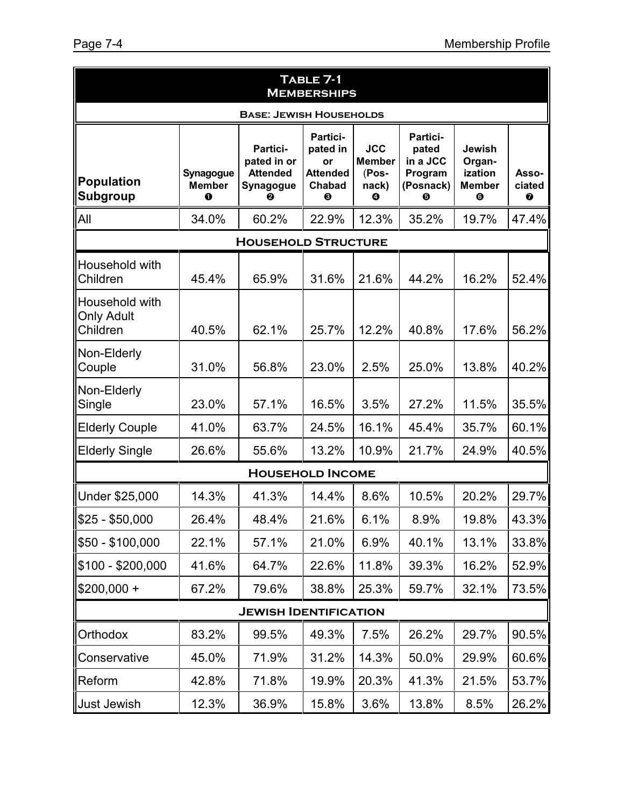| TABLE 7-1<br><b>MEMBERSHIPS</b>                 |                                 |                                                                     |                                                              |                                                    |                                                            |                                                          |                      |  |  |
|-------------------------------------------------|---------------------------------|---------------------------------------------------------------------|--------------------------------------------------------------|----------------------------------------------------|------------------------------------------------------------|----------------------------------------------------------|----------------------|--|--|
| <b>BASE: JEWISH HOUSEHOLDS</b>                  |                                 |                                                                     |                                                              |                                                    |                                                            |                                                          |                      |  |  |
| <b>Population</b><br>Subgroup                   | Synagogue<br><b>Member</b><br>0 | Partici-<br>pated in or<br><b>Attended</b><br><b>Synagogue</b><br>0 | Partici-<br>pated in<br>or<br><b>Attended</b><br>Chabad<br>❸ | <b>JCC</b><br><b>Member</b><br>(Pos-<br>nack)<br>❹ | Partici-<br>pated<br>in a JCC<br>Program<br>(Posnack)<br>❺ | <b>Jewish</b><br>Organ-<br>ization<br><b>Member</b><br>❻ | Asso-<br>ciated<br>❼ |  |  |
| All                                             | 34.0%                           | 60.2%                                                               | 22.9%                                                        | 12.3%                                              | 35.2%                                                      | 19.7%                                                    | 47.4%                |  |  |
|                                                 |                                 | <b>HOUSEHOLD STRUCTURE</b>                                          |                                                              |                                                    |                                                            |                                                          |                      |  |  |
| Household with<br>Children                      | 45.4%                           | 65.9%                                                               | 31.6%                                                        | 21.6%                                              | 44.2%                                                      | 16.2%                                                    | 52.4%                |  |  |
| Household with<br><b>Only Adult</b><br>Children | 40.5%                           | 62.1%                                                               | 25.7%                                                        | 12.2%                                              | 40.8%                                                      | 17.6%                                                    | 56.2%                |  |  |
| Non-Elderly<br>Couple                           | 31.0%                           | 56.8%                                                               | 23.0%                                                        | 2.5%                                               | 25.0%                                                      | 13.8%                                                    | 40.2%                |  |  |
| Non-Elderly<br>Single                           | 23.0%                           | 57.1%                                                               | 16.5%                                                        | 3.5%                                               | 27.2%                                                      | 11.5%                                                    | 35.5%                |  |  |
| <b>Elderly Couple</b>                           | 41.0%                           | 63.7%                                                               | 24.5%                                                        | 16.1%                                              | 45.4%                                                      | 35.7%                                                    | 60.1%                |  |  |
| <b>Elderly Single</b>                           | 26.6%                           | 55.6%                                                               | 13.2%                                                        | 10.9%                                              | 21.7%                                                      | 24.9%                                                    | 40.5%                |  |  |
|                                                 |                                 | <b>HOUSEHOLD INCOME</b>                                             |                                                              |                                                    |                                                            |                                                          |                      |  |  |
| Under \$25,000                                  | 14.3%                           | 41.3%                                                               | 14.4%                                                        | 8.6%                                               | 10.5%                                                      | 20.2%                                                    | 29.7%                |  |  |
| \$25 - \$50,000                                 | 26.4%                           | 48.4%                                                               | 21.6%                                                        | 6.1%                                               | 8.9%                                                       | 19.8%                                                    | 43.3%                |  |  |
| \$50 - \$100,000                                | 22.1%                           | 57.1%                                                               | 21.0%                                                        | 6.9%                                               | 40.1%                                                      | 13.1%                                                    | 33.8%                |  |  |
| $$100 - $200,000$                               | 41.6%                           | 64.7%                                                               | 22.6%                                                        | 11.8%                                              | 39.3%                                                      | 16.2%                                                    | 52.9%                |  |  |
| $$200,000 +$                                    | 67.2%                           | 79.6%                                                               | 38.8%                                                        | 25.3%                                              | 59.7%                                                      | 32.1%                                                    | 73.5%                |  |  |
|                                                 |                                 | <b>JEWISH IDENTIFICATION</b>                                        |                                                              |                                                    |                                                            |                                                          |                      |  |  |
| Orthodox                                        | 83.2%                           | 99.5%                                                               | 49.3%                                                        | 7.5%                                               | 26.2%                                                      | 29.7%                                                    | 90.5%                |  |  |
| Conservative                                    | 45.0%                           | 71.9%                                                               | 31.2%                                                        | 14.3%                                              | 50.0%                                                      | 29.9%                                                    | 60.6%                |  |  |
| Reform                                          | 42.8%                           | 71.8%                                                               | 19.9%                                                        | 20.3%                                              | 41.3%                                                      | 21.5%                                                    | 53.7%                |  |  |
| <b>Just Jewish</b>                              | 12.3%                           | 36.9%                                                               | 15.8%                                                        | 3.6%                                               | 13.8%                                                      | 8.5%                                                     | 26.2%                |  |  |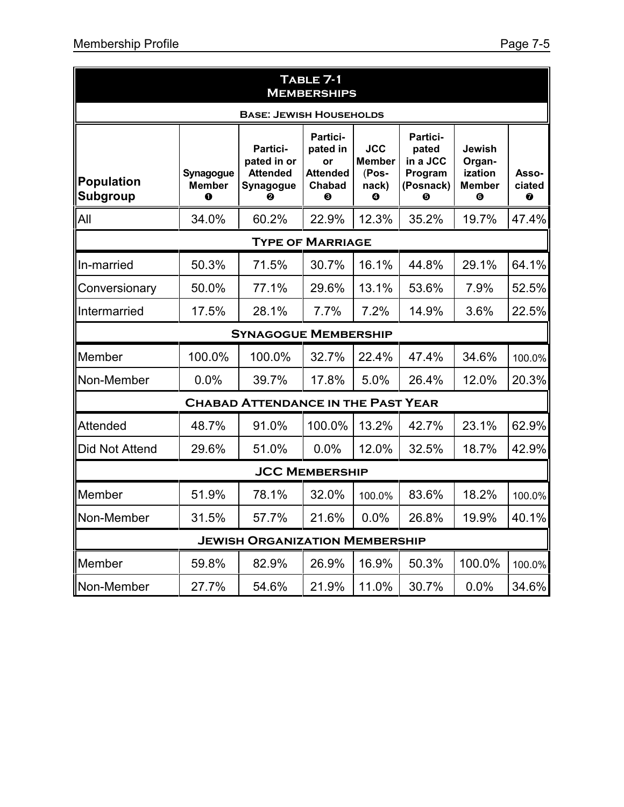|                               | TABLE 7-1<br><b>MEMBERSHIPS</b> |                                                                     |                                                              |                                                    |                                                            |                                                           |                      |  |
|-------------------------------|---------------------------------|---------------------------------------------------------------------|--------------------------------------------------------------|----------------------------------------------------|------------------------------------------------------------|-----------------------------------------------------------|----------------------|--|
|                               | <b>BASE: JEWISH HOUSEHOLDS</b>  |                                                                     |                                                              |                                                    |                                                            |                                                           |                      |  |
| <b>Population</b><br>Subgroup | Synagogue<br><b>Member</b><br>0 | <b>Partici-</b><br>pated in or<br><b>Attended</b><br>Synagogue<br>A | Partici-<br>pated in<br>or<br><b>Attended</b><br>Chabad<br>❸ | <b>JCC</b><br><b>Member</b><br>(Pos-<br>nack)<br>Ø | Partici-<br>pated<br>in a JCC<br>Program<br>(Posnack)<br>0 | Jewish<br>Organ-<br>ization<br><b>Member</b><br>$\bullet$ | Asso-<br>ciated<br>Ø |  |
| All                           | 34.0%                           | 60.2%                                                               | 22.9%                                                        | 12.3%                                              | 35.2%                                                      | 19.7%                                                     | 47.4%                |  |
|                               |                                 |                                                                     | <b>TYPE OF MARRIAGE</b>                                      |                                                    |                                                            |                                                           |                      |  |
| In-married                    | 50.3%                           | 71.5%                                                               | 30.7%                                                        | 16.1%                                              | 44.8%                                                      | 29.1%                                                     | 64.1%                |  |
| Conversionary                 | 50.0%                           | 77.1%                                                               | 29.6%                                                        | 13.1%                                              | 53.6%                                                      | 7.9%                                                      | 52.5%                |  |
| Intermarried                  | 17.5%                           | 28.1%                                                               | 7.7%                                                         | 7.2%                                               | 14.9%                                                      | 3.6%                                                      | 22.5%                |  |
|                               |                                 | <b>SYNAGOGUE MEMBERSHIP</b>                                         |                                                              |                                                    |                                                            |                                                           |                      |  |
| Member                        | 100.0%                          | 100.0%                                                              | 32.7%                                                        | 22.4%                                              | 47.4%                                                      | 34.6%                                                     | 100.0%               |  |
| Non-Member                    | 0.0%                            | 39.7%                                                               | 17.8%                                                        | 5.0%                                               | 26.4%                                                      | 12.0%                                                     | 20.3%                |  |
|                               |                                 | <b>CHABAD ATTENDANCE IN THE PAST YEAR</b>                           |                                                              |                                                    |                                                            |                                                           |                      |  |
| <b>Attended</b>               | 48.7%                           | 91.0%                                                               | 100.0%                                                       | 13.2%                                              | 42.7%                                                      | 23.1%                                                     | 62.9%                |  |
| Did Not Attend                | 29.6%                           | 51.0%                                                               | 0.0%                                                         | 12.0%                                              | 32.5%                                                      | 18.7%                                                     | 42.9%                |  |
|                               |                                 |                                                                     | <b>JCC MEMBERSHIP</b>                                        |                                                    |                                                            |                                                           |                      |  |
| Member                        | 51.9%                           | 78.1%                                                               | 32.0%                                                        | 100.0%                                             | 83.6%                                                      | 18.2%                                                     | 100.0%               |  |
| Non-Member                    | 31.5%                           | 57.7%                                                               | 21.6%                                                        | 0.0%                                               | 26.8%                                                      | 19.9%                                                     | 40.1%                |  |
|                               |                                 | <b>JEWISH ORGANIZATION MEMBERSHIP</b>                               |                                                              |                                                    |                                                            |                                                           |                      |  |
| Member                        | 59.8%                           | 82.9%                                                               | 26.9%                                                        | 16.9%                                              | 50.3%                                                      | 100.0%                                                    | 100.0%               |  |
| Non-Member                    | 27.7%                           | 54.6%                                                               | 21.9%                                                        | 11.0%                                              | 30.7%                                                      | 0.0%                                                      | 34.6%                |  |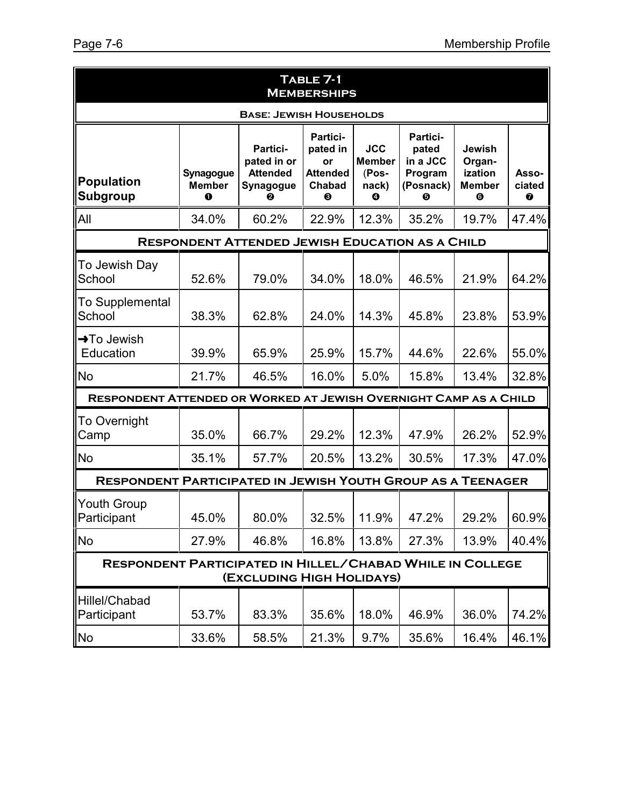| TABLE 7-1<br><b>MEMBERSHIPS</b>                                    |                                 |                                                              |                                                              |                                                    |                                                            |                                                           |                      |  |
|--------------------------------------------------------------------|---------------------------------|--------------------------------------------------------------|--------------------------------------------------------------|----------------------------------------------------|------------------------------------------------------------|-----------------------------------------------------------|----------------------|--|
| <b>BASE: JEWISH HOUSEHOLDS</b>                                     |                                 |                                                              |                                                              |                                                    |                                                            |                                                           |                      |  |
| <b>Population</b><br>Subgroup                                      | Synagogue<br><b>Member</b><br>0 | Partici-<br>pated in or<br><b>Attended</b><br>Synagogue<br>❷ | Partici-<br>pated in<br>or<br><b>Attended</b><br>Chabad<br>❸ | <b>JCC</b><br><b>Member</b><br>(Pos-<br>nack)<br>❹ | Partici-<br>pated<br>in a JCC<br>Program<br>(Posnack)<br>❺ | Jewish<br>Organ-<br>ization<br><b>Member</b><br>$\bullet$ | Asso-<br>ciated<br>❼ |  |
| All                                                                | 34.0%                           | 60.2%                                                        | 22.9%                                                        | 12.3%                                              | 35.2%                                                      | 19.7%                                                     | 47.4%                |  |
|                                                                    |                                 | <b>RESPONDENT ATTENDED JEWISH EDUCATION AS A CHILD</b>       |                                                              |                                                    |                                                            |                                                           |                      |  |
| To Jewish Day<br>School                                            | 52.6%                           | 79.0%                                                        | 34.0%                                                        | 18.0%                                              | 46.5%                                                      | 21.9%                                                     | 64.2%                |  |
| To Supplemental<br>School                                          | 38.3%                           | 62.8%                                                        | 24.0%                                                        | 14.3%                                              | 45.8%                                                      | 23.8%                                                     | 53.9%                |  |
| $\rightarrow$ To Jewish<br>Education                               | 39.9%                           | 65.9%                                                        | 25.9%                                                        | 15.7%                                              | 44.6%                                                      | 22.6%                                                     | 55.0%                |  |
| <b>No</b>                                                          | 21.7%                           | 46.5%                                                        | 16.0%                                                        | 5.0%                                               | 15.8%                                                      | 13.4%                                                     | 32.8%                |  |
| RESPONDENT ATTENDED OR WORKED AT JEWISH OVERNIGHT CAMP AS A CHILD  |                                 |                                                              |                                                              |                                                    |                                                            |                                                           |                      |  |
| To Overnight<br>Camp                                               | 35.0%                           | 66.7%                                                        | 29.2%                                                        | 12.3%                                              | 47.9%                                                      | 26.2%                                                     | 52.9%                |  |
| <b>No</b>                                                          | 35.1%                           | 57.7%                                                        | 20.5%                                                        | 13.2%                                              | 30.5%                                                      | 17.3%                                                     | 47.0%                |  |
| <b>RESPONDENT PARTICIPATED IN JEWISH YOUTH GROUP AS A TEENAGER</b> |                                 |                                                              |                                                              |                                                    |                                                            |                                                           |                      |  |
| <b>Youth Group</b><br>Participant                                  | 45.0%                           | 80.0%                                                        | 32.5%                                                        | 11.9%                                              | 47.2%                                                      | 29.2%                                                     | 60.9%                |  |
| <b>No</b>                                                          | 27.9%                           | 46.8%                                                        | 16.8%                                                        | 13.8%                                              | 27.3%                                                      | 13.9%                                                     | 40.4%                |  |
| <b>RESPONDENT PARTICIPATED IN HILLEL/CHABAD WHILE IN COLLEGE</b>   |                                 | (EXCLUDING HIGH HOLIDAYS)                                    |                                                              |                                                    |                                                            |                                                           |                      |  |
| Hillel/Chabad<br>Participant                                       | 53.7%                           | 83.3%                                                        | 35.6%                                                        | 18.0%                                              | 46.9%                                                      | 36.0%                                                     | 74.2%                |  |
| No                                                                 | 33.6%                           | 58.5%                                                        | 21.3%                                                        | 9.7%                                               | 35.6%                                                      | 16.4%                                                     | 46.1%                |  |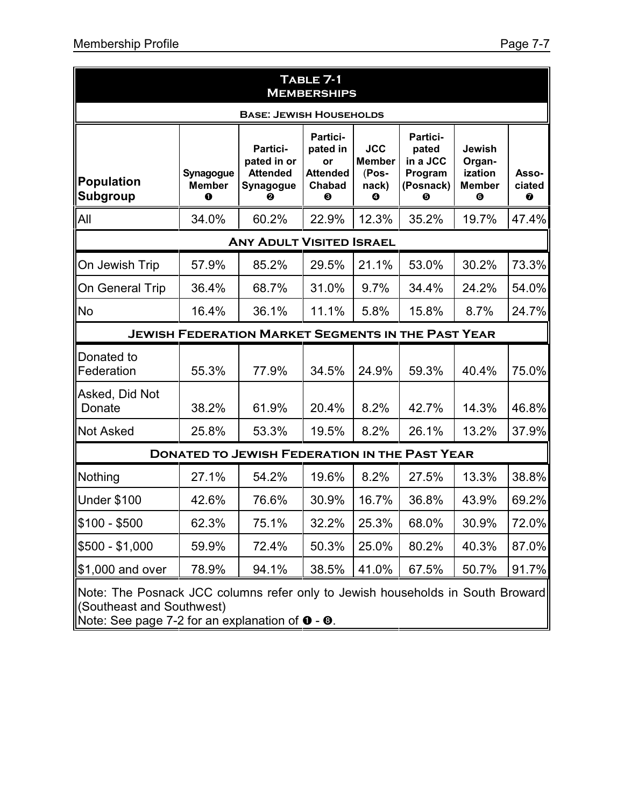| TABLE 7-1<br><b>MEMBERSHIPS</b>                                                                                                                                                 |                                 |                                                              |                                                              |                                                    |                                                            |                                                              |                      |
|---------------------------------------------------------------------------------------------------------------------------------------------------------------------------------|---------------------------------|--------------------------------------------------------------|--------------------------------------------------------------|----------------------------------------------------|------------------------------------------------------------|--------------------------------------------------------------|----------------------|
| <b>BASE: JEWISH HOUSEHOLDS</b>                                                                                                                                                  |                                 |                                                              |                                                              |                                                    |                                                            |                                                              |                      |
| <b>Population</b><br>Subgroup                                                                                                                                                   | Synagogue<br><b>Member</b><br>0 | Partici-<br>pated in or<br><b>Attended</b><br>Synagogue<br>0 | Partici-<br>pated in<br>or<br><b>Attended</b><br>Chabad<br>❸ | <b>JCC</b><br><b>Member</b><br>(Pos-<br>nack)<br>❹ | Partici-<br>pated<br>in a JCC<br>Program<br>(Posnack)<br>❺ | Jewish<br>Organ-<br>ization<br><b>Member</b><br>$\bf \Theta$ | Asso-<br>ciated<br>0 |
| All                                                                                                                                                                             | 34.0%                           | 60.2%                                                        | 22.9%                                                        | 12.3%                                              | 35.2%                                                      | 19.7%                                                        | 47.4%                |
|                                                                                                                                                                                 |                                 | <b>ANY ADULT VISITED ISRAEL</b>                              |                                                              |                                                    |                                                            |                                                              |                      |
| On Jewish Trip                                                                                                                                                                  | 57.9%                           | 85.2%                                                        | 29.5%                                                        | 21.1%                                              | 53.0%                                                      | 30.2%                                                        | 73.3%                |
| On General Trip                                                                                                                                                                 | 36.4%                           | 68.7%                                                        | 31.0%                                                        | 9.7%                                               | 34.4%                                                      | 24.2%                                                        | 54.0%                |
| No                                                                                                                                                                              | 16.4%                           | 36.1%                                                        | 11.1%                                                        | 5.8%                                               | 15.8%                                                      | 8.7%                                                         | 24.7%                |
|                                                                                                                                                                                 |                                 | <b>JEWISH FEDERATION MARKET SEGMENTS IN THE PAST YEAR</b>    |                                                              |                                                    |                                                            |                                                              |                      |
| Donated to<br>Federation                                                                                                                                                        | 55.3%                           | 77.9%                                                        | 34.5%                                                        | 24.9%                                              | 59.3%                                                      | 40.4%                                                        | 75.0%                |
| Asked, Did Not<br>Donate                                                                                                                                                        | 38.2%                           | 61.9%                                                        | 20.4%                                                        | 8.2%                                               | 42.7%                                                      | 14.3%                                                        | 46.8%                |
| <b>Not Asked</b>                                                                                                                                                                | 25.8%                           | 53.3%                                                        | 19.5%                                                        | 8.2%                                               | 26.1%                                                      | 13.2%                                                        | 37.9%                |
|                                                                                                                                                                                 |                                 | <b>DONATED TO JEWISH FEDERATION IN THE PAST YEAR</b>         |                                                              |                                                    |                                                            |                                                              |                      |
| Nothing                                                                                                                                                                         | 27.1%                           | 54.2%                                                        | 19.6%                                                        | 8.2%                                               | 27.5%                                                      | 13.3%                                                        | 38.8%                |
| <b>Under \$100</b>                                                                                                                                                              | 42.6%                           | 76.6%                                                        | 30.9%                                                        | 16.7%                                              | 36.8%                                                      | 43.9%                                                        | 69.2%                |
| $$100 - $500$                                                                                                                                                                   | 62.3%                           | 75.1%                                                        | 32.2%                                                        | 25.3%                                              | 68.0%                                                      | 30.9%                                                        | 72.0%                |
| $$500 - $1,000$                                                                                                                                                                 | 59.9%                           | 72.4%                                                        | 50.3%                                                        | 25.0%                                              | 80.2%                                                      | 40.3%                                                        | 87.0%                |
| \$1,000 and over                                                                                                                                                                | 78.9%                           | 94.1%                                                        | 38.5%                                                        | 41.0%                                              | 67.5%                                                      | 50.7%                                                        | 91.7%                |
| Note: The Posnack JCC columns refer only to Jewish households in South Broward<br>(Southeast and Southwest)<br>Note: See page 7-2 for an explanation of $\bullet$ - $\bullet$ . |                                 |                                                              |                                                              |                                                    |                                                            |                                                              |                      |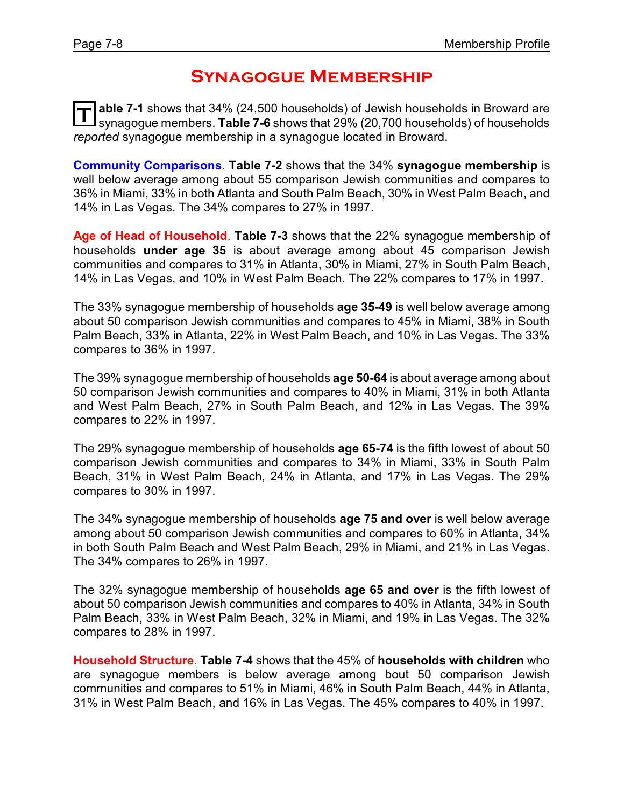### **Synagogue Membership**

**T able 7-1** shows that 34% (24,500 households) of Jewish households in Broward are synagogue members. **Table 7-6** shows that 29% (20,700 households) of households *reported* synagogue membership in a synagogue located in Broward.

**Community Comparisons**. **Table 7-2** shows that the 34% **synagogue membership** is well below average among about 55 comparison Jewish communities and compares to 36% in Miami, 33% in both Atlanta and South Palm Beach, 30% in West Palm Beach, and 14% in Las Vegas. The 34% compares to 27% in 1997.

**Age of Head of Household**. **Table 7-3** shows that the 22% synagogue membership of households **under age 35** is about average among about 45 comparison Jewish communities and compares to 31% in Atlanta, 30% in Miami, 27% in South Palm Beach, 14% in Las Vegas, and 10% in West Palm Beach. The 22% compares to 17% in 1997.

The 33% synagogue membership of households **age 35-49** is well below average among about 50 comparison Jewish communities and compares to 45% in Miami, 38% in South Palm Beach, 33% in Atlanta, 22% in West Palm Beach, and 10% in Las Vegas. The 33% compares to 36% in 1997.

The 39% synagogue membership of households **age 50-64** is about average among about 50 comparison Jewish communities and compares to 40% in Miami, 31% in both Atlanta and West Palm Beach, 27% in South Palm Beach, and 12% in Las Vegas. The 39% compares to 22% in 1997.

The 29% synagogue membership of households **age 65-74** is the fifth lowest of about 50 comparison Jewish communities and compares to 34% in Miami, 33% in South Palm Beach, 31% in West Palm Beach, 24% in Atlanta, and 17% in Las Vegas. The 29% compares to 30% in 1997.

The 34% synagogue membership of households **age 75 and over** is well below average among about 50 comparison Jewish communities and compares to 60% in Atlanta, 34% in both South Palm Beach and West Palm Beach, 29% in Miami, and 21% in Las Vegas. The 34% compares to 26% in 1997.

The 32% synagogue membership of households **age 65 and over** is the fifth lowest of about 50 comparison Jewish communities and compares to 40% in Atlanta, 34% in South Palm Beach, 33% in West Palm Beach, 32% in Miami, and 19% in Las Vegas. The 32% compares to 28% in 1997.

**Household Structure**. **Table 7-4** shows that the 45% of **households with children** who are synagogue members is below average among bout 50 comparison Jewish communities and compares to 51% in Miami, 46% in South Palm Beach, 44% in Atlanta, 31% in West Palm Beach, and 16% in Las Vegas. The 45% compares to 40% in 1997.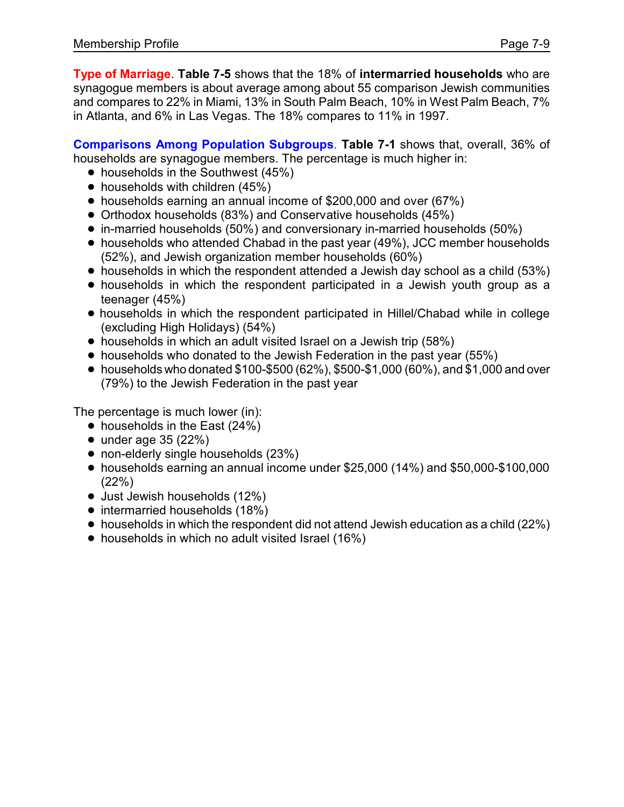**Type of Marriage**. **Table 7-5** shows that the 18% of **intermarried households** who are synagogue members is about average among about 55 comparison Jewish communities and compares to 22% in Miami, 13% in South Palm Beach, 10% in West Palm Beach, 7% in Atlanta, and 6% in Las Vegas. The 18% compares to 11% in 1997.

**Comparisons Among Population Subgroups**. **Table 7-1** shows that, overall, 36% of households are synagogue members. The percentage is much higher in:

- $\bullet$  households in the Southwest (45%)
- $\bullet$  households with children (45%)
- households earning an annual income of \$200,000 and over (67%)
- Orthodox households (83%) and Conservative households (45%)
- ! in-married households (50%) and conversionary in-married households (50%)
- households who attended Chabad in the past year (49%), JCC member households (52%), and Jewish organization member households (60%)
- households in which the respondent attended a Jewish day school as a child (53%)
- households in which the respondent participated in a Jewish youth group as a teenager (45%)
- ! households in which the respondent participated in Hillel/Chabad while in college (excluding High Holidays) (54%)
- households in which an adult visited Israel on a Jewish trip (58%)
- households who donated to the Jewish Federation in the past year (55%)
- $\bullet$  households who donated \$100-\$500 (62%), \$500-\$1,000 (60%), and \$1,000 and over (79%) to the Jewish Federation in the past year

The percentage is much lower (in):

- $\bullet$  households in the East (24%)
- $\bullet$  under age 35 (22%)
- non-elderly single households (23%)
- ! households earning an annual income under \$25,000 (14%) and \$50,000-\$100,000 (22%)
- Just Jewish households (12%)
- intermarried households (18%)
- households in which the respondent did not attend Jewish education as a child (22%)
- households in which no adult visited Israel (16%)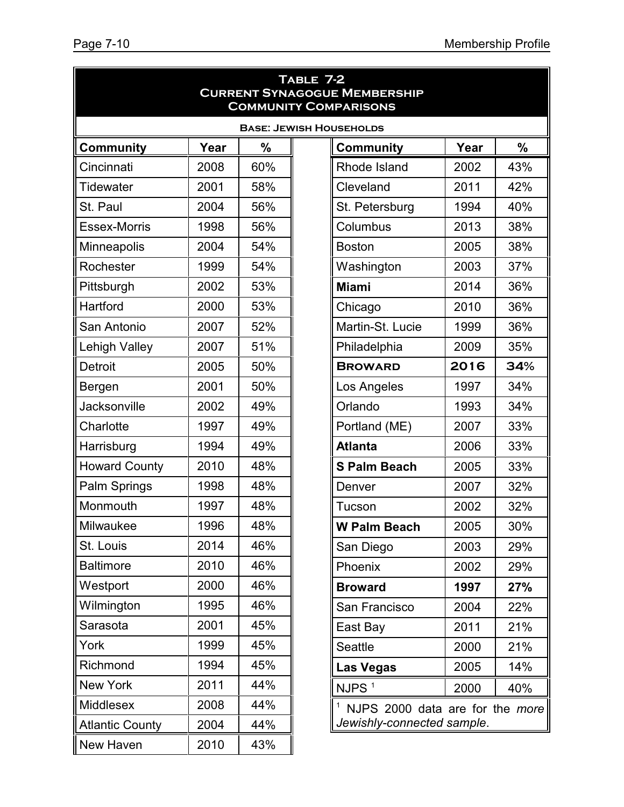|                                | TABLE 7-2<br><b>CURRENT SYNAGOGUE MEMBERSHIP</b><br><b>COMMUNITY COMPARISONS</b> |     |                                 |      |     |  |  |  |  |
|--------------------------------|----------------------------------------------------------------------------------|-----|---------------------------------|------|-----|--|--|--|--|
| <b>BASE: JEWISH HOUSEHOLDS</b> |                                                                                  |     |                                 |      |     |  |  |  |  |
| <b>Community</b>               | Year                                                                             | %   | <b>Community</b>                | Year | %   |  |  |  |  |
| Cincinnati                     | 2008                                                                             | 60% | Rhode Island                    | 2002 | 43% |  |  |  |  |
| <b>Tidewater</b>               | 2001                                                                             | 58% | Cleveland                       | 2011 | 42% |  |  |  |  |
| St. Paul                       | 2004                                                                             | 56% | St. Petersburg                  | 1994 | 40% |  |  |  |  |
| <b>Essex-Morris</b>            | 1998                                                                             | 56% | Columbus                        | 2013 | 38% |  |  |  |  |
| Minneapolis                    | 2004                                                                             | 54% | <b>Boston</b>                   | 2005 | 38% |  |  |  |  |
| Rochester                      | 1999                                                                             | 54% | Washington                      | 2003 | 37% |  |  |  |  |
| Pittsburgh                     | 2002                                                                             | 53% | <b>Miami</b>                    | 2014 | 36% |  |  |  |  |
| Hartford                       | 2000                                                                             | 53% | Chicago                         | 2010 | 36% |  |  |  |  |
| San Antonio                    | 2007                                                                             | 52% | Martin-St. Lucie                | 1999 | 36% |  |  |  |  |
| Lehigh Valley                  | 2007                                                                             | 51% | Philadelphia                    | 2009 | 35% |  |  |  |  |
| <b>Detroit</b>                 | 2005                                                                             | 50% | <b>BROWARD</b>                  | 2016 | 34% |  |  |  |  |
| Bergen                         | 2001                                                                             | 50% | Los Angeles                     | 1997 | 34% |  |  |  |  |
| Jacksonville                   | 2002                                                                             | 49% | Orlando                         | 1993 | 34% |  |  |  |  |
| Charlotte                      | 1997                                                                             | 49% | Portland (ME)                   | 2007 | 33% |  |  |  |  |
| Harrisburg                     | 1994                                                                             | 49% | <b>Atlanta</b>                  | 2006 | 33% |  |  |  |  |
| <b>Howard County</b>           | 2010                                                                             | 48% | <b>S Palm Beach</b>             | 2005 | 33% |  |  |  |  |
| Palm Springs                   | 1998                                                                             | 48% | Denver                          | 2007 | 32% |  |  |  |  |
| Monmouth                       | 1997                                                                             | 48% | Tucson                          | 2002 | 32% |  |  |  |  |
| Milwaukee                      | 1996                                                                             | 48% | <b>W Palm Beach</b>             | 2005 | 30% |  |  |  |  |
| St. Louis                      | 2014                                                                             | 46% | San Diego                       | 2003 | 29% |  |  |  |  |
| <b>Baltimore</b>               | 2010                                                                             | 46% | Phoenix                         | 2002 | 29% |  |  |  |  |
| Westport                       | 2000                                                                             | 46% | <b>Broward</b>                  | 1997 | 27% |  |  |  |  |
| Wilmington                     | 1995                                                                             | 46% | San Francisco                   | 2004 | 22% |  |  |  |  |
| Sarasota                       | 2001                                                                             | 45% | East Bay                        | 2011 | 21% |  |  |  |  |
| York                           | 1999                                                                             | 45% | <b>Seattle</b>                  | 2000 | 21% |  |  |  |  |
| Richmond                       | 1994                                                                             | 45% | <b>Las Vegas</b>                | 2005 | 14% |  |  |  |  |
| <b>New York</b>                | 2011                                                                             | 44% | NJPS <sup>1</sup>               | 2000 | 40% |  |  |  |  |
| Middlesex                      | 2008                                                                             | 44% | NJPS 2000 data are for the more |      |     |  |  |  |  |
| <b>Atlantic County</b>         | 2004                                                                             | 44% | Jewishly-connected sample.      |      |     |  |  |  |  |
| New Haven                      | 2010                                                                             | 43% |                                 |      |     |  |  |  |  |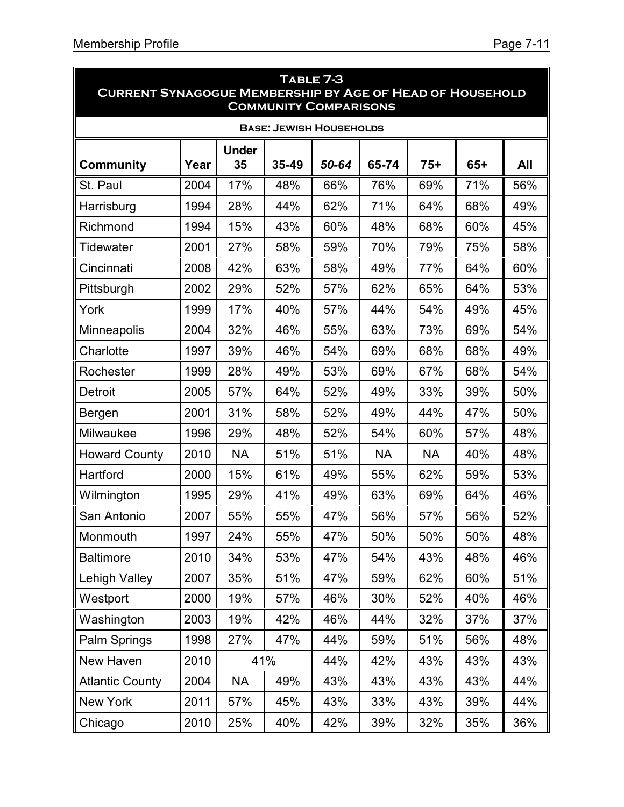| TABLE 7-3<br><b>CURRENT SYNAGOGUE MEMBERSHIP BY AGE OF HEAD OF HOUSEHOLD</b><br><b>COMMUNITY COMPARISONS</b> |      |                    |       |       |           |           |       |     |
|--------------------------------------------------------------------------------------------------------------|------|--------------------|-------|-------|-----------|-----------|-------|-----|
| <b>BASE: JEWISH HOUSEHOLDS</b>                                                                               |      |                    |       |       |           |           |       |     |
| <b>Community</b>                                                                                             | Year | <b>Under</b><br>35 | 35-49 | 50-64 | 65-74     | $75+$     | $65+$ | All |
| St. Paul                                                                                                     | 2004 | 17%                | 48%   | 66%   | 76%       | 69%       | 71%   | 56% |
| Harrisburg                                                                                                   | 1994 | 28%                | 44%   | 62%   | 71%       | 64%       | 68%   | 49% |
| Richmond                                                                                                     | 1994 | 15%                | 43%   | 60%   | 48%       | 68%       | 60%   | 45% |
| Tidewater                                                                                                    | 2001 | 27%                | 58%   | 59%   | 70%       | 79%       | 75%   | 58% |
| Cincinnati                                                                                                   | 2008 | 42%                | 63%   | 58%   | 49%       | 77%       | 64%   | 60% |
| Pittsburgh                                                                                                   | 2002 | 29%                | 52%   | 57%   | 62%       | 65%       | 64%   | 53% |
| York                                                                                                         | 1999 | 17%                | 40%   | 57%   | 44%       | 54%       | 49%   | 45% |
| <b>Minneapolis</b>                                                                                           | 2004 | 32%                | 46%   | 55%   | 63%       | 73%       | 69%   | 54% |
| Charlotte                                                                                                    | 1997 | 39%                | 46%   | 54%   | 69%       | 68%       | 68%   | 49% |
| Rochester                                                                                                    | 1999 | 28%                | 49%   | 53%   | 69%       | 67%       | 68%   | 54% |
| Detroit                                                                                                      | 2005 | 57%                | 64%   | 52%   | 49%       | 33%       | 39%   | 50% |
| Bergen                                                                                                       | 2001 | 31%                | 58%   | 52%   | 49%       | 44%       | 47%   | 50% |
| Milwaukee                                                                                                    | 1996 | 29%                | 48%   | 52%   | 54%       | 60%       | 57%   | 48% |
| <b>Howard County</b>                                                                                         | 2010 | <b>NA</b>          | 51%   | 51%   | <b>NA</b> | <b>NA</b> | 40%   | 48% |
| Hartford                                                                                                     | 2000 | 15%                | 61%   | 49%   | 55%       | 62%       | 59%   | 53% |
| Wilmington                                                                                                   | 1995 | 29%                | 41%   | 49%   | 63%       | 69%       | 64%   | 46% |
| San Antonio                                                                                                  | 2007 | 55%                | 55%   | 47%   | 56%       | 57%       | 56%   | 52% |
| Monmouth                                                                                                     | 1997 | 24%                | 55%   | 47%   | 50%       | 50%       | 50%   | 48% |
| <b>Baltimore</b>                                                                                             | 2010 | 34%                | 53%   | 47%   | 54%       | 43%       | 48%   | 46% |
| <b>Lehigh Valley</b>                                                                                         | 2007 | 35%                | 51%   | 47%   | 59%       | 62%       | 60%   | 51% |
| Westport                                                                                                     | 2000 | 19%                | 57%   | 46%   | 30%       | 52%       | 40%   | 46% |
| Washington                                                                                                   | 2003 | 19%                | 42%   | 46%   | 44%       | 32%       | 37%   | 37% |
| Palm Springs                                                                                                 | 1998 | 27%                | 47%   | 44%   | 59%       | 51%       | 56%   | 48% |
| New Haven                                                                                                    | 2010 |                    | 41%   | 44%   | 42%       | 43%       | 43%   | 43% |
| <b>Atlantic County</b>                                                                                       | 2004 | <b>NA</b>          | 49%   | 43%   | 43%       | 43%       | 43%   | 44% |
| New York                                                                                                     | 2011 | 57%                | 45%   | 43%   | 33%       | 43%       | 39%   | 44% |
| Chicago                                                                                                      | 2010 | 25%                | 40%   | 42%   | 39%       | 32%       | 35%   | 36% |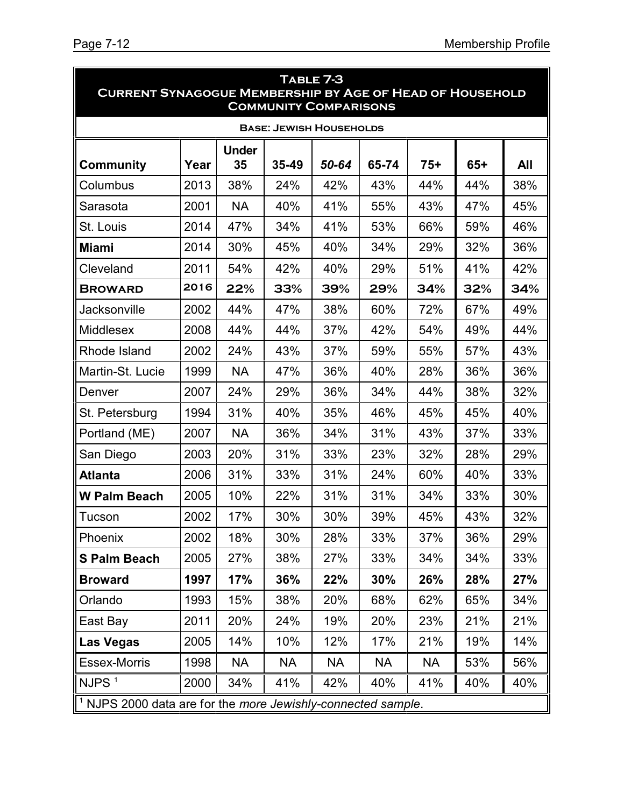| TABLE 7-3<br><b>CURRENT SYNAGOGUE MEMBERSHIP BY AGE OF HEAD OF HOUSEHOLD</b><br><b>COMMUNITY COMPARISONS</b> |      |                    |           |           |           |           |       |     |
|--------------------------------------------------------------------------------------------------------------|------|--------------------|-----------|-----------|-----------|-----------|-------|-----|
| <b>BASE: JEWISH HOUSEHOLDS</b>                                                                               |      |                    |           |           |           |           |       |     |
| <b>Community</b>                                                                                             | Year | <b>Under</b><br>35 | 35-49     | 50-64     | 65-74     | $75+$     | $65+$ | All |
| Columbus                                                                                                     | 2013 | 38%                | 24%       | 42%       | 43%       | 44%       | 44%   | 38% |
| Sarasota                                                                                                     | 2001 | <b>NA</b>          | 40%       | 41%       | 55%       | 43%       | 47%   | 45% |
| St. Louis                                                                                                    | 2014 | 47%                | 34%       | 41%       | 53%       | 66%       | 59%   | 46% |
| <b>Miami</b>                                                                                                 | 2014 | 30%                | 45%       | 40%       | 34%       | 29%       | 32%   | 36% |
| Cleveland                                                                                                    | 2011 | 54%                | 42%       | 40%       | 29%       | 51%       | 41%   | 42% |
| <b>BROWARD</b>                                                                                               | 2016 | 22%                | 33%       | 39%       | 29%       | 34%       | 32%   | 34% |
| Jacksonville                                                                                                 | 2002 | 44%                | 47%       | 38%       | 60%       | 72%       | 67%   | 49% |
| <b>Middlesex</b>                                                                                             | 2008 | 44%                | 44%       | 37%       | 42%       | 54%       | 49%   | 44% |
| Rhode Island                                                                                                 | 2002 | 24%                | 43%       | 37%       | 59%       | 55%       | 57%   | 43% |
| Martin-St. Lucie                                                                                             | 1999 | <b>NA</b>          | 47%       | 36%       | 40%       | 28%       | 36%   | 36% |
| Denver                                                                                                       | 2007 | 24%                | 29%       | 36%       | 34%       | 44%       | 38%   | 32% |
| St. Petersburg                                                                                               | 1994 | 31%                | 40%       | 35%       | 46%       | 45%       | 45%   | 40% |
| Portland (ME)                                                                                                | 2007 | <b>NA</b>          | 36%       | 34%       | 31%       | 43%       | 37%   | 33% |
| San Diego                                                                                                    | 2003 | 20%                | 31%       | 33%       | 23%       | 32%       | 28%   | 29% |
| <b>Atlanta</b>                                                                                               | 2006 | 31%                | 33%       | 31%       | 24%       | 60%       | 40%   | 33% |
| <b>W Palm Beach</b>                                                                                          | 2005 | 10%                | 22%       | 31%       | 31%       | 34%       | 33%   | 30% |
| Tucson                                                                                                       | 2002 | 17%                | 30%       | 30%       | 39%       | 45%       | 43%   | 32% |
| Phoenix                                                                                                      | 2002 | 18%                | 30%       | 28%       | 33%       | 37%       | 36%   | 29% |
| <b>S Palm Beach</b>                                                                                          | 2005 | 27%                | 38%       | 27%       | 33%       | 34%       | 34%   | 33% |
| <b>Broward</b>                                                                                               | 1997 | 17%                | 36%       | 22%       | 30%       | 26%       | 28%   | 27% |
| Orlando                                                                                                      | 1993 | 15%                | 38%       | 20%       | 68%       | 62%       | 65%   | 34% |
| East Bay                                                                                                     | 2011 | 20%                | 24%       | 19%       | 20%       | 23%       | 21%   | 21% |
| <b>Las Vegas</b>                                                                                             | 2005 | 14%                | 10%       | 12%       | 17%       | 21%       | 19%   | 14% |
| <b>Essex-Morris</b>                                                                                          | 1998 | <b>NA</b>          | <b>NA</b> | <b>NA</b> | <b>NA</b> | <b>NA</b> | 53%   | 56% |
| NJPS $1$                                                                                                     | 2000 | 34%                | 41%       | 42%       | 40%       | 41%       | 40%   | 40% |
| <sup>1</sup> NJPS 2000 data are for the more Jewishly-connected sample.                                      |      |                    |           |           |           |           |       |     |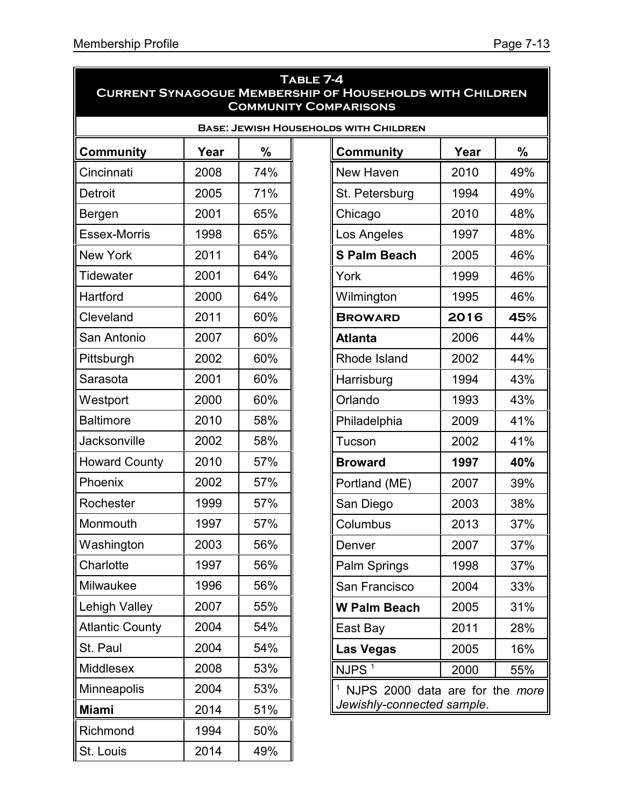| TABLE 7-4<br><b>CURRENT SYNAGOGUE MEMBERSHIP OF HOUSEHOLDS WITH CHILDREN</b><br><b>COMMUNITY COMPARISONS</b> |      |     |                                              |      |     |  |  |
|--------------------------------------------------------------------------------------------------------------|------|-----|----------------------------------------------|------|-----|--|--|
|                                                                                                              |      |     | <b>BASE: JEWISH HOUSEHOLDS WITH CHILDREN</b> |      |     |  |  |
| <b>Community</b>                                                                                             | Year | %   | Community                                    | Year | %   |  |  |
| Cincinnati                                                                                                   | 2008 | 74% | New Haven                                    | 2010 | 49% |  |  |
| <b>Detroit</b>                                                                                               | 2005 | 71% | St. Petersburg                               | 1994 | 49% |  |  |
| Bergen                                                                                                       | 2001 | 65% | Chicago                                      | 2010 | 48% |  |  |
| <b>Essex-Morris</b>                                                                                          | 1998 | 65% | Los Angeles                                  | 1997 | 48% |  |  |
| <b>New York</b>                                                                                              | 2011 | 64% | <b>S Palm Beach</b>                          | 2005 | 46% |  |  |
| <b>Tidewater</b>                                                                                             | 2001 | 64% | York                                         | 1999 | 46% |  |  |
| Hartford                                                                                                     | 2000 | 64% | Wilmington                                   | 1995 | 46% |  |  |
| Cleveland                                                                                                    | 2011 | 60% | <b>BROWARD</b>                               | 2016 | 45% |  |  |
| San Antonio                                                                                                  | 2007 | 60% | <b>Atlanta</b>                               | 2006 | 44% |  |  |
| Pittsburgh                                                                                                   | 2002 | 60% | Rhode Island                                 | 2002 | 44% |  |  |
| Sarasota                                                                                                     | 2001 | 60% | Harrisburg                                   | 1994 | 43% |  |  |
| Westport                                                                                                     | 2000 | 60% | Orlando                                      | 1993 | 43% |  |  |
| <b>Baltimore</b>                                                                                             | 2010 | 58% | Philadelphia                                 | 2009 | 41% |  |  |
| Jacksonville                                                                                                 | 2002 | 58% | Tucson                                       | 2002 | 41% |  |  |
| <b>Howard County</b>                                                                                         | 2010 | 57% | <b>Broward</b>                               | 1997 | 40% |  |  |
| Phoenix                                                                                                      | 2002 | 57% | Portland (ME)                                | 2007 | 39% |  |  |
| Rochester                                                                                                    | 1999 | 57% | San Diego                                    | 2003 | 38% |  |  |
| Monmouth                                                                                                     | 1997 | 57% | Columbus                                     | 2013 | 37% |  |  |
| Washington                                                                                                   | 2003 | 56% | Denver                                       | 2007 | 37% |  |  |
| Charlotte                                                                                                    | 1997 | 56% | Palm Springs                                 | 1998 | 37% |  |  |
| Milwaukee                                                                                                    | 1996 | 56% | San Francisco                                | 2004 | 33% |  |  |
| Lehigh Valley                                                                                                | 2007 | 55% | <b>W Palm Beach</b>                          | 2005 | 31% |  |  |
| <b>Atlantic County</b>                                                                                       | 2004 | 54% | East Bay                                     | 2011 | 28% |  |  |
| St. Paul                                                                                                     | 2004 | 54% | <b>Las Vegas</b>                             | 2005 | 16% |  |  |
| Middlesex                                                                                                    | 2008 | 53% | NJPS $\overline{1}$                          | 2000 | 55% |  |  |
| <b>Minneapolis</b>                                                                                           | 2004 | 53% | <sup>1</sup> NJPS 2000 data are for the more |      |     |  |  |
| <b>Miami</b>                                                                                                 | 2014 | 51% | Jewishly-connected sample.                   |      |     |  |  |
| Richmond                                                                                                     | 1994 | 50% |                                              |      |     |  |  |
| St. Louis                                                                                                    | 2014 | 49% |                                              |      |     |  |  |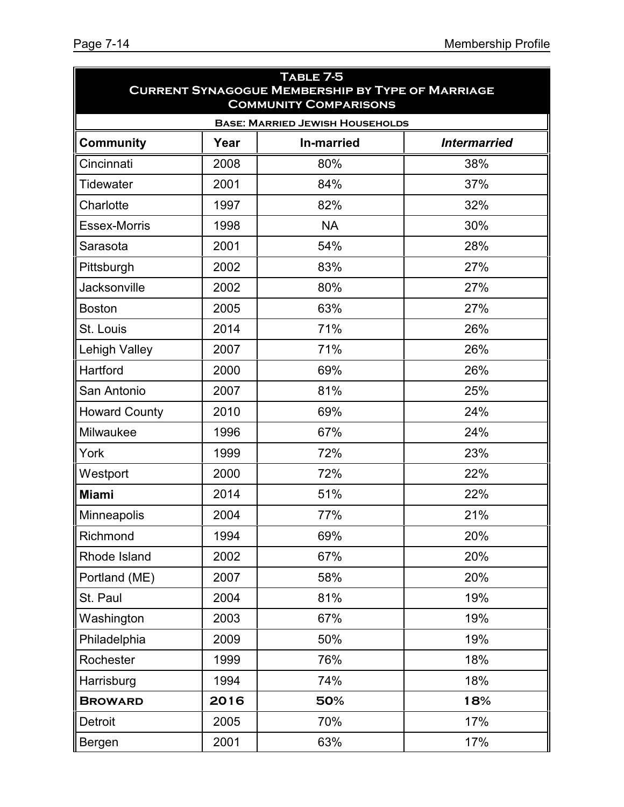| TABLE 7-5<br><b>CURRENT SYNAGOGUE MEMBERSHIP BY TYPE OF MARRIAGE</b><br><b>COMMUNITY COMPARISONS</b> |      |                   |                     |  |  |  |  |  |
|------------------------------------------------------------------------------------------------------|------|-------------------|---------------------|--|--|--|--|--|
| <b>BASE: MARRIED JEWISH HOUSEHOLDS</b>                                                               |      |                   |                     |  |  |  |  |  |
| <b>Community</b>                                                                                     | Year | <b>In-married</b> | <b>Intermarried</b> |  |  |  |  |  |
| Cincinnati                                                                                           | 2008 | 80%               | 38%                 |  |  |  |  |  |
| <b>Tidewater</b>                                                                                     | 2001 | 84%               | 37%                 |  |  |  |  |  |
| Charlotte                                                                                            | 1997 | 82%               | 32%                 |  |  |  |  |  |
| <b>Essex-Morris</b>                                                                                  | 1998 | <b>NA</b>         | 30%                 |  |  |  |  |  |
| Sarasota                                                                                             | 2001 | 54%               | 28%                 |  |  |  |  |  |
| Pittsburgh                                                                                           | 2002 | 83%               | 27%                 |  |  |  |  |  |
| Jacksonville                                                                                         | 2002 | 80%               | 27%                 |  |  |  |  |  |
| <b>Boston</b>                                                                                        | 2005 | 63%               | 27%                 |  |  |  |  |  |
| St. Louis                                                                                            | 2014 | 71%               | 26%                 |  |  |  |  |  |
| <b>Lehigh Valley</b>                                                                                 | 2007 | 71%               | 26%                 |  |  |  |  |  |
| Hartford                                                                                             | 2000 | 69%               | 26%                 |  |  |  |  |  |
| San Antonio                                                                                          | 2007 | 81%               | 25%                 |  |  |  |  |  |
| <b>Howard County</b>                                                                                 | 2010 | 69%               | 24%                 |  |  |  |  |  |
| Milwaukee                                                                                            | 1996 | 67%               | 24%                 |  |  |  |  |  |
| York                                                                                                 | 1999 | 72%               | 23%                 |  |  |  |  |  |
| Westport                                                                                             | 2000 | 72%               | 22%                 |  |  |  |  |  |
| <b>Miami</b>                                                                                         | 2014 | 51%               | 22%                 |  |  |  |  |  |
| Minneapolis                                                                                          | 2004 | 77%               | 21%                 |  |  |  |  |  |
| Richmond                                                                                             | 1994 | 69%               | 20%                 |  |  |  |  |  |
| Rhode Island                                                                                         | 2002 | 67%               | 20%                 |  |  |  |  |  |
| Portland (ME)                                                                                        | 2007 | 58%               | 20%                 |  |  |  |  |  |
| St. Paul                                                                                             | 2004 | 81%               | 19%                 |  |  |  |  |  |
| Washington                                                                                           | 2003 | 67%               | 19%                 |  |  |  |  |  |
| Philadelphia                                                                                         | 2009 | 50%               | 19%                 |  |  |  |  |  |
| Rochester                                                                                            | 1999 | 76%               | 18%                 |  |  |  |  |  |
| Harrisburg                                                                                           | 1994 | 74%               | 18%                 |  |  |  |  |  |
| <b>BROWARD</b>                                                                                       | 2016 | 50%               | 18%                 |  |  |  |  |  |
| Detroit                                                                                              | 2005 | 70%               | 17%                 |  |  |  |  |  |
| Bergen                                                                                               | 2001 | 63%               | 17%                 |  |  |  |  |  |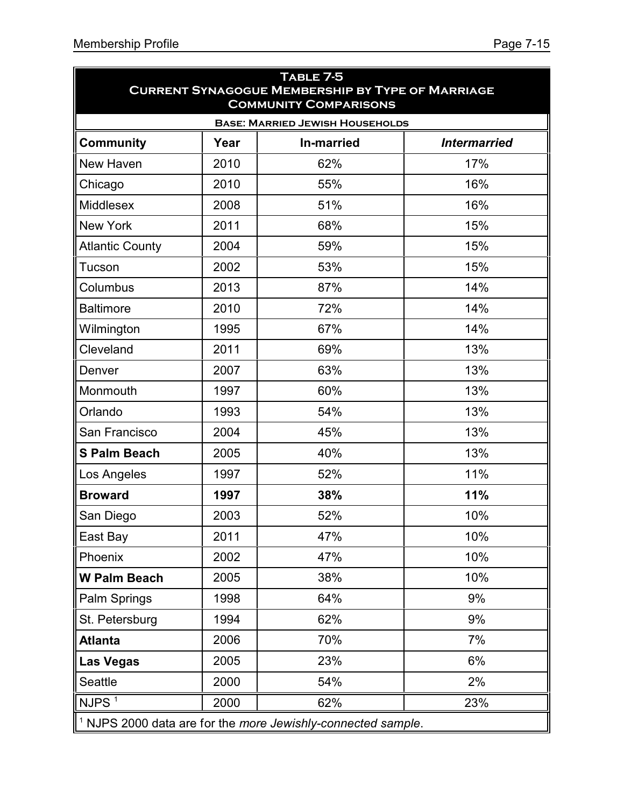| TABLE 7-5<br><b>CURRENT SYNAGOGUE MEMBERSHIP BY TYPE OF MARRIAGE</b><br><b>COMMUNITY COMPARISONS</b> |      |                   |                     |  |  |  |  |  |
|------------------------------------------------------------------------------------------------------|------|-------------------|---------------------|--|--|--|--|--|
| <b>BASE: MARRIED JEWISH HOUSEHOLDS</b>                                                               |      |                   |                     |  |  |  |  |  |
| <b>Community</b>                                                                                     | Year | <b>In-married</b> | <b>Intermarried</b> |  |  |  |  |  |
| New Haven                                                                                            | 2010 | 62%               | 17%                 |  |  |  |  |  |
| Chicago                                                                                              | 2010 | 55%               | 16%                 |  |  |  |  |  |
| Middlesex                                                                                            | 2008 | 51%               | 16%                 |  |  |  |  |  |
| <b>New York</b>                                                                                      | 2011 | 68%               | 15%                 |  |  |  |  |  |
| <b>Atlantic County</b>                                                                               | 2004 | 59%               | 15%                 |  |  |  |  |  |
| Tucson                                                                                               | 2002 | 53%               | 15%                 |  |  |  |  |  |
| Columbus                                                                                             | 2013 | 87%               | 14%                 |  |  |  |  |  |
| <b>Baltimore</b>                                                                                     | 2010 | 72%               | 14%                 |  |  |  |  |  |
| Wilmington                                                                                           | 1995 | 67%               | 14%                 |  |  |  |  |  |
| Cleveland                                                                                            | 2011 | 69%               | 13%                 |  |  |  |  |  |
| Denver                                                                                               | 2007 | 63%               | 13%                 |  |  |  |  |  |
| Monmouth                                                                                             | 1997 | 60%               | 13%                 |  |  |  |  |  |
| Orlando                                                                                              | 1993 | 54%               | 13%                 |  |  |  |  |  |
| San Francisco                                                                                        | 2004 | 45%               | 13%                 |  |  |  |  |  |
| <b>S Palm Beach</b>                                                                                  | 2005 | 40%               | 13%                 |  |  |  |  |  |
| Los Angeles                                                                                          | 1997 | 52%               | 11%                 |  |  |  |  |  |
| <b>Broward</b>                                                                                       | 1997 | 38%               | 11%                 |  |  |  |  |  |
| San Diego                                                                                            | 2003 | 52%               | 10%                 |  |  |  |  |  |
| East Bay                                                                                             | 2011 | 47%               | 10%                 |  |  |  |  |  |
| Phoenix                                                                                              | 2002 | 47%               | 10%                 |  |  |  |  |  |
| <b>W Palm Beach</b>                                                                                  | 2005 | 38%               | 10%                 |  |  |  |  |  |
| Palm Springs                                                                                         | 1998 | 64%               | 9%                  |  |  |  |  |  |
| St. Petersburg                                                                                       | 1994 | 62%               | 9%                  |  |  |  |  |  |
| <b>Atlanta</b>                                                                                       | 2006 | 70%               | 7%                  |  |  |  |  |  |
| Las Vegas                                                                                            | 2005 | 23%               | 6%                  |  |  |  |  |  |
| Seattle                                                                                              | 2000 | 54%               | 2%                  |  |  |  |  |  |
| NJPS $1$                                                                                             | 2000 | 62%               | 23%                 |  |  |  |  |  |
| $\parallel$ <sup>1</sup> NJPS 2000 data are for the more Jewishly-connected sample.                  |      |                   |                     |  |  |  |  |  |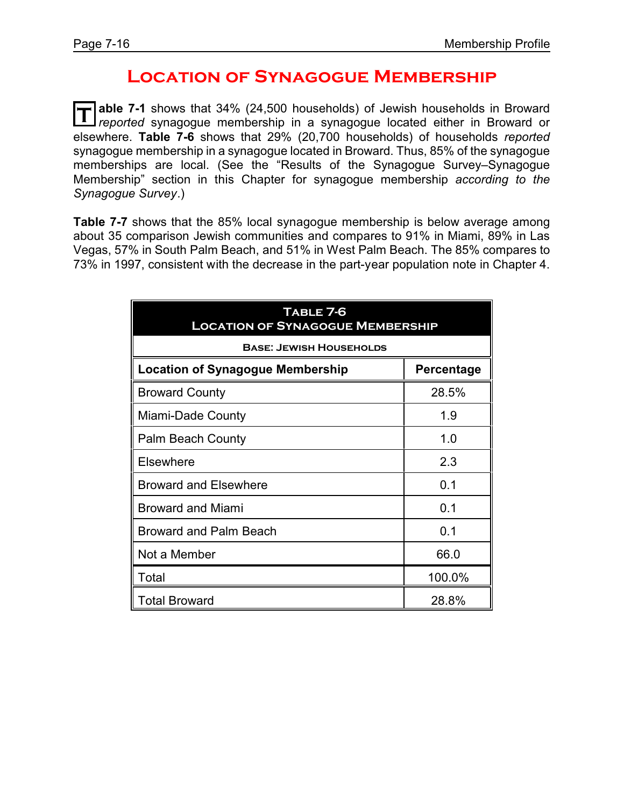## **Location of Synagogue Membership**

**T** able 7-1 shows that 34% (24,500 households) of Jewish households in Broward or reported synagogue membership in a synagogue located either in Broward or **able 7-1** shows that 34% (24,500 households) of Jewish households in Broward elsewhere. **Table 7-6** shows that 29% (20,700 households) of households *reported* synagogue membership in a synagogue located in Broward. Thus, 85% of the synagogue memberships are local. (See the "Results of the Synagogue Survey–Synagogue Membership" section in this Chapter for synagogue membership *according to the Synagogue Survey*.)

**Table 7-7** shows that the 85% local synagogue membership is below average among about 35 comparison Jewish communities and compares to 91% in Miami, 89% in Las Vegas, 57% in South Palm Beach, and 51% in West Palm Beach. The 85% compares to 73% in 1997, consistent with the decrease in the part-year population note in Chapter 4.

| TABLE 7-6<br><b>LOCATION OF SYNAGOGUE MEMBERSHIP</b>  |        |  |  |  |  |
|-------------------------------------------------------|--------|--|--|--|--|
| <b>BASE: JEWISH HOUSEHOLDS</b>                        |        |  |  |  |  |
| <b>Location of Synagogue Membership</b><br>Percentage |        |  |  |  |  |
| <b>Broward County</b>                                 | 28.5%  |  |  |  |  |
| Miami-Dade County                                     | 1.9    |  |  |  |  |
| <b>Palm Beach County</b>                              | 1.0    |  |  |  |  |
| Elsewhere                                             | 2.3    |  |  |  |  |
| <b>Broward and Elsewhere</b>                          | 0.1    |  |  |  |  |
| <b>Broward and Miami</b>                              | 0.1    |  |  |  |  |
| <b>Broward and Palm Beach</b>                         | 0.1    |  |  |  |  |
| Not a Member                                          | 66.0   |  |  |  |  |
| Total                                                 | 100.0% |  |  |  |  |
| <b>Total Broward</b>                                  | 28.8%  |  |  |  |  |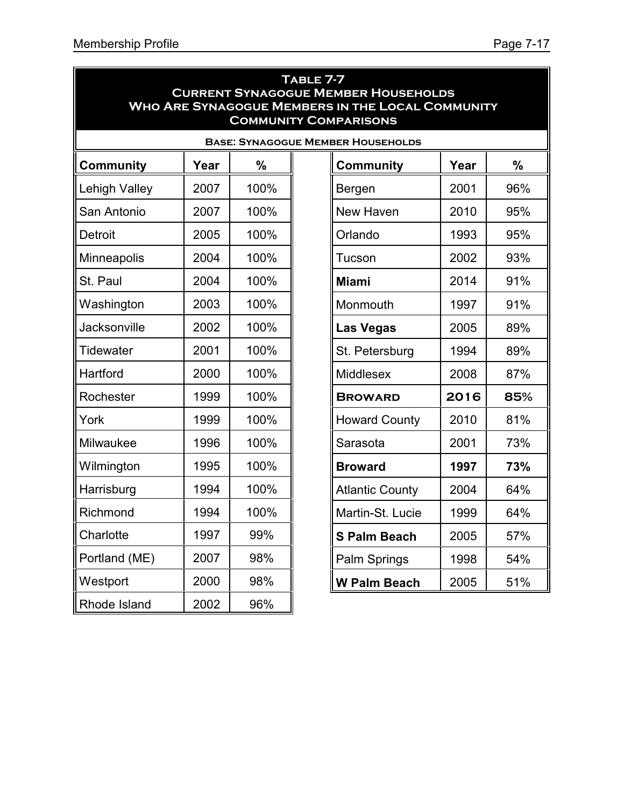| TABLE 7-7                                               |
|---------------------------------------------------------|
| <b>CURRENT SYNAGOGUE MEMBER HOUSEHOLDS</b>              |
| <b>WHO ARE SYNAGOGUE MEMBERS IN THE LOCAL COMMUNITY</b> |
| <b>COMMUNITY COMPARISONS</b>                            |

| <b>BASE: SYNAGOGUE MEMBER HOUSEHOLDS</b> |      |      |  |                        |      |                 |
|------------------------------------------|------|------|--|------------------------|------|-----------------|
| <b>Community</b>                         | Year | %    |  | <b>Community</b>       | Year | $\frac{0}{0}$   |
| <b>Lehigh Valley</b>                     | 2007 | 100% |  | Bergen                 | 2001 | 96 <sup>c</sup> |
| San Antonio                              | 2007 | 100% |  | <b>New Haven</b>       | 2010 | 95 <sup>c</sup> |
| <b>Detroit</b>                           | 2005 | 100% |  | Orlando                | 1993 | 95 <sup>c</sup> |
| Minneapolis                              | 2004 | 100% |  | Tucson                 | 2002 | 93 <sup>c</sup> |
| St. Paul                                 | 2004 | 100% |  | <b>Miami</b>           | 2014 | 91 <sup>c</sup> |
| Washington                               | 2003 | 100% |  | Monmouth               | 1997 | 91 <sup>c</sup> |
| Jacksonville                             | 2002 | 100% |  | <b>Las Vegas</b>       | 2005 | 89 <sup>c</sup> |
| Tidewater                                | 2001 | 100% |  | St. Petersburg         | 1994 | 89 <sup>c</sup> |
| Hartford                                 | 2000 | 100% |  | <b>Middlesex</b>       | 2008 | 87 <sup>c</sup> |
| Rochester                                | 1999 | 100% |  | <b>BROWARD</b>         | 2016 | 85              |
| York                                     | 1999 | 100% |  | <b>Howard County</b>   | 2010 | 81 <sup>c</sup> |
| Milwaukee                                | 1996 | 100% |  | Sarasota               | 2001 | 73 <sup>c</sup> |
| Wilmington                               | 1995 | 100% |  | <b>Broward</b>         | 1997 | 73 <sup>°</sup> |
| Harrisburg                               | 1994 | 100% |  | <b>Atlantic County</b> | 2004 | 64 <sup>c</sup> |
| Richmond                                 | 1994 | 100% |  | Martin-St. Lucie       | 1999 | 64 <sup>c</sup> |
| Charlotte                                | 1997 | 99%  |  | <b>S Palm Beach</b>    | 2005 | 57 <sup>c</sup> |
| Portland (ME)                            | 2007 | 98%  |  | Palm Springs           | 1998 | 54 <sup>c</sup> |
| Westport                                 | 2000 | 98%  |  | <b>W Palm Beach</b>    | 2005 | 51 <sup>c</sup> |
| Rhode Island                             | 2002 | 96%  |  |                        |      |                 |

| <b>BER HOUSEHOLDS</b>  |      |     |  |  |  |
|------------------------|------|-----|--|--|--|
| <b>Community</b>       | Year | %   |  |  |  |
| Bergen                 | 2001 | 96% |  |  |  |
| New Haven              | 2010 | 95% |  |  |  |
| Orlando                | 1993 | 95% |  |  |  |
| Tucson                 | 2002 | 93% |  |  |  |
| <b>Miami</b>           | 2014 | 91% |  |  |  |
| Monmouth               | 1997 | 91% |  |  |  |
| Las Vegas              | 2005 | 89% |  |  |  |
| St. Petersburg         | 1994 | 89% |  |  |  |
| <b>Middlesex</b>       | 2008 | 87% |  |  |  |
| <b>BROWARD</b>         | 2016 | 85% |  |  |  |
| <b>Howard County</b>   | 2010 | 81% |  |  |  |
| Sarasota               | 2001 | 73% |  |  |  |
| <b>Broward</b>         | 1997 | 73% |  |  |  |
| <b>Atlantic County</b> | 2004 | 64% |  |  |  |
| Martin-St. Lucie       | 1999 | 64% |  |  |  |
| <b>S Palm Beach</b>    | 2005 | 57% |  |  |  |
| Palm Springs           | 1998 | 54% |  |  |  |
| <b>W Palm Beach</b>    | 2005 | 51% |  |  |  |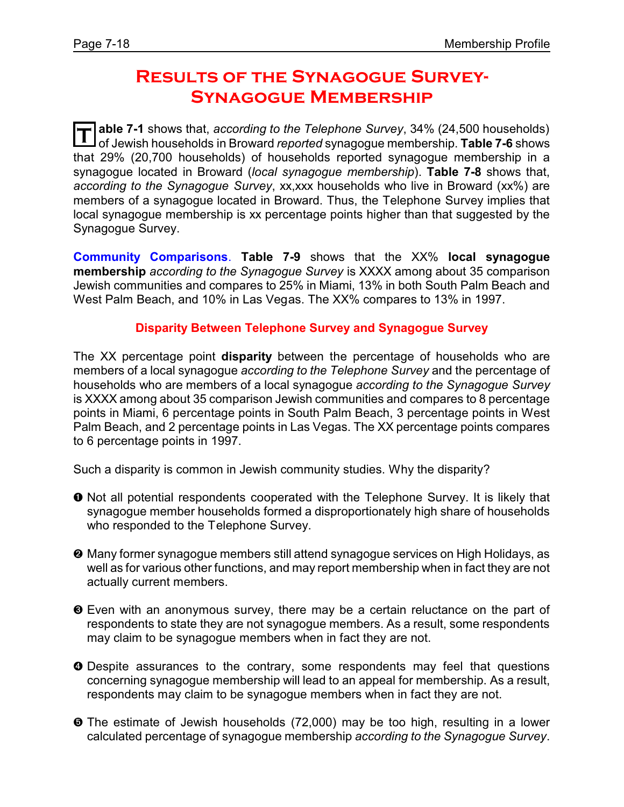## **Results of the Synagogue Survey-Synagogue Membership**

**T able 7-1** shows that, *according to the Telephone Survey*, 34% (24,500 households) of Jewish households in Broward *reported* synagogue membership. **Table 7-6** shows that 29% (20,700 households) of households reported synagogue membership in a synagogue located in Broward (*local synagogue membership*). **Table 7-8** shows that, *according to the Synagogue Survey*, xx,xxx households who live in Broward (xx%) are members of a synagogue located in Broward. Thus, the Telephone Survey implies that local synagogue membership is xx percentage points higher than that suggested by the Synagogue Survey.

**Community Comparisons**. **Table 7-9** shows that the XX% **local synagogue membership** *according to the Synagogue Survey* is XXXX among about 35 comparison Jewish communities and compares to 25% in Miami, 13% in both South Palm Beach and West Palm Beach, and 10% in Las Vegas. The XX% compares to 13% in 1997.

#### **Disparity Between Telephone Survey and Synagogue Survey**

The XX percentage point **disparity** between the percentage of households who are members of a local synagogue *according to the Telephone Survey* and the percentage of households who are members of a local synagogue *according to the Synagogue Survey* is XXXX among about 35 comparison Jewish communities and compares to 8 percentage points in Miami, 6 percentage points in South Palm Beach, 3 percentage points in West Palm Beach, and 2 percentage points in Las Vegas. The XX percentage points compares to 6 percentage points in 1997.

Such a disparity is common in Jewish community studies. Why the disparity?

- $\bullet$  Not all potential respondents cooperated with the Telephone Survey. It is likely that synagogue member households formed a disproportionately high share of households who responded to the Telephone Survey.
- <sup>2</sup> Many former synagogue members still attend synagogue services on High Holidays, as well as for various other functions, and may report membership when in fact they are not actually current members.
- $\odot$  Even with an anonymous survey, there may be a certain reluctance on the part of respondents to state they are not synagogue members. As a result, some respondents may claim to be synagogue members when in fact they are not.
- **O** Despite assurances to the contrary, some respondents may feel that questions concerning synagogue membership will lead to an appeal for membership. As a result, respondents may claim to be synagogue members when in fact they are not.
- ð The estimate of Jewish households (72,000) may be too high, resulting in a lower calculated percentage of synagogue membership *according to the Synagogue Survey*.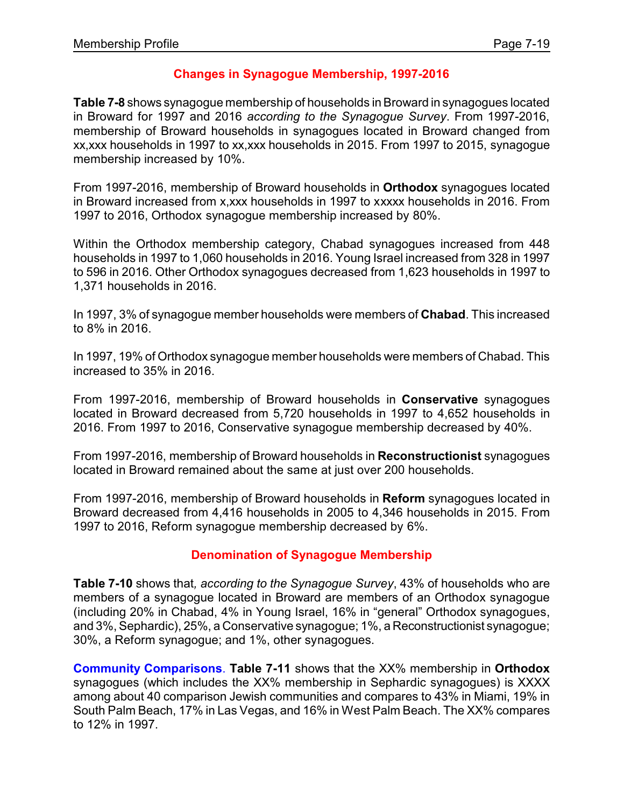#### **Changes in Synagogue Membership, 1997-2016**

**Table 7-8** shows synagogue membership of households in Broward in synagogues located in Broward for 1997 and 2016 *according to the Synagogue Survey*. From 1997-2016, membership of Broward households in synagogues located in Broward changed from xx,xxx households in 1997 to xx,xxx households in 2015. From 1997 to 2015, synagogue membership increased by 10%.

From 1997-2016, membership of Broward households in **Orthodox** synagogues located in Broward increased from x,xxx households in 1997 to xxxxx households in 2016. From 1997 to 2016, Orthodox synagogue membership increased by 80%.

Within the Orthodox membership category, Chabad synagogues increased from 448 households in 1997 to 1,060 households in 2016. Young Israel increased from 328 in 1997 to 596 in 2016. Other Orthodox synagogues decreased from 1,623 households in 1997 to 1,371 households in 2016.

In 1997, 3% of synagogue member households were members of **Chabad**. This increased to 8% in 2016.

In 1997, 19% of Orthodox synagogue member households were members of Chabad. This increased to 35% in 2016.

From 1997-2016, membership of Broward households in **Conservative** synagogues located in Broward decreased from 5,720 households in 1997 to 4,652 households in 2016. From 1997 to 2016, Conservative synagogue membership decreased by 40%.

From 1997-2016, membership of Broward households in **Reconstructionist** synagogues located in Broward remained about the same at just over 200 households.

From 1997-2016, membership of Broward households in **Reform** synagogues located in Broward decreased from 4,416 households in 2005 to 4,346 households in 2015. From 1997 to 2016, Reform synagogue membership decreased by 6%.

#### **Denomination of Synagogue Membership**

**Table 7-10** shows that*, according to the Synagogue Survey*, 43% of households who are members of a synagogue located in Broward are members of an Orthodox synagogue (including 20% in Chabad, 4% in Young Israel, 16% in "general" Orthodox synagogues, and 3%, Sephardic), 25%, a Conservative synagogue; 1%, a Reconstructionist synagogue; 30%, a Reform synagogue; and 1%, other synagogues.

**Community Comparisons**. **Table 7-11** shows that the XX% membership in **Orthodox** synagogues (which includes the XX% membership in Sephardic synagogues) is XXXX among about 40 comparison Jewish communities and compares to 43% in Miami, 19% in South Palm Beach, 17% in Las Vegas, and 16% in West Palm Beach. The XX% compares to 12% in 1997.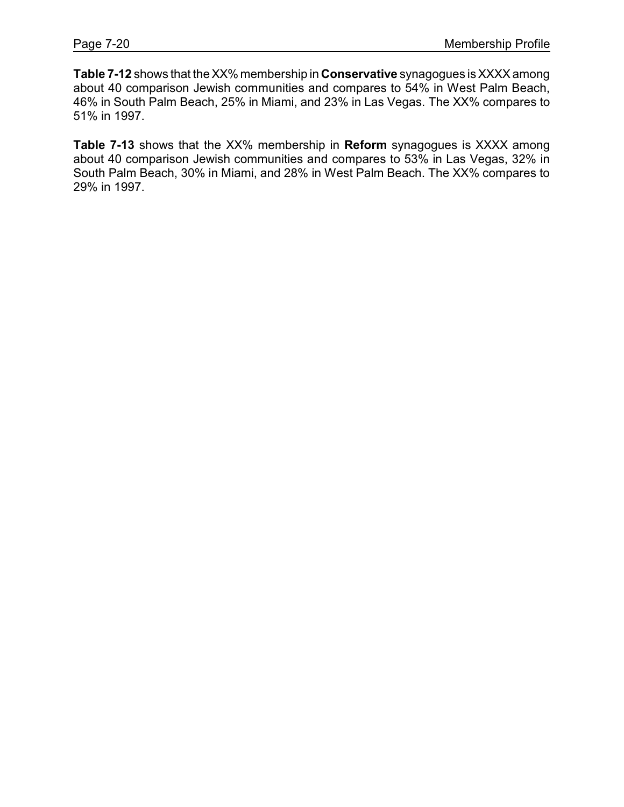**Table 7-12** shows that theXX%membership in **Conservative** synagogues is XXXXamong about 40 comparison Jewish communities and compares to 54% in West Palm Beach, 46% in South Palm Beach, 25% in Miami, and 23% in Las Vegas. The XX% compares to 51% in 1997.

**Table 7-13** shows that the XX% membership in **Reform** synagogues is XXXX among about 40 comparison Jewish communities and compares to 53% in Las Vegas, 32% in South Palm Beach, 30% in Miami, and 28% in West Palm Beach. The XX% compares to 29% in 1997.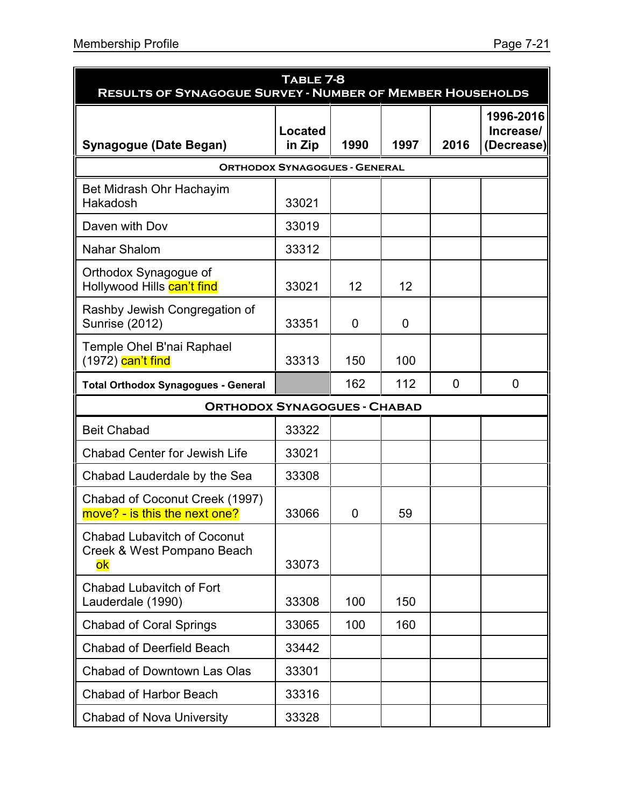| TABLE 7-8<br><b>RESULTS OF SYNAGOGUE SURVEY - NUMBER OF MEMBER HOUSEHOLDS</b> |                                      |      |      |      |                                      |
|-------------------------------------------------------------------------------|--------------------------------------|------|------|------|--------------------------------------|
| <b>Synagogue (Date Began)</b>                                                 | Located<br>in Zip                    | 1990 | 1997 | 2016 | 1996-2016<br>Increase/<br>(Decrease) |
|                                                                               | <b>ORTHODOX SYNAGOGUES - GENERAL</b> |      |      |      |                                      |
| Bet Midrash Ohr Hachayim<br>Hakadosh                                          | 33021                                |      |      |      |                                      |
| Daven with Dov                                                                | 33019                                |      |      |      |                                      |
| Nahar Shalom                                                                  | 33312                                |      |      |      |                                      |
| Orthodox Synagogue of<br>Hollywood Hills can't find                           | 33021                                | 12   | 12   |      |                                      |
| Rashby Jewish Congregation of<br><b>Sunrise (2012)</b>                        | 33351                                | 0    | 0    |      |                                      |
| Temple Ohel B'nai Raphael<br>(1972) <mark>can't find</mark>                   | 33313                                | 150  | 100  |      |                                      |
| <b>Total Orthodox Synagogues - General</b>                                    |                                      | 162  | 112  | 0    | 0                                    |
| <b>ORTHODOX SYNAGOGUES - CHABAD</b>                                           |                                      |      |      |      |                                      |
| <b>Beit Chabad</b>                                                            | 33322                                |      |      |      |                                      |
| <b>Chabad Center for Jewish Life</b>                                          | 33021                                |      |      |      |                                      |
| Chabad Lauderdale by the Sea                                                  | 33308                                |      |      |      |                                      |
| Chabad of Coconut Creek (1997)<br>move? - is this the next one?               | 33066                                | 0    | 59   |      |                                      |
| <b>Chabad Lubavitch of Coconut</b><br>Creek & West Pompano Beach<br>ok        | 33073                                |      |      |      |                                      |
| <b>Chabad Lubavitch of Fort</b><br>Lauderdale (1990)                          | 33308                                | 100  | 150  |      |                                      |
| <b>Chabad of Coral Springs</b>                                                | 33065                                | 100  | 160  |      |                                      |
| <b>Chabad of Deerfield Beach</b>                                              | 33442                                |      |      |      |                                      |
| <b>Chabad of Downtown Las Olas</b>                                            | 33301                                |      |      |      |                                      |
| <b>Chabad of Harbor Beach</b>                                                 | 33316                                |      |      |      |                                      |
| <b>Chabad of Nova University</b>                                              | 33328                                |      |      |      |                                      |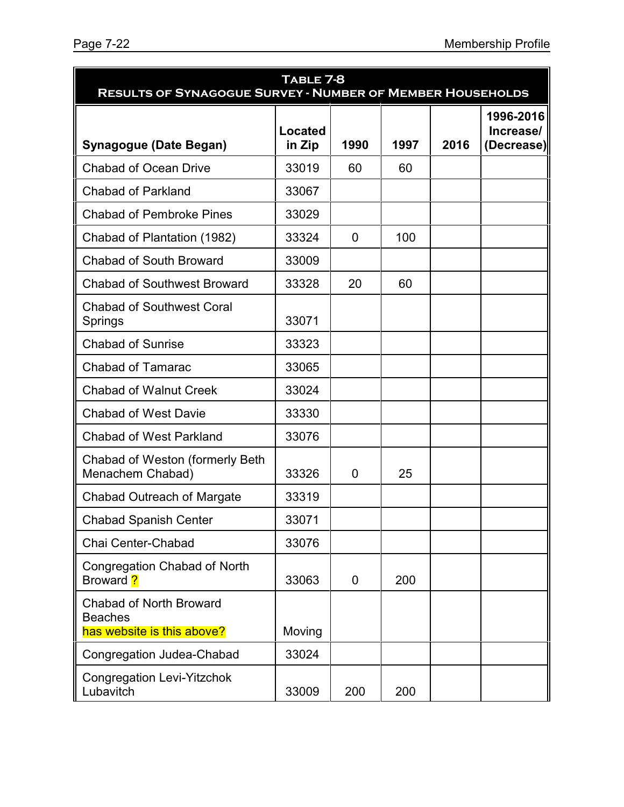| TABLE 7-8<br><b>RESULTS OF SYNAGOGUE SURVEY - NUMBER OF MEMBER HOUSEHOLDS</b>  |                          |      |      |      |                                      |
|--------------------------------------------------------------------------------|--------------------------|------|------|------|--------------------------------------|
| <b>Synagogue (Date Began)</b>                                                  | <b>Located</b><br>in Zip | 1990 | 1997 | 2016 | 1996-2016<br>Increase/<br>(Decrease) |
| <b>Chabad of Ocean Drive</b>                                                   | 33019                    | 60   | 60   |      |                                      |
| <b>Chabad of Parkland</b>                                                      | 33067                    |      |      |      |                                      |
| <b>Chabad of Pembroke Pines</b>                                                | 33029                    |      |      |      |                                      |
| Chabad of Plantation (1982)                                                    | 33324                    | 0    | 100  |      |                                      |
| <b>Chabad of South Broward</b>                                                 | 33009                    |      |      |      |                                      |
| <b>Chabad of Southwest Broward</b>                                             | 33328                    | 20   | 60   |      |                                      |
| <b>Chabad of Southwest Coral</b><br>Springs                                    | 33071                    |      |      |      |                                      |
| <b>Chabad of Sunrise</b>                                                       | 33323                    |      |      |      |                                      |
| <b>Chabad of Tamarac</b>                                                       | 33065                    |      |      |      |                                      |
| <b>Chabad of Walnut Creek</b>                                                  | 33024                    |      |      |      |                                      |
| <b>Chabad of West Davie</b>                                                    | 33330                    |      |      |      |                                      |
| <b>Chabad of West Parkland</b>                                                 | 33076                    |      |      |      |                                      |
| Chabad of Weston (formerly Beth<br>Menachem Chabad)                            | 33326                    | 0    | 25   |      |                                      |
| <b>Chabad Outreach of Margate</b>                                              | 33319                    |      |      |      |                                      |
| <b>Chabad Spanish Center</b>                                                   | 33071                    |      |      |      |                                      |
| Chai Center-Chabad                                                             | 33076                    |      |      |      |                                      |
| Congregation Chabad of North<br>Broward ?                                      | 33063                    | 0    | 200  |      |                                      |
| <b>Chabad of North Broward</b><br><b>Beaches</b><br>has website is this above? | Moving                   |      |      |      |                                      |
| <b>Congregation Judea-Chabad</b>                                               | 33024                    |      |      |      |                                      |
| <b>Congregation Levi-Yitzchok</b><br>Lubavitch                                 | 33009                    | 200  | 200  |      |                                      |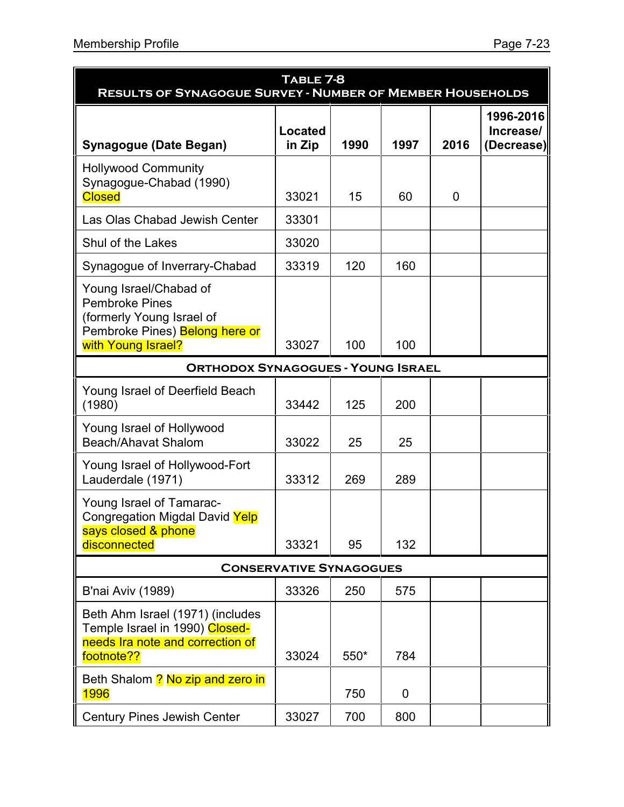| TABLE 7-8<br><b>RESULTS OF SYNAGOGUE SURVEY - NUMBER OF MEMBER HOUSEHOLDS</b>                                                        |                   |      |      |      |                                      |
|--------------------------------------------------------------------------------------------------------------------------------------|-------------------|------|------|------|--------------------------------------|
| <b>Synagogue (Date Began)</b>                                                                                                        | Located<br>in Zip | 1990 | 1997 | 2016 | 1996-2016<br>Increase/<br>(Decrease) |
| <b>Hollywood Community</b><br>Synagogue-Chabad (1990)<br><b>Closed</b>                                                               | 33021             | 15   | 60   | 0    |                                      |
| Las Olas Chabad Jewish Center                                                                                                        | 33301             |      |      |      |                                      |
| Shul of the Lakes                                                                                                                    | 33020             |      |      |      |                                      |
| Synagogue of Inverrary-Chabad                                                                                                        | 33319             | 120  | 160  |      |                                      |
| Young Israel/Chabad of<br><b>Pembroke Pines</b><br>(formerly Young Israel of<br>Pembroke Pines) Belong here or<br>with Young Israel? | 33027             | 100  | 100  |      |                                      |
| <b>ORTHODOX SYNAGOGUES - YOUNG ISRAEL</b>                                                                                            |                   |      |      |      |                                      |
| Young Israel of Deerfield Beach<br>(1980)                                                                                            | 33442             | 125  | 200  |      |                                      |
| Young Israel of Hollywood<br>Beach/Ahavat Shalom                                                                                     | 33022             | 25   | 25   |      |                                      |
| Young Israel of Hollywood-Fort<br>Lauderdale (1971)                                                                                  | 33312             | 269  | 289  |      |                                      |
| Young Israel of Tamarac-<br>Congregation Migdal David Yelp<br>says closed & phone<br>disconnected                                    | 33321             | 95   | 132  |      |                                      |
| <b>CONSERVATIVE SYNAGOGUES</b>                                                                                                       |                   |      |      |      |                                      |
| B'nai Aviv (1989)                                                                                                                    | 33326             | 250  | 575  |      |                                      |
| Beth Ahm Israel (1971) (includes<br>Temple Israel in 1990) Closed-<br>needs Ira note and correction of<br>footnote??                 | 33024             | 550* | 784  |      |                                      |
| Beth Shalom ? No zip and zero in<br>1996                                                                                             |                   | 750  | 0    |      |                                      |
| <b>Century Pines Jewish Center</b>                                                                                                   | 33027             | 700  | 800  |      |                                      |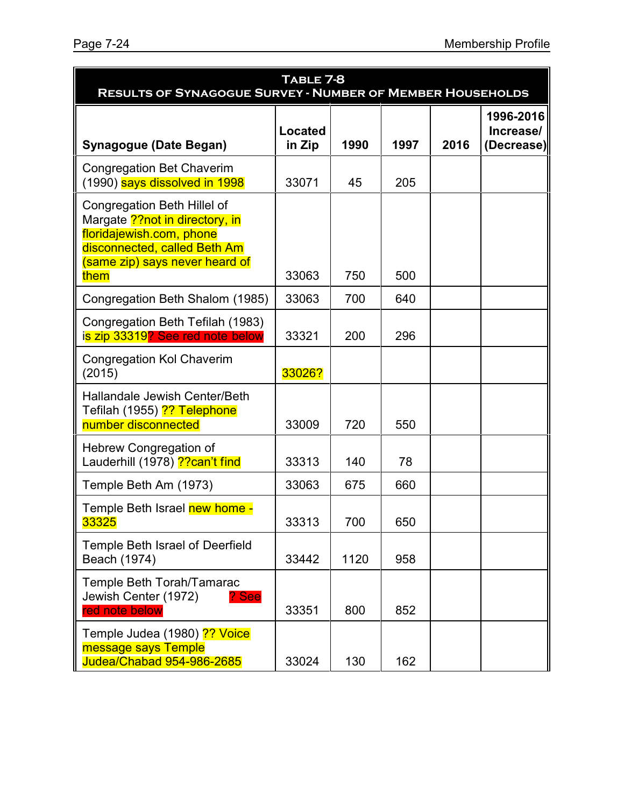| TABLE 7-8<br><b>RESULTS OF SYNAGOGUE SURVEY - NUMBER OF MEMBER HOUSEHOLDS</b>                                                                                        |                          |      |      |      |                                      |
|----------------------------------------------------------------------------------------------------------------------------------------------------------------------|--------------------------|------|------|------|--------------------------------------|
| <b>Synagogue (Date Began)</b>                                                                                                                                        | <b>Located</b><br>in Zip | 1990 | 1997 | 2016 | 1996-2016<br>Increase/<br>(Decrease) |
| <b>Congregation Bet Chaverim</b><br>(1990) says dissolved in 1998                                                                                                    | 33071                    | 45   | 205  |      |                                      |
| Congregation Beth Hillel of<br>Margate ?? not in directory, in<br>floridajewish.com, phone<br>disconnected, called Beth Am<br>(same zip) says never heard of<br>them | 33063                    | 750  | 500  |      |                                      |
| Congregation Beth Shalom (1985)                                                                                                                                      | 33063                    | 700  | 640  |      |                                      |
| Congregation Beth Tefilah (1983)<br>is zip 33319? See red note below                                                                                                 | 33321                    | 200  | 296  |      |                                      |
| <b>Congregation Kol Chaverim</b><br>(2015)                                                                                                                           | 33026?                   |      |      |      |                                      |
| Hallandale Jewish Center/Beth<br>Tefilah (1955) ?? Telephone<br>number disconnected                                                                                  | 33009                    | 720  | 550  |      |                                      |
| Hebrew Congregation of<br>Lauderhill (1978) ?? can't find                                                                                                            | 33313                    | 140  | 78   |      |                                      |
| Temple Beth Am (1973)                                                                                                                                                | 33063                    | 675  | 660  |      |                                      |
| Temple Beth Israel new home -<br>33325                                                                                                                               | 33313                    | 700  | 650  |      |                                      |
| Temple Beth Israel of Deerfield<br>Beach (1974)                                                                                                                      | 33442                    | 1120 | 958  |      |                                      |
| Temple Beth Torah/Tamarac<br>Jewish Center (1972)<br>? See<br>red note below                                                                                         | 33351                    | 800  | 852  |      |                                      |
| Temple Judea (1980) ?? Voice<br>message says Temple<br><b>Judea/Chabad 954-986-2685</b>                                                                              | 33024                    | 130  | 162  |      |                                      |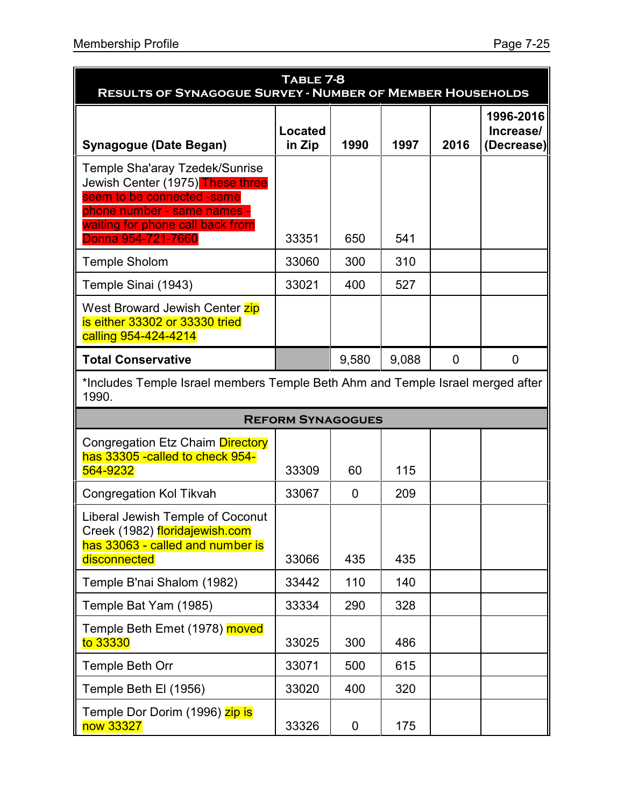| TABLE 7-8<br><b>RESULTS OF SYNAGOGUE SURVEY - NUMBER OF MEMBER HOUSEHOLDS</b>                                                                                       |                          |                  |       |             |                                      |
|---------------------------------------------------------------------------------------------------------------------------------------------------------------------|--------------------------|------------------|-------|-------------|--------------------------------------|
| <b>Synagogue (Date Began)</b>                                                                                                                                       | Located<br>in Zip        | 1990             | 1997  | 2016        | 1996-2016<br>Increase/<br>(Decrease) |
| Temple Sha'aray Tzedek/Sunrise<br>Jewish Center (1975) These three<br>seem to be connected -same<br>phone number - same names -<br>waiting for phone call back from |                          |                  |       |             |                                      |
| Donna 954-721-7660                                                                                                                                                  | 33351                    | 650              | 541   |             |                                      |
| <b>Temple Sholom</b>                                                                                                                                                | 33060                    | 300              | 310   |             |                                      |
| Temple Sinai (1943)<br>West Broward Jewish Center zip<br>is either 33302 or 33330 tried<br>calling 954-424-4214                                                     | 33021                    | 400              | 527   |             |                                      |
| <b>Total Conservative</b>                                                                                                                                           |                          | 9,580            | 9,088 | $\mathbf 0$ | $\mathbf 0$                          |
| *Includes Temple Israel members Temple Beth Ahm and Temple Israel merged after<br>1990.                                                                             |                          |                  |       |             |                                      |
|                                                                                                                                                                     | <b>REFORM SYNAGOGUES</b> |                  |       |             |                                      |
| Congregation Etz Chaim Directory<br>has 33305 - called to check 954-<br>564-9232                                                                                    | 33309                    | 60               | 115   |             |                                      |
| <b>Congregation Kol Tikvah</b>                                                                                                                                      | 33067                    | $\mathbf 0$      | 209   |             |                                      |
| Liberal Jewish Temple of Coconut<br>Creek (1982) floridajewish.com<br>has 33063 - called and number is<br>disconnected                                              | 33066                    | 435              | 435   |             |                                      |
| Temple B'nai Shalom (1982)                                                                                                                                          | 33442                    | 110              | 140   |             |                                      |
| Temple Bat Yam (1985)                                                                                                                                               | 33334                    | 290              | 328   |             |                                      |
| Temple Beth Emet (1978) moved<br>to 33330                                                                                                                           | 33025                    | 300              | 486   |             |                                      |
| Temple Beth Orr                                                                                                                                                     | 33071                    | 500              | 615   |             |                                      |
| Temple Beth El (1956)                                                                                                                                               | 33020                    | 400              | 320   |             |                                      |
| Temple Dor Dorim (1996) zip is<br>now 33327                                                                                                                         | 33326                    | $\boldsymbol{0}$ | 175   |             |                                      |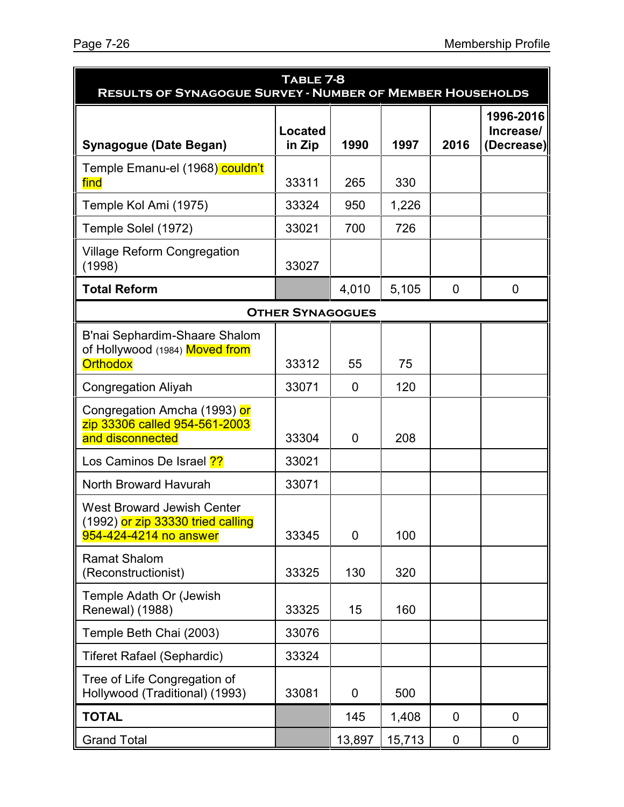| TABLE 7-8<br><b>RESULTS OF SYNAGOGUE SURVEY - NUMBER OF MEMBER HOUSEHOLDS</b>                    |                          |                |        |                |                                      |
|--------------------------------------------------------------------------------------------------|--------------------------|----------------|--------|----------------|--------------------------------------|
| <b>Synagogue (Date Began)</b>                                                                    | <b>Located</b><br>in Zip | 1990           | 1997   | 2016           | 1996-2016<br>Increase/<br>(Decrease) |
| Temple Emanu-el (1968) couldn't<br>find                                                          | 33311                    | 265            | 330    |                |                                      |
| Temple Kol Ami (1975)                                                                            | 33324                    | 950            | 1,226  |                |                                      |
| Temple Solel (1972)                                                                              | 33021                    | 700            | 726    |                |                                      |
| <b>Village Reform Congregation</b><br>(1998)                                                     | 33027                    |                |        |                |                                      |
| <b>Total Reform</b>                                                                              |                          | 4,010          | 5,105  | $\overline{0}$ | $\overline{0}$                       |
| <b>OTHER SYNAGOGUES</b>                                                                          |                          |                |        |                |                                      |
| B'nai Sephardim-Shaare Shalom<br>of Hollywood (1984) Moved from<br><b>Orthodox</b>               | 33312                    | 55             | 75     |                |                                      |
| <b>Congregation Aliyah</b>                                                                       | 33071                    | $\overline{0}$ | 120    |                |                                      |
| Congregation Amcha (1993) or<br>zip 33306 called 954-561-2003<br>and disconnected                | 33304                    | 0              | 208    |                |                                      |
| Los Caminos De Israel ??                                                                         | 33021                    |                |        |                |                                      |
| North Broward Havurah                                                                            | 33071                    |                |        |                |                                      |
| <b>West Broward Jewish Center</b><br>(1992) or zip 33330 tried calling<br>954-424-4214 no answer | 33345                    | 0              | 100    |                |                                      |
| <b>Ramat Shalom</b><br>(Reconstructionist)                                                       | 33325                    | 130            | 320    |                |                                      |
| Temple Adath Or (Jewish<br>Renewal) (1988)                                                       | 33325                    | 15             | 160    |                |                                      |
| Temple Beth Chai (2003)                                                                          | 33076                    |                |        |                |                                      |
| <b>Tiferet Rafael (Sephardic)</b>                                                                | 33324                    |                |        |                |                                      |
| Tree of Life Congregation of<br>Hollywood (Traditional) (1993)                                   | 33081                    | 0              | 500    |                |                                      |
| <b>TOTAL</b>                                                                                     |                          | 145            | 1,408  | $\overline{0}$ | $\overline{0}$                       |
| <b>Grand Total</b>                                                                               |                          | 13,897         | 15,713 | $\mathbf 0$    | $\mathbf 0$                          |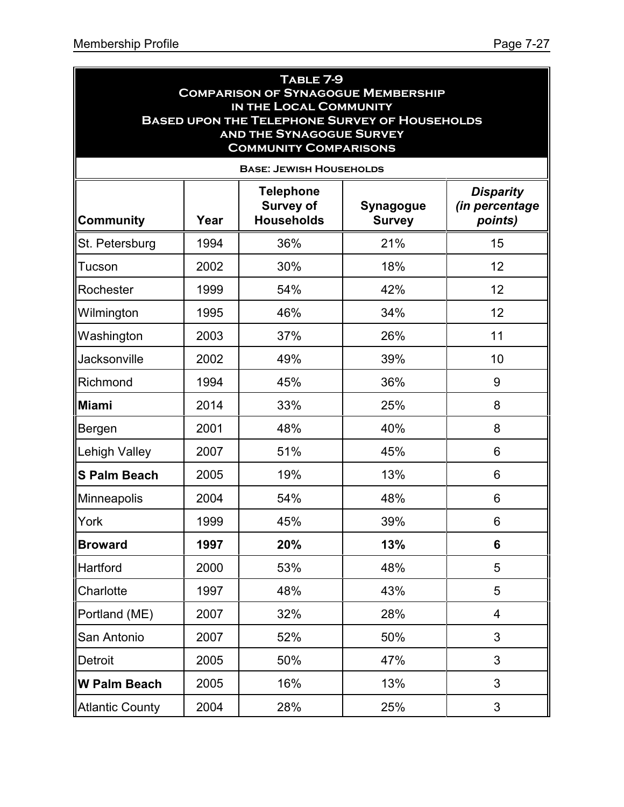| TABLE 7-9<br><b>COMPARISON OF SYNAGOGUE MEMBERSHIP</b><br>IN THE LOCAL COMMUNITY<br><b>BASED UPON THE TELEPHONE SURVEY OF HOUSEHOLDS</b><br><b>AND THE SYNAGOGUE SURVEY</b><br><b>COMMUNITY COMPARISONS</b> |      |                                                           |                                   |                                               |  |  |
|-------------------------------------------------------------------------------------------------------------------------------------------------------------------------------------------------------------|------|-----------------------------------------------------------|-----------------------------------|-----------------------------------------------|--|--|
|                                                                                                                                                                                                             |      | <b>BASE: JEWISH HOUSEHOLDS</b>                            |                                   |                                               |  |  |
| <b>Community</b>                                                                                                                                                                                            | Year | <b>Telephone</b><br><b>Survey of</b><br><b>Households</b> | <b>Synagogue</b><br><b>Survey</b> | <b>Disparity</b><br>(in percentage<br>points) |  |  |
| St. Petersburg                                                                                                                                                                                              | 1994 | 36%                                                       | 21%                               | 15                                            |  |  |
| Tucson                                                                                                                                                                                                      | 2002 | 30%                                                       | 18%                               | 12                                            |  |  |
| Rochester                                                                                                                                                                                                   | 1999 | 54%                                                       | 42%                               | 12                                            |  |  |
| Wilmington                                                                                                                                                                                                  | 1995 | 46%                                                       | 34%                               | 12                                            |  |  |
| Washington                                                                                                                                                                                                  | 2003 | 37%                                                       | 26%                               | 11                                            |  |  |
| Jacksonville                                                                                                                                                                                                | 2002 | 49%                                                       | 39%                               | 10                                            |  |  |
| Richmond                                                                                                                                                                                                    | 1994 | 45%                                                       | 36%                               | 9                                             |  |  |
| Miami                                                                                                                                                                                                       | 2014 | 33%                                                       | 25%                               | 8                                             |  |  |
| Bergen                                                                                                                                                                                                      | 2001 | 48%                                                       | 40%                               | 8                                             |  |  |
| Lehigh Valley                                                                                                                                                                                               | 2007 | 51%                                                       | 45%                               | 6                                             |  |  |
| <b>S Palm Beach</b>                                                                                                                                                                                         | 2005 | 19%                                                       | 13%                               | 6                                             |  |  |
| Minneapolis                                                                                                                                                                                                 | 2004 | 54%                                                       | 48%                               | 6                                             |  |  |
| York                                                                                                                                                                                                        | 1999 | 45%                                                       | 39%                               | 6                                             |  |  |
| <b>Broward</b>                                                                                                                                                                                              | 1997 | 20%                                                       | 13%                               | $6\phantom{1}6$                               |  |  |
| Hartford                                                                                                                                                                                                    | 2000 | 53%                                                       | 48%                               | 5                                             |  |  |
| Charlotte                                                                                                                                                                                                   | 1997 | 48%                                                       | 43%                               | 5                                             |  |  |
| Portland (ME)                                                                                                                                                                                               | 2007 | 32%                                                       | 28%                               | 4                                             |  |  |
| San Antonio                                                                                                                                                                                                 | 2007 | 52%                                                       | 50%                               | 3                                             |  |  |
| Detroit                                                                                                                                                                                                     | 2005 | 50%                                                       | 47%                               | 3                                             |  |  |
| ∥W Palm Beach                                                                                                                                                                                               | 2005 | 16%                                                       | 13%                               | 3                                             |  |  |
| <b>Atlantic County</b>                                                                                                                                                                                      | 2004 | 28%                                                       | 25%                               | 3                                             |  |  |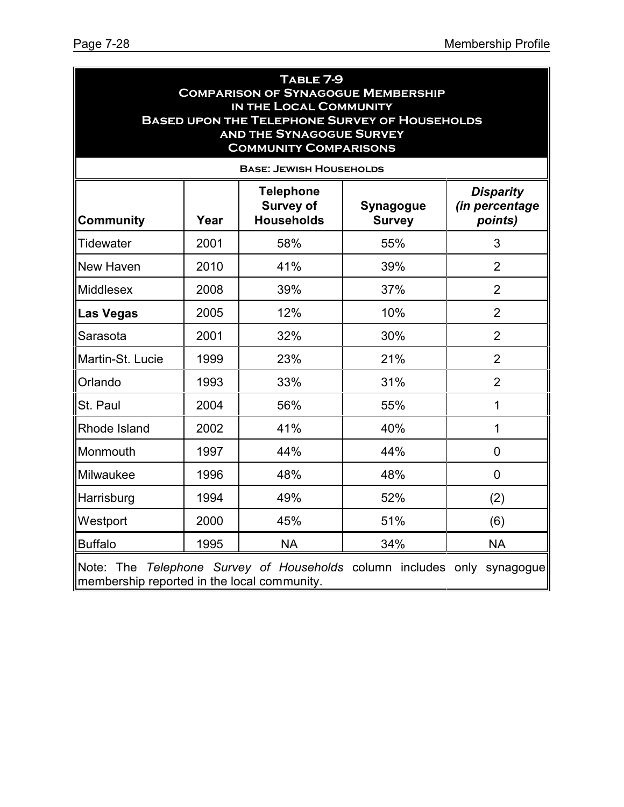| TABLE 7-9<br><b>COMPARISON OF SYNAGOGUE MEMBERSHIP</b><br>IN THE LOCAL COMMUNITY<br><b>BASED UPON THE TELEPHONE SURVEY OF HOUSEHOLDS</b><br><b>AND THE SYNAGOGUE SURVEY</b><br><b>COMMUNITY COMPARISONS</b><br><b>BASE: JEWISH HOUSEHOLDS</b> |      |           |     |                |  |  |
|-----------------------------------------------------------------------------------------------------------------------------------------------------------------------------------------------------------------------------------------------|------|-----------|-----|----------------|--|--|
| <b>Telephone</b><br><b>Disparity</b><br>(in percentage<br><b>Survey of</b><br>Synagogue<br><b>Community</b><br><b>Households</b><br>Year<br>points)<br><b>Survey</b>                                                                          |      |           |     |                |  |  |
| Tidewater                                                                                                                                                                                                                                     | 2001 | 58%       | 55% | 3              |  |  |
| New Haven                                                                                                                                                                                                                                     | 2010 | 41%       | 39% | $\overline{2}$ |  |  |
| <b>Middlesex</b>                                                                                                                                                                                                                              | 2008 | 39%       | 37% | $\overline{2}$ |  |  |
| <b>Las Vegas</b>                                                                                                                                                                                                                              | 2005 | 12%       | 10% | $\overline{2}$ |  |  |
| Sarasota                                                                                                                                                                                                                                      | 2001 | 32%       | 30% | $\overline{2}$ |  |  |
| Martin-St. Lucie                                                                                                                                                                                                                              | 1999 | 23%       | 21% | $\overline{2}$ |  |  |
| Orlando                                                                                                                                                                                                                                       | 1993 | 33%       | 31% | $\overline{2}$ |  |  |
| St. Paul                                                                                                                                                                                                                                      | 2004 | 56%       | 55% | $\mathbf{1}$   |  |  |
| Rhode Island                                                                                                                                                                                                                                  | 2002 | 41%       | 40% | $\mathbf{1}$   |  |  |
| Monmouth                                                                                                                                                                                                                                      | 1997 | 44%       | 44% | $\overline{0}$ |  |  |
| Milwaukee                                                                                                                                                                                                                                     | 1996 | 48%       | 48% | $\Omega$       |  |  |
| Harrisburg                                                                                                                                                                                                                                    | 1994 | 49%       | 52% | (2)            |  |  |
| Westport                                                                                                                                                                                                                                      | 2000 | 45%       | 51% | (6)            |  |  |
| <b>Buffalo</b>                                                                                                                                                                                                                                | 1995 | <b>NA</b> | 34% | <b>NA</b>      |  |  |
| Note: The Telephone Survey of Households column includes only synagogue<br>membership reported in the local community.                                                                                                                        |      |           |     |                |  |  |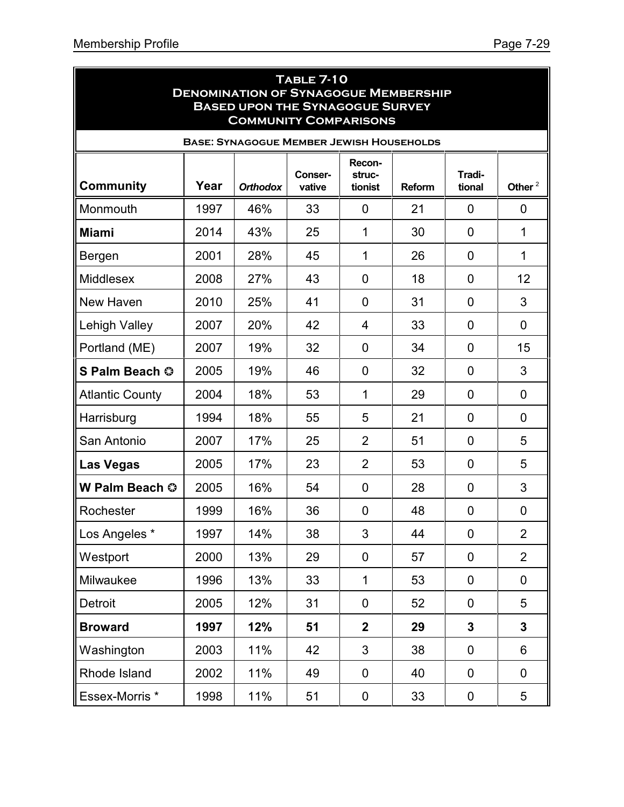| <b>TABLE 7-10</b><br><b>DENOMINATION OF SYNAGOGUE MEMBERSHIP</b><br><b>BASED UPON THE SYNAGOGUE SURVEY</b><br><b>COMMUNITY COMPARISONS</b> |      |                 |                   |                   |               |                  |                |  |
|--------------------------------------------------------------------------------------------------------------------------------------------|------|-----------------|-------------------|-------------------|---------------|------------------|----------------|--|
| <b>BASE: SYNAGOGUE MEMBER JEWISH HOUSEHOLDS</b><br>Recon-                                                                                  |      |                 |                   |                   |               |                  |                |  |
| <b>Community</b>                                                                                                                           | Year | <b>Orthodox</b> | Conser-<br>vative | struc-<br>tionist | <b>Reform</b> | Tradi-<br>tional | Other $^2$     |  |
| Monmouth                                                                                                                                   | 1997 | 46%             | 33                | 0                 | 21            | $\overline{0}$   | $\mathbf 0$    |  |
| <b>Miami</b>                                                                                                                               | 2014 | 43%             | 25                | 1                 | 30            | 0                | 1              |  |
| Bergen                                                                                                                                     | 2001 | 28%             | 45                | 1                 | 26            | 0                | $\mathbf 1$    |  |
| <b>Middlesex</b>                                                                                                                           | 2008 | 27%             | 43                | 0                 | 18            | $\overline{0}$   | 12             |  |
| New Haven                                                                                                                                  | 2010 | 25%             | 41                | 0                 | 31            | $\overline{0}$   | 3              |  |
| Lehigh Valley                                                                                                                              | 2007 | 20%             | 42                | 4                 | 33            | 0                | $\mathbf 0$    |  |
| Portland (ME)                                                                                                                              | 2007 | 19%             | 32                | $\mathbf{0}$      | 34            | 0                | 15             |  |
| S Palm Beach ©                                                                                                                             | 2005 | 19%             | 46                | $\mathbf{0}$      | 32            | 0                | 3              |  |
| <b>Atlantic County</b>                                                                                                                     | 2004 | 18%             | 53                | 1                 | 29            | $\overline{0}$   | $\overline{0}$ |  |
| Harrisburg                                                                                                                                 | 1994 | 18%             | 55                | 5                 | 21            | 0                | 0              |  |
| San Antonio                                                                                                                                | 2007 | 17%             | 25                | $\overline{2}$    | 51            | 0                | 5              |  |
| Las Vegas                                                                                                                                  | 2005 | 17%             | 23                | $\overline{2}$    | 53            | 0                | 5              |  |
| W Palm Beach ©                                                                                                                             | 2005 | 16%             | 54                | 0                 | 28            | 0                | 3              |  |
| Rochester                                                                                                                                  | 1999 | 16%             | 36                | 0                 | 48            | 0                | 0              |  |
| Los Angeles *                                                                                                                              | 1997 | 14%             | 38                | 3                 | 44            | 0                | $\overline{2}$ |  |
| Westport                                                                                                                                   | 2000 | 13%             | 29                | 0                 | 57            | $\mathbf 0$      | $\overline{2}$ |  |
| Milwaukee                                                                                                                                  | 1996 | 13%             | 33                | $\mathbf{1}$      | 53            | 0                | $\mathbf 0$    |  |
| <b>Detroit</b>                                                                                                                             | 2005 | 12%             | 31                | $\mathbf 0$       | 52            | $\mathbf 0$      | 5              |  |
| <b>Broward</b>                                                                                                                             | 1997 | 12%             | 51                | $\overline{2}$    | 29            | 3                | $\mathbf{3}$   |  |
| Washington                                                                                                                                 | 2003 | 11%             | 42                | 3                 | 38            | $\mathbf 0$      | 6              |  |
| Rhode Island                                                                                                                               | 2002 | 11%             | 49                | 0                 | 40            | 0                | $\mathbf 0$    |  |
| Essex-Morris *                                                                                                                             | 1998 | 11%             | 51                | 0                 | 33            | 0                | 5              |  |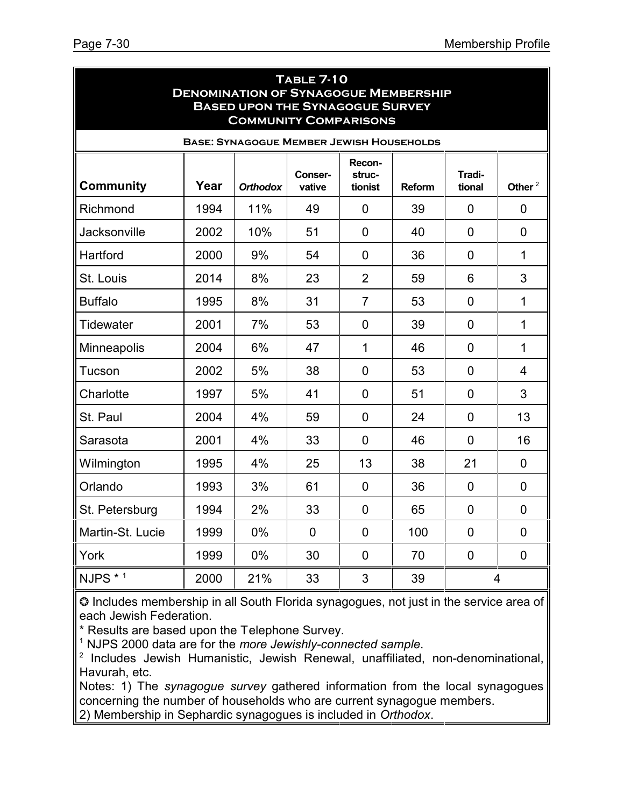| <b>TABLE 7-10</b><br><b>DENOMINATION OF SYNAGOGUE MEMBERSHIP</b><br><b>BASED UPON THE SYNAGOGUE SURVEY</b><br><b>COMMUNITY COMPARISONS</b> |                                                |                 |                          |                             |               |                  |                |  |  |
|--------------------------------------------------------------------------------------------------------------------------------------------|------------------------------------------------|-----------------|--------------------------|-----------------------------|---------------|------------------|----------------|--|--|
| <b>BASE: SYNAGOGUE MEMBER JEWISH HOUSEHOLDS</b>                                                                                            |                                                |                 |                          |                             |               |                  |                |  |  |
| <b>Community</b>                                                                                                                           | Year                                           | <b>Orthodox</b> | <b>Conser-</b><br>vative | Recon-<br>struc-<br>tionist | <b>Reform</b> | Tradi-<br>tional | Other $^2$     |  |  |
| Richmond                                                                                                                                   | 1994                                           | 11%             | 49                       | $\overline{0}$              | 39            | $\mathbf 0$      | 0              |  |  |
| Jacksonville                                                                                                                               | 2002                                           | 10%             | 51                       | $\overline{0}$              | 40            | $\overline{0}$   | $\overline{0}$ |  |  |
| Hartford                                                                                                                                   | 2000                                           | 9%              | 54                       | $\overline{0}$              | 36            | $\overline{0}$   | $\mathbf{1}$   |  |  |
| St. Louis                                                                                                                                  | 2014                                           | 8%              | 23                       | $\overline{2}$              | 59            | 6                | 3              |  |  |
| <b>Buffalo</b>                                                                                                                             | 1995                                           | 8%              | 31                       | $\overline{7}$              | 53            | $\overline{0}$   | $\mathbf{1}$   |  |  |
| <b>Tidewater</b>                                                                                                                           | 2001                                           | 7%              | 53                       | $\overline{0}$              | 39            | $\overline{0}$   | $\mathbf{1}$   |  |  |
| Minneapolis                                                                                                                                | 2004                                           | 6%              | 47                       | $\mathbf{1}$                | 46            | $\overline{0}$   | $\mathbf{1}$   |  |  |
| Tucson                                                                                                                                     | 2002                                           | 5%              | 38                       | $\overline{0}$              | 53            | $\overline{0}$   | $\overline{4}$ |  |  |
| Charlotte                                                                                                                                  | 1997                                           | 5%              | 41                       | $\overline{0}$              | 51            | $\overline{0}$   | 3              |  |  |
| St. Paul                                                                                                                                   | 2004                                           | 4%              | 59                       | $\overline{0}$              | 24            | $\overline{0}$   | 13             |  |  |
| Sarasota                                                                                                                                   | 2001                                           | 4%              | 33                       | $\overline{0}$              | 46            | $\overline{0}$   | 16             |  |  |
| Wilmington                                                                                                                                 | 1995                                           | 4%              | 25                       | 13                          | 38            | 21               | $\overline{0}$ |  |  |
| Orlando                                                                                                                                    | 1993                                           | 3%              | 61                       | $\overline{0}$              | 36            | $\overline{0}$   | $\overline{0}$ |  |  |
| St. Petersburg                                                                                                                             | 1994                                           | 2%              | 33                       | $\overline{0}$              | 65            | $\mathbf 0$      | $\mathbf 0$    |  |  |
| Martin-St. Lucie                                                                                                                           | 1999                                           | 0%              | $\overline{0}$           | $\overline{0}$              | 100           | $\overline{0}$   | $\overline{0}$ |  |  |
| York                                                                                                                                       | 1999                                           | 0%              | 30                       | $\mathbf 0$                 | 70            | $\mathbf 0$      | $\mathbf 0$    |  |  |
| NJPS * 1                                                                                                                                   | 2000<br>21%<br>33<br>3<br>39<br>$\overline{4}$ |                 |                          |                             |               |                  |                |  |  |

 Includes membership in all South Florida synagogues, not just in the service area of each Jewish Federation.

\* Results are based upon the Telephone Survey.

1 NJPS 2000 data are for the *more Jewishly-connected sample*.

<sup>2</sup> Includes Jewish Humanistic, Jewish Renewal, unaffiliated, non-denominational, Havurah, etc.

Notes: 1) The *synagogue survey* gathered information from the local synagogues concerning the number of households who are current synagogue members.

2) Membership in Sephardic synagogues is included in *Orthodox*.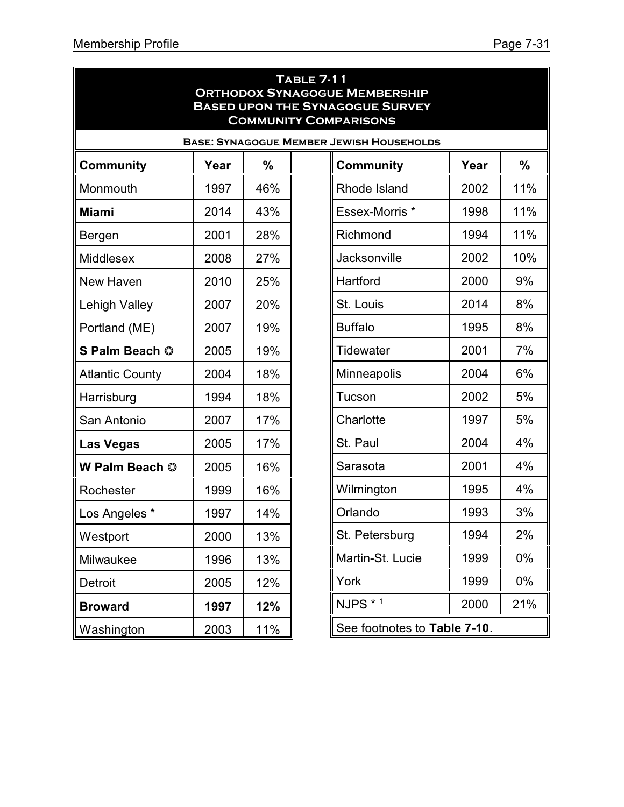| <b>TABLE 7-11</b><br><b>ORTHODOX SYNAGOGUE MEMBERSHIP</b><br><b>BASED UPON THE SYNAGOGUE SURVEY</b><br><b>COMMUNITY COMPARISONS</b> |                                             |     |  |                    |      |       |  |
|-------------------------------------------------------------------------------------------------------------------------------------|---------------------------------------------|-----|--|--------------------|------|-------|--|
| <b>BASE: SYNAGOGUE MEMBER JEWISH HOUSEHOLDS</b>                                                                                     |                                             |     |  |                    |      |       |  |
| <b>Community</b>                                                                                                                    | Year                                        | %   |  | <b>Community</b>   | Year | %     |  |
| Monmouth                                                                                                                            | 1997                                        | 46% |  | Rhode Island       | 2002 | 11%   |  |
| <b>Miami</b>                                                                                                                        | 2014                                        | 43% |  | Essex-Morris *     | 1998 | 11%   |  |
| Bergen                                                                                                                              | 2001                                        | 28% |  | Richmond           | 1994 | 11%   |  |
| <b>Middlesex</b>                                                                                                                    | 2008                                        | 27% |  | Jacksonville       | 2002 | 10%   |  |
| New Haven                                                                                                                           | 2010                                        | 25% |  | Hartford           | 2000 | 9%    |  |
| Lehigh Valley                                                                                                                       | 2007                                        | 20% |  | St. Louis          | 2014 | 8%    |  |
| Portland (ME)                                                                                                                       | 2007                                        | 19% |  | <b>Buffalo</b>     | 1995 | 8%    |  |
| S Palm Beach ©                                                                                                                      | 2005                                        | 19% |  | <b>Tidewater</b>   | 2001 | 7%    |  |
| <b>Atlantic County</b>                                                                                                              | 2004                                        | 18% |  | <b>Minneapolis</b> | 2004 | 6%    |  |
| Harrisburg                                                                                                                          | 1994                                        | 18% |  | Tucson             | 2002 | 5%    |  |
| San Antonio                                                                                                                         | 2007                                        | 17% |  | Charlotte          | 1997 | 5%    |  |
| <b>Las Vegas</b>                                                                                                                    | 2005                                        | 17% |  | St. Paul           | 2004 | 4%    |  |
| W Palm Beach ©                                                                                                                      | 2005                                        | 16% |  | Sarasota           | 2001 | 4%    |  |
| Rochester                                                                                                                           | 1999                                        | 16% |  | Wilmington         | 1995 | 4%    |  |
| Los Angeles *                                                                                                                       | 1997                                        | 14% |  | Orlando            | 1993 | 3%    |  |
| Westport                                                                                                                            | 2000                                        | 13% |  | St. Petersburg     | 1994 | 2%    |  |
| Milwaukee                                                                                                                           | 1996                                        | 13% |  | Martin-St. Lucie   | 1999 | $0\%$ |  |
| Detroit                                                                                                                             | 2005                                        | 12% |  | York               | 1999 | $0\%$ |  |
| <b>Broward</b>                                                                                                                      | 1997                                        | 12% |  | NJPS * 1           | 2000 | 21%   |  |
| Washington                                                                                                                          | See footnotes to Table 7-10.<br>11%<br>2003 |     |  |                    |      |       |  |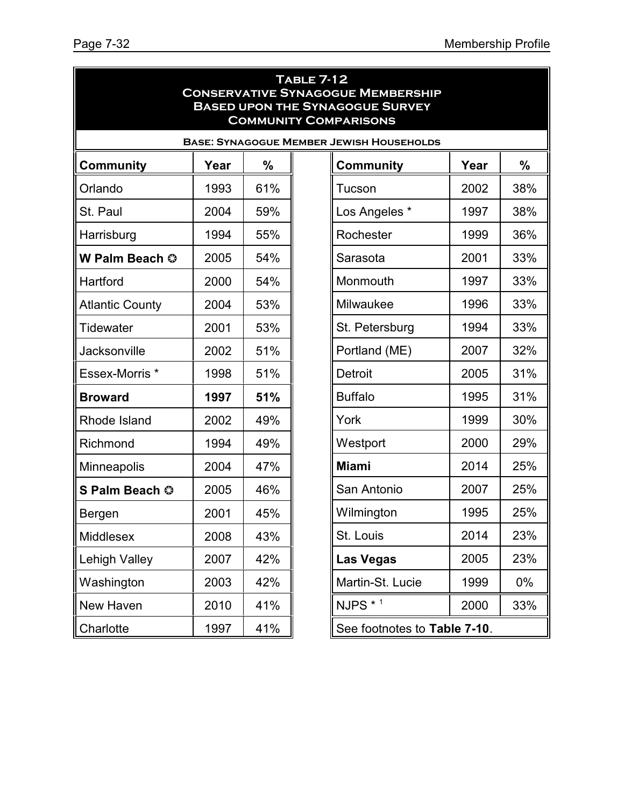| <b>TABLE 7-12</b><br><b>CONSERVATIVE SYNAGOGUE MEMBERSHIP</b><br><b>BASED UPON THE SYNAGOGUE SURVEY</b><br><b>COMMUNITY COMPARISONS</b> |      |               |  |                              |      |               |  |
|-----------------------------------------------------------------------------------------------------------------------------------------|------|---------------|--|------------------------------|------|---------------|--|
| <b>BASE: SYNAGOGUE MEMBER JEWISH HOUSEHOLDS</b>                                                                                         |      |               |  |                              |      |               |  |
| <b>Community</b>                                                                                                                        | Year | $\frac{0}{0}$ |  | <b>Community</b>             | Year | $\frac{0}{0}$ |  |
| Orlando                                                                                                                                 | 1993 | 61%           |  | Tucson                       | 2002 | 38%           |  |
| St. Paul                                                                                                                                | 2004 | 59%           |  | Los Angeles *                | 1997 | 38%           |  |
| Harrisburg                                                                                                                              | 1994 | 55%           |  | Rochester                    | 1999 | 36%           |  |
| W Palm Beach ©                                                                                                                          | 2005 | 54%           |  | Sarasota                     | 2001 | 33%           |  |
| Hartford                                                                                                                                | 2000 | 54%           |  | Monmouth                     | 1997 | 33%           |  |
| <b>Atlantic County</b>                                                                                                                  | 2004 | 53%           |  | Milwaukee                    | 1996 | 33%           |  |
| <b>Tidewater</b>                                                                                                                        | 2001 | 53%           |  | St. Petersburg               | 1994 | 33%           |  |
| Jacksonville                                                                                                                            | 2002 | 51%           |  | Portland (ME)                | 2007 | 32%           |  |
| Essex-Morris *                                                                                                                          | 1998 | 51%           |  | <b>Detroit</b>               | 2005 | 31%           |  |
| <b>Broward</b>                                                                                                                          | 1997 | 51%           |  | <b>Buffalo</b>               | 1995 | 31%           |  |
| Rhode Island                                                                                                                            | 2002 | 49%           |  | York                         | 1999 | 30%           |  |
| Richmond                                                                                                                                | 1994 | 49%           |  | Westport                     | 2000 | 29%           |  |
| Minneapolis                                                                                                                             | 2004 | 47%           |  | <b>Miami</b>                 | 2014 | 25%           |  |
| S Palm Beach ©                                                                                                                          | 2005 | 46%           |  | San Antonio                  | 2007 | 25%           |  |
| Bergen                                                                                                                                  | 2001 | 45%           |  | Wilmington                   | 1995 | 25%           |  |
| Middlesex                                                                                                                               | 2008 | 43%           |  | St. Louis                    | 2014 | 23%           |  |
| <b>Lehigh Valley</b>                                                                                                                    | 2007 | 42%           |  | <b>Las Vegas</b>             | 2005 | 23%           |  |
| Washington                                                                                                                              | 2003 | 42%           |  | Martin-St. Lucie             | 1999 | $0\%$         |  |
| New Haven                                                                                                                               | 2010 | 41%           |  | NJPS * 1                     | 2000 | 33%           |  |
| Charlotte                                                                                                                               | 1997 | 41%           |  | See footnotes to Table 7-10. |      |               |  |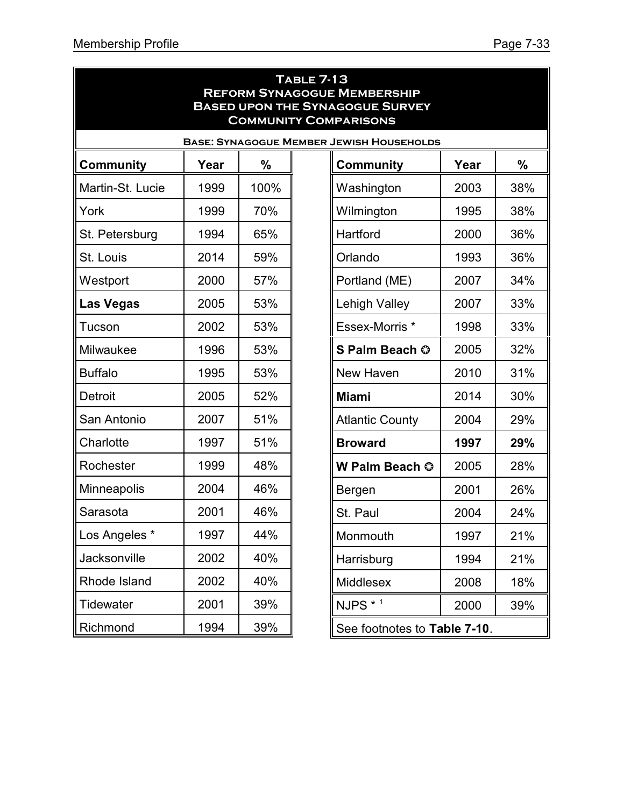| <b>TABLE 7-13</b><br><b>REFORM SYNAGOGUE MEMBERSHIP</b><br><b>BASED UPON THE SYNAGOGUE SURVEY</b><br><b>COMMUNITY COMPARISONS</b> |      |      |  |                              |      |     |  |  |
|-----------------------------------------------------------------------------------------------------------------------------------|------|------|--|------------------------------|------|-----|--|--|
| <b>BASE: SYNAGOGUE MEMBER JEWISH HOUSEHOLDS</b>                                                                                   |      |      |  |                              |      |     |  |  |
| <b>Community</b>                                                                                                                  | Year | %    |  | <b>Community</b>             | Year | %   |  |  |
| Martin-St. Lucie                                                                                                                  | 1999 | 100% |  | Washington                   | 2003 | 38% |  |  |
| York                                                                                                                              | 1999 | 70%  |  | Wilmington                   | 1995 | 38% |  |  |
| St. Petersburg                                                                                                                    | 1994 | 65%  |  | Hartford                     | 2000 | 36% |  |  |
| St. Louis                                                                                                                         | 2014 | 59%  |  | Orlando                      | 1993 | 36% |  |  |
| Westport                                                                                                                          | 2000 | 57%  |  | Portland (ME)                | 2007 | 34% |  |  |
| <b>Las Vegas</b>                                                                                                                  | 2005 | 53%  |  | <b>Lehigh Valley</b>         | 2007 | 33% |  |  |
| Tucson                                                                                                                            | 2002 | 53%  |  | Essex-Morris *               | 1998 | 33% |  |  |
| Milwaukee                                                                                                                         | 1996 | 53%  |  | S Palm Beach ©               | 2005 | 32% |  |  |
| <b>Buffalo</b>                                                                                                                    | 1995 | 53%  |  | New Haven                    | 2010 | 31% |  |  |
| Detroit                                                                                                                           | 2005 | 52%  |  | <b>Miami</b>                 | 2014 | 30% |  |  |
| San Antonio                                                                                                                       | 2007 | 51%  |  | <b>Atlantic County</b>       | 2004 | 29% |  |  |
| Charlotte                                                                                                                         | 1997 | 51%  |  | <b>Broward</b>               | 1997 | 29% |  |  |
| Rochester                                                                                                                         | 1999 | 48%  |  | W Palm Beach ©               | 2005 | 28% |  |  |
| Minneapolis                                                                                                                       | 2004 | 46%  |  | Bergen                       | 2001 | 26% |  |  |
| Sarasota                                                                                                                          | 2001 | 46%  |  | St. Paul                     | 2004 | 24% |  |  |
| Los Angeles *                                                                                                                     | 1997 | 44%  |  | Monmouth                     | 1997 | 21% |  |  |
| Jacksonville                                                                                                                      | 2002 | 40%  |  | Harrisburg                   | 1994 | 21% |  |  |
| Rhode Island                                                                                                                      | 2002 | 40%  |  | <b>Middlesex</b>             | 2008 | 18% |  |  |
| Tidewater                                                                                                                         | 2001 | 39%  |  | NJPS * 1                     | 2000 | 39% |  |  |
| Richmond                                                                                                                          | 1994 | 39%  |  | See footnotes to Table 7-10. |      |     |  |  |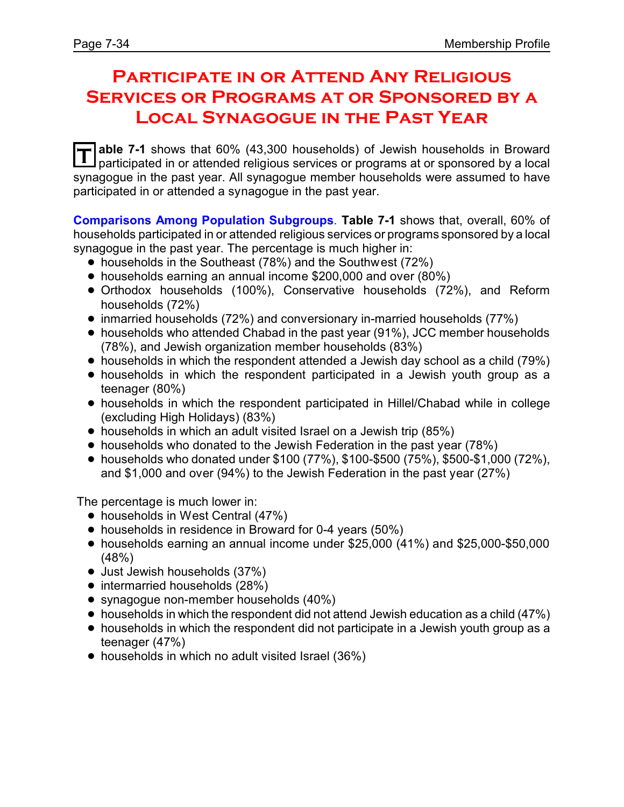## **Participate in or Attend Any Religious Services or Programs at or Sponsored by a Local Synagogue in the Past Year**

**T able 7-1** shows that 60% (43,300 households) of Jewish households in Broward participated in or attended religious services or programs at or sponsored by a local synagogue in the past year. All synagogue member households were assumed to have participated in or attended a synagogue in the past year.

**Comparisons Among Population Subgroups**. **Table 7-1** shows that, overall, 60% of households participated in or attended religious services or programs sponsored by a local synagogue in the past year. The percentage is much higher in:

- households in the Southeast (78%) and the Southwest (72%)
- households earning an annual income \$200,000 and over (80%)
- ! Orthodox households (100%), Conservative households (72%), and Reform households (72%)
- inmarried households (72%) and conversionary in-married households (77%)
- households who attended Chabad in the past year (91%), JCC member households (78%), and Jewish organization member households (83%)
- households in which the respondent attended a Jewish day school as a child (79%)
- households in which the respondent participated in a Jewish youth group as a teenager (80%)
- ! households in which the respondent participated in Hillel/Chabad while in college (excluding High Holidays) (83%)
- households in which an adult visited Israel on a Jewish trip (85%)
- households who donated to the Jewish Federation in the past year (78%)
- ! households who donated under \$100 (77%), \$100-\$500 (75%), \$500-\$1,000 (72%), and \$1,000 and over (94%) to the Jewish Federation in the past year (27%)

The percentage is much lower in:

- households in West Central (47%)
- households in residence in Broward for 0-4 years (50%)
- ! households earning an annual income under \$25,000 (41%) and \$25,000-\$50,000 (48%)
- Just Jewish households (37%)
- intermarried households (28%)
- synagogue non-member households (40%)
- $\bullet$  households in which the respondent did not attend Jewish education as a child (47%)
- households in which the respondent did not participate in a Jewish youth group as a teenager (47%)
- households in which no adult visited Israel (36%)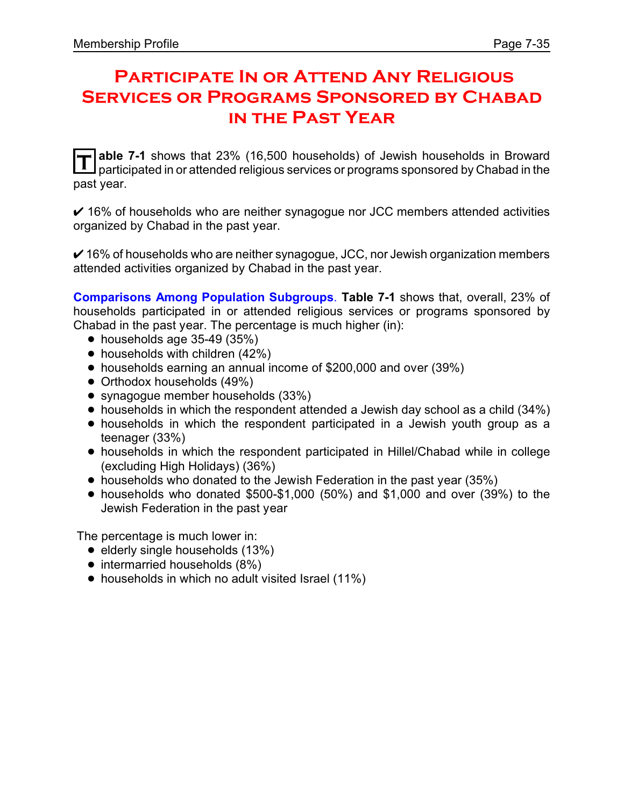## **Participate In or Attend Any Religious Services or Programs Sponsored by Chabad in the Past Year**

**T** able 7-1 shows that 23% (16,500 households) of Jewish households in Broward<br>
nexticipated in exattended religious services or programs spensored by Chabad in the participated in or attended religious services or programs sponsored by Chabad in the past year.

 $\vee$  16% of households who are neither synagogue nor JCC members attended activities organized by Chabad in the past year.

 $\checkmark$  16% of households who are neither synagogue, JCC, nor Jewish organization members attended activities organized by Chabad in the past year.

**Comparisons Among Population Subgroups**. **Table 7-1** shows that, overall, 23% of households participated in or attended religious services or programs sponsored by Chabad in the past year. The percentage is much higher (in):

- $\bullet$  households age 35-49 (35%)
- $\bullet$  households with children (42%)
- ! households earning an annual income of \$200,000 and over (39%)
- Orthodox households (49%)
- synagogue member households (33%)
- households in which the respondent attended a Jewish day school as a child (34%)
- households in which the respondent participated in a Jewish youth group as a teenager (33%)
- ! households in which the respondent participated in Hillel/Chabad while in college (excluding High Holidays) (36%)
- households who donated to the Jewish Federation in the past year (35%)
- $\bullet$  households who donated \$500-\$1,000 (50%) and \$1,000 and over (39%) to the Jewish Federation in the past year

The percentage is much lower in:

- $\bullet$  elderly single households (13%)
- intermarried households (8%)
- households in which no adult visited Israel (11%)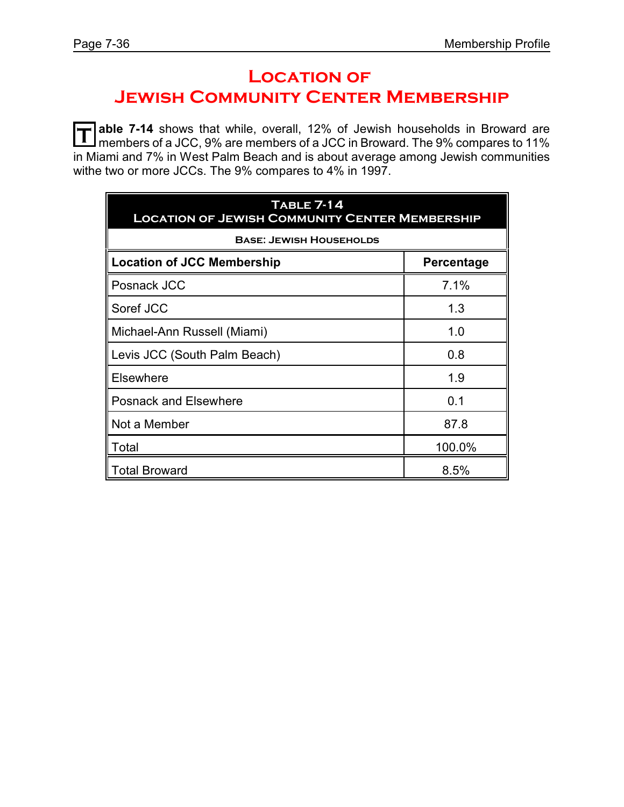# **Location of**

**JEWISH COMMUNITY CENTER MEMBERSHIP** 

**T** able 7-14 shows that while, overall, 12% of Jewish households in Broward are<br>mombers of a ICC 9% are mombers of a ICC in Broward. The 9% compares to 11% members of a JCC, 9% are members of a JCC in Broward. The 9% compares to 11% in Miami and 7% in West Palm Beach and is about average among Jewish communities withe two or more JCCs. The 9% compares to 4% in 1997.

| <b>TABLE 7-14</b><br><b>LOCATION OF JEWISH COMMUNITY CENTER MEMBERSHIP</b> |            |  |  |  |  |  |
|----------------------------------------------------------------------------|------------|--|--|--|--|--|
| <b>BASE: JEWISH HOUSEHOLDS</b>                                             |            |  |  |  |  |  |
| <b>Location of JCC Membership</b>                                          | Percentage |  |  |  |  |  |
| Posnack JCC                                                                | 7.1%       |  |  |  |  |  |
| Soref JCC                                                                  | 1.3        |  |  |  |  |  |
| Michael-Ann Russell (Miami)                                                | 1.0        |  |  |  |  |  |
| Levis JCC (South Palm Beach)                                               | 0.8        |  |  |  |  |  |
| <b>Elsewhere</b>                                                           | 1.9        |  |  |  |  |  |
| <b>Posnack and Elsewhere</b>                                               | 0.1        |  |  |  |  |  |
| Not a Member                                                               | 87.8       |  |  |  |  |  |
| Total                                                                      | 100.0%     |  |  |  |  |  |
| <b>Total Broward</b>                                                       | 8.5%       |  |  |  |  |  |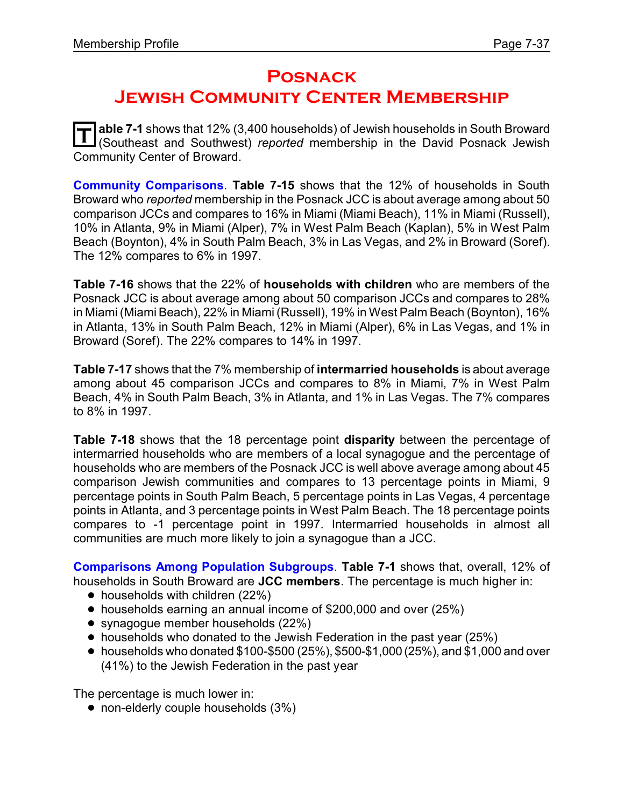## **Posnack Jewish Community Center Membership**

 $\overline{\mathbf{T}}$  able 7-1 shows that 12% (3,400 households) of Jewish households in South Broward<br>(Southeast and Southwest) *reported* membership in the David Posnack Jewish **able 7-1** shows that 12% (3,400 households) of Jewish households in South Broward Community Center of Broward.

**Community Comparisons**. **Table 7-15** shows that the 12% of households in South Broward who *reported* membership in the Posnack JCC is about average among about 50 comparison JCCs and compares to 16% in Miami (Miami Beach), 11% in Miami (Russell), 10% in Atlanta, 9% in Miami (Alper), 7% in West Palm Beach (Kaplan), 5% in West Palm Beach (Boynton), 4% in South Palm Beach, 3% in Las Vegas, and 2% in Broward (Soref). The 12% compares to 6% in 1997.

**Table 7-16** shows that the 22% of **households with children** who are members of the Posnack JCC is about average among about 50 comparison JCCs and compares to 28% in Miami (Miami Beach), 22% in Miami (Russell), 19% in West Palm Beach (Boynton), 16% in Atlanta, 13% in South Palm Beach, 12% in Miami (Alper), 6% in Las Vegas, and 1% in Broward (Soref). The 22% compares to 14% in 1997.

**Table 7-17** shows that the 7% membership of **intermarried households** is about average among about 45 comparison JCCs and compares to 8% in Miami, 7% in West Palm Beach, 4% in South Palm Beach, 3% in Atlanta, and 1% in Las Vegas. The 7% compares to 8% in 1997.

**Table 7-18** shows that the 18 percentage point **disparity** between the percentage of intermarried households who are members of a local synagogue and the percentage of households who are members of the Posnack JCC is well above average among about 45 comparison Jewish communities and compares to 13 percentage points in Miami, 9 percentage points in South Palm Beach, 5 percentage points in Las Vegas, 4 percentage points in Atlanta, and 3 percentage points in West Palm Beach. The 18 percentage points compares to -1 percentage point in 1997. Intermarried households in almost all communities are much more likely to join a synagogue than a JCC.

**Comparisons Among Population Subgroups**. **Table 7-1** shows that, overall, 12% of households in South Broward are **JCC members**. The percentage is much higher in:

- $\bullet$  households with children (22%)
- ! households earning an annual income of \$200,000 and over (25%)
- synagogue member households (22%)
- households who donated to the Jewish Federation in the past year (25%)
- $\bullet$  households who donated \$100-\$500 (25%), \$500-\$1,000 (25%), and \$1,000 and over (41%) to the Jewish Federation in the past year

The percentage is much lower in:

• non-elderly couple households (3%)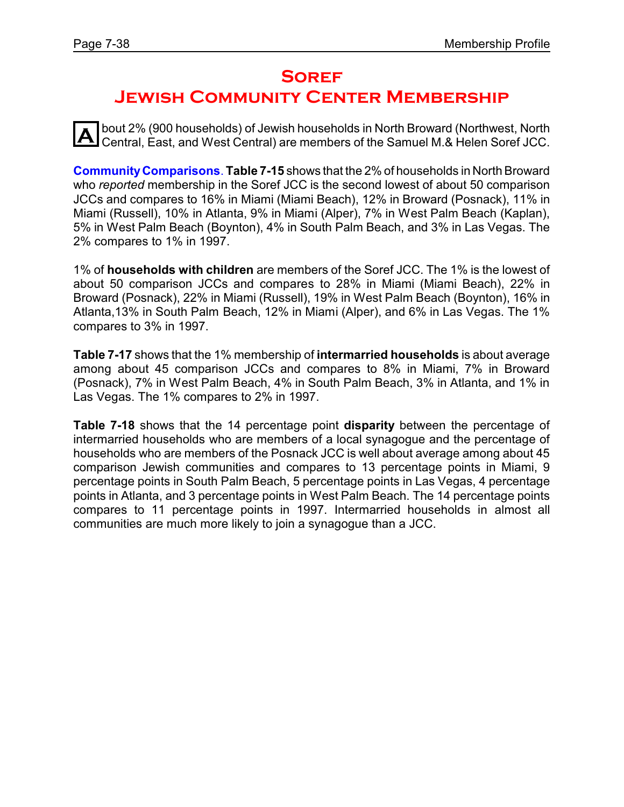## **Soref**

## **Jewish Community Center Membership**

**A** bout 2% (900 households) of Jewish households in North Broward (Northwest, North Central, East, and West Central) are members of the Samuel M.& Helen Soref JCC.

**CommunityComparisons**. **Table 7-15** shows that the 2% of households in North Broward who *reported* membership in the Soref JCC is the second lowest of about 50 comparison JCCs and compares to 16% in Miami (Miami Beach), 12% in Broward (Posnack), 11% in Miami (Russell), 10% in Atlanta, 9% in Miami (Alper), 7% in West Palm Beach (Kaplan), 5% in West Palm Beach (Boynton), 4% in South Palm Beach, and 3% in Las Vegas. The 2% compares to 1% in 1997.

1% of **households with children** are members of the Soref JCC. The 1% is the lowest of about 50 comparison JCCs and compares to 28% in Miami (Miami Beach), 22% in Broward (Posnack), 22% in Miami (Russell), 19% in West Palm Beach (Boynton), 16% in Atlanta,13% in South Palm Beach, 12% in Miami (Alper), and 6% in Las Vegas. The 1% compares to 3% in 1997.

**Table 7-17** shows that the 1% membership of **intermarried households** is about average among about 45 comparison JCCs and compares to 8% in Miami, 7% in Broward (Posnack), 7% in West Palm Beach, 4% in South Palm Beach, 3% in Atlanta, and 1% in Las Vegas. The 1% compares to 2% in 1997.

**Table 7-18** shows that the 14 percentage point **disparity** between the percentage of intermarried households who are members of a local synagogue and the percentage of households who are members of the Posnack JCC is well about average among about 45 comparison Jewish communities and compares to 13 percentage points in Miami, 9 percentage points in South Palm Beach, 5 percentage points in Las Vegas, 4 percentage points in Atlanta, and 3 percentage points in West Palm Beach. The 14 percentage points compares to 11 percentage points in 1997. Intermarried households in almost all communities are much more likely to join a synagogue than a JCC.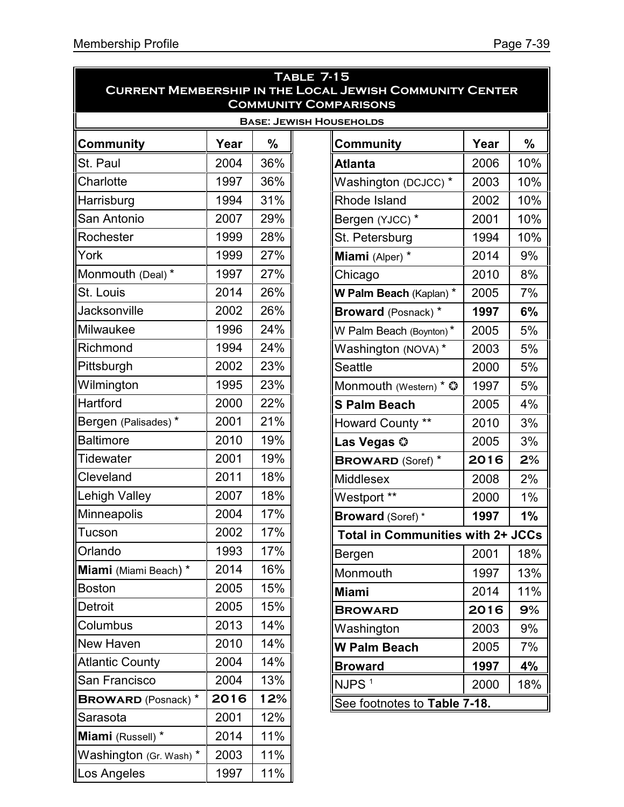| <b>TABLE 7-15</b>          |                                                                                                |     |                                          |      |     |  |  |  |
|----------------------------|------------------------------------------------------------------------------------------------|-----|------------------------------------------|------|-----|--|--|--|
|                            | <b>CURRENT MEMBERSHIP IN THE LOCAL JEWISH COMMUNITY CENTER</b><br><b>COMMUNITY COMPARISONS</b> |     |                                          |      |     |  |  |  |
|                            |                                                                                                |     | <b>BASE: JEWISH HOUSEHOLDS</b>           |      |     |  |  |  |
| <b>Community</b>           | Year                                                                                           | %   | <b>Community</b>                         | Year | %   |  |  |  |
| St. Paul                   | 2004                                                                                           | 36% | <b>Atlanta</b>                           | 2006 | 10% |  |  |  |
| Charlotte                  | 1997                                                                                           | 36% | Washington (DCJCC) *                     | 2003 | 10% |  |  |  |
| Harrisburg                 | 1994                                                                                           | 31% | Rhode Island                             | 2002 | 10% |  |  |  |
| San Antonio                | 2007                                                                                           | 29% | Bergen (YJCC) *                          | 2001 | 10% |  |  |  |
| Rochester                  | 1999                                                                                           | 28% | St. Petersburg                           | 1994 | 10% |  |  |  |
| York                       | 1999                                                                                           | 27% | Miami (Alper) *                          | 2014 | 9%  |  |  |  |
| Monmouth (Deal) *          | 1997                                                                                           | 27% | Chicago                                  | 2010 | 8%  |  |  |  |
| St. Louis                  | 2014                                                                                           | 26% | W Palm Beach (Kaplan) *                  | 2005 | 7%  |  |  |  |
| Jacksonville               | 2002                                                                                           | 26% | <b>Broward</b> (Posnack) *               | 1997 | 6%  |  |  |  |
| Milwaukee                  | 1996                                                                                           | 24% | W Palm Beach (Boynton)*                  | 2005 | 5%  |  |  |  |
| Richmond                   | 1994                                                                                           | 24% | Washington (NOVA)*                       | 2003 | 5%  |  |  |  |
| Pittsburgh                 | 2002                                                                                           | 23% | <b>Seattle</b>                           | 2000 | 5%  |  |  |  |
| Wilmington                 | 1995                                                                                           | 23% | Monmouth (Western) * $\odot$             | 1997 | 5%  |  |  |  |
| Hartford                   | 2000                                                                                           | 22% | <b>S Palm Beach</b>                      | 2005 | 4%  |  |  |  |
| Bergen (Palisades)*        | 2001                                                                                           | 21% | Howard County **                         | 2010 | 3%  |  |  |  |
| <b>Baltimore</b>           | 2010                                                                                           | 19% | Las Vegas ©                              | 2005 | 3%  |  |  |  |
| <b>Tidewater</b>           | 2001                                                                                           | 19% | <b>BROWARD (Soref)</b> *                 | 2016 | 2%  |  |  |  |
| Cleveland                  | 2011                                                                                           | 18% | <b>Middlesex</b>                         | 2008 | 2%  |  |  |  |
| <b>Lehigh Valley</b>       | 2007                                                                                           | 18% | Westport **                              | 2000 | 1%  |  |  |  |
| Minneapolis                | 2004                                                                                           | 17% | <b>Broward</b> (Soref)*                  | 1997 | 1%  |  |  |  |
| Tucson                     | 2002                                                                                           | 17% | <b>Total in Communities with 2+ JCCs</b> |      |     |  |  |  |
| Orlando                    | 1993                                                                                           | 17% | Bergen                                   | 2001 | 18% |  |  |  |
| Miami (Miami Beach) *      | 2014                                                                                           | 16% | Monmouth                                 | 1997 | 13% |  |  |  |
| <b>Boston</b>              | 2005                                                                                           | 15% | <b>Miami</b>                             | 2014 | 11% |  |  |  |
| <b>Detroit</b>             | 2005                                                                                           | 15% | <b>BROWARD</b>                           | 2016 | 9%  |  |  |  |
| Columbus                   | 2013                                                                                           | 14% | Washington                               | 2003 | 9%  |  |  |  |
| <b>New Haven</b>           | 2010                                                                                           | 14% | <b>W Palm Beach</b>                      | 2005 | 7%  |  |  |  |
| <b>Atlantic County</b>     | 2004                                                                                           | 14% | <b>Broward</b>                           | 1997 | 4%  |  |  |  |
| San Francisco              | 2004                                                                                           | 13% | NJPS <sup>1</sup>                        | 2000 | 18% |  |  |  |
| <b>BROWARD</b> (Posnack) * | 2016                                                                                           | 12% | See footnotes to Table 7-18.             |      |     |  |  |  |
| Sarasota                   | 2001                                                                                           | 12% |                                          |      |     |  |  |  |
| Miami (Russell) *          | 2014                                                                                           | 11% |                                          |      |     |  |  |  |
| Washington (Gr. Wash) *    | 2003                                                                                           | 11% |                                          |      |     |  |  |  |
| Los Angeles                | 1997                                                                                           | 11% |                                          |      |     |  |  |  |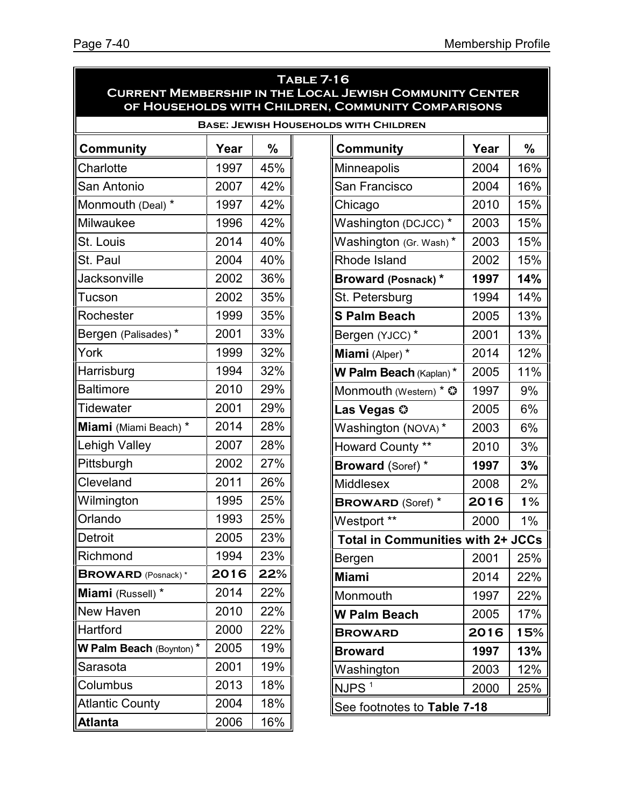| <b>TABLE 7-16</b><br><b>CURRENT MEMBERSHIP IN THE LOCAL JEWISH COMMUNITY CENTER</b><br>OF HOUSEHOLDS WITH CHILDREN, COMMUNITY COMPARISONS |      |     |                                              |       |  |  |
|-------------------------------------------------------------------------------------------------------------------------------------------|------|-----|----------------------------------------------|-------|--|--|
|                                                                                                                                           |      |     | <b>BASE: JEWISH HOUSEHOLDS WITH CHILDREN</b> |       |  |  |
| <b>Community</b>                                                                                                                          | Year | %   | Year<br><b>Community</b>                     | %     |  |  |
| Charlotte                                                                                                                                 | 1997 | 45% | Minneapolis<br>2004                          | 16%   |  |  |
| San Antonio                                                                                                                               | 2007 | 42% | San Francisco<br>2004                        | 16%   |  |  |
| Monmouth (Deal) *                                                                                                                         | 1997 | 42% | Chicago<br>2010                              | 15%   |  |  |
| Milwaukee                                                                                                                                 | 1996 | 42% | Washington (DCJCC) *<br>2003                 | 15%   |  |  |
| St. Louis                                                                                                                                 | 2014 | 40% | 2003<br>Washington (Gr. Wash)*               | 15%   |  |  |
| St. Paul                                                                                                                                  | 2004 | 40% | Rhode Island<br>2002                         | 15%   |  |  |
| Jacksonville                                                                                                                              | 2002 | 36% | 1997<br><b>Broward (Posnack)*</b>            | 14%   |  |  |
| Tucson                                                                                                                                    | 2002 | 35% | St. Petersburg<br>1994                       | 14%   |  |  |
| Rochester                                                                                                                                 | 1999 | 35% | <b>S Palm Beach</b><br>2005                  | 13%   |  |  |
| Bergen (Palisades)*                                                                                                                       | 2001 | 33% | Bergen (YJCC)*<br>2001                       | 13%   |  |  |
| York                                                                                                                                      | 1999 | 32% | Miami (Alper) *<br>2014                      | 12%   |  |  |
| Harrisburg                                                                                                                                | 1994 | 32% | 2005<br>W Palm Beach (Kaplan)*               | 11%   |  |  |
| <b>Baltimore</b>                                                                                                                          | 2010 | 29% | Monmouth (Western) * $\circledcirc$<br>1997  | 9%    |  |  |
| <b>Tidewater</b>                                                                                                                          | 2001 | 29% | Las Vegas ©<br>2005                          | 6%    |  |  |
| Miami (Miami Beach) *                                                                                                                     | 2014 | 28% | Washington (NOVA)*<br>2003                   | 6%    |  |  |
| <b>Lehigh Valley</b>                                                                                                                      | 2007 | 28% | Howard County **<br>2010                     | 3%    |  |  |
| Pittsburgh                                                                                                                                | 2002 | 27% | <b>Broward (Soref) *</b><br>1997             | 3%    |  |  |
| Cleveland                                                                                                                                 | 2011 | 26% | <b>Middlesex</b><br>2008                     | 2%    |  |  |
| Wilmington                                                                                                                                | 1995 | 25% | 2016<br><b>BROWARD (Soref)</b> *             | 1%    |  |  |
| Orlando                                                                                                                                   | 1993 | 25% | Westport **<br>2000                          | $1\%$ |  |  |
| Detroit                                                                                                                                   | 2005 | 23% | <b>Total in Communities with 2+ JCCs</b>     |       |  |  |
| Richmond                                                                                                                                  | 1994 | 23% | 2001<br>Bergen                               | 25%   |  |  |
| <b>BROWARD</b> (Posnack)*                                                                                                                 | 2016 | 22% | <b>Miami</b><br>2014                         | 22%   |  |  |
| Miami (Russell) *                                                                                                                         | 2014 | 22% | Monmouth<br>1997                             | 22%   |  |  |
| <b>New Haven</b>                                                                                                                          | 2010 | 22% | <b>W Palm Beach</b><br>2005                  | 17%   |  |  |
| Hartford                                                                                                                                  | 2000 | 22% | 2016<br><b>BROWARD</b>                       | 15%   |  |  |
| W Palm Beach (Boynton)*                                                                                                                   | 2005 | 19% | 1997<br><b>Broward</b>                       | 13%   |  |  |
| Sarasota                                                                                                                                  | 2001 | 19% | Washington<br>2003                           | 12%   |  |  |
| Columbus                                                                                                                                  | 2013 | 18% | NJPS <sup>1</sup><br>2000                    | 25%   |  |  |
| <b>Atlantic County</b>                                                                                                                    | 2004 | 18% | See footnotes to Table 7-18                  |       |  |  |
| <b>Atlanta</b>                                                                                                                            | 2006 | 16% |                                              |       |  |  |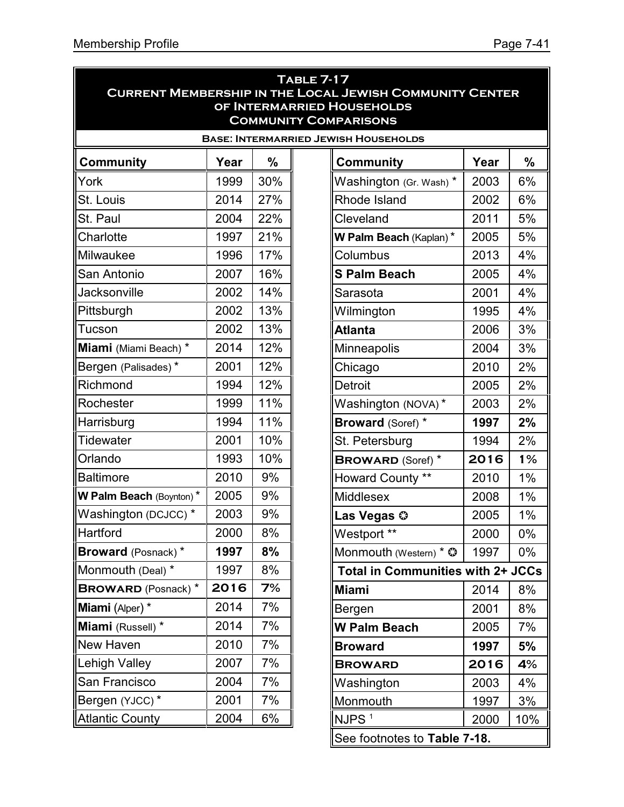| <b>TABLE 7-17</b><br><b>CURRENT MEMBERSHIP IN THE LOCAL JEWISH COMMUNITY CENTER</b> |      |               |  |                                             |      |       |  |
|-------------------------------------------------------------------------------------|------|---------------|--|---------------------------------------------|------|-------|--|
| OF INTERMARRIED HOUSEHOLDS                                                          |      |               |  |                                             |      |       |  |
| <b>COMMUNITY COMPARISONS</b>                                                        |      |               |  |                                             |      |       |  |
|                                                                                     |      |               |  | <b>BASE: INTERMARRIED JEWISH HOUSEHOLDS</b> |      |       |  |
| <b>Community</b>                                                                    | Year | $\frac{0}{0}$ |  | <b>Community</b>                            | Year | %     |  |
| York                                                                                | 1999 | 30%           |  | Washington (Gr. Wash) *                     | 2003 | 6%    |  |
| St. Louis                                                                           | 2014 | 27%           |  | Rhode Island                                | 2002 | 6%    |  |
| St. Paul                                                                            | 2004 | 22%           |  | Cleveland                                   | 2011 | 5%    |  |
| Charlotte                                                                           | 1997 | 21%           |  | W Palm Beach (Kaplan)*                      | 2005 | 5%    |  |
| Milwaukee                                                                           | 1996 | 17%           |  | Columbus                                    | 2013 | 4%    |  |
| San Antonio                                                                         | 2007 | 16%           |  | <b>S Palm Beach</b>                         | 2005 | 4%    |  |
| Jacksonville                                                                        | 2002 | 14%           |  | Sarasota                                    | 2001 | 4%    |  |
| Pittsburgh                                                                          | 2002 | 13%           |  | Wilmington                                  | 1995 | 4%    |  |
| Tucson                                                                              | 2002 | 13%           |  | Atlanta                                     | 2006 | 3%    |  |
| Miami (Miami Beach) *                                                               | 2014 | 12%           |  | Minneapolis                                 | 2004 | 3%    |  |
| Bergen (Palisades)*                                                                 | 2001 | 12%           |  | Chicago                                     | 2010 | 2%    |  |
| Richmond                                                                            | 1994 | 12%           |  | <b>Detroit</b>                              | 2005 | 2%    |  |
| Rochester                                                                           | 1999 | 11%           |  | Washington (NOVA)*                          | 2003 | 2%    |  |
| Harrisburg                                                                          | 1994 | 11%           |  | <b>Broward (Soref) *</b>                    | 1997 | 2%    |  |
| Tidewater                                                                           | 2001 | 10%           |  | St. Petersburg                              | 1994 | 2%    |  |
| Orlando                                                                             | 1993 | 10%           |  | <b>BROWARD (Soref)</b> *                    | 2016 | 1%    |  |
| <b>Baltimore</b>                                                                    | 2010 | 9%            |  | Howard County **                            | 2010 | 1%    |  |
| <b>W Palm Beach (Boynton)*</b>                                                      | 2005 | 9%            |  | Middlesex                                   | 2008 | $1\%$ |  |
| Washington (DCJCC) *                                                                | 2003 | 9%            |  | Las Vegas ©                                 | 2005 | $1\%$ |  |
| Hartford                                                                            | 2000 | 8%            |  | Westport **                                 | 2000 | $0\%$ |  |
| Broward (Posnack)*                                                                  | 1997 | 8%            |  | Monmouth (Western) * ©                      | 1997 | 0%    |  |
| Monmouth (Deal) *                                                                   | 1997 | 8%            |  | <b>Total in Communities with 2+ JCCs</b>    |      |       |  |
| <b>BROWARD</b> (Posnack) *                                                          | 2016 | 7%            |  | <b>Miami</b>                                | 2014 | 8%    |  |
| Miami (Alper) *                                                                     | 2014 | 7%            |  | Bergen                                      | 2001 | 8%    |  |
| Miami (Russell) *                                                                   | 2014 | 7%            |  | <b>W Palm Beach</b>                         | 2005 | 7%    |  |
| <b>New Haven</b>                                                                    | 2010 | 7%            |  | <b>Broward</b>                              | 1997 | 5%    |  |
| <b>Lehigh Valley</b>                                                                | 2007 | 7%            |  | <b>BROWARD</b>                              | 2016 | 4%    |  |
| San Francisco                                                                       | 2004 | 7%            |  | Washington                                  | 2003 | 4%    |  |
| Bergen (YJCC)*                                                                      | 2001 | 7%            |  | Monmouth                                    | 1997 | 3%    |  |
| <b>Atlantic County</b>                                                              | 2004 | 6%            |  | $NJPS$ <sup>1</sup>                         | 2000 | 10%   |  |
| See footnotes to Table 7-18.                                                        |      |               |  |                                             |      |       |  |

See footnotes to **Table 7-18.**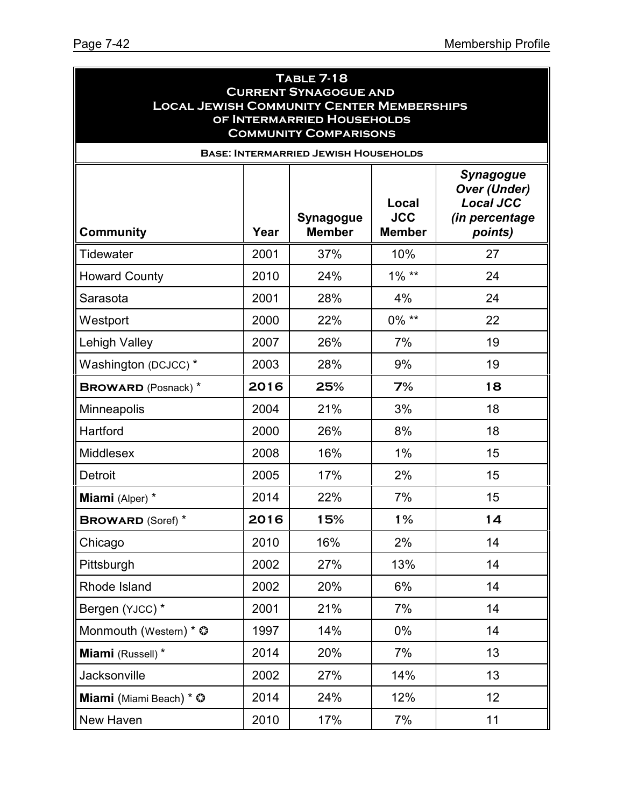| <b>TABLE 7-18</b><br><b>CURRENT SYNAGOGUE AND</b><br><b>LOCAL JEWISH COMMUNITY CENTER MEMBERSHIPS</b><br>OF INTERMARRIED HOUSEHOLDS<br><b>COMMUNITY COMPARISONS</b> |      |                                             |                                      |                                                                                          |  |
|---------------------------------------------------------------------------------------------------------------------------------------------------------------------|------|---------------------------------------------|--------------------------------------|------------------------------------------------------------------------------------------|--|
|                                                                                                                                                                     |      | <b>BASE: INTERMARRIED JEWISH HOUSEHOLDS</b> |                                      |                                                                                          |  |
| <b>Community</b>                                                                                                                                                    | Year | <b>Synagogue</b><br><b>Member</b>           | Local<br><b>JCC</b><br><b>Member</b> | <b>Synagogue</b><br><b>Over (Under)</b><br><b>Local JCC</b><br>(in percentage<br>points) |  |
| <b>Tidewater</b>                                                                                                                                                    | 2001 | 37%                                         | 10%                                  | 27                                                                                       |  |
| <b>Howard County</b>                                                                                                                                                | 2010 | 24%                                         | $1\%$ **                             | 24                                                                                       |  |
| Sarasota                                                                                                                                                            | 2001 | 28%                                         | 4%                                   | 24                                                                                       |  |
| Westport                                                                                                                                                            | 2000 | 22%                                         | $0\%$ **                             | 22                                                                                       |  |
| <b>Lehigh Valley</b>                                                                                                                                                | 2007 | 26%                                         | 7%                                   | 19                                                                                       |  |
| Washington (DCJCC) *                                                                                                                                                | 2003 | 28%                                         | 9%                                   | 19                                                                                       |  |
| <b>BROWARD</b> (Posnack) *                                                                                                                                          | 2016 | 25%                                         | 7%                                   | 18                                                                                       |  |
| Minneapolis                                                                                                                                                         | 2004 | 21%                                         | 3%                                   | 18                                                                                       |  |
| Hartford                                                                                                                                                            | 2000 | 26%                                         | 8%                                   | 18                                                                                       |  |
| <b>Middlesex</b>                                                                                                                                                    | 2008 | 16%                                         | 1%                                   | 15                                                                                       |  |
| <b>Detroit</b>                                                                                                                                                      | 2005 | 17%                                         | 2%                                   | 15                                                                                       |  |
| Miami (Alper) *                                                                                                                                                     | 2014 | 22%                                         | 7%                                   | 15                                                                                       |  |
| <b>BROWARD (Soref)*</b>                                                                                                                                             | 2016 | 15%                                         | 1%                                   | 14                                                                                       |  |
| Chicago                                                                                                                                                             | 2010 | 16%                                         | 2%                                   | 14                                                                                       |  |
| Pittsburgh                                                                                                                                                          | 2002 | 27%                                         | 13%                                  | 14                                                                                       |  |
| Rhode Island                                                                                                                                                        | 2002 | 20%                                         | 6%                                   | 14                                                                                       |  |
| Bergen (YJCC) *                                                                                                                                                     | 2001 | 21%                                         | 7%                                   | 14                                                                                       |  |
| Monmouth (Western) * ©                                                                                                                                              | 1997 | 14%                                         | $0\%$                                | 14                                                                                       |  |
| Miami (Russell)*                                                                                                                                                    | 2014 | 20%                                         | 7%                                   | 13                                                                                       |  |
| Jacksonville                                                                                                                                                        | 2002 | 27%                                         | 14%                                  | 13                                                                                       |  |
| Miami (Miami Beach) * ©                                                                                                                                             | 2014 | 24%                                         | 12%                                  | 12                                                                                       |  |
| New Haven                                                                                                                                                           | 2010 | 17%                                         | 7%                                   | 11                                                                                       |  |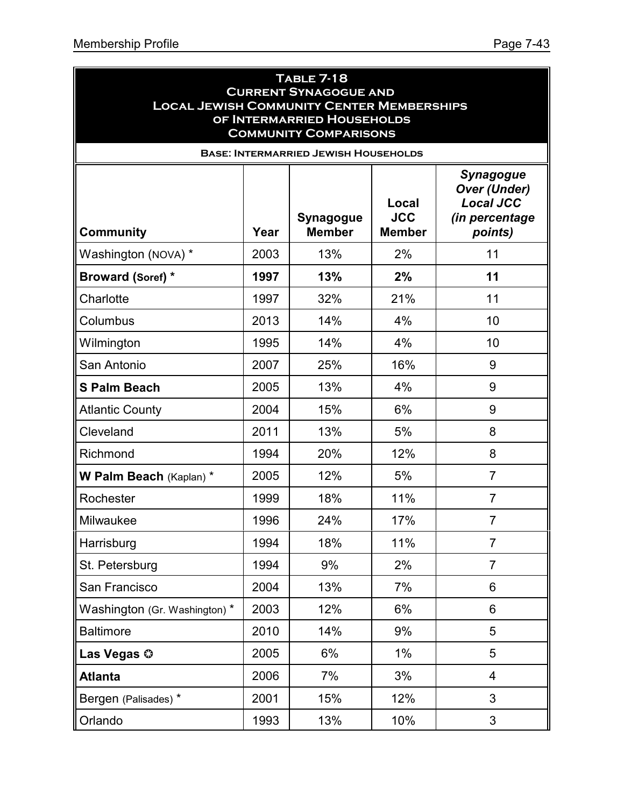| <b>TABLE 7-18</b><br><b>CURRENT SYNAGOGUE AND</b><br><b>LOCAL JEWISH COMMUNITY CENTER MEMBERSHIPS</b><br>OF INTERMARRIED HOUSEHOLDS<br><b>COMMUNITY COMPARISONS</b> |      |                                                                                  |                                      |                                                                                          |  |
|---------------------------------------------------------------------------------------------------------------------------------------------------------------------|------|----------------------------------------------------------------------------------|--------------------------------------|------------------------------------------------------------------------------------------|--|
| <b>Community</b>                                                                                                                                                    | Year | <b>BASE: INTERMARRIED JEWISH HOUSEHOLDS</b><br><b>Synagogue</b><br><b>Member</b> | Local<br><b>JCC</b><br><b>Member</b> | <b>Synagogue</b><br><b>Over (Under)</b><br><b>Local JCC</b><br>(in percentage<br>points) |  |
| Washington (NOVA) *                                                                                                                                                 | 2003 | 13%                                                                              | 2%                                   | 11                                                                                       |  |
| <b>Broward (Soref) *</b>                                                                                                                                            | 1997 | 13%                                                                              | 2%                                   | 11                                                                                       |  |
| Charlotte                                                                                                                                                           | 1997 | 32%                                                                              | 21%                                  | 11                                                                                       |  |
| Columbus                                                                                                                                                            | 2013 | 14%                                                                              | 4%                                   | 10                                                                                       |  |
| Wilmington                                                                                                                                                          | 1995 | 14%                                                                              | 4%                                   | 10                                                                                       |  |
| San Antonio                                                                                                                                                         | 2007 | 25%                                                                              | 16%                                  | 9                                                                                        |  |
| <b>S Palm Beach</b>                                                                                                                                                 | 2005 | 13%                                                                              | 4%                                   | 9                                                                                        |  |
| <b>Atlantic County</b>                                                                                                                                              | 2004 | 15%                                                                              | 6%                                   | 9                                                                                        |  |
| Cleveland                                                                                                                                                           | 2011 | 13%                                                                              | 5%                                   | 8                                                                                        |  |
| Richmond                                                                                                                                                            | 1994 | 20%                                                                              | 12%                                  | 8                                                                                        |  |
| W Palm Beach (Kaplan) *                                                                                                                                             | 2005 | 12%                                                                              | 5%                                   | $\overline{7}$                                                                           |  |
| Rochester                                                                                                                                                           | 1999 | 18%                                                                              | 11%                                  | $\overline{7}$                                                                           |  |
| Milwaukee                                                                                                                                                           | 1996 | 24%                                                                              | 17%                                  | $\overline{7}$                                                                           |  |
| Harrisburg                                                                                                                                                          | 1994 | 18%                                                                              | 11%                                  | $\overline{7}$                                                                           |  |
| St. Petersburg                                                                                                                                                      | 1994 | 9%                                                                               | 2%                                   | $\overline{7}$                                                                           |  |
| San Francisco                                                                                                                                                       | 2004 | 13%                                                                              | 7%                                   | 6                                                                                        |  |
| Washington (Gr. Washington) *                                                                                                                                       | 2003 | 12%                                                                              | 6%                                   | 6                                                                                        |  |
| <b>Baltimore</b>                                                                                                                                                    | 2010 | 14%                                                                              | 9%                                   | 5                                                                                        |  |
| Las Vegas ©                                                                                                                                                         | 2005 | 6%                                                                               | $1\%$                                | 5                                                                                        |  |
| <b>Atlanta</b>                                                                                                                                                      | 2006 | 7%                                                                               | 3%                                   | 4                                                                                        |  |
| Bergen (Palisades) *                                                                                                                                                | 2001 | 15%                                                                              | 12%                                  | 3                                                                                        |  |
| Orlando                                                                                                                                                             | 1993 | 13%                                                                              | 10%                                  | 3                                                                                        |  |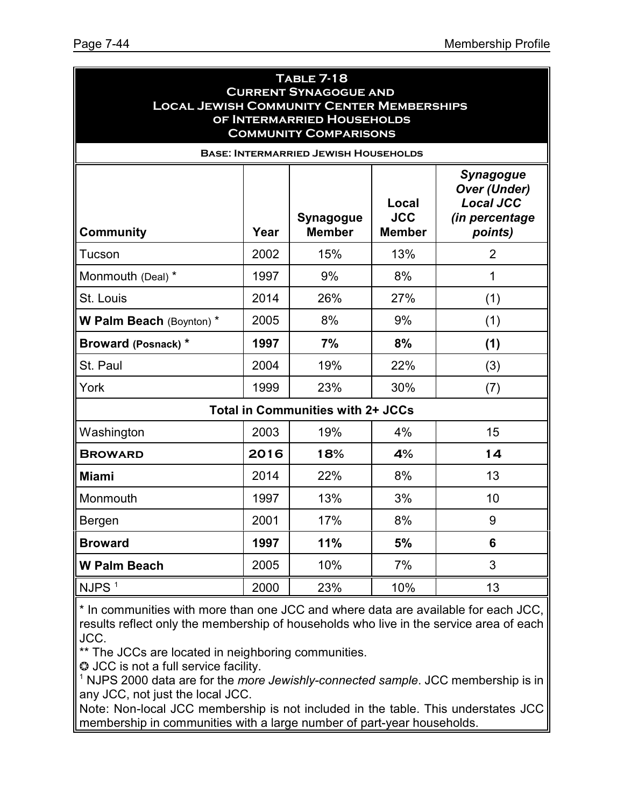| <b>TABLE 7-18</b><br><b>CURRENT SYNAGOGUE AND</b><br><b>LOCAL JEWISH COMMUNITY CENTER MEMBERSHIPS</b><br>OF INTERMARRIED HOUSEHOLDS<br><b>COMMUNITY COMPARISONS</b> |      |                                          |                                      |                                               |  |  |  |
|---------------------------------------------------------------------------------------------------------------------------------------------------------------------|------|------------------------------------------|--------------------------------------|-----------------------------------------------|--|--|--|
| <b>BASE: INTERMARRIED JEWISH HOUSEHOLDS</b><br><b>Synagogue</b><br><b>Over (Under)</b>                                                                              |      |                                          |                                      |                                               |  |  |  |
| <b>Community</b>                                                                                                                                                    | Year | <b>Synagogue</b><br><b>Member</b>        | Local<br><b>JCC</b><br><b>Member</b> | <b>Local JCC</b><br>(in percentage<br>points) |  |  |  |
| Tucson                                                                                                                                                              | 2002 | 15%                                      | 13%                                  | $\overline{2}$                                |  |  |  |
| Monmouth (Deal) *                                                                                                                                                   | 1997 | 9%                                       | 8%                                   | 1                                             |  |  |  |
| St. Louis                                                                                                                                                           | 2014 | 26%                                      | 27%                                  | (1)                                           |  |  |  |
| W Palm Beach (Boynton) *                                                                                                                                            | 2005 | 8%                                       | 9%                                   | (1)                                           |  |  |  |
| <b>Broward (Posnack) *</b>                                                                                                                                          | 1997 | 7%                                       | 8%                                   | (1)                                           |  |  |  |
| St. Paul                                                                                                                                                            | 2004 | 19%                                      | 22%                                  | (3)                                           |  |  |  |
| York                                                                                                                                                                | 1999 | 23%                                      | 30%                                  | (7)                                           |  |  |  |
|                                                                                                                                                                     |      | <b>Total in Communities with 2+ JCCs</b> |                                      |                                               |  |  |  |
| Washington                                                                                                                                                          | 2003 | 19%                                      | 4%                                   | 15                                            |  |  |  |
| <b>BROWARD</b>                                                                                                                                                      | 2016 | 18%                                      | 4%                                   | 14                                            |  |  |  |
| <b>Miami</b>                                                                                                                                                        | 2014 | 22%                                      | 8%                                   | 13                                            |  |  |  |
| Monmouth                                                                                                                                                            | 1997 | 13%                                      | 3%                                   | 10                                            |  |  |  |
| Bergen                                                                                                                                                              | 2001 | 17%                                      | 8%                                   | 9                                             |  |  |  |
| <b>Broward</b>                                                                                                                                                      | 1997 | 11%                                      | 5%                                   | 6                                             |  |  |  |
| <b>W Palm Beach</b>                                                                                                                                                 | 2005 | 10%                                      | 7%                                   | 3                                             |  |  |  |
| NJPS <sup>1</sup>                                                                                                                                                   | 2000 | 23%                                      | 10%                                  | 13                                            |  |  |  |

\* In communities with more than one JCC and where data are available for each JCC, results reflect only the membership of households who live in the service area of each JCC.

\*\* The JCCs are located in neighboring communities.

 $\odot$  JCC is not a full service facility.

<sup>1</sup> NJPS 2000 data are for the *more Jewishly-connected sample*. JCC membership is in any JCC, not just the local JCC.

Note: Non-local JCC membership is not included in the table. This understates JCC membership in communities with a large number of part-year households.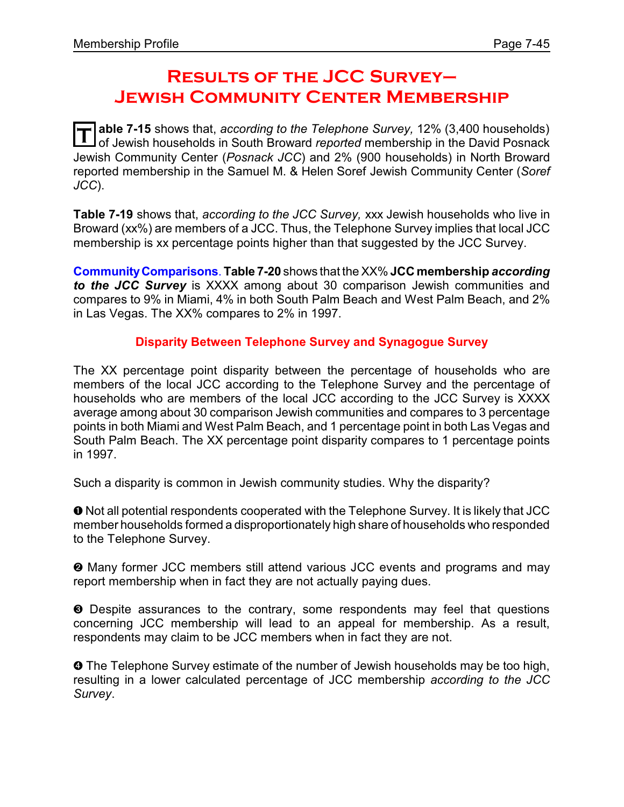## **Results of the JCC Survey– Jewish Community Center Membership**

T able 7-15 shows that, *according to the Telephone Survey,* 12% (3,400 households)<br>I of Jewish households in South Broward *reported* membership in the David Posnack **able 7-15** shows that, *according to the Telephone Survey,* 12% (3,400 households) Jewish Community Center (*Posnack JCC*) and 2% (900 households) in North Broward reported membership in the Samuel M. & Helen Soref Jewish Community Center (*Soref JCC*).

**Table 7-19** shows that, *according to the JCC Survey,* xxx Jewish households who live in Broward (xx%) are members of a JCC. Thus, the Telephone Survey implies that local JCC membership is xx percentage points higher than that suggested by the JCC Survey.

**CommunityComparisons**. **Table 7-20** shows that the XX% **JCC membership** *according to the JCC Survey* is XXXX among about 30 comparison Jewish communities and compares to 9% in Miami, 4% in both South Palm Beach and West Palm Beach, and 2% in Las Vegas. The XX% compares to 2% in 1997.

#### **Disparity Between Telephone Survey and Synagogue Survey**

The XX percentage point disparity between the percentage of households who are members of the local JCC according to the Telephone Survey and the percentage of households who are members of the local JCC according to the JCC Survey is XXXX average among about 30 comparison Jewish communities and compares to 3 percentage points in both Miami and West Palm Beach, and 1 percentage point in both Las Vegas and South Palm Beach. The XX percentage point disparity compares to 1 percentage points in 1997.

Such a disparity is common in Jewish community studies. Why the disparity?

ì Not all potential respondents cooperated with the Telephone Survey. It is likely that JCC member households formed a disproportionately high share of households who responded to the Telephone Survey.

 $\odot$  Many former JCC members still attend various JCC events and programs and may report membership when in fact they are not actually paying dues.

**<sup>3</sup>** Despite assurances to the contrary, some respondents may feel that questions concerning JCC membership will lead to an appeal for membership. As a result, respondents may claim to be JCC members when in fact they are not.

**O** The Telephone Survey estimate of the number of Jewish households may be too high, resulting in a lower calculated percentage of JCC membership *according to the JCC Survey*.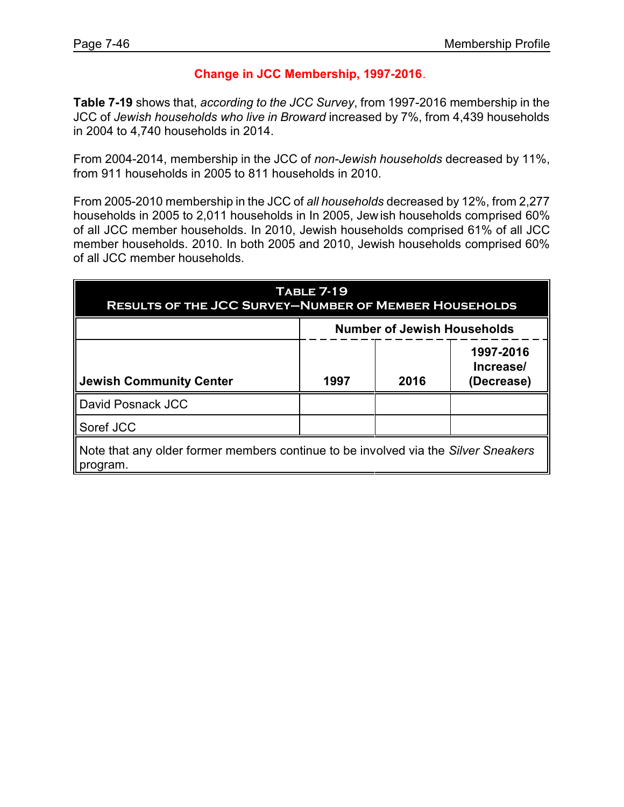#### **Change in JCC Membership, 1997-2016**.

**Table 7-19** shows that, *according to the JCC Survey*, from 1997-2016 membership in the JCC of *Jewish households who live in Broward* increased by 7%, from 4,439 households in 2004 to 4,740 households in 2014.

From 2004-2014, membership in the JCC of *non-Jewish households* decreased by 11%, from 911 households in 2005 to 811 households in 2010.

From 2005-2010 membership in the JCC of *all households* decreased by 12%, from 2,277 households in 2005 to 2,011 households in In 2005, Jewish households comprised 60% of all JCC member households. In 2010, Jewish households comprised 61% of all JCC member households. 2010. In both 2005 and 2010, Jewish households comprised 60% of all JCC member households.

| <b>TABLE 7-19</b><br><b>RESULTS OF THE JCC SURVEY-NUMBER OF MEMBER HOUSEHOLDS</b>              |                                    |      |                                      |  |
|------------------------------------------------------------------------------------------------|------------------------------------|------|--------------------------------------|--|
|                                                                                                | <b>Number of Jewish Households</b> |      |                                      |  |
| <b>Jewish Community Center</b>                                                                 | 1997                               | 2016 | 1997-2016<br>Increase/<br>(Decrease) |  |
| David Posnack JCC                                                                              |                                    |      |                                      |  |
| Soref JCC                                                                                      |                                    |      |                                      |  |
| Note that any older former members continue to be involved via the Silver Sneakers<br>program. |                                    |      |                                      |  |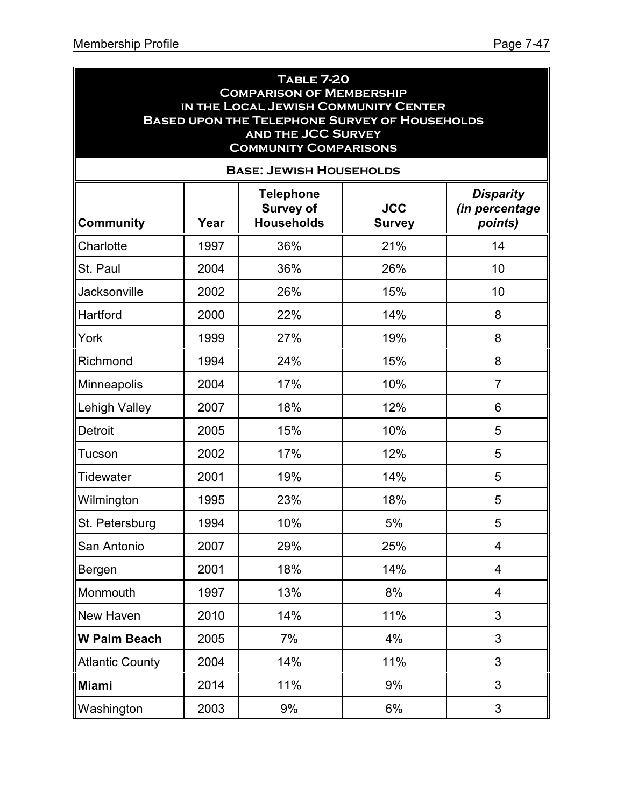| <b>TABLE 7-20</b><br><b>COMPARISON OF MEMBERSHIP</b><br>IN THE LOCAL JEWISH COMMUNITY CENTER<br><b>BASED UPON THE TELEPHONE SURVEY OF HOUSEHOLDS</b><br><b>AND THE JCC SURVEY</b><br><b>COMMUNITY COMPARISONS</b> |      |                                                           |                             |                                               |  |  |  |
|-------------------------------------------------------------------------------------------------------------------------------------------------------------------------------------------------------------------|------|-----------------------------------------------------------|-----------------------------|-----------------------------------------------|--|--|--|
|                                                                                                                                                                                                                   |      | <b>BASE: JEWISH HOUSEHOLDS</b>                            |                             |                                               |  |  |  |
| <b>Community</b>                                                                                                                                                                                                  | Year | <b>Telephone</b><br><b>Survey of</b><br><b>Households</b> | <b>JCC</b><br><b>Survey</b> | <b>Disparity</b><br>(in percentage<br>points) |  |  |  |
| Charlotte                                                                                                                                                                                                         | 1997 | 36%                                                       | 21%                         | 14                                            |  |  |  |
| St. Paul                                                                                                                                                                                                          | 2004 | 36%                                                       | 26%                         | 10                                            |  |  |  |
| <b>Jacksonville</b>                                                                                                                                                                                               | 2002 | 26%                                                       | 15%                         | 10                                            |  |  |  |
| Hartford                                                                                                                                                                                                          | 2000 | 22%                                                       | 14%                         | 8                                             |  |  |  |
| York                                                                                                                                                                                                              | 1999 | 27%                                                       | 19%                         | 8                                             |  |  |  |
| Richmond                                                                                                                                                                                                          | 1994 | 24%                                                       | 15%                         | 8                                             |  |  |  |
| Minneapolis                                                                                                                                                                                                       | 2004 | 17%                                                       | 10%                         | $\overline{7}$                                |  |  |  |
| Lehigh Valley                                                                                                                                                                                                     | 2007 | 18%                                                       | 12%                         | 6                                             |  |  |  |
| <b>Detroit</b>                                                                                                                                                                                                    | 2005 | 15%                                                       | 10%                         | 5                                             |  |  |  |
| Tucson                                                                                                                                                                                                            | 2002 | 17%                                                       | 12%                         | 5                                             |  |  |  |
| Tidewater                                                                                                                                                                                                         | 2001 | 19%                                                       | 14%                         | 5                                             |  |  |  |
| Wilmington                                                                                                                                                                                                        | 1995 | 23%                                                       | 18%                         | 5                                             |  |  |  |
| St. Petersburg                                                                                                                                                                                                    | 1994 | 10%                                                       | 5%                          | 5                                             |  |  |  |
| San Antonio                                                                                                                                                                                                       | 2007 | 29%                                                       | 25%                         | 4                                             |  |  |  |
| Bergen                                                                                                                                                                                                            | 2001 | 18%                                                       | 14%                         | 4                                             |  |  |  |
| Monmouth                                                                                                                                                                                                          | 1997 | 13%                                                       | 8%                          | 4                                             |  |  |  |
| New Haven                                                                                                                                                                                                         | 2010 | 14%                                                       | 11%                         | 3                                             |  |  |  |
| W Palm Beach                                                                                                                                                                                                      | 2005 | 7%                                                        | 4%                          | 3                                             |  |  |  |
| <b>Atlantic County</b>                                                                                                                                                                                            | 2004 | 14%                                                       | 11%                         | 3                                             |  |  |  |
| Miami                                                                                                                                                                                                             | 2014 | 11%                                                       | 9%                          | 3                                             |  |  |  |
| Washington                                                                                                                                                                                                        | 2003 | 9%                                                        | 6%                          | 3                                             |  |  |  |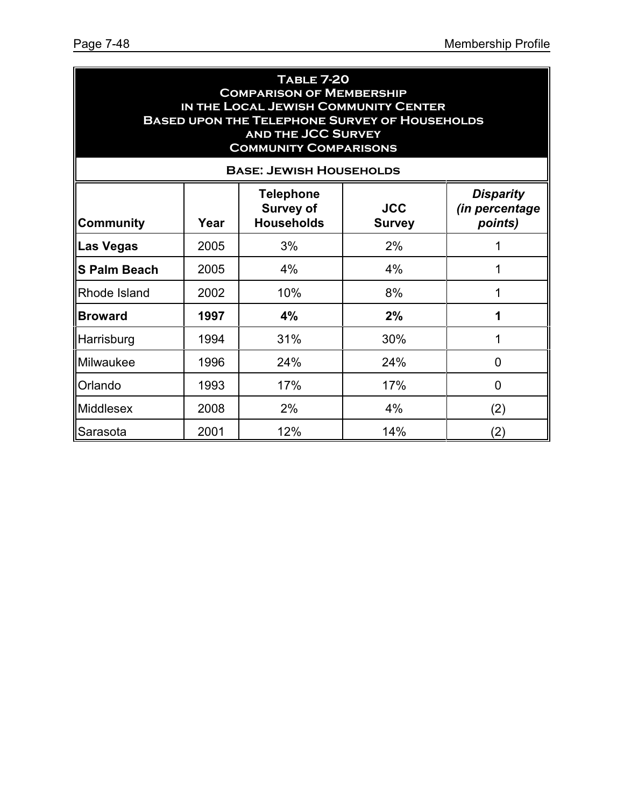| <b>TABLE 7-20</b><br><b>COMPARISON OF MEMBERSHIP</b><br>IN THE LOCAL JEWISH COMMUNITY CENTER<br><b>BASED UPON THE TELEPHONE SURVEY OF HOUSEHOLDS</b><br><b>AND THE JCC SURVEY</b><br><b>COMMUNITY COMPARISONS</b><br><b>BASE: JEWISH HOUSEHOLDS</b> |      |     |     |     |  |  |
|-----------------------------------------------------------------------------------------------------------------------------------------------------------------------------------------------------------------------------------------------------|------|-----|-----|-----|--|--|
| <b>Disparity</b><br><b>Telephone</b><br><b>JCC</b><br><b>Survey of</b><br>(in percentage<br><b>Households</b><br>points)<br><b>Community</b><br>Year<br><b>Survey</b>                                                                               |      |     |     |     |  |  |
| ∥Las Vegas                                                                                                                                                                                                                                          | 2005 | 3%  | 2%  | 1   |  |  |
| <b>S Palm Beach</b>                                                                                                                                                                                                                                 | 2005 | 4%  | 4%  | 1   |  |  |
| Rhode Island                                                                                                                                                                                                                                        | 2002 | 10% | 8%  | 1   |  |  |
| <b>Broward</b>                                                                                                                                                                                                                                      | 1997 | 4%  | 2%  | 1   |  |  |
| Harrisburg                                                                                                                                                                                                                                          | 1994 | 31% | 30% | 1   |  |  |
| Milwaukee                                                                                                                                                                                                                                           | 1996 | 24% | 24% | 0   |  |  |
| Orlando                                                                                                                                                                                                                                             | 1993 | 17% | 17% | 0   |  |  |
| <b>Middlesex</b>                                                                                                                                                                                                                                    | 2008 | 2%  | 4%  | (2) |  |  |
| Sarasota                                                                                                                                                                                                                                            | 2001 | 12% | 14% | (2) |  |  |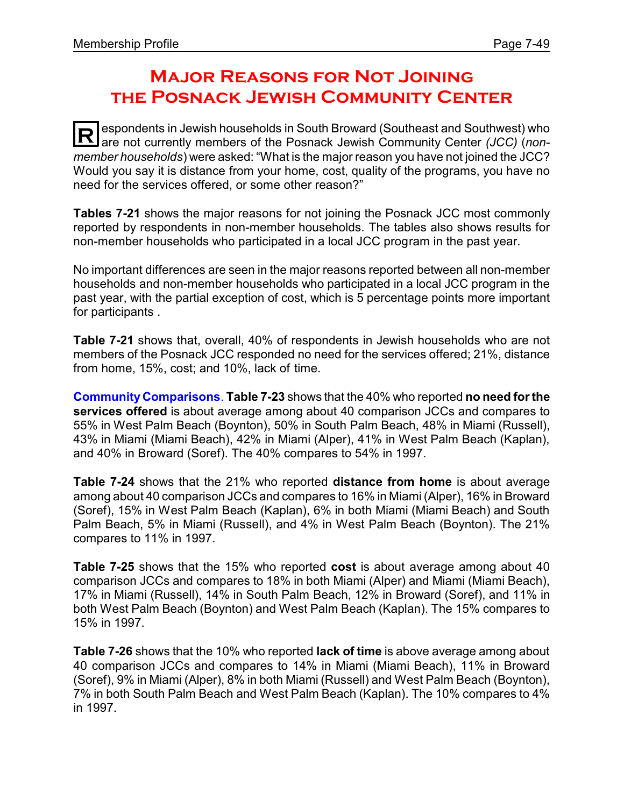# **Major Reasons for Not Joining the Posnack Jewish Community Center**

**R** espondents in Jewish households in South Broward (Southeast and Southwest) who are not currently members of the Posnack Jewish Community Center *(JCC)* (*nonmember households*) were asked: "What is the major reason you have not joined the JCC? Would you say it is distance from your home, cost, quality of the programs, you have no need for the services offered, or some other reason?"

**Tables 7-21** shows the major reasons for not joining the Posnack JCC most commonly reported by respondents in non-member households. The tables also shows results for non-member households who participated in a local JCC program in the past year.

No important differences are seen in the major reasons reported between all non-member households and non-member households who participated in a local JCC program in the past year, with the partial exception of cost, which is 5 percentage points more important for participants .

**Table 7-21** shows that, overall, 40% of respondents in Jewish households who are not members of the Posnack JCC responded no need for the services offered; 21%, distance from home, 15%, cost; and 10%, lack of time.

**Community Comparisons**. **Table 7-23** shows that the 40% who reported **no need for the services offered** is about average among about 40 comparison JCCs and compares to 55% in West Palm Beach (Boynton), 50% in South Palm Beach, 48% in Miami (Russell), 43% in Miami (Miami Beach), 42% in Miami (Alper), 41% in West Palm Beach (Kaplan), and 40% in Broward (Soref). The 40% compares to 54% in 1997.

**Table 7-24** shows that the 21% who reported **distance from home** is about average among about 40 comparison JCCs and compares to 16% in Miami (Alper), 16% in Broward (Soref), 15% in West Palm Beach (Kaplan), 6% in both Miami (Miami Beach) and South Palm Beach, 5% in Miami (Russell), and 4% in West Palm Beach (Boynton). The 21% compares to 11% in 1997.

**Table 7-25** shows that the 15% who reported **cost** is about average among about 40 comparison JCCs and compares to 18% in both Miami (Alper) and Miami (Miami Beach), 17% in Miami (Russell), 14% in South Palm Beach, 12% in Broward (Soref), and 11% in both West Palm Beach (Boynton) and West Palm Beach (Kaplan). The 15% compares to 15% in 1997.

**Table 7-26** shows that the 10% who reported **lack of time** is above average among about 40 comparison JCCs and compares to 14% in Miami (Miami Beach), 11% in Broward (Soref), 9% in Miami (Alper), 8% in both Miami (Russell) and West Palm Beach (Boynton), 7% in both South Palm Beach and West Palm Beach (Kaplan). The 10% compares to 4% in 1997.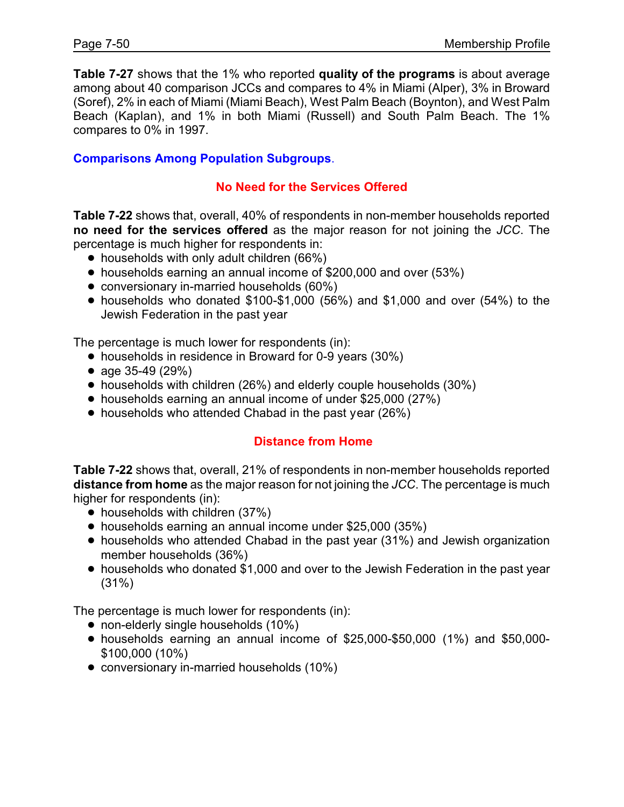**Table 7-27** shows that the 1% who reported **quality of the programs** is about average among about 40 comparison JCCs and compares to 4% in Miami (Alper), 3% in Broward (Soref), 2% in each of Miami (Miami Beach), West Palm Beach (Boynton), and West Palm Beach (Kaplan), and 1% in both Miami (Russell) and South Palm Beach. The 1% compares to 0% in 1997.

#### **Comparisons Among Population Subgroups**.

#### **No Need for the Services Offered**

**Table 7-22** shows that, overall, 40% of respondents in non-member households reported **no need for the services offered** as the major reason for not joining the *JCC*. The percentage is much higher for respondents in:

- households with only adult children (66%)
- households earning an annual income of \$200,000 and over (53%)
- conversionary in-married households (60%)
- $\bullet$  households who donated \$100-\$1,000 (56%) and \$1,000 and over (54%) to the Jewish Federation in the past year

The percentage is much lower for respondents (in):

- households in residence in Broward for 0-9 years (30%)
- age 35-49 (29%)
- ! households with children (26%) and elderly couple households (30%)
- households earning an annual income of under \$25,000 (27%)
- households who attended Chabad in the past year (26%)

#### **Distance from Home**

**Table 7-22** shows that, overall, 21% of respondents in non-member households reported **distance from home** as the major reason for not joining the *JCC*. The percentage is much higher for respondents (in):

- households with children (37%)
- households earning an annual income under \$25,000 (35%)
- ! households who attended Chabad in the past year (31%) and Jewish organization member households (36%)
- households who donated \$1,000 and over to the Jewish Federation in the past year (31%)

The percentage is much lower for respondents (in):

- non-elderly single households (10%)
- ! households earning an annual income of \$25,000-\$50,000 (1%) and \$50,000- \$100,000 (10%)
- conversionary in-married households (10%)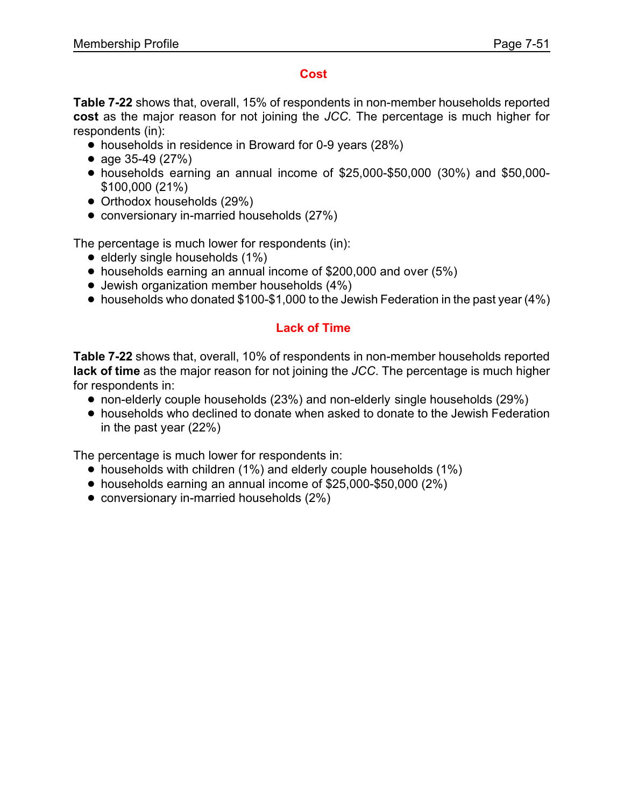#### **Cost**

**Table 7-22** shows that, overall, 15% of respondents in non-member households reported **cost** as the major reason for not joining the *JCC*. The percentage is much higher for respondents (in):

- ! households in residence in Broward for 0-9 years (28%)
- age  $35-49$  (27%)
- ! households earning an annual income of \$25,000-\$50,000 (30%) and \$50,000- \$100,000 (21%)
- Orthodox households (29%)
- conversionary in-married households (27%)

The percentage is much lower for respondents (in):

- $\bullet$  elderly single households (1%)
- ! households earning an annual income of \$200,000 and over (5%)
- Jewish organization member households (4%)
- households who donated \$100-\$1,000 to the Jewish Federation in the past year (4%)

## **Lack of Time**

**Table 7-22** shows that, overall, 10% of respondents in non-member households reported **lack of time** as the major reason for not joining the *JCC*. The percentage is much higher for respondents in:

- non-elderly couple households (23%) and non-elderly single households (29%)
- ! households who declined to donate when asked to donate to the Jewish Federation in the past year (22%)

The percentage is much lower for respondents in:

- households with children (1%) and elderly couple households (1%)
- ! households earning an annual income of \$25,000-\$50,000 (2%)
- conversionary in-married households (2%)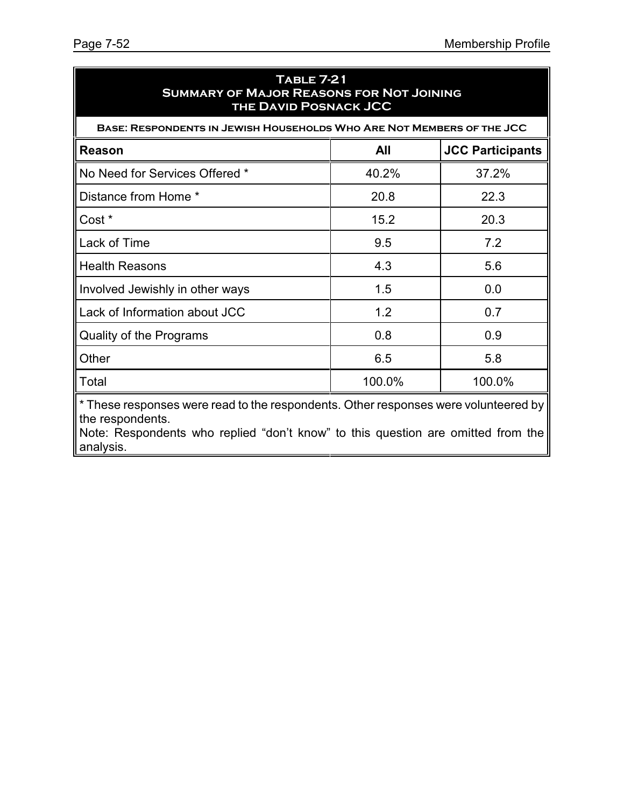| <b>TABLE 7-21</b><br><b>SUMMARY OF MAJOR REASONS FOR NOT JOINING</b><br><b>THE DAVID POSNACK JCC</b>                                                                                        |        |                         |  |  |  |
|---------------------------------------------------------------------------------------------------------------------------------------------------------------------------------------------|--------|-------------------------|--|--|--|
| BASE: RESPONDENTS IN JEWISH HOUSEHOLDS WHO ARE NOT MEMBERS OF THE JCC                                                                                                                       |        |                         |  |  |  |
| <b>Reason</b>                                                                                                                                                                               | All    | <b>JCC Participants</b> |  |  |  |
| No Need for Services Offered *                                                                                                                                                              | 40.2%  | 37.2%                   |  |  |  |
| Distance from Home *                                                                                                                                                                        | 20.8   | 22.3                    |  |  |  |
| Cost *                                                                                                                                                                                      | 15.2   | 20.3                    |  |  |  |
| Lack of Time                                                                                                                                                                                | 9.5    | 7.2                     |  |  |  |
| <b>Health Reasons</b>                                                                                                                                                                       | 4.3    | 5.6                     |  |  |  |
| Involved Jewishly in other ways                                                                                                                                                             | 1.5    | 0.0                     |  |  |  |
| Lack of Information about JCC                                                                                                                                                               | 1.2    | 0.7                     |  |  |  |
| Quality of the Programs                                                                                                                                                                     | 0.8    | 0.9                     |  |  |  |
| Other                                                                                                                                                                                       | 6.5    | 5.8                     |  |  |  |
| Total                                                                                                                                                                                       | 100.0% | 100.0%                  |  |  |  |
| * These responses were read to the respondents. Other responses were volunteered by<br>the respondents.<br>Note: Pecpendente who replied "dep't know" to this question are emitted from the |        |                         |  |  |  |

Note: Respondents who replied "don't know" to this question are omitted from the analysis.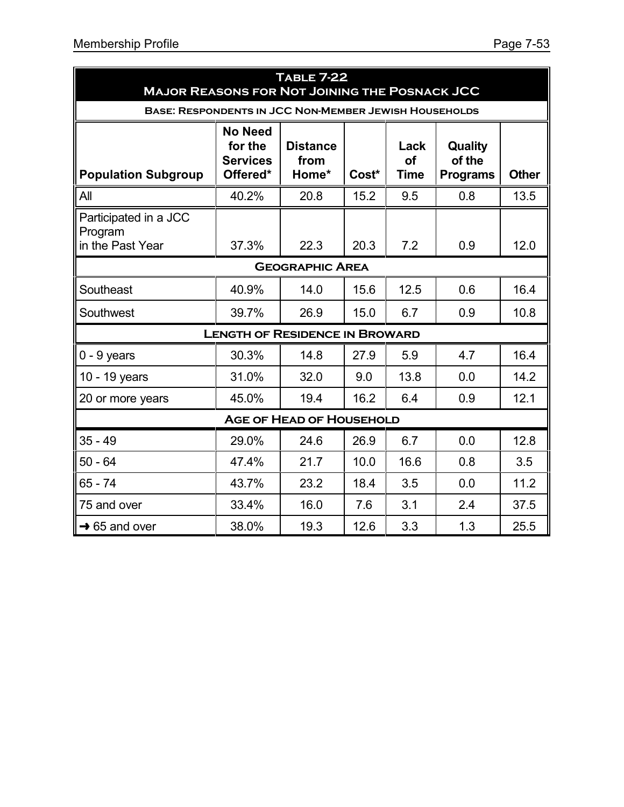| <b>TABLE 7-22</b><br><b>MAJOR REASONS FOR NOT JOINING THE POSNACK JCC</b> |                                                          |                                  |       |                           |                                      |              |  |
|---------------------------------------------------------------------------|----------------------------------------------------------|----------------------------------|-------|---------------------------|--------------------------------------|--------------|--|
| <b>BASE: RESPONDENTS IN JCC NON-MEMBER JEWISH HOUSEHOLDS</b>              |                                                          |                                  |       |                           |                                      |              |  |
| <b>Population Subgroup</b>                                                | <b>No Need</b><br>for the<br><b>Services</b><br>Offered* | <b>Distance</b><br>from<br>Home* | Cost* | Lack<br>of<br><b>Time</b> | Quality<br>of the<br><b>Programs</b> | <b>Other</b> |  |
| All                                                                       | 40.2%                                                    | 20.8                             | 15.2  | 9.5                       | 0.8                                  | 13.5         |  |
| Participated in a JCC<br>Program<br>in the Past Year                      | 37.3%                                                    | 22.3                             | 20.3  | 7.2                       | 0.9                                  | 12.0         |  |
|                                                                           |                                                          | <b>GEOGRAPHIC AREA</b>           |       |                           |                                      |              |  |
| Southeast                                                                 | 40.9%                                                    | 14.0                             | 15.6  | 12.5                      | 0.6                                  | 16.4         |  |
| Southwest                                                                 | 39.7%                                                    | 26.9                             | 15.0  | 6.7                       | 0.9                                  | 10.8         |  |
|                                                                           | <b>LENGTH OF RESIDENCE IN BROWARD</b>                    |                                  |       |                           |                                      |              |  |
| $0 - 9$ years                                                             | 30.3%                                                    | 14.8                             | 27.9  | 5.9                       | 4.7                                  | 16.4         |  |
| 10 - 19 years                                                             | 31.0%                                                    | 32.0                             | 9.0   | 13.8                      | 0.0                                  | 14.2         |  |
| 20 or more years                                                          | 45.0%                                                    | 19.4                             | 16.2  | 6.4                       | 0.9                                  | 12.1         |  |
| <b>AGE OF HEAD OF HOUSEHOLD</b>                                           |                                                          |                                  |       |                           |                                      |              |  |
| $35 - 49$                                                                 | 29.0%                                                    | 24.6                             | 26.9  | 6.7                       | 0.0                                  | 12.8         |  |
| $50 - 64$                                                                 | 47.4%                                                    | 21.7                             | 10.0  | 16.6                      | 0.8                                  | 3.5          |  |
| $65 - 74$                                                                 | 43.7%                                                    | 23.2                             | 18.4  | 3.5                       | 0.0                                  | 11.2         |  |
| 75 and over                                                               | 33.4%                                                    | 16.0                             | 7.6   | 3.1                       | 2.4                                  | 37.5         |  |
| $\rightarrow$ 65 and over                                                 | 38.0%                                                    | 19.3                             | 12.6  | 3.3                       | 1.3                                  | 25.5         |  |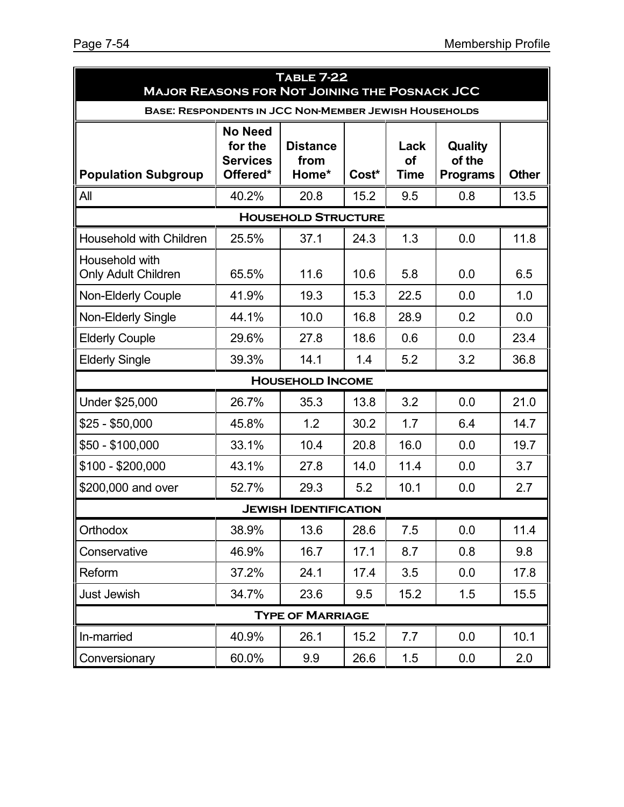| <b>TABLE 7-22</b><br><b>MAJOR REASONS FOR NOT JOINING THE POSNACK JCC</b> |                                                          |                                  |       |                           |                                      |              |  |  |
|---------------------------------------------------------------------------|----------------------------------------------------------|----------------------------------|-------|---------------------------|--------------------------------------|--------------|--|--|
| <b>BASE: RESPONDENTS IN JCC NON-MEMBER JEWISH HOUSEHOLDS</b>              |                                                          |                                  |       |                           |                                      |              |  |  |
| <b>Population Subgroup</b>                                                | <b>No Need</b><br>for the<br><b>Services</b><br>Offered* | <b>Distance</b><br>from<br>Home* | Cost* | Lack<br>οf<br><b>Time</b> | Quality<br>of the<br><b>Programs</b> | <b>Other</b> |  |  |
| All                                                                       | 40.2%                                                    | 20.8                             | 15.2  | 9.5                       | 0.8                                  | 13.5         |  |  |
|                                                                           |                                                          | <b>HOUSEHOLD STRUCTURE</b>       |       |                           |                                      |              |  |  |
| <b>Household with Children</b>                                            | 25.5%                                                    | 37.1                             | 24.3  | 1.3                       | 0.0                                  | 11.8         |  |  |
| Household with<br><b>Only Adult Children</b>                              | 65.5%                                                    | 11.6                             | 10.6  | 5.8                       | 0.0                                  | 6.5          |  |  |
| <b>Non-Elderly Couple</b>                                                 | 41.9%                                                    | 19.3                             | 15.3  | 22.5                      | 0.0                                  | 1.0          |  |  |
| <b>Non-Elderly Single</b>                                                 | 44.1%                                                    | 10.0                             | 16.8  | 28.9                      | 0.2                                  | 0.0          |  |  |
| <b>Elderly Couple</b>                                                     | 29.6%                                                    | 27.8                             | 18.6  | 0.6                       | 0.0                                  | 23.4         |  |  |
| <b>Elderly Single</b>                                                     | 39.3%                                                    | 14.1                             | 1.4   | 5.2                       | 3.2                                  | 36.8         |  |  |
|                                                                           |                                                          | <b>HOUSEHOLD INCOME</b>          |       |                           |                                      |              |  |  |
| Under \$25,000                                                            | 26.7%                                                    | 35.3                             | 13.8  | 3.2                       | 0.0                                  | 21.0         |  |  |
| \$25 - \$50,000                                                           | 45.8%                                                    | 1.2                              | 30.2  | 1.7                       | 6.4                                  | 14.7         |  |  |
| \$50 - \$100,000                                                          | 33.1%                                                    | 10.4                             | 20.8  | 16.0                      | 0.0                                  | 19.7         |  |  |
| \$100 - \$200,000                                                         | 43.1%                                                    | 27.8                             | 14.0  | 11.4                      | 0.0                                  | 3.7          |  |  |
| \$200,000 and over                                                        | 52.7%                                                    | 29.3                             | 5.2   | 10.1                      | 0.0                                  | 2.7          |  |  |
| <b>JEWISH IDENTIFICATION</b>                                              |                                                          |                                  |       |                           |                                      |              |  |  |
| Orthodox                                                                  | 38.9%                                                    | 13.6                             | 28.6  | 7.5                       | 0.0                                  | 11.4         |  |  |
| Conservative                                                              | 46.9%                                                    | 16.7                             | 17.1  | 8.7                       | 0.8                                  | 9.8          |  |  |
| Reform                                                                    | 37.2%                                                    | 24.1                             | 17.4  | 3.5                       | 0.0                                  | 17.8         |  |  |
| <b>Just Jewish</b>                                                        | 34.7%                                                    | 23.6                             | 9.5   | 15.2                      | 1.5                                  | 15.5         |  |  |
|                                                                           |                                                          | <b>TYPE OF MARRIAGE</b>          |       |                           |                                      |              |  |  |
| In-married                                                                | 40.9%                                                    | 26.1                             | 15.2  | 7.7                       | 0.0                                  | 10.1         |  |  |
| Conversionary                                                             | 60.0%                                                    | 9.9                              | 26.6  | 1.5                       | 0.0                                  | 2.0          |  |  |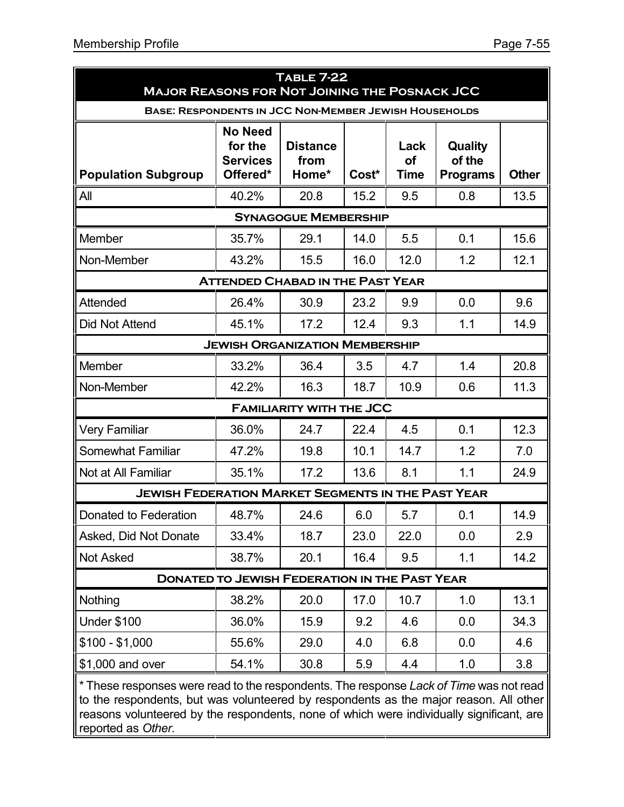| <b>TABLE 7-22</b><br><b>MAJOR REASONS FOR NOT JOINING THE POSNACK JCC</b> |                                                                                                                                    |                                  |       |                                  |                                             |              |  |  |  |
|---------------------------------------------------------------------------|------------------------------------------------------------------------------------------------------------------------------------|----------------------------------|-------|----------------------------------|---------------------------------------------|--------------|--|--|--|
| <b>BASE: RESPONDENTS IN JCC NON-MEMBER JEWISH HOUSEHOLDS</b>              |                                                                                                                                    |                                  |       |                                  |                                             |              |  |  |  |
| <b>Population Subgroup</b>                                                | <b>No Need</b><br>for the<br><b>Services</b><br>Offered*                                                                           | <b>Distance</b><br>from<br>Home* | Cost* | Lack<br><b>of</b><br><b>Time</b> | <b>Quality</b><br>of the<br><b>Programs</b> | <b>Other</b> |  |  |  |
| All                                                                       | 40.2%                                                                                                                              | 20.8                             | 15.2  | 9.5                              | 0.8                                         | 13.5         |  |  |  |
|                                                                           |                                                                                                                                    | <b>SYNAGOGUE MEMBERSHIP</b>      |       |                                  |                                             |              |  |  |  |
| Member                                                                    | 35.7%                                                                                                                              | 29.1                             | 14.0  | 5.5                              | 0.1                                         | 15.6         |  |  |  |
| Non-Member                                                                | 43.2%                                                                                                                              | 15.5                             | 16.0  | 12.0                             | 1.2                                         | 12.1         |  |  |  |
| <b>ATTENDED CHABAD IN THE PAST YEAR</b>                                   |                                                                                                                                    |                                  |       |                                  |                                             |              |  |  |  |
| Attended                                                                  | 26.4%                                                                                                                              | 30.9                             | 23.2  | 9.9                              | 0.0                                         | 9.6          |  |  |  |
| <b>Did Not Attend</b>                                                     | 45.1%                                                                                                                              | 17.2                             | 12.4  | 9.3                              | 1.1                                         | 14.9         |  |  |  |
| <b>JEWISH ORGANIZATION MEMBERSHIP</b>                                     |                                                                                                                                    |                                  |       |                                  |                                             |              |  |  |  |
| Member                                                                    | 33.2%                                                                                                                              | 36.4                             | 3.5   | 4.7                              | 1.4                                         | 20.8         |  |  |  |
| Non-Member                                                                | 42.2%                                                                                                                              | 16.3                             | 18.7  | 10.9                             | 0.6                                         | 11.3         |  |  |  |
|                                                                           |                                                                                                                                    | <b>FAMILIARITY WITH THE JCC</b>  |       |                                  |                                             |              |  |  |  |
| <b>Very Familiar</b>                                                      | 36.0%                                                                                                                              | 24.7                             | 22.4  | 4.5                              | 0.1                                         | 12.3         |  |  |  |
| Somewhat Familiar                                                         | 47.2%                                                                                                                              | 19.8                             | 10.1  | 14.7                             | 1.2                                         | 7.0          |  |  |  |
| Not at All Familiar                                                       | 35.1%                                                                                                                              | 17.2                             | 13.6  | 8.1                              | 1.1                                         | 24.9         |  |  |  |
| <b>JEWISH FEDERATION MARKET SEGMENTS IN THE PAST YEAR</b>                 |                                                                                                                                    |                                  |       |                                  |                                             |              |  |  |  |
| Donated to Federation                                                     | 48.7%                                                                                                                              | 24.6                             | 6.0   | 5.7                              | 0.1                                         | 14.9         |  |  |  |
| Asked, Did Not Donate                                                     | 33.4%                                                                                                                              | 18.7                             | 23.0  | 22.0                             | 0.0                                         | 2.9          |  |  |  |
| <b>Not Asked</b>                                                          | 38.7%                                                                                                                              | 20.1                             | 16.4  | 9.5                              | 1.1                                         | 14.2         |  |  |  |
|                                                                           | <b>DONATED TO JEWISH FEDERATION IN THE PAST YEAR</b>                                                                               |                                  |       |                                  |                                             |              |  |  |  |
| Nothing                                                                   | 38.2%                                                                                                                              | 20.0                             | 17.0  | 10.7                             | 1.0                                         | 13.1         |  |  |  |
| <b>Under \$100</b>                                                        | 36.0%                                                                                                                              | 15.9                             | 9.2   | 4.6                              | 0.0                                         | 34.3         |  |  |  |
| $$100 - $1,000$                                                           | 55.6%                                                                                                                              | 29.0                             | 4.0   | 6.8                              | 0.0                                         | 4.6          |  |  |  |
| \$1,000 and over                                                          | 54.1%                                                                                                                              | 30.8                             | 5.9   | 4.4                              | 1.0                                         | 3.8          |  |  |  |
| roonandanta hutu                                                          | * These responses were read to the respondents. The response Lack of Time was not read<br>so volunteered by respendents as the moi |                                  |       |                                  |                                             |              |  |  |  |

to the respondents, but was volunteered by respondents as the major reason. All other reasons volunteered by the respondents, none of which were individually significant, are reported as *Other*.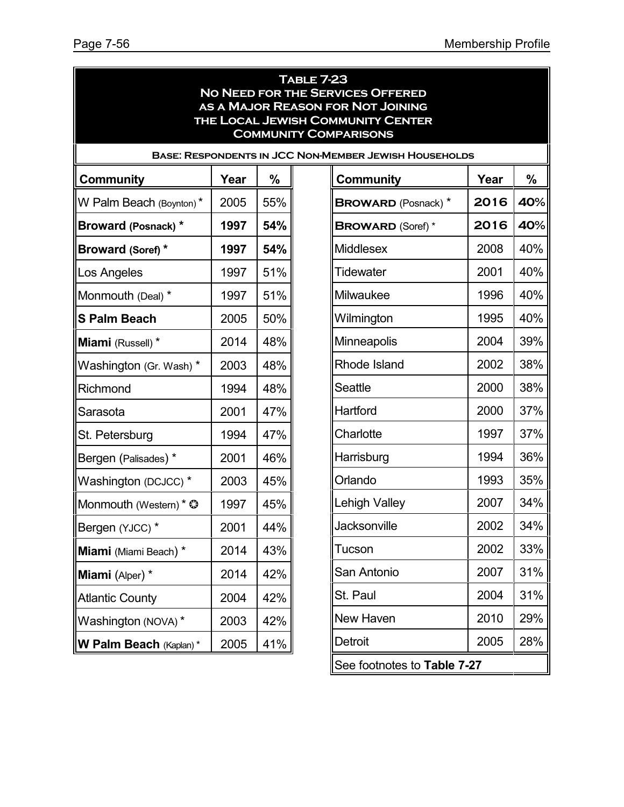|      |                                                                              |                                                                  |                                                                                                                                                                                                                                                                                                                                                | $\%$<br>40%                                                                                                                          |
|------|------------------------------------------------------------------------------|------------------------------------------------------------------|------------------------------------------------------------------------------------------------------------------------------------------------------------------------------------------------------------------------------------------------------------------------------------------------------------------------------------------------|--------------------------------------------------------------------------------------------------------------------------------------|
|      |                                                                              |                                                                  |                                                                                                                                                                                                                                                                                                                                                | 40%                                                                                                                                  |
|      |                                                                              |                                                                  |                                                                                                                                                                                                                                                                                                                                                | 40%                                                                                                                                  |
|      |                                                                              |                                                                  |                                                                                                                                                                                                                                                                                                                                                | 40%                                                                                                                                  |
|      |                                                                              |                                                                  |                                                                                                                                                                                                                                                                                                                                                | 40%                                                                                                                                  |
|      |                                                                              |                                                                  |                                                                                                                                                                                                                                                                                                                                                | 40%                                                                                                                                  |
|      |                                                                              |                                                                  |                                                                                                                                                                                                                                                                                                                                                | 39%                                                                                                                                  |
|      |                                                                              |                                                                  |                                                                                                                                                                                                                                                                                                                                                | 38%                                                                                                                                  |
|      |                                                                              | <b>Seattle</b>                                                   | 2000                                                                                                                                                                                                                                                                                                                                           | 38%                                                                                                                                  |
| 2001 | 47%                                                                          | Hartford                                                         | 2000                                                                                                                                                                                                                                                                                                                                           | 37%                                                                                                                                  |
| 1994 | 47%                                                                          | Charlotte                                                        | 1997                                                                                                                                                                                                                                                                                                                                           | 37%                                                                                                                                  |
| 2001 | 46%                                                                          | Harrisburg                                                       | 1994                                                                                                                                                                                                                                                                                                                                           | 36%                                                                                                                                  |
| 2003 | 45%                                                                          | Orlando                                                          | 1993                                                                                                                                                                                                                                                                                                                                           | 35%                                                                                                                                  |
| 1997 | 45%                                                                          | <b>Lehigh Valley</b>                                             | 2007                                                                                                                                                                                                                                                                                                                                           | 34%                                                                                                                                  |
| 2001 | 44%                                                                          | Jacksonville                                                     | 2002                                                                                                                                                                                                                                                                                                                                           | 34%                                                                                                                                  |
| 2014 | 43%                                                                          | Tucson                                                           | 2002                                                                                                                                                                                                                                                                                                                                           | 33%                                                                                                                                  |
| 2014 | 42%                                                                          | San Antonio                                                      | 2007                                                                                                                                                                                                                                                                                                                                           | 31%                                                                                                                                  |
| 2004 | 42%                                                                          | St. Paul                                                         | 2004                                                                                                                                                                                                                                                                                                                                           | 31%                                                                                                                                  |
| 2003 | 42%                                                                          | <b>New Haven</b>                                                 | 2010                                                                                                                                                                                                                                                                                                                                           | 29%                                                                                                                                  |
| 2005 | 41%                                                                          | Detroit                                                          | 2005                                                                                                                                                                                                                                                                                                                                           | 28%                                                                                                                                  |
|      | Year<br>2005<br>1997<br>1997<br>1997<br>1997<br>2005<br>2014<br>2003<br>1994 | %<br>55%<br>54%<br>54%<br>51%<br>51%<br>50%<br>48%<br>48%<br>48% | <b>TABLE 7-23</b><br><b>NO NEED FOR THE SERVICES OFFERED</b><br>AS A MAJOR REASON FOR NOT JOINING<br>THE LOCAL JEWISH COMMUNITY CENTER<br><b>COMMUNITY COMPARISONS</b><br><b>Community</b><br><b>BROWARD</b> (Posnack) *<br><b>BROWARD (Soref)*</b><br><b>Middlesex</b><br>Tidewater<br>Milwaukee<br>Wilmington<br>Minneapolis<br>Rhode Island | <b>BASE: RESPONDENTS IN JCC NON-MEMBER JEWISH HOUSEHOLDS</b><br>Year<br>2016<br>2016<br>2008<br>2001<br>1996<br>1995<br>2004<br>2002 |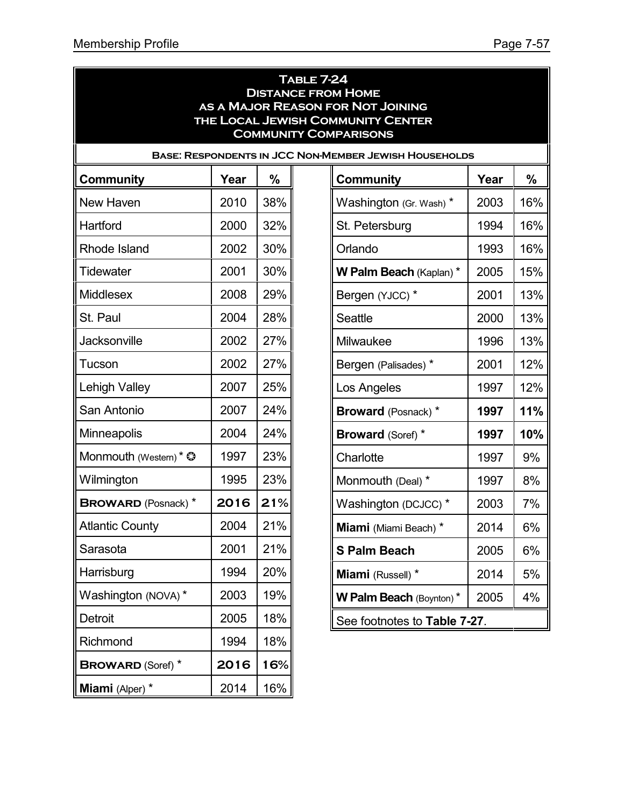16%

16%

16%

**W Palm Beach** (Kaplan) \* 2005 15%

 $13%$ 

 $13%$ 

13%

 $12%$ 

12%

**Broward** (Posnack) \* **1997 11%**

**Broward** (Soref) \* **1997 10%**

**S Palm Beach** 2005 6%

 $5%$ 

| <b>TABLE 7-24</b><br><b>DISTANCE FROM HOME</b><br>AS A MAJOR REASON FOR NOT JOINING<br>THE LOCAL JEWISH COMMUNITY CENTER<br><b>COMMUNITY COMPARISONS</b> |      |     |                                |      |     |  |  |  |  |  |
|----------------------------------------------------------------------------------------------------------------------------------------------------------|------|-----|--------------------------------|------|-----|--|--|--|--|--|
| <b>BASE: RESPONDENTS IN JCC NON-MEMBER JEWISH HOUSEHOLDS</b>                                                                                             |      |     |                                |      |     |  |  |  |  |  |
| <b>Community</b>                                                                                                                                         | Year | %   | <b>Community</b>               | Year | %   |  |  |  |  |  |
| New Haven                                                                                                                                                | 2010 | 38% | Washington (Gr. Wash) *        | 2003 | 16% |  |  |  |  |  |
| Hartford                                                                                                                                                 | 2000 | 32% | St. Petersburg                 | 1994 | 16% |  |  |  |  |  |
| Rhode Island                                                                                                                                             | 2002 | 30% | Orlando                        | 1993 | 16% |  |  |  |  |  |
| Tidewater                                                                                                                                                | 2001 | 30% | W Palm Beach (Kaplan) *        | 2005 | 15% |  |  |  |  |  |
| Middlesex                                                                                                                                                | 2008 | 29% | Bergen (YJCC) *                | 2001 | 13% |  |  |  |  |  |
| St. Paul                                                                                                                                                 | 2004 | 28% | Seattle                        | 2000 | 13% |  |  |  |  |  |
| Jacksonville                                                                                                                                             | 2002 | 27% | Milwaukee                      | 1996 | 13% |  |  |  |  |  |
| Tucson                                                                                                                                                   | 2002 | 27% | Bergen (Palisades) *           | 2001 | 12% |  |  |  |  |  |
| <b>Lehigh Valley</b>                                                                                                                                     | 2007 | 25% | Los Angeles                    | 1997 | 12% |  |  |  |  |  |
| San Antonio                                                                                                                                              | 2007 | 24% | <b>Broward</b> (Posnack) *     | 1997 | 11% |  |  |  |  |  |
| Minneapolis                                                                                                                                              | 2004 | 24% | <b>Broward (Soref) *</b>       | 1997 | 10% |  |  |  |  |  |
| Monmouth (Western) * $\circledcirc$                                                                                                                      | 1997 | 23% | Charlotte                      | 1997 | 9%  |  |  |  |  |  |
| Wilmington                                                                                                                                               | 1995 | 23% | Monmouth (Deal) *              | 1997 | 8%  |  |  |  |  |  |
| <b>BROWARD</b> (Posnack) *                                                                                                                               | 2016 | 21% | Washington (DCJCC) *           | 2003 | 7%  |  |  |  |  |  |
| <b>Atlantic County</b>                                                                                                                                   | 2004 | 21% | Miami (Miami Beach) *          | 2014 | 6%  |  |  |  |  |  |
| Sarasota                                                                                                                                                 | 2001 | 21% | <b>S Palm Beach</b>            | 2005 | 6%  |  |  |  |  |  |
| Harrisburg                                                                                                                                               | 1994 | 20% | Miami (Russell) *              | 2014 | 5%  |  |  |  |  |  |
| Washington (NOVA)*                                                                                                                                       | 2003 | 19% | <b>W Palm Beach (Boynton)*</b> | 2005 | 4%  |  |  |  |  |  |
| Detroit                                                                                                                                                  | 2005 | 18% | See footnotes to Table 7-27.   |      |     |  |  |  |  |  |
| Richmond                                                                                                                                                 | 1994 | 18% |                                |      |     |  |  |  |  |  |
| <b>BROWARD (Soref)</b> *                                                                                                                                 | 2016 | 16% |                                |      |     |  |  |  |  |  |
| Miami (Alper) *                                                                                                                                          | 2014 | 16% |                                |      |     |  |  |  |  |  |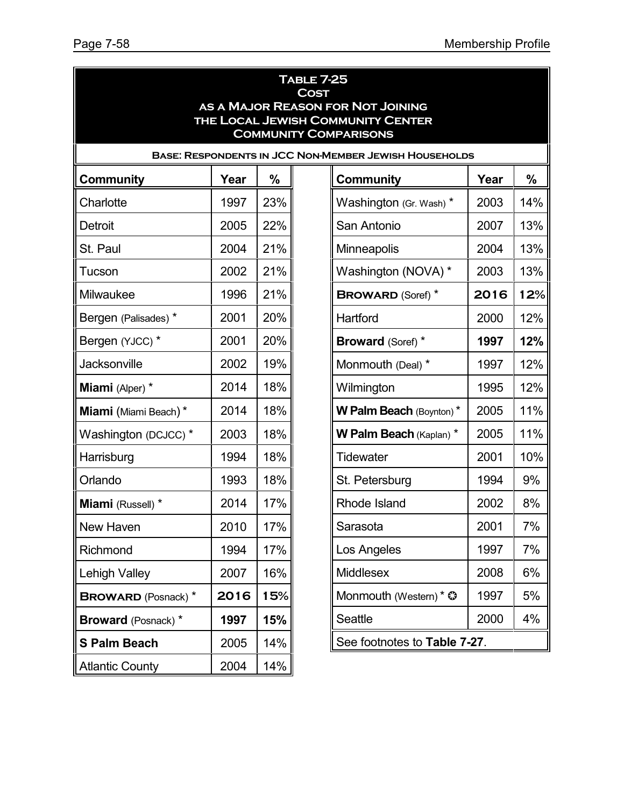|                            |      |     | <b>TABLE 7-25</b><br><b>COST</b><br>AS A MAJOR REASON FOR NOT JOINING<br>THE LOCAL JEWISH COMMUNITY CENTER<br><b>COMMUNITY COMPARISONS</b> |      |     |
|----------------------------|------|-----|--------------------------------------------------------------------------------------------------------------------------------------------|------|-----|
|                            |      |     | <b>BASE: RESPONDENTS IN JCC NON-MEMBER JEWISH HOUSEHOLDS</b>                                                                               |      |     |
| <b>Community</b>           | Year | %   | Community                                                                                                                                  | Year | %   |
| Charlotte                  | 1997 | 23% | Washington (Gr. Wash) *                                                                                                                    | 2003 | 14% |
| Detroit                    | 2005 | 22% | San Antonio                                                                                                                                | 2007 | 13% |
| St. Paul                   | 2004 | 21% | <b>Minneapolis</b>                                                                                                                         | 2004 | 13% |
| Tucson                     | 2002 | 21% | Washington (NOVA) *                                                                                                                        | 2003 | 13% |
| Milwaukee                  | 1996 | 21% | <b>BROWARD (Soref)</b> *                                                                                                                   | 2016 | 12% |
| Bergen (Palisades) *       | 2001 | 20% | Hartford                                                                                                                                   | 2000 | 12% |
| Bergen (YJCC) *            | 2001 | 20% | <b>Broward (Soref) *</b>                                                                                                                   | 1997 | 12% |
| Jacksonville               | 2002 | 19% | Monmouth (Deal) *                                                                                                                          | 1997 | 12% |
| Miami (Alper) *            | 2014 | 18% | Wilmington                                                                                                                                 | 1995 | 12% |
| Miami (Miami Beach)*       | 2014 | 18% | <b>W Palm Beach (Boynton)*</b>                                                                                                             | 2005 | 11% |
| Washington (DCJCC) *       | 2003 | 18% | <b>W Palm Beach (Kaplan) *</b>                                                                                                             | 2005 | 11% |
| Harrisburg                 | 1994 | 18% | <b>Tidewater</b>                                                                                                                           | 2001 | 10% |
| Orlando                    | 1993 | 18% | St. Petersburg                                                                                                                             | 1994 | 9%  |
| Miami (Russell) *          | 2014 | 17% | Rhode Island                                                                                                                               | 2002 | 8%  |
| New Haven                  | 2010 | 17% | Sarasota                                                                                                                                   | 2001 | 7%  |
| Richmond                   | 1994 | 17% | Los Angeles                                                                                                                                | 1997 | 7%  |
| <b>Lehigh Valley</b>       | 2007 | 16% | <b>Middlesex</b>                                                                                                                           | 2008 | 6%  |
| <b>BROWARD</b> (Posnack) * | 2016 | 15% | Monmouth (Western) * $\odot$                                                                                                               | 1997 | 5%  |
| <b>Broward</b> (Posnack) * | 1997 | 15% | Seattle                                                                                                                                    | 2000 | 4%  |
| <b>S Palm Beach</b>        | 2005 | 14% | See footnotes to Table 7-27.                                                                                                               |      |     |
| <b>Atlantic County</b>     | 2004 | 14% |                                                                                                                                            |      |     |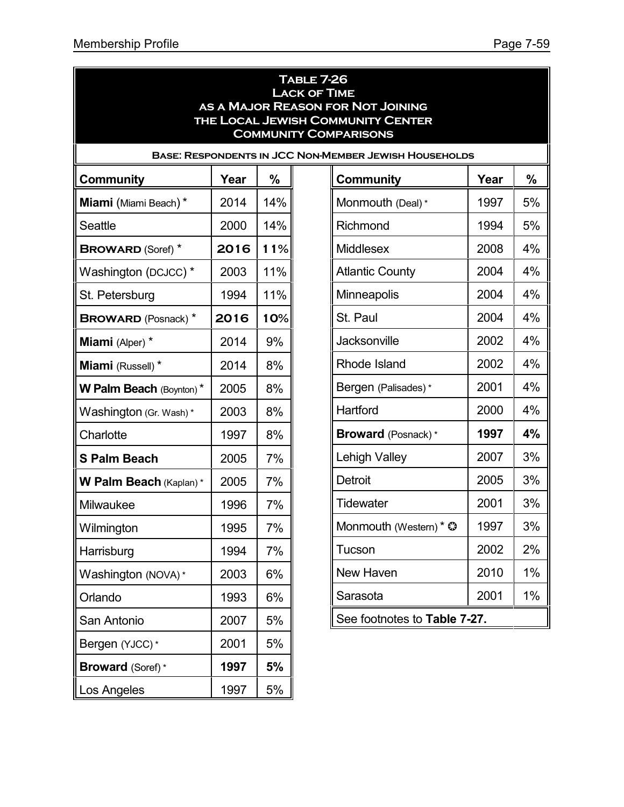$5%$ 

 $4%$ 

 $4%$ 

 $4\%$ 

 $3%$ 

 $3%$ 

 $3%$ 

| <b>TABLE 7-26</b><br><b>LACK OF TIME</b><br>AS A MAJOR REASON FOR NOT JOINING<br><b>THE LOCAL JEWISH COMMUNITY CENTER</b><br><b>COMMUNITY COMPARISONS</b> |      |     |                              |      |    |  |  |  |  |
|-----------------------------------------------------------------------------------------------------------------------------------------------------------|------|-----|------------------------------|------|----|--|--|--|--|
| <b>BASE: RESPONDENTS IN JCC NON-MEMBER JEWISH HOUSEHOLDS</b>                                                                                              |      |     |                              |      |    |  |  |  |  |
| <b>Community</b>                                                                                                                                          | Year | %   | <b>Community</b>             | Year | %  |  |  |  |  |
| Miami (Miami Beach)*                                                                                                                                      | 2014 | 14% | Monmouth (Deal) *            | 1997 | 5% |  |  |  |  |
| Seattle                                                                                                                                                   | 2000 | 14% | Richmond                     | 1994 | 5% |  |  |  |  |
| <b>BROWARD (Soref)</b> *                                                                                                                                  | 2016 | 11% | <b>Middlesex</b>             | 2008 | 4% |  |  |  |  |
| Washington (DCJCC) *                                                                                                                                      | 2003 | 11% | <b>Atlantic County</b>       | 2004 | 4% |  |  |  |  |
| St. Petersburg                                                                                                                                            | 1994 | 11% | <b>Minneapolis</b>           | 2004 | 4% |  |  |  |  |
| <b>BROWARD</b> (Posnack) *                                                                                                                                | 2016 | 10% | St. Paul                     | 2004 | 4% |  |  |  |  |
| Miami (Alper) *                                                                                                                                           | 2014 | 9%  | Jacksonville                 | 2002 | 4% |  |  |  |  |
| Miami (Russell) *                                                                                                                                         | 2014 | 8%  | <b>Rhode Island</b>          | 2002 | 4% |  |  |  |  |
| W Palm Beach (Boynton)*                                                                                                                                   | 2005 | 8%  | Bergen (Palisades) *         | 2001 | 4% |  |  |  |  |
| Washington (Gr. Wash)*                                                                                                                                    | 2003 | 8%  | Hartford                     | 2000 | 4% |  |  |  |  |
| Charlotte                                                                                                                                                 | 1997 | 8%  | <b>Broward</b> (Posnack)*    | 1997 | 4% |  |  |  |  |
| <b>S Palm Beach</b>                                                                                                                                       | 2005 | 7%  | Lehigh Valley                | 2007 | 3% |  |  |  |  |
| W Palm Beach (Kaplan)*                                                                                                                                    | 2005 | 7%  | Detroit                      | 2005 | 3% |  |  |  |  |
| Milwaukee                                                                                                                                                 | 1996 | 7%  | Tidewater                    | 2001 | 3% |  |  |  |  |
| Wilmington                                                                                                                                                | 1995 | 7%  | Monmouth (Western) * ©       | 1997 | 3% |  |  |  |  |
| Harrisburg                                                                                                                                                | 1994 | 7%  | Tucson                       | 2002 | 2% |  |  |  |  |
| Washington (NOVA) *                                                                                                                                       | 2003 | 6%  | New Haven                    | 2010 | 1% |  |  |  |  |
| Orlando                                                                                                                                                   | 1993 | 6%  | Sarasota                     | 2001 | 1% |  |  |  |  |
| San Antonio                                                                                                                                               | 2007 | 5%  | See footnotes to Table 7-27. |      |    |  |  |  |  |
| Bergen (YJCC)*                                                                                                                                            | 2001 | 5%  |                              |      |    |  |  |  |  |
| <b>Broward</b> (Soref)*                                                                                                                                   | 1997 | 5%  |                              |      |    |  |  |  |  |
| Los Angeles                                                                                                                                               | 1997 | 5%  |                              |      |    |  |  |  |  |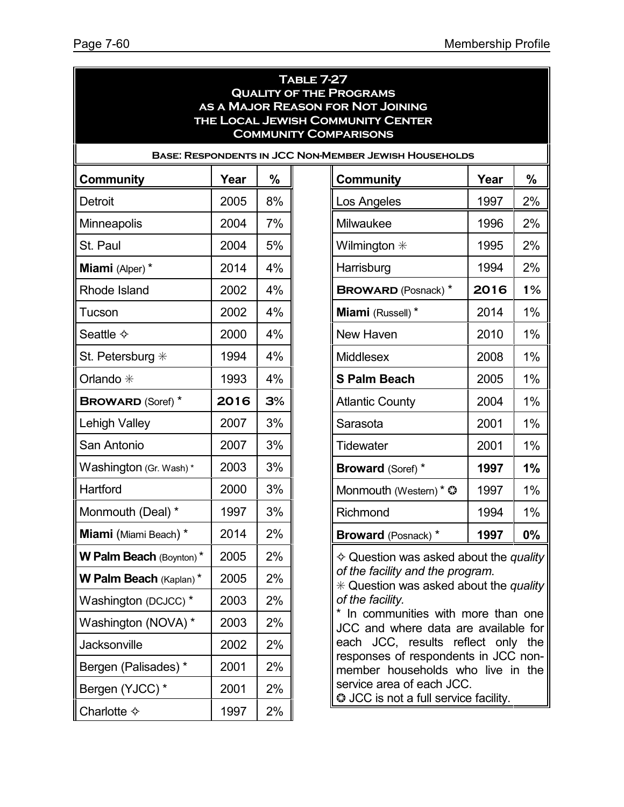|                          |      |               | <b>TABLE 7-27</b><br><b>QUALITY OF THE PROGRAMS</b><br>AS A MAJOR REASON FOR NOT JOINING<br><b>THE LOCAL JEWISH COMMUNITY CENTER</b><br><b>COMMUNITY COMPARISONS</b><br><b>BASE: RESPONDENTS IN JCC NON-MEMBER JEWISH HOUSEHOLDS</b> |      |       |  |  |
|--------------------------|------|---------------|--------------------------------------------------------------------------------------------------------------------------------------------------------------------------------------------------------------------------------------|------|-------|--|--|
| <b>Community</b>         | Year | $\frac{0}{0}$ | <b>Community</b>                                                                                                                                                                                                                     | Year | %     |  |  |
| <b>Detroit</b>           | 2005 | 8%            | Los Angeles                                                                                                                                                                                                                          | 1997 | 2%    |  |  |
| <b>Minneapolis</b>       | 2004 | 7%            | Milwaukee                                                                                                                                                                                                                            | 1996 | 2%    |  |  |
| St. Paul                 | 2004 | 5%            | Wilmington $*$                                                                                                                                                                                                                       | 1995 | 2%    |  |  |
| Miami (Alper) *          | 2014 | 4%            | Harrisburg                                                                                                                                                                                                                           | 1994 | 2%    |  |  |
| Rhode Island             | 2002 | 4%            | <b>BROWARD (Posnack) *</b>                                                                                                                                                                                                           | 2016 | 1%    |  |  |
| Tucson                   | 2002 | 4%            | Miami (Russell) *                                                                                                                                                                                                                    | 2014 | 1%    |  |  |
| Seattle $\diamond$       | 2000 | 4%            | New Haven                                                                                                                                                                                                                            | 2010 | 1%    |  |  |
| St. Petersburg $*$       | 1994 | 4%            | <b>Middlesex</b>                                                                                                                                                                                                                     | 2008 | 1%    |  |  |
| Orlando *                | 1993 | 4%            | <b>S Palm Beach</b>                                                                                                                                                                                                                  | 2005 | 1%    |  |  |
| <b>BROWARD (Soref)</b> * | 2016 | 3%            | <b>Atlantic County</b>                                                                                                                                                                                                               | 2004 | $1\%$ |  |  |
| Lehigh Valley            | 2007 | 3%            | Sarasota                                                                                                                                                                                                                             | 2001 | 1%    |  |  |
| San Antonio              | 2007 | 3%            | Tidewater                                                                                                                                                                                                                            | 2001 | $1\%$ |  |  |
| Washington (Gr. Wash) *  | 2003 | 3%            | <b>Broward (Soref) *</b>                                                                                                                                                                                                             | 1997 | 1%    |  |  |
| Hartford                 | 2000 | 3%            | Monmouth (Western) * ©                                                                                                                                                                                                               | 1997 | $1\%$ |  |  |
| Monmouth (Deal) *        | 1997 | 3%            | Richmond                                                                                                                                                                                                                             | 1994 | 1%    |  |  |
| Miami (Miami Beach) *    | 2014 | 2%            | <b>Broward</b> (Posnack) *                                                                                                                                                                                                           | 1997 | $0\%$ |  |  |
| W Palm Beach (Boynton)*  | 2005 | 2%            | $\diamond$ Question was asked about the quality                                                                                                                                                                                      |      |       |  |  |
| W Palm Beach (Kaplan) *  | 2005 | 2%            | of the facility and the program.<br>* Question was asked about the quality                                                                                                                                                           |      |       |  |  |
| Washington (DCJCC) *     | 2003 | 2%            | of the facility.                                                                                                                                                                                                                     |      |       |  |  |
| Washington (NOVA) *      | 2003 | 2%            | * In communities with more than one<br>JCC and where data are available for                                                                                                                                                          |      |       |  |  |
| <b>Jacksonville</b>      | 2002 | 2%            | each JCC, results reflect only the                                                                                                                                                                                                   |      |       |  |  |
| Bergen (Palisades) *     | 2001 | 2%            | responses of respondents in JCC non-<br>member households who live in the                                                                                                                                                            |      |       |  |  |
| Bergen (YJCC) *          | 2001 | 2%            | service area of each JCC.<br><b>3</b> JCC is not a full service facility.                                                                                                                                                            |      |       |  |  |
| Charlotte $\diamond$     | 1997 | 2%            |                                                                                                                                                                                                                                      |      |       |  |  |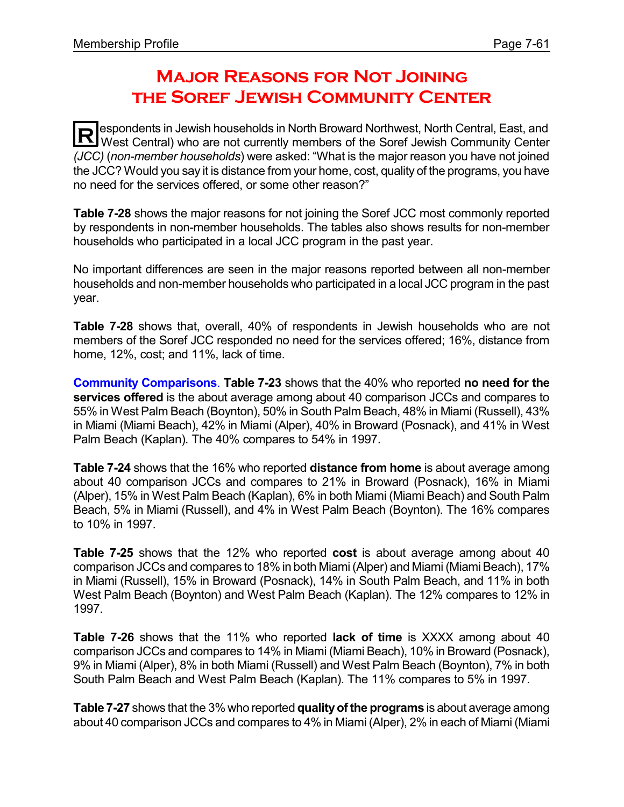# **Major Reasons for Not Joining the Soref Jewish Community Center**

**R** espondents in Jewish households in North Broward Northwest, North Central, East, and West Central) who are not currently members of the Soref Jewish Community Center espondents in Jewish households in North Broward Northwest, North Central, East, and *(JCC)* (*non-member households*) were asked: "What is the major reason you have not joined the JCC? Would you say it is distance from your home, cost, quality of the programs, you have no need for the services offered, or some other reason?"

**Table 7-28** shows the major reasons for not joining the Soref JCC most commonly reported by respondents in non-member households. The tables also shows results for non-member households who participated in a local JCC program in the past year.

No important differences are seen in the major reasons reported between all non-member households and non-member households who participated in a local JCC program in the past year.

**Table 7-28** shows that, overall, 40% of respondents in Jewish households who are not members of the Soref JCC responded no need for the services offered; 16%, distance from home, 12%, cost; and 11%, lack of time.

**Community Comparisons**. **Table 7-23** shows that the 40% who reported **no need for the services offered** is the about average among about 40 comparison JCCs and compares to 55% in West Palm Beach (Boynton), 50% in South Palm Beach, 48% in Miami (Russell), 43% in Miami (Miami Beach), 42% in Miami (Alper), 40% in Broward (Posnack), and 41% in West Palm Beach (Kaplan). The 40% compares to 54% in 1997.

**Table 7-24** shows that the 16% who reported **distance from home** is about average among about 40 comparison JCCs and compares to 21% in Broward (Posnack), 16% in Miami (Alper), 15% in West Palm Beach (Kaplan), 6% in both Miami (Miami Beach) and South Palm Beach, 5% in Miami (Russell), and 4% in West Palm Beach (Boynton). The 16% compares to 10% in 1997.

**Table 7-25** shows that the 12% who reported **cost** is about average among about 40 comparison JCCs and compares to 18% in both Miami(Alper) and Miami (Miami Beach), 17% in Miami (Russell), 15% in Broward (Posnack), 14% in South Palm Beach, and 11% in both West Palm Beach (Boynton) and West Palm Beach (Kaplan). The 12% compares to 12% in 1997.

**Table 7-26** shows that the 11% who reported **lack of time** is XXXX among about 40 comparison JCCs and compares to 14% in Miami (Miami Beach), 10% in Broward (Posnack), 9% in Miami (Alper), 8% in both Miami (Russell) and West Palm Beach (Boynton), 7% in both South Palm Beach and West Palm Beach (Kaplan). The 11% compares to 5% in 1997.

**Table 7-27** shows that the 3% who reported **qualityofthe programs** is about average among about 40 comparison JCCs and compares to 4% in Miami (Alper), 2% in each of Miami (Miami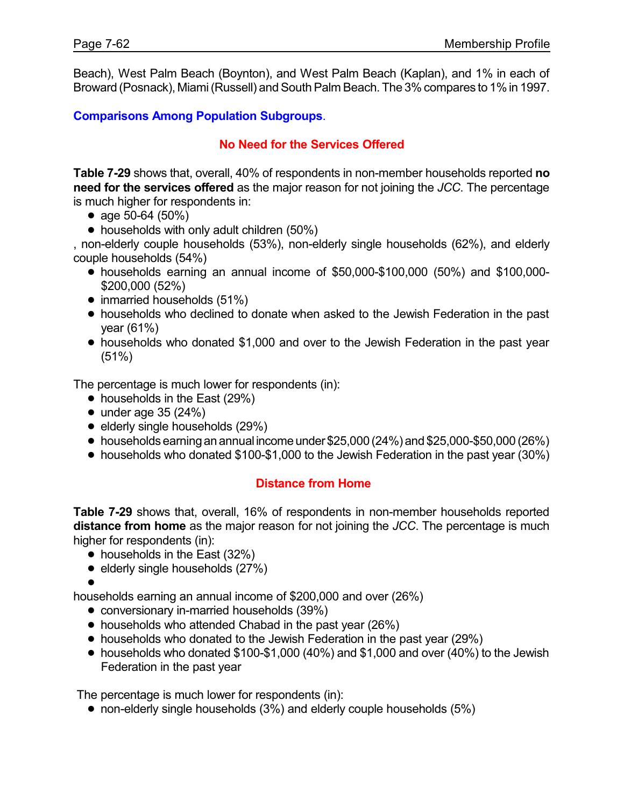Beach), West Palm Beach (Boynton), and West Palm Beach (Kaplan), and 1% in each of Broward (Posnack), Miami (Russell) and South Palm Beach. The 3% compares to 1% in 1997.

**Comparisons Among Population Subgroups**.

#### **No Need for the Services Offered**

**Table 7-29** shows that, overall, 40% of respondents in non-member households reported **no need for the services offered** as the major reason for not joining the *JCC*. The percentage is much higher for respondents in:

- age  $50-64$  ( $50\%$ )
- households with only adult children (50%)

, non-elderly couple households (53%), non-elderly single households (62%), and elderly couple households (54%)

- ! households earning an annual income of \$50,000-\$100,000 (50%) and \$100,000- \$200,000 (52%)
- $\bullet$  inmarried households (51%)
- ! households who declined to donate when asked to the Jewish Federation in the past year (61%)
- ! households who donated \$1,000 and over to the Jewish Federation in the past year (51%)

The percentage is much lower for respondents (in):

- households in the East (29%)
- $\bullet$  under age 35 (24%)
- $\bullet$  elderly single households (29%)
- $\bullet$  households earning an annual income under \$25,000 (24%) and \$25,000-\$50,000 (26%)
- ! households who donated \$100-\$1,000 to the Jewish Federation in the past year (30%)

#### **Distance from Home**

**Table 7-29** shows that, overall, 16% of respondents in non-member households reported **distance from home** as the major reason for not joining the *JCC*. The percentage is much higher for respondents (in):

- households in the East (32%)
- $\bullet$  elderly single households (27%)
- $\bullet$

households earning an annual income of \$200,000 and over (26%)

- conversionary in-married households (39%)
- households who attended Chabad in the past year (26%)
- households who donated to the Jewish Federation in the past year (29%)
- $\bullet$  households who donated \$100-\$1,000 (40%) and \$1,000 and over (40%) to the Jewish Federation in the past year

The percentage is much lower for respondents (in):

 $\bullet$  non-elderly single households (3%) and elderly couple households (5%)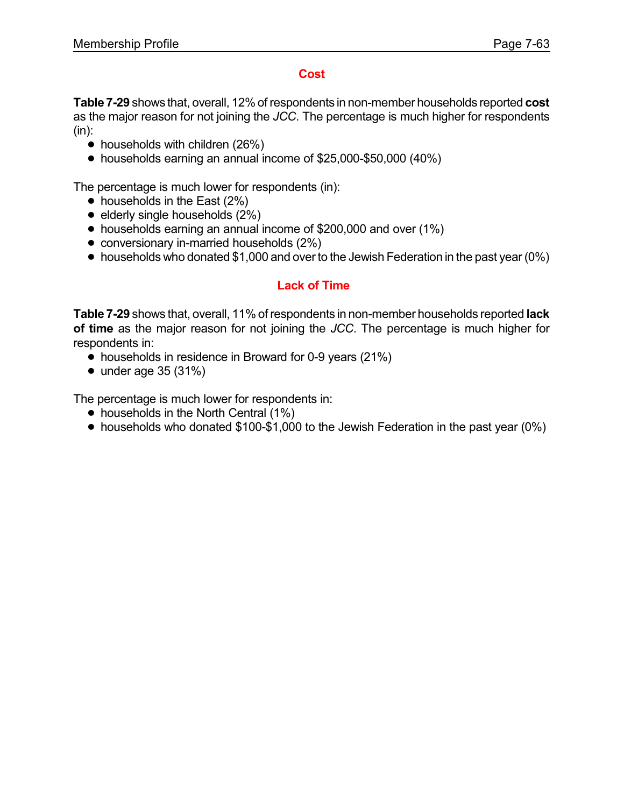#### **Cost**

**Table 7-29** shows that, overall, 12% of respondents in non-member households reported **cost** as the major reason for not joining the *JCC*. The percentage is much higher for respondents  $(in):$ 

- $\bullet$  households with children (26%)
- ! households earning an annual income of \$25,000-\$50,000 (40%)

The percentage is much lower for respondents (in):

- $\bullet$  households in the East (2%)
- $\bullet$  elderly single households  $(2\%)$
- ! households earning an annual income of \$200,000 and over (1%)
- conversionary in-married households (2%)
- households who donated \$1,000 and over to the Jewish Federation in the past year (0%)

### **Lack of Time**

**Table 7-29** shows that, overall, 11% of respondents in non-member households reported **lack of time** as the major reason for not joining the *JCC*. The percentage is much higher for respondents in:

- households in residence in Broward for 0-9 years (21%)
- $\bullet$  under age 35 (31%)

The percentage is much lower for respondents in:

- households in the North Central (1%)
- ! households who donated \$100-\$1,000 to the Jewish Federation in the past year (0%)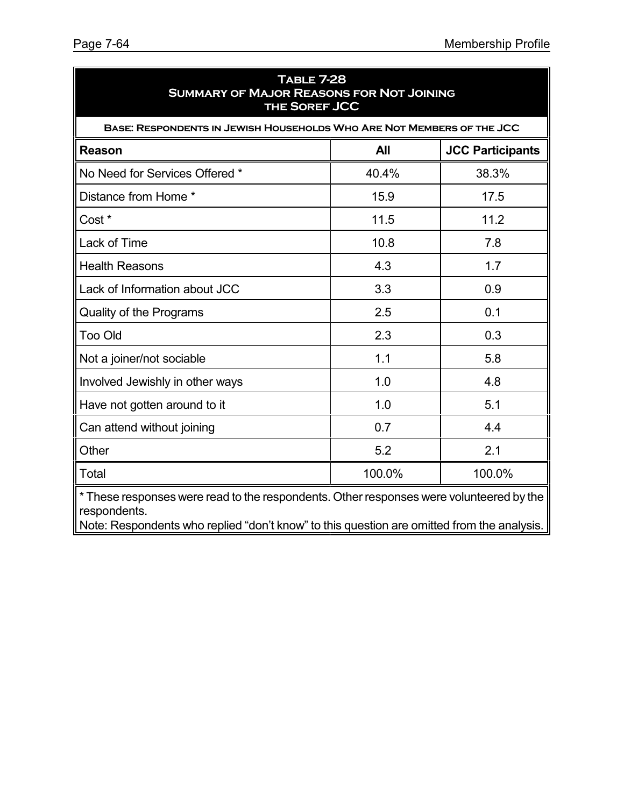| <b>TABLE 7-28</b><br><b>SUMMARY OF MAJOR REASONS FOR NOT JOINING</b><br>THE SOREF JCC                   |        |        |  |  |  |  |  |  |
|---------------------------------------------------------------------------------------------------------|--------|--------|--|--|--|--|--|--|
| BASE: RESPONDENTS IN JEWISH HOUSEHOLDS WHO ARE NOT MEMBERS OF THE JCC                                   |        |        |  |  |  |  |  |  |
| <b>All</b><br><b>JCC Participants</b><br><b>Reason</b>                                                  |        |        |  |  |  |  |  |  |
| No Need for Services Offered *                                                                          | 40.4%  | 38.3%  |  |  |  |  |  |  |
| Distance from Home *                                                                                    | 15.9   | 17.5   |  |  |  |  |  |  |
| Cost *                                                                                                  | 11.5   | 11.2   |  |  |  |  |  |  |
| Lack of Time                                                                                            | 10.8   | 7.8    |  |  |  |  |  |  |
| <b>Health Reasons</b>                                                                                   | 4.3    | 1.7    |  |  |  |  |  |  |
| Lack of Information about JCC                                                                           | 3.3    | 0.9    |  |  |  |  |  |  |
| Quality of the Programs                                                                                 | 2.5    | 0.1    |  |  |  |  |  |  |
| <b>Too Old</b>                                                                                          | 2.3    | 0.3    |  |  |  |  |  |  |
| Not a joiner/not sociable                                                                               | 1.1    | 5.8    |  |  |  |  |  |  |
| Involved Jewishly in other ways                                                                         | 1.0    | 4.8    |  |  |  |  |  |  |
| Have not gotten around to it                                                                            | 1.0    | 5.1    |  |  |  |  |  |  |
| Can attend without joining                                                                              | 0.7    | 4.4    |  |  |  |  |  |  |
| Other                                                                                                   | 5.2    | 2.1    |  |  |  |  |  |  |
| Total                                                                                                   | 100.0% | 100.0% |  |  |  |  |  |  |
| * These responses were read to the respondents. Other responses were volunteered by the<br>respondents. |        |        |  |  |  |  |  |  |

Note: Respondents who replied "don't know" to this question are omitted from the analysis.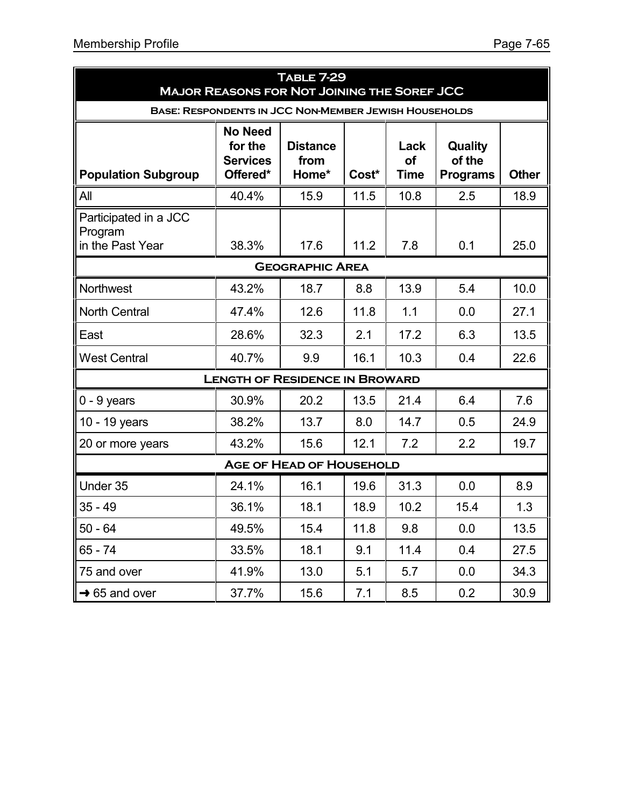|                                                              | <b>TABLE 7-29</b><br><b>MAJOR REASONS FOR NOT JOINING THE SOREF JCC</b> |                                  |       |                                  |                                      |              |  |  |  |  |
|--------------------------------------------------------------|-------------------------------------------------------------------------|----------------------------------|-------|----------------------------------|--------------------------------------|--------------|--|--|--|--|
| <b>BASE: RESPONDENTS IN JCC NON-MEMBER JEWISH HOUSEHOLDS</b> |                                                                         |                                  |       |                                  |                                      |              |  |  |  |  |
| <b>Population Subgroup</b>                                   | <b>No Need</b><br>for the<br><b>Services</b><br>Offered*                | <b>Distance</b><br>from<br>Home* | Cost* | Lack<br><b>of</b><br><b>Time</b> | Quality<br>of the<br><b>Programs</b> | <b>Other</b> |  |  |  |  |
| All                                                          | 40.4%                                                                   | 15.9                             | 11.5  | 10.8                             | 2.5                                  | 18.9         |  |  |  |  |
| Participated in a JCC<br>Program<br>in the Past Year         | 38.3%                                                                   | 17.6                             | 11.2  | 7.8                              | 0.1                                  | 25.0         |  |  |  |  |
|                                                              |                                                                         | <b>GEOGRAPHIC AREA</b>           |       |                                  |                                      |              |  |  |  |  |
| Northwest                                                    | 43.2%                                                                   | 18.7                             | 8.8   | 13.9                             | 5.4                                  | 10.0         |  |  |  |  |
| <b>North Central</b>                                         | 47.4%                                                                   | 12.6                             | 11.8  | 1.1                              | 0.0                                  | 27.1         |  |  |  |  |
| East                                                         | 28.6%                                                                   | 32.3                             | 2.1   | 17.2                             | 6.3                                  | 13.5         |  |  |  |  |
| <b>West Central</b>                                          | 40.7%                                                                   | 9.9                              | 16.1  | 10.3                             | 0.4                                  | 22.6         |  |  |  |  |
|                                                              | <b>LENGTH OF RESIDENCE IN BROWARD</b>                                   |                                  |       |                                  |                                      |              |  |  |  |  |
| $0 - 9$ years                                                | 30.9%                                                                   | 20.2                             | 13.5  | 21.4                             | 6.4                                  | 7.6          |  |  |  |  |
| 10 - 19 years                                                | 38.2%                                                                   | 13.7                             | 8.0   | 14.7                             | 0.5                                  | 24.9         |  |  |  |  |
| 20 or more years                                             | 43.2%                                                                   | 15.6                             | 12.1  | 7.2                              | 2.2                                  | 19.7         |  |  |  |  |
|                                                              |                                                                         | <b>AGE OF HEAD OF HOUSEHOLD</b>  |       |                                  |                                      |              |  |  |  |  |
| Under 35                                                     | 24.1%                                                                   | 16.1                             | 19.6  | 31.3                             | 0.0                                  | 8.9          |  |  |  |  |
| $35 - 49$                                                    | 36.1%                                                                   | 18.1                             | 18.9  | 10.2                             | 15.4                                 | 1.3          |  |  |  |  |
| $50 - 64$                                                    | 49.5%                                                                   | 15.4                             | 11.8  | 9.8                              | 0.0                                  | 13.5         |  |  |  |  |
| $65 - 74$                                                    | 33.5%                                                                   | 18.1                             | 9.1   | 11.4                             | 0.4                                  | 27.5         |  |  |  |  |
| 75 and over                                                  | 41.9%                                                                   | 13.0                             | 5.1   | 5.7                              | 0.0                                  | 34.3         |  |  |  |  |
| $\rightarrow$ 65 and over                                    | 37.7%                                                                   | 15.6                             | 7.1   | 8.5                              | 0.2                                  | 30.9         |  |  |  |  |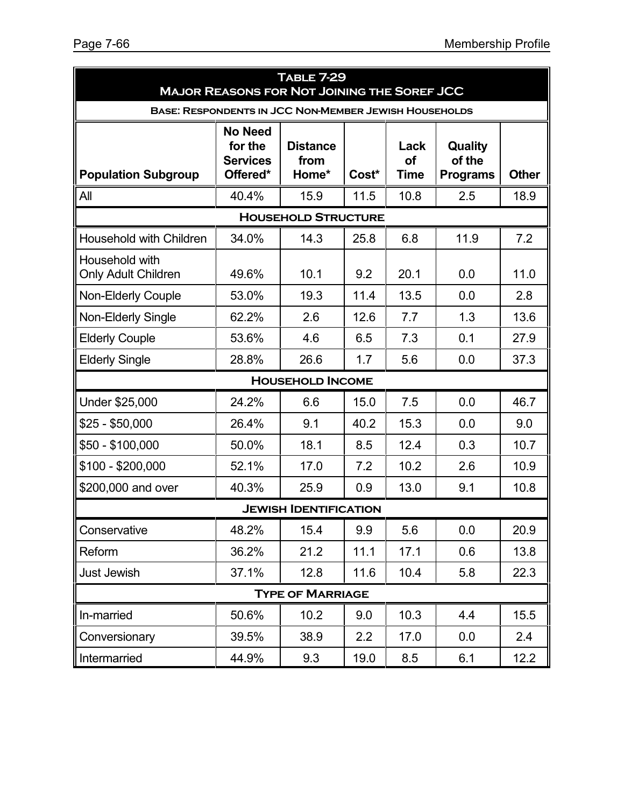| <b>TABLE 7-29</b><br><b>MAJOR REASONS FOR NOT JOINING THE SOREF JCC</b> |                                                          |                                  |       |                           |                                      |              |  |  |  |
|-------------------------------------------------------------------------|----------------------------------------------------------|----------------------------------|-------|---------------------------|--------------------------------------|--------------|--|--|--|
| <b>BASE: RESPONDENTS IN JCC NON-MEMBER JEWISH HOUSEHOLDS</b>            |                                                          |                                  |       |                           |                                      |              |  |  |  |
| <b>Population Subgroup</b>                                              | <b>No Need</b><br>for the<br><b>Services</b><br>Offered* | <b>Distance</b><br>from<br>Home* | Cost* | Lack<br>of<br><b>Time</b> | Quality<br>of the<br><b>Programs</b> | <b>Other</b> |  |  |  |
| All                                                                     | 40.4%                                                    | 15.9                             | 11.5  | 10.8                      | 2.5                                  | 18.9         |  |  |  |
|                                                                         |                                                          | <b>HOUSEHOLD STRUCTURE</b>       |       |                           |                                      |              |  |  |  |
| Household with Children                                                 | 34.0%                                                    | 14.3                             | 25.8  | 6.8                       | 11.9                                 | 7.2          |  |  |  |
| Household with<br><b>Only Adult Children</b>                            | 49.6%                                                    | 10.1                             | 9.2   | 20.1                      | 0.0                                  | 11.0         |  |  |  |
| <b>Non-Elderly Couple</b>                                               | 53.0%                                                    | 19.3                             | 11.4  | 13.5                      | 0.0                                  | 2.8          |  |  |  |
| Non-Elderly Single                                                      | 62.2%                                                    | 2.6                              | 12.6  | 7.7                       | 1.3                                  | 13.6         |  |  |  |
| <b>Elderly Couple</b>                                                   | 53.6%                                                    | 4.6                              | 6.5   | 7.3                       | 0.1                                  | 27.9         |  |  |  |
| <b>Elderly Single</b>                                                   | 28.8%                                                    | 26.6                             | 1.7   | 5.6                       | 0.0                                  | 37.3         |  |  |  |
|                                                                         |                                                          | <b>HOUSEHOLD INCOME</b>          |       |                           |                                      |              |  |  |  |
| Under \$25,000                                                          | 24.2%                                                    | 6.6                              | 15.0  | 7.5                       | 0.0                                  | 46.7         |  |  |  |
| $$25 - $50,000$                                                         | 26.4%                                                    | 9.1                              | 40.2  | 15.3                      | 0.0                                  | 9.0          |  |  |  |
| $$50 - $100,000$                                                        | 50.0%                                                    | 18.1                             | 8.5   | 12.4                      | 0.3                                  | 10.7         |  |  |  |
| $$100 - $200,000$                                                       | 52.1%                                                    | 17.0                             | 7.2   | 10.2                      | 2.6                                  | 10.9         |  |  |  |
| \$200,000 and over                                                      | 40.3%                                                    | 25.9                             | 0.9   | 13.0                      | 9.1                                  | 10.8         |  |  |  |
| <b>JEWISH IDENTIFICATION</b>                                            |                                                          |                                  |       |                           |                                      |              |  |  |  |
| Conservative                                                            | 48.2%                                                    | 15.4                             | 9.9   | 5.6                       | 0.0                                  | 20.9         |  |  |  |
| Reform                                                                  | 36.2%                                                    | 21.2                             | 11.1  | 17.1                      | 0.6                                  | 13.8         |  |  |  |
| Just Jewish                                                             | 37.1%                                                    | 12.8                             | 11.6  | 10.4                      | 5.8                                  | 22.3         |  |  |  |
|                                                                         |                                                          | <b>TYPE OF MARRIAGE</b>          |       |                           |                                      |              |  |  |  |
| In-married                                                              | 50.6%                                                    | 10.2                             | 9.0   | 10.3                      | 4.4                                  | 15.5         |  |  |  |
| Conversionary                                                           | 39.5%                                                    | 38.9                             | 2.2   | 17.0                      | 0.0                                  | 2.4          |  |  |  |
| Intermarried                                                            | 44.9%                                                    | 9.3                              | 19.0  | 8.5                       | 6.1                                  | 12.2         |  |  |  |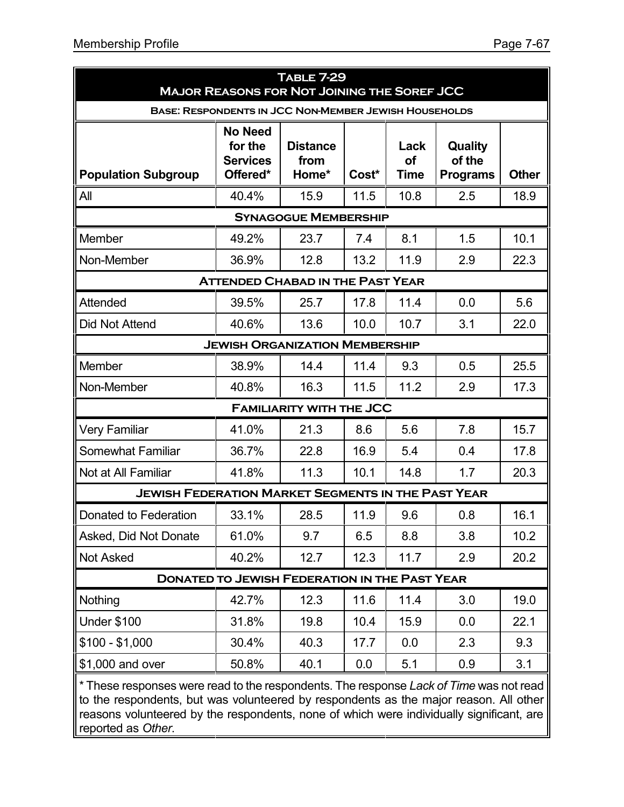| <b>TABLE 7-29</b><br><b>MAJOR REASONS FOR NOT JOINING THE SOREF JCC</b>                                                                                                        |                                                          |                                  |       |                                  |                                      |              |  |  |  |
|--------------------------------------------------------------------------------------------------------------------------------------------------------------------------------|----------------------------------------------------------|----------------------------------|-------|----------------------------------|--------------------------------------|--------------|--|--|--|
| <b>BASE: RESPONDENTS IN JCC NON-MEMBER JEWISH HOUSEHOLDS</b>                                                                                                                   |                                                          |                                  |       |                                  |                                      |              |  |  |  |
| <b>Population Subgroup</b>                                                                                                                                                     | <b>No Need</b><br>for the<br><b>Services</b><br>Offered* | <b>Distance</b><br>from<br>Home* | Cost* | Lack<br><b>of</b><br><b>Time</b> | Quality<br>of the<br><b>Programs</b> | <b>Other</b> |  |  |  |
| All                                                                                                                                                                            | 40.4%                                                    | 15.9                             | 11.5  | 10.8                             | 2.5                                  | 18.9         |  |  |  |
|                                                                                                                                                                                |                                                          | <b>SYNAGOGUE MEMBERSHIP</b>      |       |                                  |                                      |              |  |  |  |
| Member                                                                                                                                                                         | 49.2%                                                    | 23.7                             | 7.4   | 8.1                              | 1.5                                  | 10.1         |  |  |  |
| Non-Member                                                                                                                                                                     | 36.9%                                                    | 12.8                             | 13.2  | 11.9                             | 2.9                                  | 22.3         |  |  |  |
|                                                                                                                                                                                | <b>ATTENDED CHABAD IN THE PAST YEAR</b>                  |                                  |       |                                  |                                      |              |  |  |  |
| Attended                                                                                                                                                                       | 39.5%                                                    | 25.7                             | 17.8  | 11.4                             | 0.0                                  | 5.6          |  |  |  |
| Did Not Attend                                                                                                                                                                 | 40.6%                                                    | 13.6                             | 10.0  | 10.7                             | 3.1                                  | 22.0         |  |  |  |
| <b>JEWISH ORGANIZATION MEMBERSHIP</b>                                                                                                                                          |                                                          |                                  |       |                                  |                                      |              |  |  |  |
| Member                                                                                                                                                                         | 38.9%                                                    | 14.4                             | 11.4  | 9.3                              | 0.5                                  | 25.5         |  |  |  |
| Non-Member                                                                                                                                                                     | 40.8%                                                    | 16.3                             | 11.5  | 11.2                             | 2.9                                  | 17.3         |  |  |  |
|                                                                                                                                                                                |                                                          | <b>FAMILIARITY WITH THE JCC</b>  |       |                                  |                                      |              |  |  |  |
| <b>Very Familiar</b>                                                                                                                                                           | 41.0%                                                    | 21.3                             | 8.6   | 5.6                              | 7.8                                  | 15.7         |  |  |  |
| <b>Somewhat Familiar</b>                                                                                                                                                       | 36.7%                                                    | 22.8                             | 16.9  | 5.4                              | 0.4                                  | 17.8         |  |  |  |
| Not at All Familiar                                                                                                                                                            | 41.8%                                                    | 11.3                             | 10.1  | 14.8                             | 1.7                                  | 20.3         |  |  |  |
| <b>JEWISH FEDERATION MARKET SEGMENTS IN THE PAST YEAR</b>                                                                                                                      |                                                          |                                  |       |                                  |                                      |              |  |  |  |
| Donated to Federation                                                                                                                                                          | 33.1%                                                    | 28.5                             | 11.9  | 9.6                              | 0.8                                  | 16.1         |  |  |  |
| Asked, Did Not Donate                                                                                                                                                          | 61.0%                                                    | 9.7                              | 6.5   | 8.8                              | 3.8                                  | 10.2         |  |  |  |
| <b>Not Asked</b>                                                                                                                                                               | 40.2%                                                    | 12.7                             | 12.3  | 11.7                             | 2.9                                  | 20.2         |  |  |  |
|                                                                                                                                                                                | <b>DONATED TO JEWISH FEDERATION IN THE PAST YEAR</b>     |                                  |       |                                  |                                      |              |  |  |  |
| Nothing                                                                                                                                                                        | 42.7%                                                    | 12.3                             | 11.6  | 11.4                             | 3.0                                  | 19.0         |  |  |  |
| <b>Under \$100</b>                                                                                                                                                             | 31.8%                                                    | 19.8                             | 10.4  | 15.9                             | 0.0                                  | 22.1         |  |  |  |
| $$100 - $1,000$                                                                                                                                                                | 30.4%                                                    | 40.3                             | 17.7  | 0.0                              | 2.3                                  | 9.3          |  |  |  |
| \$1,000 and over                                                                                                                                                               | 50.8%                                                    | 40.1                             | 0.0   | 5.1                              | 0.9                                  | 3.1          |  |  |  |
| * These responses were read to the respondents. The response Lack of Time was not read<br>to the respondents but was volunteered by respondents as the major reason. All other |                                                          |                                  |       |                                  |                                      |              |  |  |  |

to the respondents, but was volunteered by respondents as the major reason. All other reasons volunteered by the respondents, none of which were individually significant, are reported as *Other*.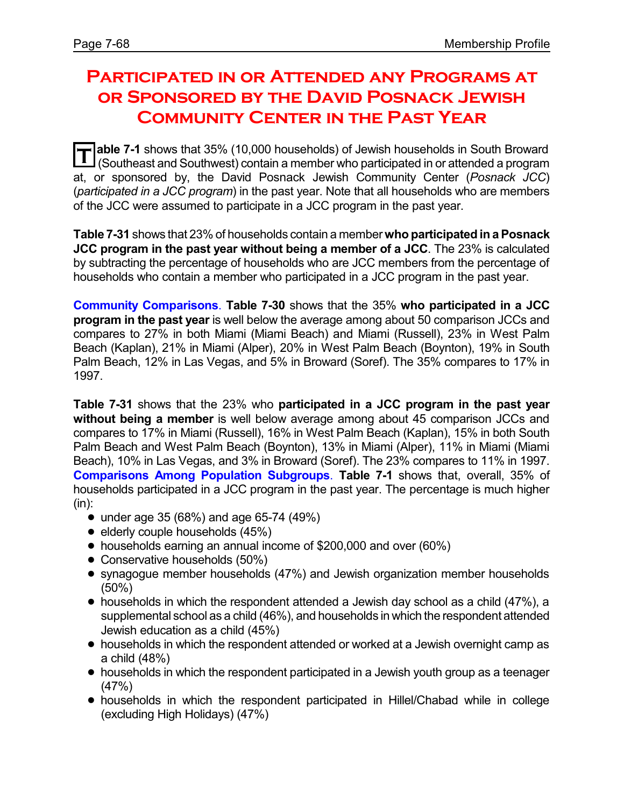# **Participated in or Attended any Programs at or Sponsored by the David Posnack Jewish Community Center in the Past Year**

**T able 7-1** shows that 35% (10,000 households) of Jewish households in South Broward (Southeast and Southwest) contain a member who participated in or attended a program at, or sponsored by, the David Posnack Jewish Community Center (*Posnack JCC*) (*participated in a JCC program*) in the past year. Note that all households who are members of the JCC were assumed to participate in a JCC program in the past year.

**Table 7-31** shows that 23% of households contain a member **who participated in aPosnack JCC program in the past year without being a member of a JCC**. The 23% is calculated by subtracting the percentage of households who are JCC members from the percentage of households who contain a member who participated in a JCC program in the past year.

**Community Comparisons**. **Table 7-30** shows that the 35% **who participated in a JCC program in the past year** is well below the average among about 50 comparison JCCs and compares to 27% in both Miami (Miami Beach) and Miami (Russell), 23% in West Palm Beach (Kaplan), 21% in Miami (Alper), 20% in West Palm Beach (Boynton), 19% in South Palm Beach, 12% in Las Vegas, and 5% in Broward (Soref). The 35% compares to 17% in 1997.

**Table 7-31** shows that the 23% who **participated in a JCC program in the past year without being a member** is well below average among about 45 comparison JCCs and compares to 17% in Miami (Russell), 16% in West Palm Beach (Kaplan), 15% in both South Palm Beach and West Palm Beach (Boynton), 13% in Miami (Alper), 11% in Miami (Miami Beach), 10% in Las Vegas, and 3% in Broward (Soref). The 23% compares to 11% in 1997. **Comparisons Among Population Subgroups**. **Table 7-1** shows that, overall, 35% of households participated in a JCC program in the past year. The percentage is much higher (in):

- under age 35 (68%) and age 65-74 (49%)
- $\bullet$  elderly couple households (45%)
- ! households earning an annual income of \$200,000 and over (60%)
- Conservative households (50%)
- ! synagogue member households (47%) and Jewish organization member households (50%)
- $\bullet$  households in which the respondent attended a Jewish day school as a child (47%), a supplemental school as a child (46%), and households in which the respondent attended Jewish education as a child (45%)
- ! households in which the respondent attended or worked at a Jewish overnight camp as a child (48%)
- households in which the respondent participated in a Jewish youth group as a teenager (47%)
- ! households in which the respondent participated in Hillel/Chabad while in college (excluding High Holidays) (47%)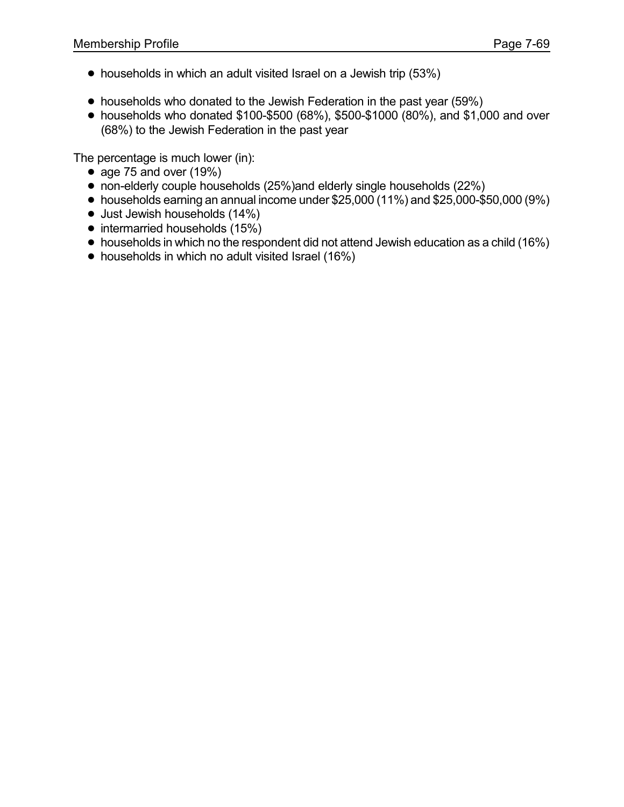- households in which an adult visited Israel on a Jewish trip (53%)
- households who donated to the Jewish Federation in the past year (59%)
- ! households who donated \$100-\$500 (68%), \$500-\$1000 (80%), and \$1,000 and over (68%) to the Jewish Federation in the past year

The percentage is much lower (in):

- age 75 and over  $(19%)$
- non-elderly couple households (25%)and elderly single households (22%)
- $\bullet$  households earning an annual income under \$25,000 (11%) and \$25,000-\$50,000 (9%)
- $\bullet$  Just Jewish households (14%)
- intermarried households (15%)
- households in which no the respondent did not attend Jewish education as a child (16%)
- households in which no adult visited Israel (16%)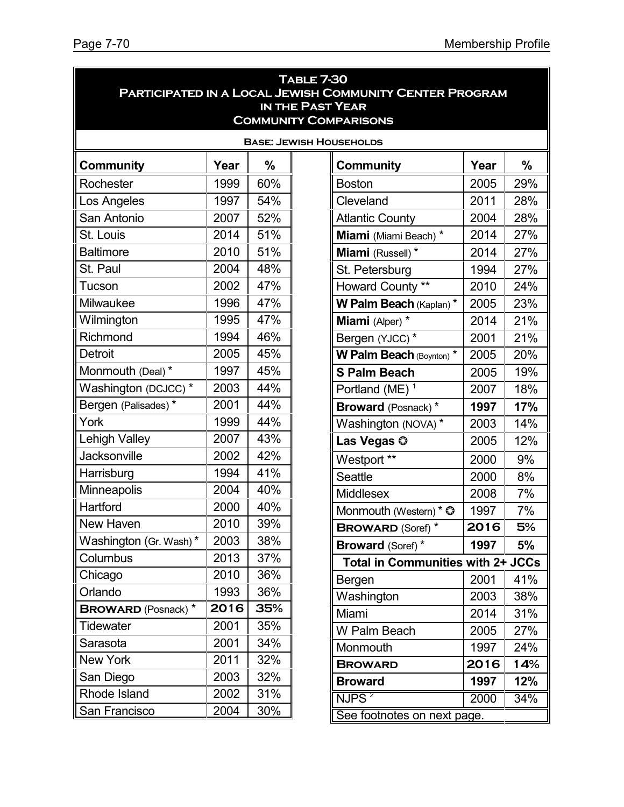| <b>TABLE 7-30</b><br><b>PARTICIPATED IN A LOCAL JEWISH COMMUNITY CENTER PROGRAM</b><br>IN THE PAST YEAR<br><b>COMMUNITY COMPARISONS</b> |      |     |  |                                          |      |     |  |  |  |
|-----------------------------------------------------------------------------------------------------------------------------------------|------|-----|--|------------------------------------------|------|-----|--|--|--|
| <b>BASE: JEWISH HOUSEHOLDS</b>                                                                                                          |      |     |  |                                          |      |     |  |  |  |
| <b>Community</b>                                                                                                                        | Year | %   |  | <b>Community</b>                         | Year | %   |  |  |  |
| Rochester                                                                                                                               | 1999 | 60% |  | <b>Boston</b>                            | 2005 | 29% |  |  |  |
| Los Angeles                                                                                                                             | 1997 | 54% |  | Cleveland                                | 2011 | 28% |  |  |  |
| San Antonio                                                                                                                             | 2007 | 52% |  | <b>Atlantic County</b>                   | 2004 | 28% |  |  |  |
| St. Louis                                                                                                                               | 2014 | 51% |  | Miami (Miami Beach) *                    | 2014 | 27% |  |  |  |
| <b>Baltimore</b>                                                                                                                        | 2010 | 51% |  | Miami (Russell) *                        | 2014 | 27% |  |  |  |
| St. Paul                                                                                                                                | 2004 | 48% |  | St. Petersburg                           | 1994 | 27% |  |  |  |
| Tucson                                                                                                                                  | 2002 | 47% |  | Howard County **                         | 2010 | 24% |  |  |  |
| Milwaukee                                                                                                                               | 1996 | 47% |  | W Palm Beach (Kaplan) *                  | 2005 | 23% |  |  |  |
| Wilmington                                                                                                                              | 1995 | 47% |  | Miami (Alper) *                          | 2014 | 21% |  |  |  |
| Richmond                                                                                                                                | 1994 | 46% |  | Bergen (YJCC)*                           | 2001 | 21% |  |  |  |
| <b>Detroit</b>                                                                                                                          | 2005 | 45% |  | W Palm Beach (Boynton) *                 | 2005 | 20% |  |  |  |
| Monmouth (Deal) *                                                                                                                       | 1997 | 45% |  | <b>S Palm Beach</b>                      | 2005 | 19% |  |  |  |
| Washington (DCJCC) *                                                                                                                    | 2003 | 44% |  | Portland (ME) $1$                        | 2007 | 18% |  |  |  |
| Bergen (Palisades)*                                                                                                                     | 2001 | 44% |  | <b>Broward</b> (Posnack)*                | 1997 | 17% |  |  |  |
| York                                                                                                                                    | 1999 | 44% |  | Washington (NOVA)*                       | 2003 | 14% |  |  |  |
| <b>Lehigh Valley</b>                                                                                                                    | 2007 | 43% |  | Las Vegas ©                              | 2005 | 12% |  |  |  |
| <b>Jacksonville</b>                                                                                                                     | 2002 | 42% |  | Westport **                              | 2000 | 9%  |  |  |  |
| Harrisburg                                                                                                                              | 1994 | 41% |  | <b>Seattle</b>                           | 2000 | 8%  |  |  |  |
| Minneapolis                                                                                                                             | 2004 | 40% |  | Middlesex                                | 2008 | 7%  |  |  |  |
| Hartford                                                                                                                                | 2000 | 40% |  | Monmouth (Western) * ©                   | 1997 | 7%  |  |  |  |
| New Haven                                                                                                                               | 2010 | 39% |  | <b>BROWARD (Soref)</b> *                 | 2016 | 5%  |  |  |  |
| Washington (Gr. Wash)*                                                                                                                  | 2003 | 38% |  | <b>Broward (Soref)*</b>                  | 1997 | 5%  |  |  |  |
| Columbus                                                                                                                                | 2013 | 37% |  | <b>Total in Communities with 2+ JCCs</b> |      |     |  |  |  |
| Chicago                                                                                                                                 | 2010 | 36% |  | Bergen                                   | 2001 | 41% |  |  |  |
| Orlando                                                                                                                                 | 1993 | 36% |  | Washington                               | 2003 | 38% |  |  |  |
| <b>BROWARD</b> (Posnack) *                                                                                                              | 2016 | 35% |  | Miami                                    | 2014 | 31% |  |  |  |
| <b>Tidewater</b>                                                                                                                        | 2001 | 35% |  | W Palm Beach                             | 2005 | 27% |  |  |  |
| Sarasota                                                                                                                                | 2001 | 34% |  | Monmouth                                 | 1997 | 24% |  |  |  |
| New York                                                                                                                                | 2011 | 32% |  | <b>BROWARD</b>                           | 2016 | 14% |  |  |  |
| San Diego                                                                                                                               | 2003 | 32% |  | <b>Broward</b>                           | 1997 | 12% |  |  |  |
| Rhode Island                                                                                                                            | 2002 | 31% |  | NJPS <sup>2</sup>                        | 2000 | 34% |  |  |  |
| San Francisco<br>2004<br>30%<br>See footnotes on next page.                                                                             |      |     |  |                                          |      |     |  |  |  |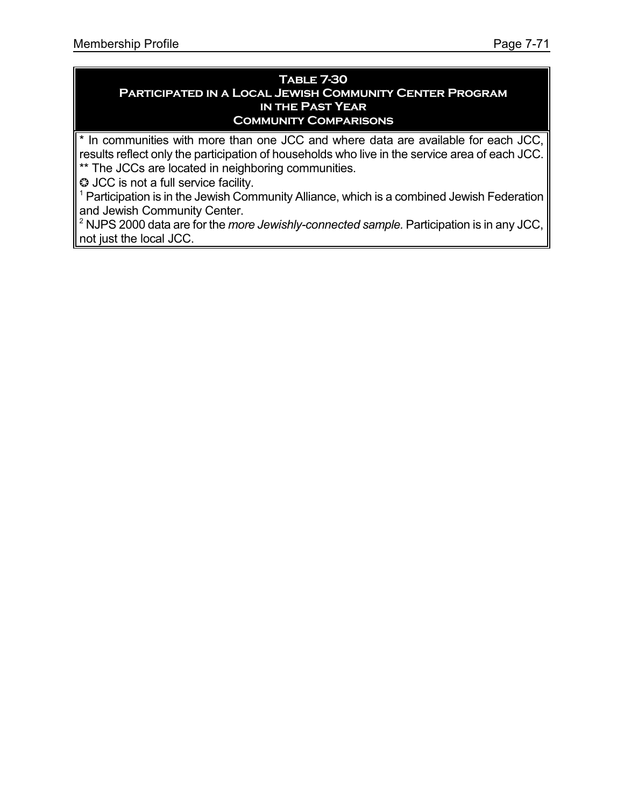#### **Table 7-30 Participated in a Local Jewish Community Center Program in the Past Year Community Comparisons**

\* In communities with more than one JCC and where data are available for each JCC, results reflect only the participation of households who live in the service area of each JCC. \*\* The JCCs are located in neighboring communities.

 $\heartsuit$  JCC is not a full service facility.

 $1$  Participation is in the Jewish Community Alliance, which is a combined Jewish Federation and Jewish Community Center.

<sup>2</sup> NJPS 2000 data are for the *more Jewishly-connected sample.* Participation is in any JCC, not just the local JCC.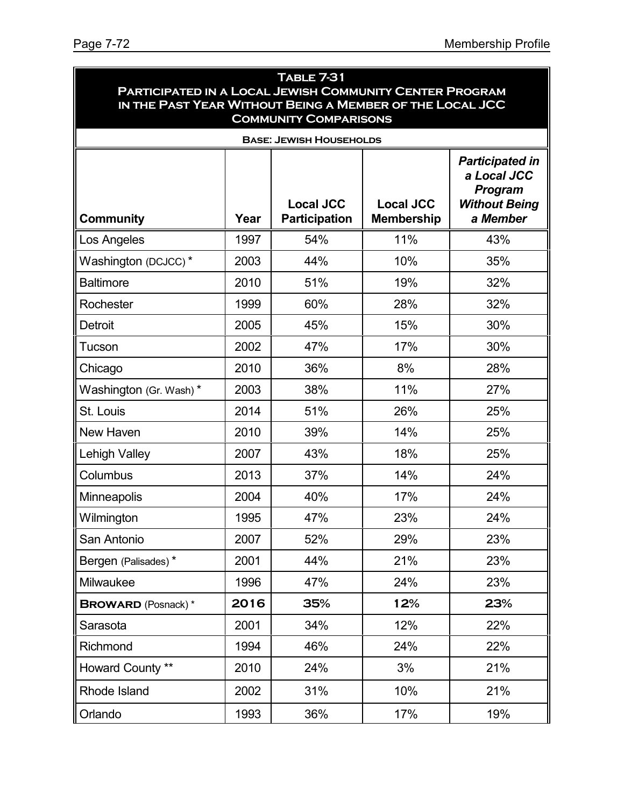| TABLE 7-31<br>PARTICIPATED IN A LOCAL JEWISH COMMUNITY CENTER PROGRAM<br>IN THE PAST YEAR WITHOUT BEING A MEMBER OF THE LOCAL JCC |      |                                          |                                       |                                                                                      |  |  |  |  |  |  |
|-----------------------------------------------------------------------------------------------------------------------------------|------|------------------------------------------|---------------------------------------|--------------------------------------------------------------------------------------|--|--|--|--|--|--|
| <b>COMMUNITY COMPARISONS</b><br><b>BASE: JEWISH HOUSEHOLDS</b>                                                                    |      |                                          |                                       |                                                                                      |  |  |  |  |  |  |
| <b>Community</b>                                                                                                                  | Year | <b>Local JCC</b><br><b>Participation</b> | <b>Local JCC</b><br><b>Membership</b> | <b>Participated in</b><br>a Local JCC<br>Program<br><b>Without Being</b><br>a Member |  |  |  |  |  |  |
| Los Angeles                                                                                                                       | 1997 | 54%                                      | 11%                                   | 43%                                                                                  |  |  |  |  |  |  |
| Washington (DCJCC)*                                                                                                               | 2003 | 44%                                      | 10%                                   | 35%                                                                                  |  |  |  |  |  |  |
| <b>Baltimore</b>                                                                                                                  | 2010 | 51%                                      | 19%                                   | 32%                                                                                  |  |  |  |  |  |  |
| Rochester                                                                                                                         | 1999 | 60%                                      | 28%                                   | 32%                                                                                  |  |  |  |  |  |  |
| <b>Detroit</b>                                                                                                                    | 2005 | 45%                                      | 15%                                   | 30%                                                                                  |  |  |  |  |  |  |
| Tucson                                                                                                                            | 2002 | 47%                                      | 17%                                   | 30%                                                                                  |  |  |  |  |  |  |
| Chicago                                                                                                                           | 2010 | 36%                                      | 8%                                    | 28%                                                                                  |  |  |  |  |  |  |
| Washington (Gr. Wash)*                                                                                                            | 2003 | 38%                                      | 11%                                   | 27%                                                                                  |  |  |  |  |  |  |
| St. Louis                                                                                                                         | 2014 | 51%                                      | 26%                                   | 25%                                                                                  |  |  |  |  |  |  |
| New Haven                                                                                                                         | 2010 | 39%                                      | 14%                                   | 25%                                                                                  |  |  |  |  |  |  |
| <b>Lehigh Valley</b>                                                                                                              | 2007 | 43%                                      | 18%                                   | 25%                                                                                  |  |  |  |  |  |  |
| Columbus                                                                                                                          | 2013 | 37%                                      | 14%                                   | 24%                                                                                  |  |  |  |  |  |  |
| Minneapolis                                                                                                                       | 2004 | 40%                                      | 17%                                   | 24%                                                                                  |  |  |  |  |  |  |
| Wilmington                                                                                                                        | 1995 | 47%                                      | 23%                                   | 24%                                                                                  |  |  |  |  |  |  |
| San Antonio                                                                                                                       | 2007 | 52%                                      | 29%                                   | 23%                                                                                  |  |  |  |  |  |  |
| Bergen (Palisades)*                                                                                                               | 2001 | 44%                                      | 21%                                   | 23%                                                                                  |  |  |  |  |  |  |
| Milwaukee                                                                                                                         | 1996 | 47%                                      | 24%                                   | 23%                                                                                  |  |  |  |  |  |  |
| <b>BROWARD</b> (Posnack) *                                                                                                        | 2016 | 35%                                      | 12%                                   | 23%                                                                                  |  |  |  |  |  |  |
| Sarasota                                                                                                                          | 2001 | 34%                                      | 12%                                   | 22%                                                                                  |  |  |  |  |  |  |
| Richmond                                                                                                                          | 1994 | 46%                                      | 24%                                   | 22%                                                                                  |  |  |  |  |  |  |
| Howard County **                                                                                                                  | 2010 | 24%                                      | 3%                                    | 21%                                                                                  |  |  |  |  |  |  |
| Rhode Island                                                                                                                      | 2002 | 31%                                      | 10%                                   | 21%                                                                                  |  |  |  |  |  |  |
| Orlando                                                                                                                           | 1993 | 36%                                      | 17%                                   | 19%                                                                                  |  |  |  |  |  |  |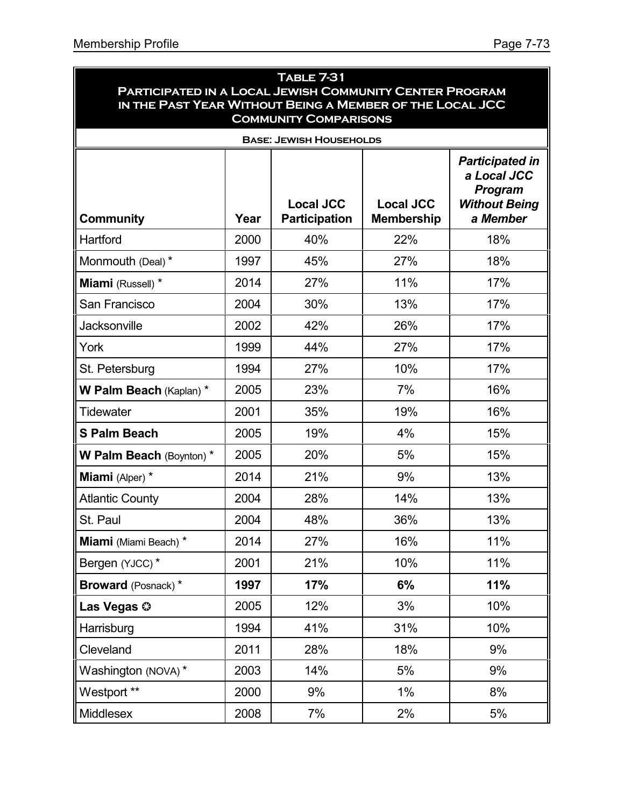|                                                                                                                     |      | <b>TABLE 7-31</b>                        |                                       |                                                                                             |  |  |  |  |
|---------------------------------------------------------------------------------------------------------------------|------|------------------------------------------|---------------------------------------|---------------------------------------------------------------------------------------------|--|--|--|--|
| PARTICIPATED IN A LOCAL JEWISH COMMUNITY CENTER PROGRAM<br>IN THE PAST YEAR WITHOUT BEING A MEMBER OF THE LOCAL JCC |      |                                          |                                       |                                                                                             |  |  |  |  |
| <b>COMMUNITY COMPARISONS</b>                                                                                        |      |                                          |                                       |                                                                                             |  |  |  |  |
|                                                                                                                     |      | <b>BASE: JEWISH HOUSEHOLDS</b>           |                                       |                                                                                             |  |  |  |  |
| <b>Community</b>                                                                                                    | Year | <b>Local JCC</b><br><b>Participation</b> | <b>Local JCC</b><br><b>Membership</b> | <b>Participated in</b><br>a Local JCC<br><b>Program</b><br><b>Without Being</b><br>a Member |  |  |  |  |
| Hartford                                                                                                            | 2000 | 40%                                      | 22%                                   | 18%                                                                                         |  |  |  |  |
| Monmouth (Deal) *                                                                                                   | 1997 | 45%                                      | 27%                                   | 18%                                                                                         |  |  |  |  |
| Miami (Russell) *                                                                                                   | 2014 | 27%                                      | 11%                                   | 17%                                                                                         |  |  |  |  |
| San Francisco                                                                                                       | 2004 | 30%                                      | 13%                                   | 17%                                                                                         |  |  |  |  |
| Jacksonville                                                                                                        | 2002 | 42%                                      | 26%                                   | 17%                                                                                         |  |  |  |  |
| York                                                                                                                | 1999 | 44%                                      | 27%                                   | 17%                                                                                         |  |  |  |  |
| St. Petersburg                                                                                                      | 1994 | 27%                                      | 10%                                   | 17%                                                                                         |  |  |  |  |
| W Palm Beach (Kaplan) *                                                                                             | 2005 | 23%                                      | 7%                                    | 16%                                                                                         |  |  |  |  |
| <b>Tidewater</b>                                                                                                    | 2001 | 35%                                      | 19%                                   | 16%                                                                                         |  |  |  |  |
| <b>S Palm Beach</b>                                                                                                 | 2005 | 19%                                      | 4%                                    | 15%                                                                                         |  |  |  |  |
| W Palm Beach (Boynton) *                                                                                            | 2005 | 20%                                      | 5%                                    | 15%                                                                                         |  |  |  |  |
| Miami (Alper) *                                                                                                     | 2014 | 21%                                      | 9%                                    | 13%                                                                                         |  |  |  |  |
| <b>Atlantic County</b>                                                                                              | 2004 | 28%                                      | 14%                                   | 13%                                                                                         |  |  |  |  |
| St. Paul                                                                                                            | 2004 | 48%                                      | 36%                                   | 13%                                                                                         |  |  |  |  |
| Miami (Miami Beach) *                                                                                               | 2014 | 27%                                      | 16%                                   | 11%                                                                                         |  |  |  |  |
| Bergen (YJCC)*                                                                                                      | 2001 | 21%                                      | 10%                                   | 11%                                                                                         |  |  |  |  |
| <b>Broward</b> (Posnack)*                                                                                           | 1997 | 17%                                      | 6%                                    | 11%                                                                                         |  |  |  |  |
| Las Vegas ©                                                                                                         | 2005 | 12%                                      | 3%                                    | 10%                                                                                         |  |  |  |  |
| Harrisburg                                                                                                          | 1994 | 41%                                      | 31%                                   | 10%                                                                                         |  |  |  |  |
| Cleveland                                                                                                           | 2011 | 28%                                      | 18%                                   | 9%                                                                                          |  |  |  |  |
| Washington (NOVA)*                                                                                                  | 2003 | 14%                                      | 5%                                    | 9%                                                                                          |  |  |  |  |
| Westport **                                                                                                         | 2000 | 9%                                       | 1%                                    | 8%                                                                                          |  |  |  |  |
| Middlesex                                                                                                           | 2008 | 7%                                       | 2%                                    | 5%                                                                                          |  |  |  |  |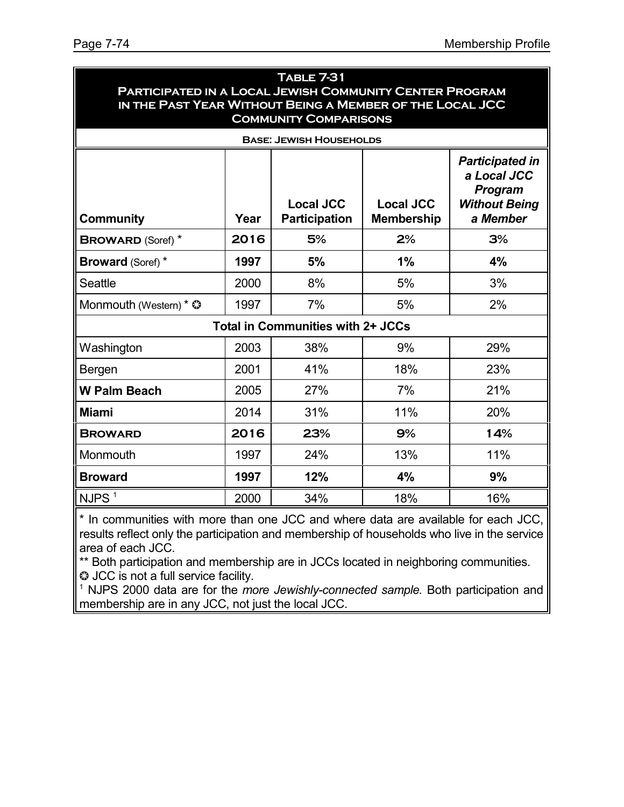| <b>TABLE 7-31</b><br>PARTICIPATED IN A LOCAL JEWISH COMMUNITY CENTER PROGRAM<br>IN THE PAST YEAR WITHOUT BEING A MEMBER OF THE LOCAL JCC<br><b>COMMUNITY COMPARISONS</b>                                     |      |                                   |     |     |  |  |  |
|--------------------------------------------------------------------------------------------------------------------------------------------------------------------------------------------------------------|------|-----------------------------------|-----|-----|--|--|--|
|                                                                                                                                                                                                              |      | <b>BASE: JEWISH HOUSEHOLDS</b>    |     |     |  |  |  |
| <b>Participated in</b><br>a Local JCC<br><b>Program</b><br><b>Local JCC</b><br><b>Local JCC</b><br><b>Without Being</b><br>Year<br><b>Participation</b><br>a Member<br><b>Membership</b><br><b>Community</b> |      |                                   |     |     |  |  |  |
| <b>BROWARD (Soref)</b> *                                                                                                                                                                                     | 2016 | 5%                                | 2%  | 3%  |  |  |  |
| <b>Broward (Soref) *</b>                                                                                                                                                                                     | 1997 | 5%                                | 1%  | 4%  |  |  |  |
| <b>Seattle</b>                                                                                                                                                                                               | 2000 | 8%                                | 5%  | 3%  |  |  |  |
| Monmouth (Western) * $\circledcirc$                                                                                                                                                                          | 1997 | 7%                                | 5%  | 2%  |  |  |  |
|                                                                                                                                                                                                              |      | Total in Communities with 2+ JCCs |     |     |  |  |  |
| Washington                                                                                                                                                                                                   | 2003 | 38%                               | 9%  | 29% |  |  |  |
| Bergen                                                                                                                                                                                                       | 2001 | 41%                               | 18% | 23% |  |  |  |
| <b>W Palm Beach</b>                                                                                                                                                                                          | 2005 | 27%                               | 7%  | 21% |  |  |  |
| <b>Miami</b>                                                                                                                                                                                                 | 2014 | 31%                               | 11% | 20% |  |  |  |
| <b>BROWARD</b>                                                                                                                                                                                               | 2016 | 23%                               | 9%  | 14% |  |  |  |
| Monmouth                                                                                                                                                                                                     | 1997 | 24%                               | 13% | 11% |  |  |  |
| <b>Broward</b>                                                                                                                                                                                               | 1997 | 12%                               | 4%  | 9%  |  |  |  |
| NJPS <sup>1</sup>                                                                                                                                                                                            | 2000 | 34%                               | 18% | 16% |  |  |  |

\* In communities with more than one JCC and where data are available for each JCC, results reflect only the participation and membership of households who live in the service area of each JCC.

\*\* Both participation and membership are in JCCs located in neighboring communities.  $\odot$  JCC is not a full service facility.

<sup>1</sup> NJPS 2000 data are for the *more Jewishly-connected sample.* Both participation and membership are in any JCC, not just the local JCC.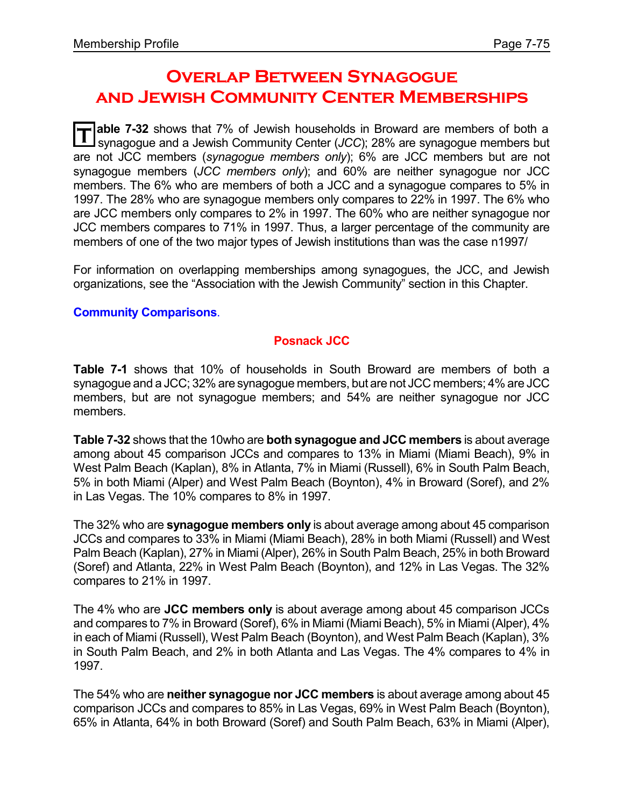# **Overlap Between Synagogue and Jewish Community Center Memberships**

**T able 7-32** shows that 7% of Jewish households in Broward are members of both a synagogue and a Jewish Community Center (*JCC*); 28% are synagogue members but are not JCC members (*synagogue members only*); 6% are JCC members but are not synagogue members (*JCC members only*); and 60% are neither synagogue nor JCC members. The 6% who are members of both a JCC and a synagogue compares to 5% in 1997. The 28% who are synagogue members only compares to 22% in 1997. The 6% who are JCC members only compares to 2% in 1997. The 60% who are neither synagogue nor JCC members compares to 71% in 1997. Thus, a larger percentage of the community are members of one of the two major types of Jewish institutions than was the case n1997/

For information on overlapping memberships among synagogues, the JCC, and Jewish organizations, see the "Association with the Jewish Community" section in this Chapter.

#### **Community Comparisons**.

#### **Posnack JCC**

**Table 7-1** shows that 10% of households in South Broward are members of both a synagogue and a JCC; 32% are synagogue members, but are not JCC members; 4% are JCC members, but are not synagogue members; and 54% are neither synagogue nor JCC members.

**Table 7-32** shows that the 10who are **both synagogue and JCC members** is about average among about 45 comparison JCCs and compares to 13% in Miami (Miami Beach), 9% in West Palm Beach (Kaplan), 8% in Atlanta, 7% in Miami (Russell), 6% in South Palm Beach, 5% in both Miami (Alper) and West Palm Beach (Boynton), 4% in Broward (Soref), and 2% in Las Vegas. The 10% compares to 8% in 1997.

The 32% who are **synagogue members only** is about average among about 45 comparison JCCs and compares to 33% in Miami (Miami Beach), 28% in both Miami (Russell) and West Palm Beach (Kaplan), 27% in Miami (Alper), 26% in South Palm Beach, 25% in both Broward (Soref) and Atlanta, 22% in West Palm Beach (Boynton), and 12% in Las Vegas. The 32% compares to 21% in 1997.

The 4% who are **JCC members only** is about average among about 45 comparison JCCs and compares to 7% in Broward (Soref), 6% in Miami (Miami Beach), 5% in Miami (Alper), 4% in each of Miami (Russell), West Palm Beach (Boynton), and West Palm Beach (Kaplan), 3% in South Palm Beach, and 2% in both Atlanta and Las Vegas. The 4% compares to 4% in 1997.

The 54% who are **neither synagogue nor JCC members** is about average among about 45 comparison JCCs and compares to 85% in Las Vegas, 69% in West Palm Beach (Boynton), 65% in Atlanta, 64% in both Broward (Soref) and South Palm Beach, 63% in Miami (Alper),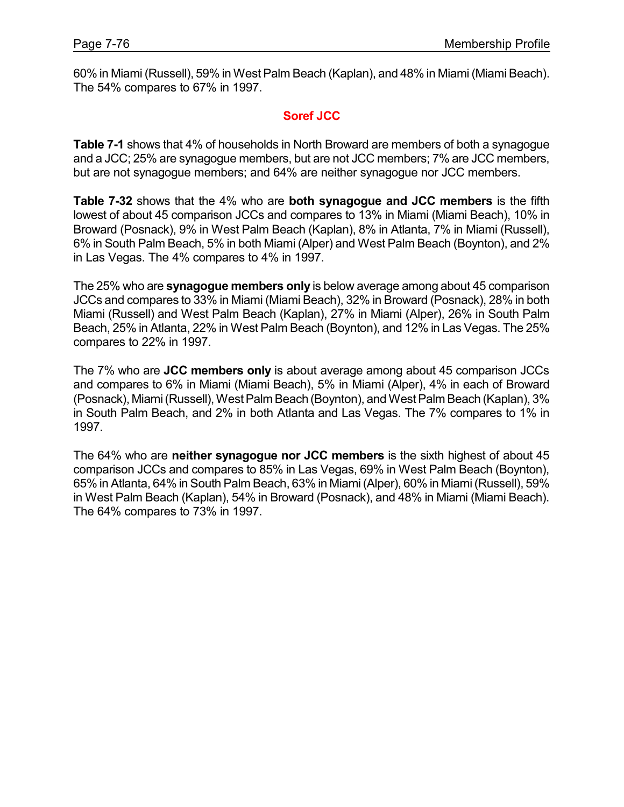60% in Miami (Russell), 59% in West Palm Beach (Kaplan), and 48% in Miami (Miami Beach). The 54% compares to 67% in 1997.

## **Soref JCC**

**Table 7-1** shows that 4% of households in North Broward are members of both a synagogue and a JCC; 25% are synagogue members, but are not JCC members; 7% are JCC members, but are not synagogue members; and 64% are neither synagogue nor JCC members.

**Table 7-32** shows that the 4% who are **both synagogue and JCC members** is the fifth lowest of about 45 comparison JCCs and compares to 13% in Miami (Miami Beach), 10% in Broward (Posnack), 9% in West Palm Beach (Kaplan), 8% in Atlanta, 7% in Miami (Russell), 6% in South Palm Beach, 5% in both Miami (Alper) and West Palm Beach (Boynton), and 2% in Las Vegas. The 4% compares to 4% in 1997.

The 25% who are **synagogue members only** is below average among about 45 comparison JCCs and compares to 33% in Miami (Miami Beach), 32% in Broward (Posnack), 28% in both Miami (Russell) and West Palm Beach (Kaplan), 27% in Miami (Alper), 26% in South Palm Beach, 25% in Atlanta, 22% in West Palm Beach (Boynton), and 12% in Las Vegas. The 25% compares to 22% in 1997.

The 7% who are **JCC members only** is about average among about 45 comparison JCCs and compares to 6% in Miami (Miami Beach), 5% in Miami (Alper), 4% in each of Broward (Posnack), Miami(Russell),WestPalm Beach (Boynton), and WestPalm Beach (Kaplan), 3% in South Palm Beach, and 2% in both Atlanta and Las Vegas. The 7% compares to 1% in 1997.

The 64% who are **neither synagogue nor JCC members** is the sixth highest of about 45 comparison JCCs and compares to 85% in Las Vegas, 69% in West Palm Beach (Boynton), 65% in Atlanta, 64% in South Palm Beach, 63% in Miami(Alper), 60% in Miami(Russell), 59% in West Palm Beach (Kaplan), 54% in Broward (Posnack), and 48% in Miami (Miami Beach). The 64% compares to 73% in 1997.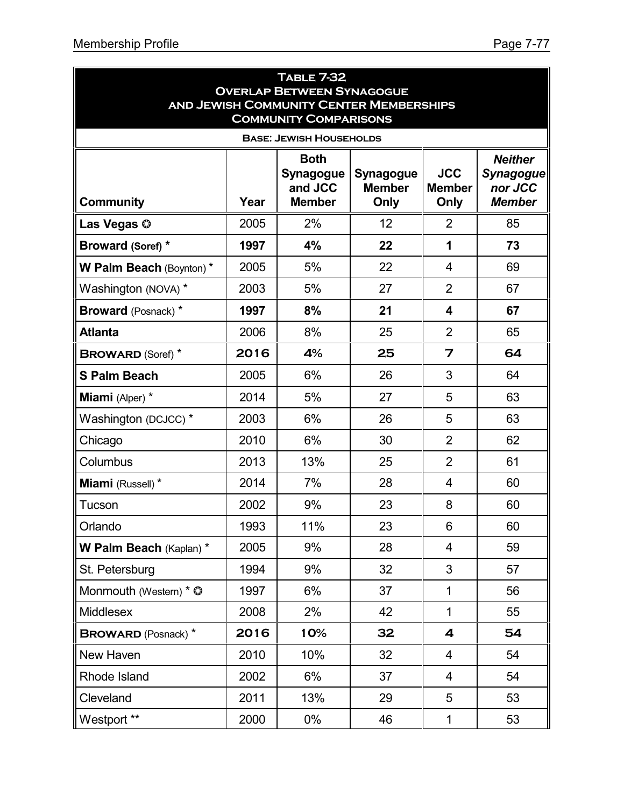| <b>TABLE 7-32</b><br><b>OVERLAP BETWEEN SYNAGOGUE</b>                          |      |                                                             |                                           |                                     |                                                                |  |  |
|--------------------------------------------------------------------------------|------|-------------------------------------------------------------|-------------------------------------------|-------------------------------------|----------------------------------------------------------------|--|--|
| <b>AND JEWISH COMMUNITY CENTER MEMBERSHIPS</b><br><b>COMMUNITY COMPARISONS</b> |      |                                                             |                                           |                                     |                                                                |  |  |
|                                                                                |      | <b>BASE: JEWISH HOUSEHOLDS</b>                              |                                           |                                     |                                                                |  |  |
| <b>Community</b>                                                               | Year | <b>Both</b><br><b>Synagogue</b><br>and JCC<br><b>Member</b> | <b>Synagogue</b><br><b>Member</b><br>Only | <b>JCC</b><br><b>Member</b><br>Only | <b>Neither</b><br><b>Synagogue</b><br>nor JCC<br><b>Member</b> |  |  |
| Las Vegas ©                                                                    | 2005 | 2%                                                          | 12                                        | $\overline{2}$                      | 85                                                             |  |  |
| Broward (Soref) *                                                              | 1997 | 4%                                                          | 22                                        | 1                                   | 73                                                             |  |  |
| W Palm Beach (Boynton) *                                                       | 2005 | 5%                                                          | 22                                        | $\overline{\mathbf{4}}$             | 69                                                             |  |  |
| Washington (NOVA) *                                                            | 2003 | 5%                                                          | 27                                        | $\overline{2}$                      | 67                                                             |  |  |
| <b>Broward</b> (Posnack) *                                                     | 1997 | 8%                                                          | 21                                        | 4                                   | 67                                                             |  |  |
| <b>Atlanta</b>                                                                 | 2006 | 8%                                                          | 25                                        | $\overline{2}$                      | 65                                                             |  |  |
| <b>BROWARD (Soref)</b> *                                                       | 2016 | 4%                                                          | 25                                        | $\overline{7}$                      | 64                                                             |  |  |
| <b>S Palm Beach</b>                                                            | 2005 | 6%                                                          | 26                                        | 3                                   | 64                                                             |  |  |
| Miami (Alper) *                                                                | 2014 | 5%                                                          | 27                                        | 5                                   | 63                                                             |  |  |
| Washington (DCJCC) *                                                           | 2003 | 6%                                                          | 26                                        | 5                                   | 63                                                             |  |  |
| Chicago                                                                        | 2010 | 6%                                                          | 30                                        | $\overline{2}$                      | 62                                                             |  |  |
| Columbus                                                                       | 2013 | 13%                                                         | 25                                        | $\overline{2}$                      | 61                                                             |  |  |
| Miami (Russell) *                                                              | 2014 | 7%                                                          | 28                                        | 4                                   | 60                                                             |  |  |
| Tucson                                                                         | 2002 | 9%                                                          | 23                                        | 8                                   | 60                                                             |  |  |
| Orlando                                                                        | 1993 | 11%                                                         | 23                                        | 6                                   | 60                                                             |  |  |
| W Palm Beach (Kaplan) *                                                        | 2005 | 9%                                                          | 28                                        | $\overline{4}$                      | 59                                                             |  |  |
| St. Petersburg                                                                 | 1994 | 9%                                                          | 32                                        | 3                                   | 57                                                             |  |  |
| Monmouth (Western) * ©                                                         | 1997 | 6%                                                          | 37                                        | $\mathbf{1}$                        | 56                                                             |  |  |
| <b>Middlesex</b>                                                               | 2008 | 2%                                                          | 42                                        | $\mathbf{1}$                        | 55                                                             |  |  |
| <b>BROWARD</b> (Posnack) *                                                     | 2016 | 10%                                                         | 32                                        | 4                                   | 54                                                             |  |  |
| New Haven                                                                      | 2010 | 10%                                                         | 32                                        | 4                                   | 54                                                             |  |  |
| Rhode Island                                                                   | 2002 | 6%                                                          | 37                                        | $\overline{4}$                      | 54                                                             |  |  |
| Cleveland                                                                      | 2011 | 13%                                                         | 29                                        | 5                                   | 53                                                             |  |  |
| Westport **                                                                    | 2000 | $0\%$                                                       | 46                                        | 1                                   | 53                                                             |  |  |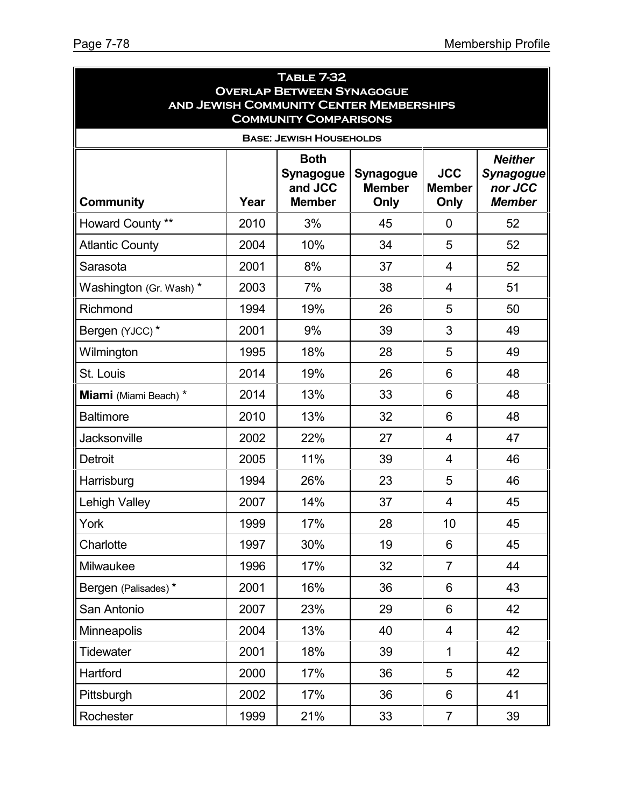| <b>TABLE 7-32</b>             |      |                                                                                    |                                           |                                     |                                              |  |  |
|-------------------------------|------|------------------------------------------------------------------------------------|-------------------------------------------|-------------------------------------|----------------------------------------------|--|--|
|                               |      | <b>OVERLAP BETWEEN SYNAGOGUE</b><br><b>AND JEWISH COMMUNITY CENTER MEMBERSHIPS</b> |                                           |                                     |                                              |  |  |
|                               |      | <b>COMMUNITY COMPARISONS</b>                                                       |                                           |                                     |                                              |  |  |
|                               |      | <b>BASE: JEWISH HOUSEHOLDS</b>                                                     |                                           |                                     |                                              |  |  |
| <b>Both</b><br><b>Neither</b> |      |                                                                                    |                                           |                                     |                                              |  |  |
| <b>Community</b>              | Year | <b>Synagogue</b><br>and JCC<br><b>Member</b>                                       | <b>Synagogue</b><br><b>Member</b><br>Only | <b>JCC</b><br><b>Member</b><br>Only | <b>Synagogue</b><br>nor JCC<br><b>Member</b> |  |  |
| Howard County **              | 2010 | 3%                                                                                 | 45                                        | 0                                   | 52                                           |  |  |
| <b>Atlantic County</b>        | 2004 | 10%                                                                                | 34                                        | 5                                   | 52                                           |  |  |
| Sarasota                      | 2001 | 8%                                                                                 | 37                                        | 4                                   | 52                                           |  |  |
| Washington (Gr. Wash) *       | 2003 | 7%                                                                                 | 38                                        | $\overline{4}$                      | 51                                           |  |  |
| Richmond                      | 1994 | 19%                                                                                | 26                                        | 5                                   | 50                                           |  |  |
| Bergen (YJCC)*                | 2001 | 9%                                                                                 | 39                                        | 3                                   | 49                                           |  |  |
| Wilmington                    | 1995 | 18%                                                                                | 28                                        | 5                                   | 49                                           |  |  |
| St. Louis                     | 2014 | 19%                                                                                | 26                                        | 6                                   | 48                                           |  |  |
| Miami (Miami Beach) *         | 2014 | 13%                                                                                | 33                                        | 6                                   | 48                                           |  |  |
| <b>Baltimore</b>              | 2010 | 13%                                                                                | 32                                        | 6                                   | 48                                           |  |  |
| Jacksonville                  | 2002 | 22%                                                                                | 27                                        | 4                                   | 47                                           |  |  |
| <b>Detroit</b>                | 2005 | 11%                                                                                | 39                                        | $\overline{4}$                      | 46                                           |  |  |
| Harrisburg                    | 1994 | 26%                                                                                | 23                                        | 5                                   | 46                                           |  |  |
| <b>Lehigh Valley</b>          | 2007 | 14%                                                                                | 37                                        | $\overline{4}$                      | 45                                           |  |  |
| York                          | 1999 | 17%                                                                                | 28                                        | 10                                  | 45                                           |  |  |
| Charlotte                     | 1997 | 30%                                                                                | 19                                        | 6                                   | 45                                           |  |  |
| Milwaukee                     | 1996 | 17%                                                                                | 32                                        | $\overline{7}$                      | 44                                           |  |  |
| Bergen (Palisades)*           | 2001 | 16%                                                                                | 36                                        | 6                                   | 43                                           |  |  |
| San Antonio                   | 2007 | 23%                                                                                | 29                                        | 6                                   | 42                                           |  |  |
| Minneapolis                   | 2004 | 13%                                                                                | 40                                        | 4                                   | 42                                           |  |  |
| <b>Tidewater</b>              | 2001 | 18%                                                                                | 39                                        | $\mathbf{1}$                        | 42                                           |  |  |
| Hartford                      | 2000 | 17%                                                                                | 36                                        | 5                                   | 42                                           |  |  |
| Pittsburgh                    | 2002 | 17%                                                                                | 36                                        | 6                                   | 41                                           |  |  |
| Rochester                     | 1999 | 21%                                                                                | 33                                        | $\overline{7}$                      | 39                                           |  |  |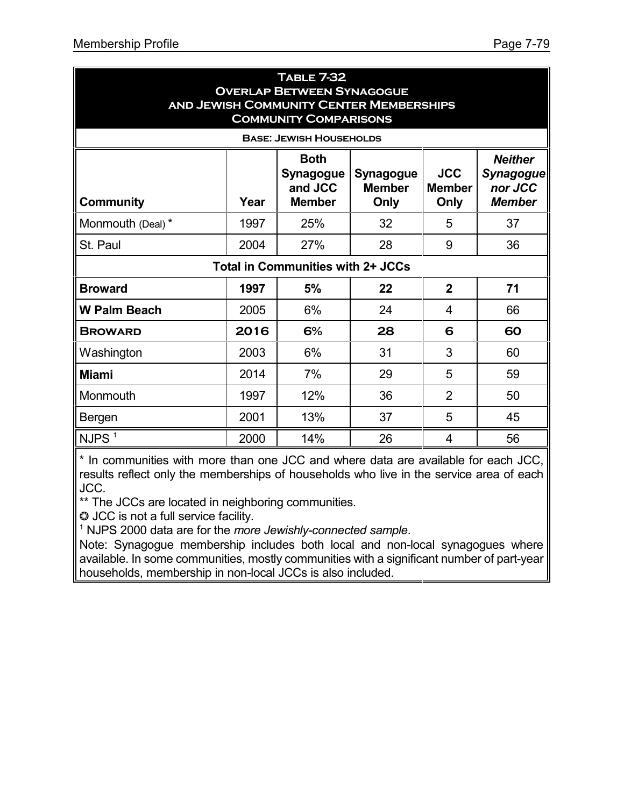| <b>TABLE 7-32</b><br><b>OVERLAP BETWEEN SYNAGOGUE</b><br><b>AND JEWISH COMMUNITY CENTER MEMBERSHIPS</b><br><b>COMMUNITY COMPARISONS</b> |      |                                                             |                                    |                                     |                                                                |  |
|-----------------------------------------------------------------------------------------------------------------------------------------|------|-------------------------------------------------------------|------------------------------------|-------------------------------------|----------------------------------------------------------------|--|
|                                                                                                                                         |      | <b>BASE: JEWISH HOUSEHOLDS</b>                              |                                    |                                     |                                                                |  |
| <b>Community</b>                                                                                                                        | Year | <b>Both</b><br><b>Synagogue</b><br>and JCC<br><b>Member</b> | Synagogue<br><b>Member</b><br>Only | <b>JCC</b><br><b>Member</b><br>Only | <b>Neither</b><br><b>Synagogue</b><br>nor JCC<br><b>Member</b> |  |
| Monmouth (Deal) *                                                                                                                       | 1997 | 25%                                                         | 32                                 | 5                                   | 37                                                             |  |
| St. Paul                                                                                                                                | 2004 | 27%                                                         | 28                                 | 9                                   | 36                                                             |  |
|                                                                                                                                         |      | <b>Total in Communities with 2+ JCCs</b>                    |                                    |                                     |                                                                |  |
| <b>Broward</b>                                                                                                                          | 1997 | 5%                                                          | 22                                 | $\overline{2}$                      | 71                                                             |  |
| <b>W Palm Beach</b>                                                                                                                     | 2005 | 6%                                                          | 24                                 | 4                                   | 66                                                             |  |
| <b>BROWARD</b>                                                                                                                          | 2016 | 6%                                                          | 28                                 | 6                                   | 60                                                             |  |
| Washington                                                                                                                              | 2003 | 6%                                                          | 31                                 | 3                                   | 60                                                             |  |
| <b>Miami</b>                                                                                                                            | 2014 | 7%                                                          | 29                                 | 5                                   | 59                                                             |  |
| Monmouth                                                                                                                                | 1997 | 12%                                                         | 36                                 | $\overline{2}$                      | 50                                                             |  |
| Bergen                                                                                                                                  | 2001 | 13%                                                         | 37                                 | 5                                   | 45                                                             |  |
| $\parallel$ NJPS $^1$                                                                                                                   | 2000 | 14%                                                         | 26                                 | 4                                   | 56                                                             |  |

\* In communities with more than one JCC and where data are available for each JCC, results reflect only the memberships of households who live in the service area of each JCC.

\*\* The JCCs are located in neighboring communities.

 $\odot$  JCC is not a full service facility.

1 NJPS 2000 data are for the *more Jewishly-connected sample*.

Note: Synagogue membership includes both local and non-local synagogues where available. In some communities, mostly communities with a significant number of part-year households, membership in non-local JCCs is also included.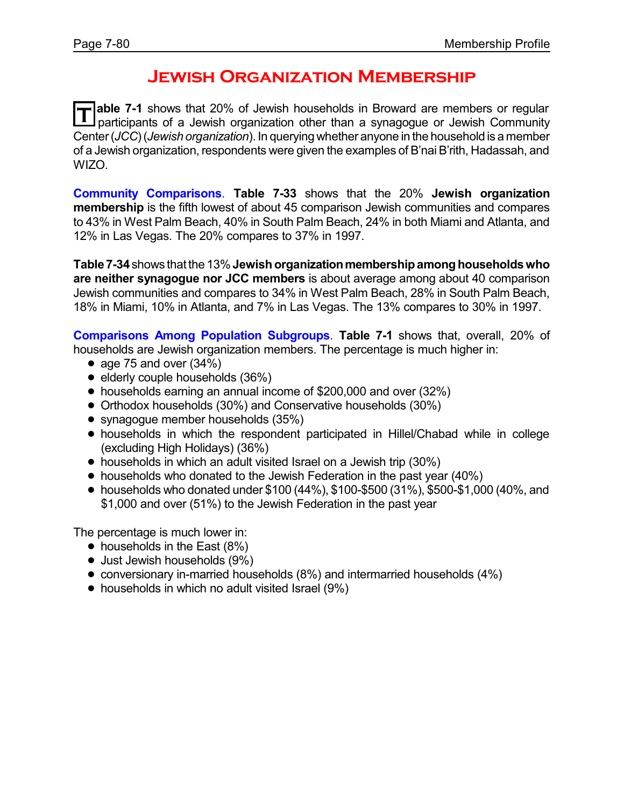# **Jewish Organization Membership**

**T able 7-1** shows that 20% of Jewish households in Broward are members or regular participants of a Jewish organization other than a synagogue or Jewish Community Center(*JCC*)(*Jewish organization*). In queryingwhether anyone in the household is a member of a Jewish organization, respondents were given the examples of B'nai B'rith, Hadassah, and WIZO.

**Community Comparisons**. **Table 7-33** shows that the 20% **Jewish organization membership** is the fifth lowest of about 45 comparison Jewish communities and compares to 43% in West Palm Beach, 40% in South Palm Beach, 24% in both Miami and Atlanta, and 12% in Las Vegas. The 20% compares to 37% in 1997.

**Table 7-34**shows that the 13%**Jewishorganizationmembershipamonghouseholdswho are neither synagogue nor JCC members** is about average among about 40 comparison Jewish communities and compares to 34% in West Palm Beach, 28% in South Palm Beach, 18% in Miami, 10% in Atlanta, and 7% in Las Vegas. The 13% compares to 30% in 1997.

**Comparisons Among Population Subgroups**. **Table 7-1** shows that, overall, 20% of households are Jewish organization members. The percentage is much higher in:

- age 75 and over  $(34%)$
- $\bullet$  elderly couple households (36%)
- ! households earning an annual income of \$200,000 and over (32%)
- ! Orthodox households (30%) and Conservative households (30%)
- synagogue member households (35%)
- ! households in which the respondent participated in Hillel/Chabad while in college (excluding High Holidays) (36%)
- households in which an adult visited Israel on a Jewish trip (30%)
- households who donated to the Jewish Federation in the past year (40%)
- households who donated under \$100 (44%), \$100-\$500 (31%), \$500-\$1,000 (40%, and \$1,000 and over (51%) to the Jewish Federation in the past year

The percentage is much lower in:

- $\bullet$  households in the East (8%)
- Just Jewish households (9%)
- ! conversionary in-married households (8%) and intermarried households (4%)
- households in which no adult visited Israel (9%)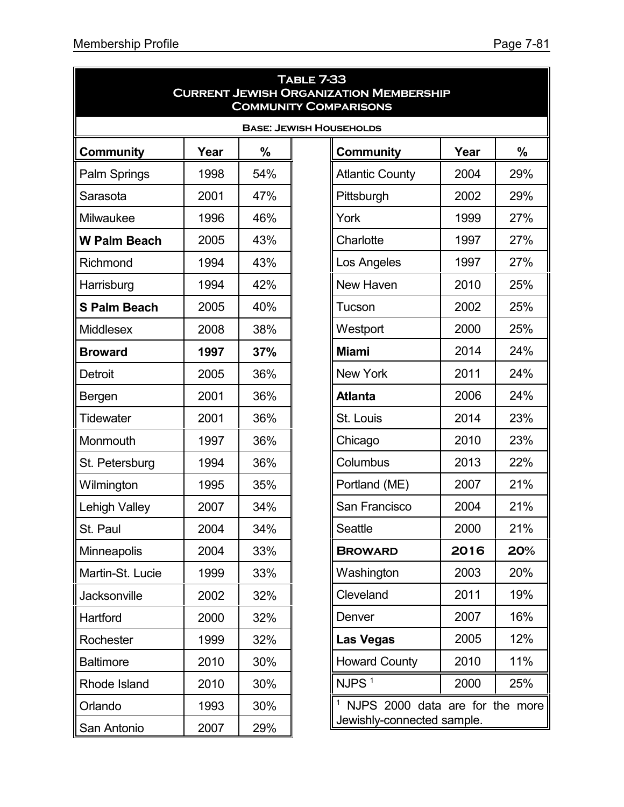|                      | <b>TABLE 7-33</b><br><b>CURRENT JEWISH ORGANIZATION MEMBERSHIP</b><br><b>COMMUNITY COMPARISONS</b> |               |                                              |      |               |  |  |
|----------------------|----------------------------------------------------------------------------------------------------|---------------|----------------------------------------------|------|---------------|--|--|
|                      |                                                                                                    |               | <b>BASE: JEWISH HOUSEHOLDS</b>               |      |               |  |  |
| <b>Community</b>     | Year                                                                                               | $\frac{0}{0}$ | Community                                    | Year | $\frac{0}{0}$ |  |  |
| Palm Springs         | 1998                                                                                               | 54%           | <b>Atlantic County</b>                       | 2004 | 29%           |  |  |
| Sarasota             | 2001                                                                                               | 47%           | Pittsburgh                                   | 2002 | 29%           |  |  |
| Milwaukee            | 1996                                                                                               | 46%           | York                                         | 1999 | 27%           |  |  |
| <b>W Palm Beach</b>  | 2005                                                                                               | 43%           | Charlotte                                    | 1997 | 27%           |  |  |
| Richmond             | 1994                                                                                               | 43%           | Los Angeles                                  | 1997 | 27%           |  |  |
| Harrisburg           | 1994                                                                                               | 42%           | New Haven                                    | 2010 | 25%           |  |  |
| <b>S Palm Beach</b>  | 2005                                                                                               | 40%           | Tucson                                       | 2002 | 25%           |  |  |
| <b>Middlesex</b>     | 2008                                                                                               | 38%           | Westport                                     | 2000 | 25%           |  |  |
| <b>Broward</b>       | 1997                                                                                               | 37%           | <b>Miami</b>                                 | 2014 | 24%           |  |  |
| <b>Detroit</b>       | 2005                                                                                               | 36%           | <b>New York</b>                              | 2011 | 24%           |  |  |
| <b>Bergen</b>        | 2001                                                                                               | 36%           | <b>Atlanta</b>                               | 2006 | 24%           |  |  |
| <b>Tidewater</b>     | 2001                                                                                               | 36%           | St. Louis                                    | 2014 | 23%           |  |  |
| Monmouth             | 1997                                                                                               | 36%           | Chicago                                      | 2010 | 23%           |  |  |
| St. Petersburg       | 1994                                                                                               | 36%           | Columbus                                     | 2013 | 22%           |  |  |
| Wilmington           | 1995                                                                                               | 35%           | Portland (ME)                                | 2007 | 21%           |  |  |
| <b>Lehigh Valley</b> | 2007                                                                                               | 34%           | San Francisco                                | 2004 | 21%           |  |  |
| St. Paul             | 2004                                                                                               | 34%           | Seattle                                      | 2000 | 21%           |  |  |
| <b>Minneapolis</b>   | 2004                                                                                               | 33%           | <b>BROWARD</b>                               | 2016 | 20%           |  |  |
| Martin-St. Lucie     | 1999                                                                                               | 33%           | Washington                                   | 2003 | 20%           |  |  |
| Jacksonville         | 2002                                                                                               | 32%           | Cleveland                                    | 2011 | 19%           |  |  |
| Hartford             | 2000                                                                                               | 32%           | Denver                                       | 2007 | 16%           |  |  |
| Rochester            | 1999                                                                                               | 32%           | Las Vegas                                    | 2005 | 12%           |  |  |
| <b>Baltimore</b>     | 2010                                                                                               | 30%           | <b>Howard County</b>                         | 2010 | 11%           |  |  |
| Rhode Island         | 2010                                                                                               | 30%           | $NJPS$ <sup>1</sup>                          | 2000 | 25%           |  |  |
| Orlando              | 1993                                                                                               | 30%           | <sup>1</sup> NJPS 2000 data are for the more |      |               |  |  |
| San Antonio          | 2007                                                                                               | 29%           | Jewishly-connected sample.                   |      |               |  |  |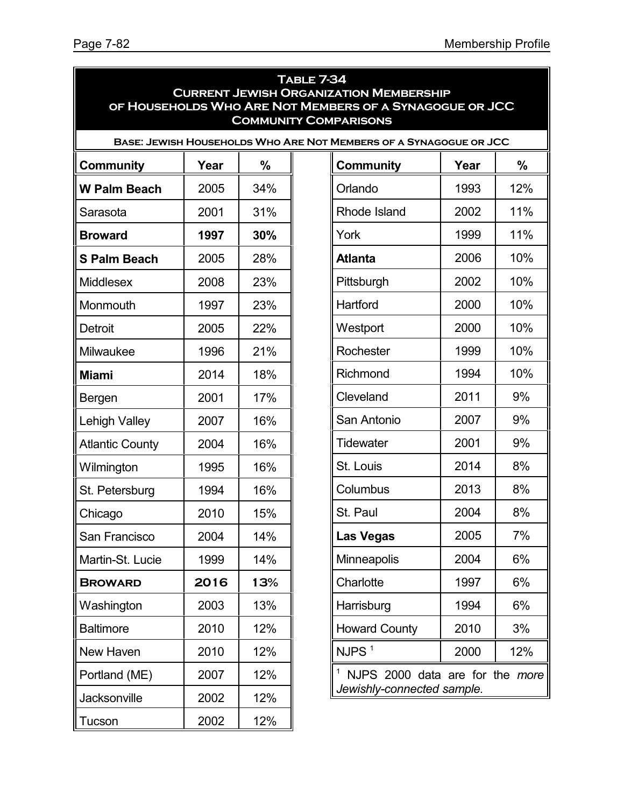|                        | <b>TABLE 7-34</b><br><b>CURRENT JEWISH ORGANIZATION MEMBERSHIP</b><br>OF HOUSEHOLDS WHO ARE NOT MEMBERS OF A SYNAGOGUE OR JCC<br><b>COMMUNITY COMPARISONS</b> |               |  |                                                                   |      |      |  |  |
|------------------------|---------------------------------------------------------------------------------------------------------------------------------------------------------------|---------------|--|-------------------------------------------------------------------|------|------|--|--|
|                        |                                                                                                                                                               |               |  | BASE: JEWISH HOUSEHOLDS WHO ARE NOT MEMBERS OF A SYNAGOGUE OR JCC |      |      |  |  |
| Community              | Year                                                                                                                                                          | $\frac{0}{0}$ |  | <b>Community</b>                                                  | Year | $\%$ |  |  |
| <b>W Palm Beach</b>    | 2005                                                                                                                                                          | 34%           |  | Orlando                                                           | 1993 | 12%  |  |  |
| Sarasota               | 2001                                                                                                                                                          | 31%           |  | Rhode Island                                                      | 2002 | 11%  |  |  |
| <b>Broward</b>         | 1997                                                                                                                                                          | 30%           |  | York                                                              | 1999 | 11%  |  |  |
| <b>S Palm Beach</b>    | 2005                                                                                                                                                          | 28%           |  | <b>Atlanta</b>                                                    | 2006 | 10%  |  |  |
| <b>Middlesex</b>       | 2008                                                                                                                                                          | 23%           |  | Pittsburgh                                                        | 2002 | 10%  |  |  |
| Monmouth               | 1997                                                                                                                                                          | 23%           |  | Hartford                                                          | 2000 | 10%  |  |  |
| <b>Detroit</b>         | 2005                                                                                                                                                          | 22%           |  | Westport                                                          | 2000 | 10%  |  |  |
| Milwaukee              | 1996                                                                                                                                                          | 21%           |  | Rochester                                                         | 1999 | 10%  |  |  |
| <b>Miami</b>           | 2014                                                                                                                                                          | 18%           |  | Richmond                                                          | 1994 | 10%  |  |  |
| Bergen                 | 2001                                                                                                                                                          | 17%           |  | Cleveland                                                         | 2011 | 9%   |  |  |
| Lehigh Valley          | 2007                                                                                                                                                          | 16%           |  | San Antonio                                                       | 2007 | 9%   |  |  |
| <b>Atlantic County</b> | 2004                                                                                                                                                          | 16%           |  | <b>Tidewater</b>                                                  | 2001 | 9%   |  |  |
| Wilmington             | 1995                                                                                                                                                          | 16%           |  | St. Louis                                                         | 2014 | 8%   |  |  |
| St. Petersburg         | 1994                                                                                                                                                          | 16%           |  | Columbus                                                          | 2013 | 8%   |  |  |
| Chicago                | 2010                                                                                                                                                          | 15%           |  | St. Paul                                                          | 2004 | 8%   |  |  |
| San Francisco          | 2004                                                                                                                                                          | 14%           |  | <b>Las Vegas</b>                                                  | 2005 | 7%   |  |  |
| Martin-St. Lucie       | 1999                                                                                                                                                          | 14%           |  | Minneapolis                                                       | 2004 | 6%   |  |  |
| <b>BROWARD</b>         | 2016                                                                                                                                                          | 13%           |  | Charlotte                                                         | 1997 | 6%   |  |  |
| Washington             | 2003                                                                                                                                                          | 13%           |  | Harrisburg                                                        | 1994 | 6%   |  |  |
| <b>Baltimore</b>       | 2010                                                                                                                                                          | 12%           |  | <b>Howard County</b>                                              | 2010 | 3%   |  |  |
| New Haven              | 2010                                                                                                                                                          | 12%           |  | NJPS <sup>1</sup>                                                 | 2000 | 12%  |  |  |
| Portland (ME)          | 2007                                                                                                                                                          | 12%           |  | 1<br>NJPS 2000 data are for the more                              |      |      |  |  |
| Jacksonville           | 2002                                                                                                                                                          | 12%           |  | Jewishly-connected sample.                                        |      |      |  |  |
| Tucson                 | 2002                                                                                                                                                          | 12%           |  |                                                                   |      |      |  |  |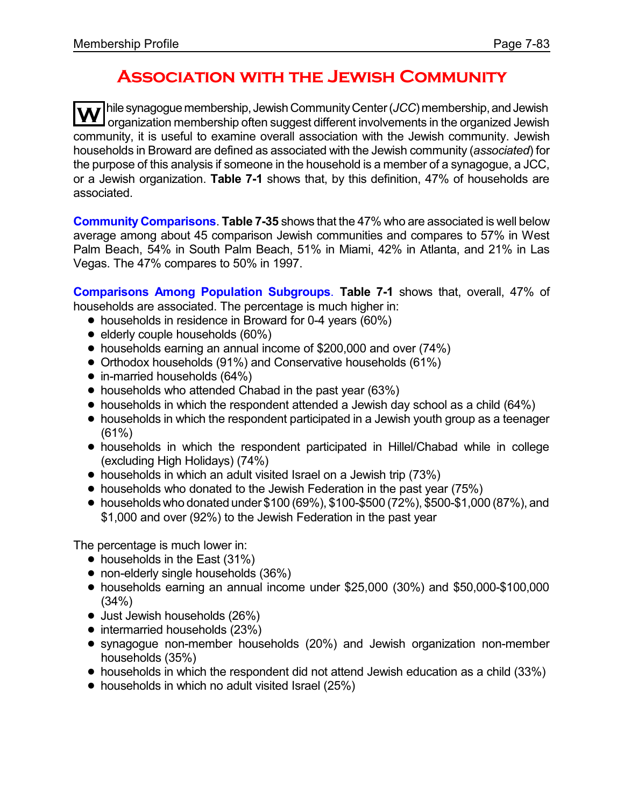# **Association with the Jewish Community**

**W** hile synagogue membership, Jewish Community Center (*JCC*) membership, and Jewish<br>organization membership often suggest different involvements in the organized Jewish community, it is useful to examine overall association with the Jewish community. Jewish households in Broward are defined as associated with the Jewish community (*associated*) for the purpose of this analysis if someone in the household is a member of a synagogue, a JCC, or a Jewish organization. **Table 7-1** shows that, by this definition, 47% of households are associated.

**Community Comparisons**. **Table 7-35** shows that the 47% who are associated is well below average among about 45 comparison Jewish communities and compares to 57% in West Palm Beach, 54% in South Palm Beach, 51% in Miami, 42% in Atlanta, and 21% in Las Vegas. The 47% compares to 50% in 1997.

**Comparisons Among Population Subgroups**. **Table 7-1** shows that, overall, 47% of households are associated. The percentage is much higher in:

- households in residence in Broward for 0-4 years (60%)
- $\bullet$  elderly couple households (60%)
- ! households earning an annual income of \$200,000 and over (74%)
- ! Orthodox households (91%) and Conservative households (61%)
- $\bullet$  in-married households (64%)
- households who attended Chabad in the past year (63%)
- households in which the respondent attended a Jewish day school as a child (64%)
- households in which the respondent participated in a Jewish youth group as a teenager (61%)
- ! households in which the respondent participated in Hillel/Chabad while in college (excluding High Holidays) (74%)
- households in which an adult visited Israel on a Jewish trip (73%)
- households who donated to the Jewish Federation in the past year (75%)
- $\bullet$  households who donated under \$100 (69%), \$100-\$500 (72%), \$500-\$1,000 (87%), and \$1,000 and over (92%) to the Jewish Federation in the past year

The percentage is much lower in:

- households in the East (31%)
- non-elderly single households (36%)
- ! households earning an annual income under \$25,000 (30%) and \$50,000-\$100,000 (34%)
- Just Jewish households (26%)
- intermarried households (23%)
- ! synagogue non-member households (20%) and Jewish organization non-member households (35%)
- ! households in which the respondent did not attend Jewish education as a child (33%)
- households in which no adult visited Israel (25%)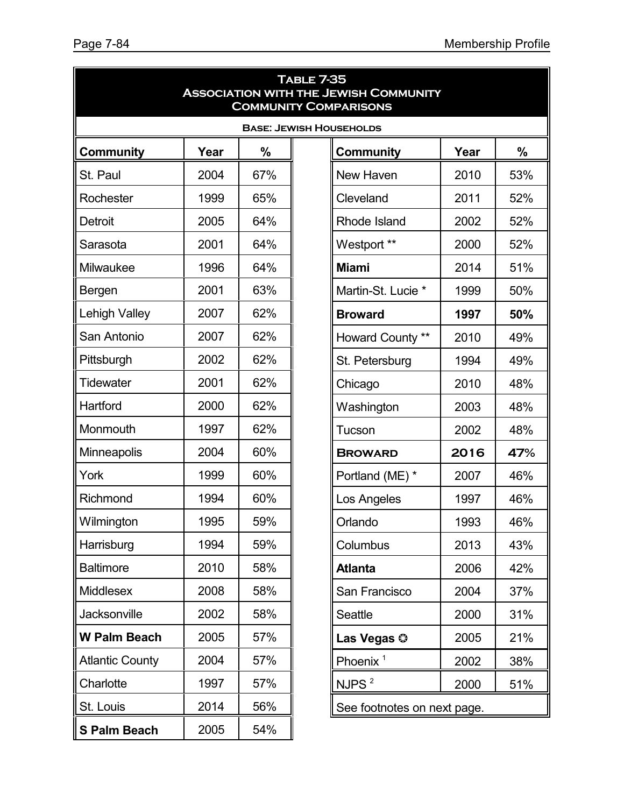| <b>TABLE 7-35</b><br><b>ASSOCIATION WITH THE JEWISH COMMUNITY</b><br><b>COMMUNITY COMPARISONS</b> |      |               |                             |                                |      |      |  |
|---------------------------------------------------------------------------------------------------|------|---------------|-----------------------------|--------------------------------|------|------|--|
|                                                                                                   |      |               |                             | <b>BASE: JEWISH HOUSEHOLDS</b> |      |      |  |
| <b>Community</b>                                                                                  | Year | $\frac{0}{0}$ |                             | <b>Community</b>               | Year | $\%$ |  |
| St. Paul                                                                                          | 2004 | 67%           |                             | New Haven                      | 2010 | 53%  |  |
| Rochester                                                                                         | 1999 | 65%           |                             | Cleveland                      | 2011 | 52%  |  |
| <b>Detroit</b>                                                                                    | 2005 | 64%           |                             | <b>Rhode Island</b>            | 2002 | 52%  |  |
| Sarasota                                                                                          | 2001 | 64%           |                             | Westport **                    | 2000 | 52%  |  |
| Milwaukee                                                                                         | 1996 | 64%           |                             | <b>Miami</b>                   | 2014 | 51%  |  |
| Bergen                                                                                            | 2001 | 63%           |                             | Martin-St. Lucie *             | 1999 | 50%  |  |
| Lehigh Valley                                                                                     | 2007 | 62%           |                             | <b>Broward</b>                 | 1997 | 50%  |  |
| San Antonio                                                                                       | 2007 | 62%           |                             | Howard County **               | 2010 | 49%  |  |
| Pittsburgh                                                                                        | 2002 | 62%           |                             | St. Petersburg                 | 1994 | 49%  |  |
| <b>Tidewater</b>                                                                                  | 2001 | 62%           |                             | Chicago                        | 2010 | 48%  |  |
| Hartford                                                                                          | 2000 | 62%           |                             | Washington                     | 2003 | 48%  |  |
| Monmouth                                                                                          | 1997 | 62%           |                             | Tucson                         | 2002 | 48%  |  |
| <b>Minneapolis</b>                                                                                | 2004 | 60%           |                             | <b>BROWARD</b>                 | 2016 | 47%  |  |
| York                                                                                              | 1999 | 60%           |                             | Portland (ME) *                | 2007 | 46%  |  |
| Richmond                                                                                          | 1994 | 60%           |                             | Los Angeles                    | 1997 | 46%  |  |
| Wilmington                                                                                        | 1995 | 59%           |                             | Orlando                        | 1993 | 46%  |  |
| Harrisburg                                                                                        | 1994 | 59%           |                             | Columbus                       | 2013 | 43%  |  |
| <b>Baltimore</b>                                                                                  | 2010 | 58%           |                             | <b>Atlanta</b>                 | 2006 | 42%  |  |
| Middlesex                                                                                         | 2008 | 58%           |                             | San Francisco                  | 2004 | 37%  |  |
| Jacksonville                                                                                      | 2002 | 58%           |                             | <b>Seattle</b>                 | 2000 | 31%  |  |
| <b>W Palm Beach</b>                                                                               | 2005 | 57%           |                             | Las Vegas ©                    | 2005 | 21%  |  |
| <b>Atlantic County</b>                                                                            | 2004 | 57%           |                             | Phoenix <sup>1</sup>           | 2002 | 38%  |  |
| Charlotte                                                                                         | 1997 | 57%           |                             | NJPS <sup>2</sup>              | 2000 | 51%  |  |
| St. Louis                                                                                         | 2014 | 56%           | See footnotes on next page. |                                |      |      |  |
| <b>S Palm Beach</b>                                                                               | 2005 | 54%           |                             |                                |      |      |  |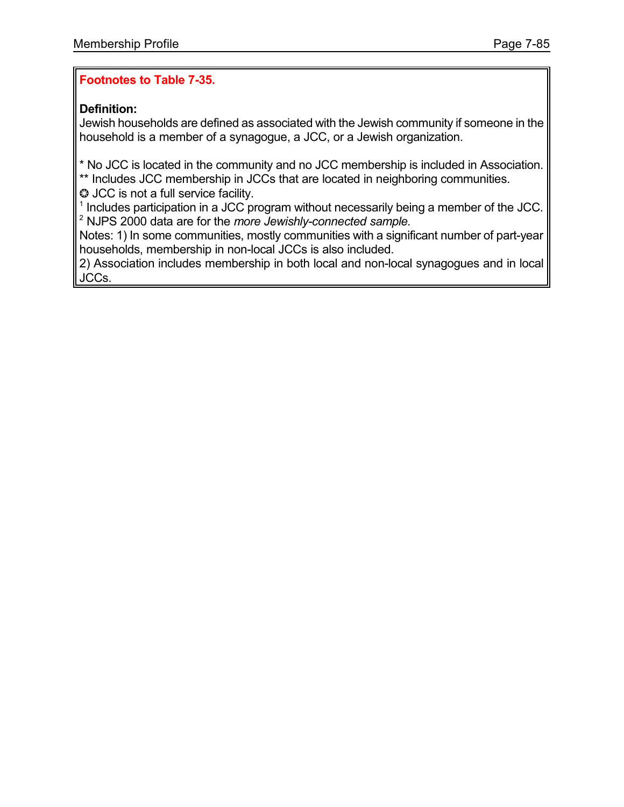## **Footnotes to Table 7-35.**

## **Definition:**

Jewish households are defined as associated with the Jewish community if someone in the household is a member of a synagogue, a JCC, or a Jewish organization.

\* No JCC is located in the community and no JCC membership is included in Association. \*\* Includes JCC membership in JCCs that are located in neighboring communities.

 $\odot$  JCC is not a full service facility.

 $<sup>1</sup>$  Includes participation in a JCC program without necessarily being a member of the JCC.</sup> 2 NJPS 2000 data are for the *more Jewishly-connected sample.*

Notes: 1) In some communities, mostly communities with a significant number of part-year households, membership in non-local JCCs is also included.

2) Association includes membership in both local and non-local synagogues and in local JCCs.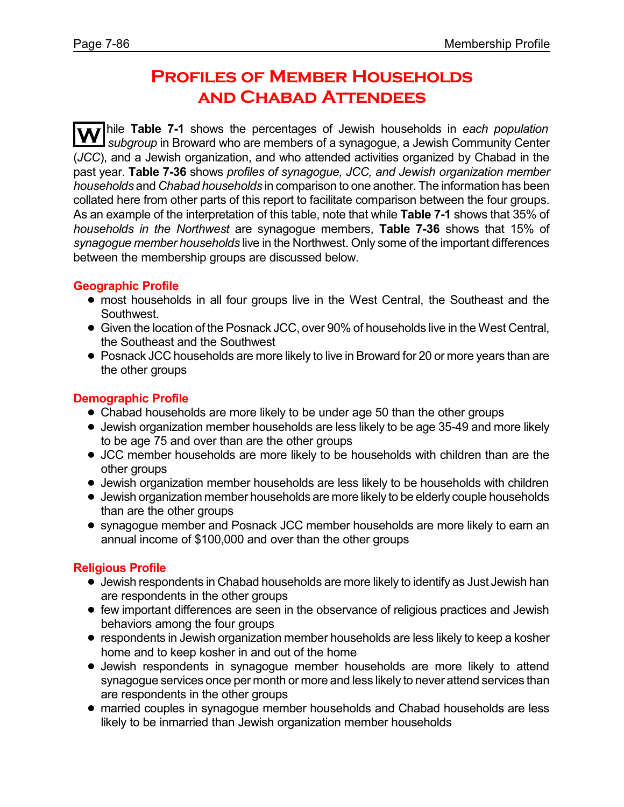# **Profiles of Member Households and Chabad Attendees**

**W** hile **Table 7-1** shows the percentages of Jewish households in *each population subgroup* in Broward who are members of a synagogue, a Jewish Community Center (*JCC*), and a Jewish organization, and who attended activities organized by Chabad in the past year. **Table 7-36** shows *profiles of synagogue, JCC, and Jewish organization member households* and *Chabad households* in comparison to one another. The information has been collated here from other parts of this report to facilitate comparison between the four groups. As an example of the interpretation of this table, note that while **Table 7-1** shows that 35% of *households in the Northwest* are synagogue members, **Table 7-36** shows that 15% of *synagogue member households* live in the Northwest. Only some of the important differences between the membership groups are discussed below.

#### **Geographic Profile**

- most households in all four groups live in the West Central, the Southeast and the Southwest.
- ! Given the location of the Posnack JCC, over 90% of households live in the West Central, the Southeast and the Southwest
- ! Posnack JCC households are more likely to live in Broward for 20 or more years than are the other groups

## **Demographic Profile**

- Chabad households are more likely to be under age 50 than the other groups
- Jewish organization member households are less likely to be age 35-49 and more likely to be age 75 and over than are the other groups
- ! JCC member households are more likely to be households with children than are the other groups
- Jewish organization member households are less likely to be households with children
- ! Jewish organization member households are more likely to be elderly couple households than are the other groups
- ! synagogue member and Posnack JCC member households are more likely to earn an annual income of \$100,000 and over than the other groups

## **Religious Profile**

- ! Jewish respondents in Chabad households are more likely to identify as Just Jewish han are respondents in the other groups
- ! few important differences are seen in the observance of religious practices and Jewish behaviors among the four groups
- ! respondents in Jewish organization member households are less likely to keep a kosher home and to keep kosher in and out of the home
- ! Jewish respondents in synagogue member households are more likely to attend synagogue services once per month or more and less likely to never attend services than are respondents in the other groups
- ! married couples in synagogue member households and Chabad households are less likely to be inmarried than Jewish organization member households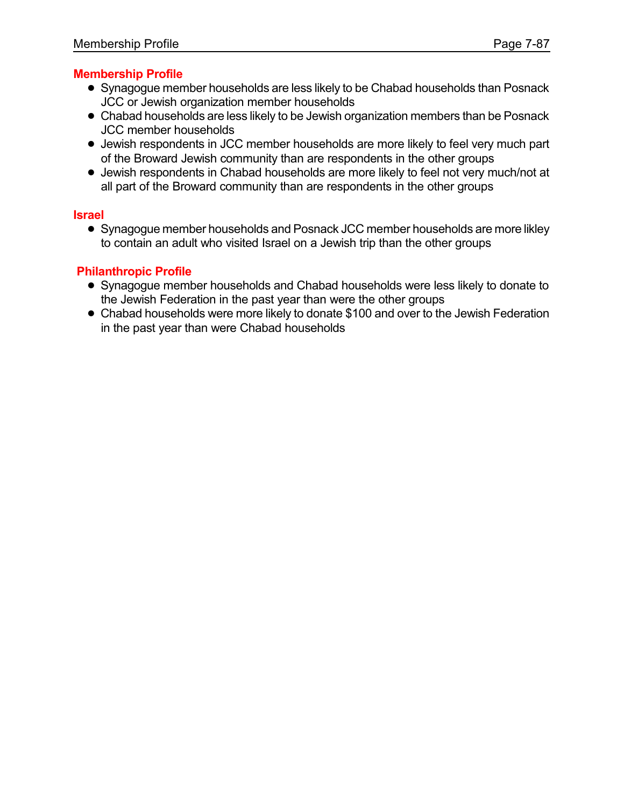## **Membership Profile**

- ! Synagogue member households are less likely to be Chabad households than Posnack JCC or Jewish organization member households
- Chabad households are less likely to be Jewish organization members than be Posnack JCC member households
- ! Jewish respondents in JCC member households are more likely to feel very much part of the Broward Jewish community than are respondents in the other groups
- ! Jewish respondents in Chabad households are more likely to feel not very much/not at all part of the Broward community than are respondents in the other groups

#### **Israel**

! Synagogue member households and Posnack JCC member households are more likley to contain an adult who visited Israel on a Jewish trip than the other groups

## **Philanthropic Profile**

- ! Synagogue member households and Chabad households were less likely to donate to the Jewish Federation in the past year than were the other groups
- Chabad households were more likely to donate \$100 and over to the Jewish Federation in the past year than were Chabad households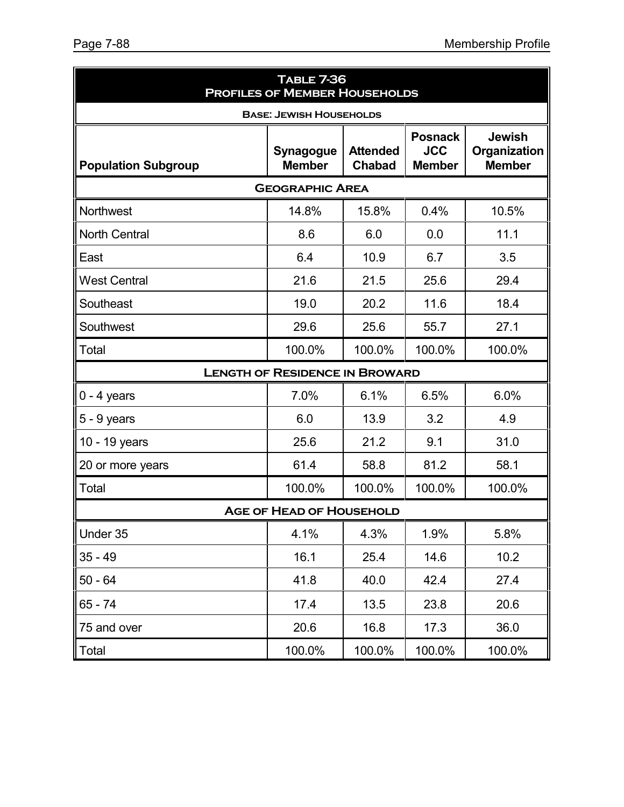| <b>TABLE 7-36</b><br><b>PROFILES OF MEMBER HOUSEHOLDS</b> |                                       |                                  |                                               |                                                |  |  |  |  |
|-----------------------------------------------------------|---------------------------------------|----------------------------------|-----------------------------------------------|------------------------------------------------|--|--|--|--|
|                                                           | <b>BASE: JEWISH HOUSEHOLDS</b>        |                                  |                                               |                                                |  |  |  |  |
| <b>Population Subgroup</b>                                | <b>Synagogue</b><br><b>Member</b>     | <b>Attended</b><br><b>Chabad</b> | <b>Posnack</b><br><b>JCC</b><br><b>Member</b> | <b>Jewish</b><br>Organization<br><b>Member</b> |  |  |  |  |
| <b>GEOGRAPHIC AREA</b>                                    |                                       |                                  |                                               |                                                |  |  |  |  |
| Northwest                                                 | 14.8%                                 | 15.8%                            | 0.4%                                          | 10.5%                                          |  |  |  |  |
| <b>North Central</b>                                      | 8.6                                   | 6.0                              | 0.0                                           | 11.1                                           |  |  |  |  |
| East                                                      | 6.4                                   | 10.9                             | 6.7                                           | 3.5                                            |  |  |  |  |
| <b>West Central</b>                                       | 21.6                                  | 21.5                             | 25.6                                          | 29.4                                           |  |  |  |  |
| Southeast                                                 | 19.0                                  | 20.2                             | 11.6                                          | 18.4                                           |  |  |  |  |
| Southwest                                                 | 29.6                                  | 25.6                             | 55.7                                          | 27.1                                           |  |  |  |  |
| Total                                                     | 100.0%                                | 100.0%                           | 100.0%                                        | 100.0%                                         |  |  |  |  |
|                                                           | <b>LENGTH OF RESIDENCE IN BROWARD</b> |                                  |                                               |                                                |  |  |  |  |
| $0 - 4$ years                                             | 7.0%                                  | 6.1%                             | 6.5%                                          | 6.0%                                           |  |  |  |  |
| $5 - 9$ years                                             | 6.0                                   | 13.9                             | 3.2                                           | 4.9                                            |  |  |  |  |
| 10 - 19 years                                             | 25.6                                  | 21.2                             | 9.1                                           | 31.0                                           |  |  |  |  |
| 20 or more years                                          | 61.4                                  | 58.8                             | 81.2                                          | 58.1                                           |  |  |  |  |
| Total                                                     | 100.0%                                | 100.0%                           | 100.0%                                        | 100.0%                                         |  |  |  |  |
|                                                           | <b>AGE OF HEAD OF HOUSEHOLD</b>       |                                  |                                               |                                                |  |  |  |  |
| Under 35                                                  | 4.1%                                  | 4.3%                             | 1.9%                                          | 5.8%                                           |  |  |  |  |
| $35 - 49$                                                 | 16.1                                  | 25.4                             | 14.6                                          | 10.2                                           |  |  |  |  |
| $50 - 64$                                                 | 41.8                                  | 40.0                             | 42.4                                          | 27.4                                           |  |  |  |  |
| $65 - 74$                                                 | 17.4                                  | 13.5                             | 23.8                                          | 20.6                                           |  |  |  |  |
| 75 and over                                               | 20.6                                  | 16.8                             | 17.3                                          | 36.0                                           |  |  |  |  |
| Total                                                     | 100.0%                                | 100.0%                           | 100.0%                                        | 100.0%                                         |  |  |  |  |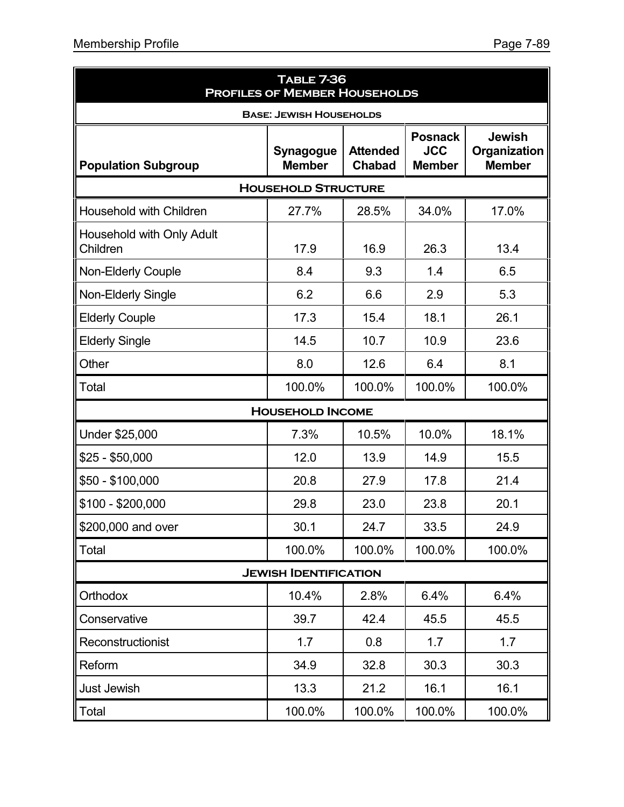| <b>TABLE 7-36</b><br><b>PROFILES OF MEMBER HOUSEHOLDS</b> |                                |                                  |                                               |                                                |  |  |  |  |
|-----------------------------------------------------------|--------------------------------|----------------------------------|-----------------------------------------------|------------------------------------------------|--|--|--|--|
|                                                           | <b>BASE: JEWISH HOUSEHOLDS</b> |                                  |                                               |                                                |  |  |  |  |
| <b>Population Subgroup</b>                                | Synagogue<br><b>Member</b>     | <b>Attended</b><br><b>Chabad</b> | <b>Posnack</b><br><b>JCC</b><br><b>Member</b> | <b>Jewish</b><br>Organization<br><b>Member</b> |  |  |  |  |
| <b>HOUSEHOLD STRUCTURE</b>                                |                                |                                  |                                               |                                                |  |  |  |  |
| Household with Children                                   | 27.7%                          | 28.5%                            | 34.0%                                         | 17.0%                                          |  |  |  |  |
| Household with Only Adult<br>Children                     | 17.9                           | 16.9                             | 26.3                                          | 13.4                                           |  |  |  |  |
| <b>Non-Elderly Couple</b>                                 | 8.4                            | 9.3                              | 1.4                                           | 6.5                                            |  |  |  |  |
| Non-Elderly Single                                        | 6.2                            | 6.6                              | 2.9                                           | 5.3                                            |  |  |  |  |
| <b>Elderly Couple</b>                                     | 17.3                           | 15.4                             | 18.1                                          | 26.1                                           |  |  |  |  |
| <b>Elderly Single</b>                                     | 14.5                           | 10.7                             | 10.9                                          | 23.6                                           |  |  |  |  |
| Other                                                     | 8.0                            | 12.6                             | 6.4                                           | 8.1                                            |  |  |  |  |
| Total                                                     | 100.0%                         | 100.0%                           | 100.0%                                        | 100.0%                                         |  |  |  |  |
|                                                           | <b>HOUSEHOLD INCOME</b>        |                                  |                                               |                                                |  |  |  |  |
| Under \$25,000                                            | 7.3%                           | 10.5%                            | 10.0%                                         | 18.1%                                          |  |  |  |  |
| $$25 - $50,000$                                           | 12.0                           | 13.9                             | 14.9                                          | 15.5                                           |  |  |  |  |
| $$50 - $100,000$                                          | 20.8                           | 27.9                             | 17.8                                          | 21.4                                           |  |  |  |  |
| $$100 - $200,000$                                         | 29.8                           | 23.0                             | 23.8                                          | 20.1                                           |  |  |  |  |
| \$200,000 and over                                        | 30.1                           | 24.7                             | 33.5                                          | 24.9                                           |  |  |  |  |
| Total                                                     | 100.0%                         | 100.0%                           | 100.0%                                        | 100.0%                                         |  |  |  |  |
|                                                           | <b>JEWISH IDENTIFICATION</b>   |                                  |                                               |                                                |  |  |  |  |
| Orthodox                                                  | 10.4%                          | 2.8%                             | 6.4%                                          | 6.4%                                           |  |  |  |  |
| Conservative                                              | 39.7                           | 42.4                             | 45.5                                          | 45.5                                           |  |  |  |  |
| Reconstructionist                                         | 1.7                            | 0.8                              | 1.7                                           | 1.7                                            |  |  |  |  |
| Reform                                                    | 34.9                           | 32.8                             | 30.3                                          | 30.3                                           |  |  |  |  |
| Just Jewish                                               | 13.3                           | 21.2                             | 16.1                                          | 16.1                                           |  |  |  |  |
| Total                                                     | 100.0%                         | 100.0%                           | 100.0%                                        | 100.0%                                         |  |  |  |  |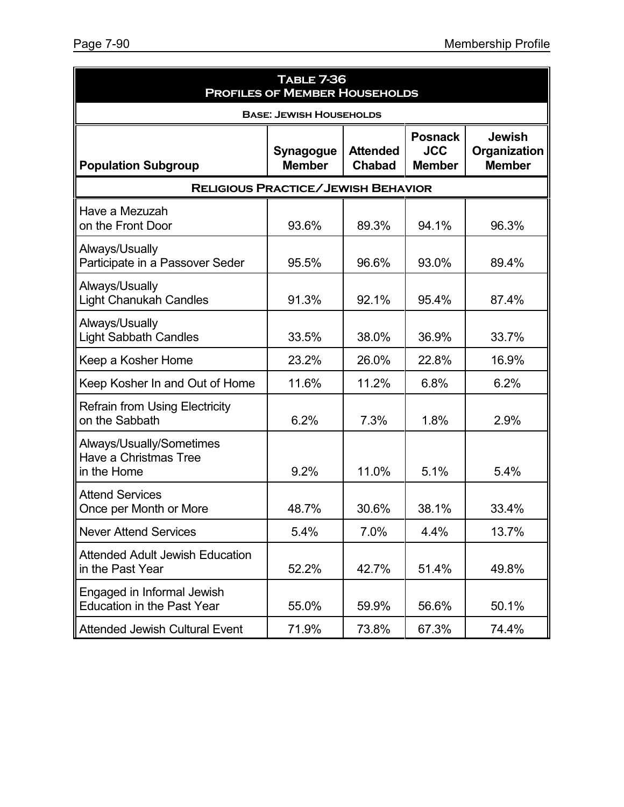| <b>TABLE 7-36</b><br><b>PROFILES OF MEMBER HOUSEHOLDS</b>        |                                |                                  |                                               |                                                |  |  |
|------------------------------------------------------------------|--------------------------------|----------------------------------|-----------------------------------------------|------------------------------------------------|--|--|
|                                                                  | <b>BASE: JEWISH HOUSEHOLDS</b> |                                  |                                               |                                                |  |  |
| <b>Population Subgroup</b>                                       | Synagogue<br><b>Member</b>     | <b>Attended</b><br><b>Chabad</b> | <b>Posnack</b><br><b>JCC</b><br><b>Member</b> | <b>Jewish</b><br>Organization<br><b>Member</b> |  |  |
| <b>RELIGIOUS PRACTICE/JEWISH BEHAVIOR</b>                        |                                |                                  |                                               |                                                |  |  |
| Have a Mezuzah<br>on the Front Door                              | 93.6%                          | 89.3%                            | 94.1%                                         | 96.3%                                          |  |  |
| Always/Usually<br>Participate in a Passover Seder                | 95.5%                          | 96.6%                            | 93.0%                                         | 89.4%                                          |  |  |
| Always/Usually<br><b>Light Chanukah Candles</b>                  | 91.3%                          | 92.1%                            | 95.4%                                         | 87.4%                                          |  |  |
| Always/Usually<br><b>Light Sabbath Candles</b>                   | 33.5%                          | 38.0%                            | 36.9%                                         | 33.7%                                          |  |  |
| Keep a Kosher Home                                               | 23.2%                          | 26.0%                            | 22.8%                                         | 16.9%                                          |  |  |
| Keep Kosher In and Out of Home                                   | 11.6%                          | 11.2%                            | 6.8%                                          | 6.2%                                           |  |  |
| <b>Refrain from Using Electricity</b><br>on the Sabbath          | 6.2%                           | 7.3%                             | 1.8%                                          | 2.9%                                           |  |  |
| Always/Usually/Sometimes<br>Have a Christmas Tree<br>in the Home | 9.2%                           | 11.0%                            | 5.1%                                          | 5.4%                                           |  |  |
| <b>Attend Services</b><br>Once per Month or More                 | 48.7%                          | 30.6%                            | 38.1%                                         | 33.4%                                          |  |  |
| <b>Never Attend Services</b>                                     | 5.4%                           | 7.0%                             | 4.4%                                          | 13.7%                                          |  |  |
| <b>Attended Adult Jewish Education</b><br>in the Past Year       | 52.2%                          | 42.7%                            | 51.4%                                         | 49.8%                                          |  |  |
| Engaged in Informal Jewish<br><b>Education in the Past Year</b>  | 55.0%                          | 59.9%                            | 56.6%                                         | 50.1%                                          |  |  |
| <b>Attended Jewish Cultural Event</b>                            | 71.9%                          | 73.8%                            | 67.3%                                         | 74.4%                                          |  |  |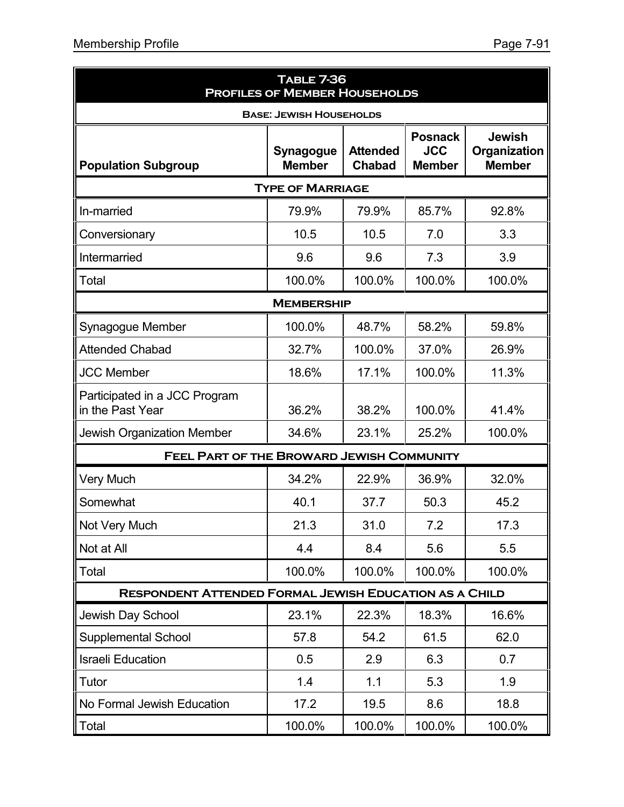| <b>TABLE 7-36</b><br><b>PROFILES OF MEMBER HOUSEHOLDS</b>     |                                |                                  |                                               |                                                |  |  |  |  |
|---------------------------------------------------------------|--------------------------------|----------------------------------|-----------------------------------------------|------------------------------------------------|--|--|--|--|
|                                                               | <b>BASE: JEWISH HOUSEHOLDS</b> |                                  |                                               |                                                |  |  |  |  |
| <b>Population Subgroup</b>                                    | Synagogue<br><b>Member</b>     | <b>Attended</b><br><b>Chabad</b> | <b>Posnack</b><br><b>JCC</b><br><b>Member</b> | <b>Jewish</b><br>Organization<br><b>Member</b> |  |  |  |  |
| <b>TYPE OF MARRIAGE</b>                                       |                                |                                  |                                               |                                                |  |  |  |  |
| In-married                                                    | 79.9%                          | 79.9%                            | 85.7%                                         | 92.8%                                          |  |  |  |  |
| Conversionary                                                 | 10.5                           | 10.5                             | 7.0                                           | 3.3                                            |  |  |  |  |
| Intermarried                                                  | 9.6                            | 9.6                              | 7.3                                           | 3.9                                            |  |  |  |  |
| Total                                                         | 100.0%                         | 100.0%                           | 100.0%                                        | 100.0%                                         |  |  |  |  |
|                                                               | <b>MEMBERSHIP</b>              |                                  |                                               |                                                |  |  |  |  |
| Synagogue Member                                              | 100.0%                         | 48.7%                            | 58.2%                                         | 59.8%                                          |  |  |  |  |
| <b>Attended Chabad</b>                                        | 32.7%                          | 100.0%                           | 37.0%                                         | 26.9%                                          |  |  |  |  |
| <b>JCC Member</b>                                             | 18.6%                          | 17.1%                            | 100.0%                                        | 11.3%                                          |  |  |  |  |
| Participated in a JCC Program<br>in the Past Year             | 36.2%                          | 38.2%                            | 100.0%                                        | 41.4%                                          |  |  |  |  |
| <b>Jewish Organization Member</b>                             | 34.6%                          | 23.1%                            | 25.2%                                         | 100.0%                                         |  |  |  |  |
| <b>FEEL PART OF THE BROWARD JEWISH COMMUNITY</b>              |                                |                                  |                                               |                                                |  |  |  |  |
| <b>Very Much</b>                                              | 34.2%                          | 22.9%                            | 36.9%                                         | 32.0%                                          |  |  |  |  |
| Somewhat                                                      | 40.1                           | 37.7                             | 50.3                                          | 45.2                                           |  |  |  |  |
| Not Very Much                                                 | 21.3                           | 31.0                             | 7.2                                           | 17.3                                           |  |  |  |  |
| Not at All                                                    | 4.4                            | 8.4                              | 5.6                                           | 5.5                                            |  |  |  |  |
| Total                                                         | 100.0%                         | 100.0%                           | 100.0%                                        | 100.0%                                         |  |  |  |  |
| <b>RESPONDENT ATTENDED FORMAL JEWISH EDUCATION AS A CHILD</b> |                                |                                  |                                               |                                                |  |  |  |  |
| Jewish Day School                                             | 23.1%                          | 22.3%                            | 18.3%                                         | 16.6%                                          |  |  |  |  |
| <b>Supplemental School</b>                                    | 57.8                           | 54.2                             | 61.5                                          | 62.0                                           |  |  |  |  |
| <b>Israeli Education</b>                                      | 0.5                            | 2.9                              | 6.3                                           | 0.7                                            |  |  |  |  |
| Tutor                                                         | 1.4                            | 1.1                              | 5.3                                           | 1.9                                            |  |  |  |  |
| No Formal Jewish Education                                    | 17.2                           | 19.5                             | 8.6                                           | 18.8                                           |  |  |  |  |
| Total                                                         | 100.0%                         | 100.0%                           | 100.0%                                        | 100.0%                                         |  |  |  |  |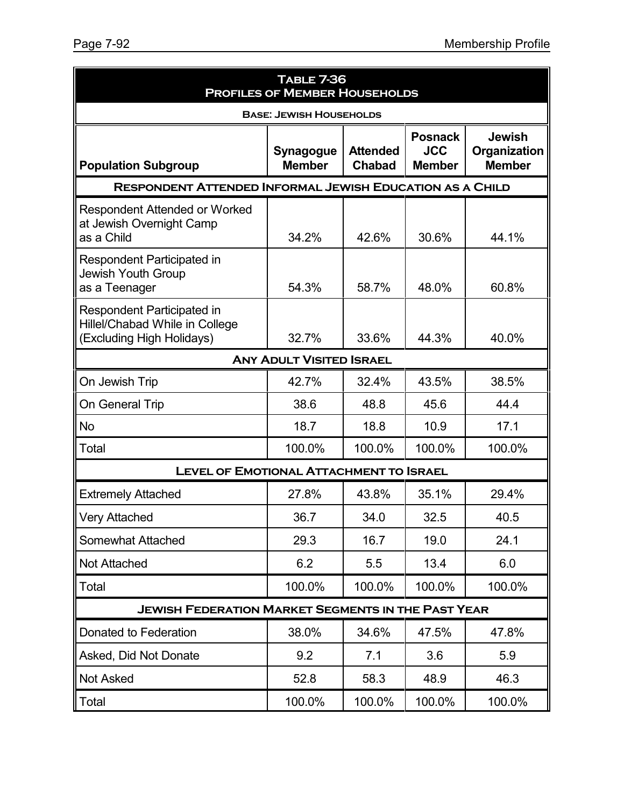| <b>TABLE 7-36</b><br><b>PROFILES OF MEMBER HOUSEHOLDS</b>                                        |                                                           |                                  |                                               |                                                |  |  |  |
|--------------------------------------------------------------------------------------------------|-----------------------------------------------------------|----------------------------------|-----------------------------------------------|------------------------------------------------|--|--|--|
| <b>BASE: JEWISH HOUSEHOLDS</b>                                                                   |                                                           |                                  |                                               |                                                |  |  |  |
| <b>Population Subgroup</b>                                                                       | Synagogue<br><b>Member</b>                                | <b>Attended</b><br><b>Chabad</b> | <b>Posnack</b><br><b>JCC</b><br><b>Member</b> | <b>Jewish</b><br>Organization<br><b>Member</b> |  |  |  |
| <b>RESPONDENT ATTENDED INFORMAL JEWISH EDUCATION AS A CHILD</b>                                  |                                                           |                                  |                                               |                                                |  |  |  |
| <b>Respondent Attended or Worked</b><br>at Jewish Overnight Camp<br>as a Child                   | 34.2%                                                     | 42.6%                            | 30.6%                                         | 44.1%                                          |  |  |  |
| Respondent Participated in<br>Jewish Youth Group<br>as a Teenager                                | 54.3%                                                     | 58.7%                            | 48.0%                                         | 60.8%                                          |  |  |  |
| <b>Respondent Participated in</b><br>Hillel/Chabad While in College<br>(Excluding High Holidays) | 32.7%                                                     | 33.6%                            | 44.3%                                         | 40.0%                                          |  |  |  |
| <b>ANY ADULT VISITED ISRAEL</b>                                                                  |                                                           |                                  |                                               |                                                |  |  |  |
| On Jewish Trip                                                                                   | 42.7%                                                     | 32.4%                            | 43.5%                                         | 38.5%                                          |  |  |  |
| On General Trip                                                                                  | 38.6                                                      | 48.8                             | 45.6                                          | 44.4                                           |  |  |  |
| <b>No</b>                                                                                        | 18.7                                                      | 18.8                             | 10.9                                          | 17.1                                           |  |  |  |
| Total                                                                                            | 100.0%                                                    | 100.0%                           | 100.0%                                        | 100.0%                                         |  |  |  |
| <b>LEVEL OF EMOTIONAL ATTACHMENT TO ISRAEL</b>                                                   |                                                           |                                  |                                               |                                                |  |  |  |
| <b>Extremely Attached</b>                                                                        | 27.8%                                                     | 43.8%                            | 35.1%                                         | 29.4%                                          |  |  |  |
| <b>Very Attached</b>                                                                             | 36.7                                                      | 34.0                             | 32.5                                          | 40.5                                           |  |  |  |
| Somewhat Attached                                                                                | 29.3                                                      | 16.7                             | 19.0                                          | 24.1                                           |  |  |  |
| <b>Not Attached</b>                                                                              | 6.2                                                       | 5.5                              | 13.4                                          | 6.0                                            |  |  |  |
| Total                                                                                            | 100.0%                                                    | 100.0%                           | 100.0%                                        | 100.0%                                         |  |  |  |
|                                                                                                  | <b>JEWISH FEDERATION MARKET SEGMENTS IN THE PAST YEAR</b> |                                  |                                               |                                                |  |  |  |
| Donated to Federation                                                                            | 38.0%                                                     | 34.6%                            | 47.5%                                         | 47.8%                                          |  |  |  |
| Asked, Did Not Donate                                                                            | 9.2                                                       | 7.1                              | 3.6                                           | 5.9                                            |  |  |  |
| <b>Not Asked</b>                                                                                 | 52.8                                                      | 58.3                             | 48.9                                          | 46.3                                           |  |  |  |
| Total                                                                                            | 100.0%                                                    | 100.0%                           | 100.0%                                        | 100.0%                                         |  |  |  |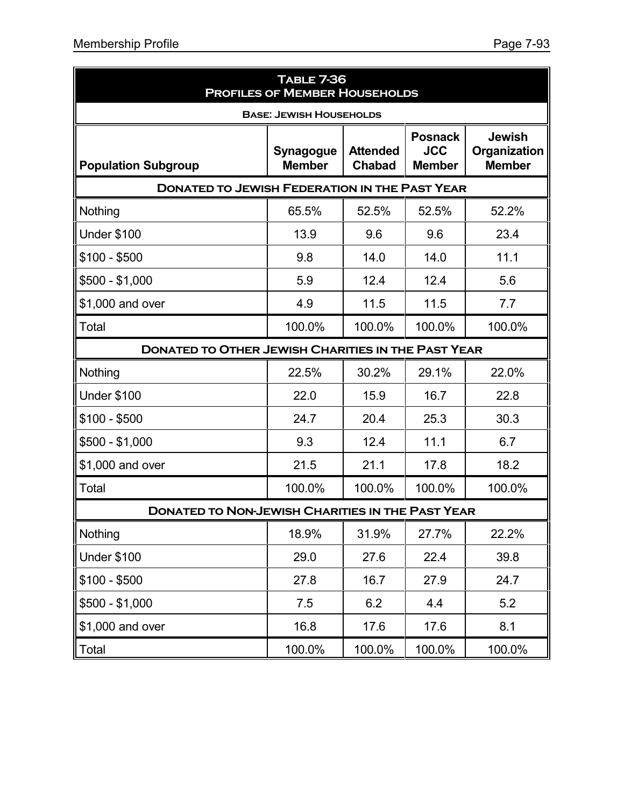| <b>TABLE 7-36</b><br><b>PROFILES OF MEMBER HOUSEHOLDS</b> |                                   |                                  |                                               |                                                |  |
|-----------------------------------------------------------|-----------------------------------|----------------------------------|-----------------------------------------------|------------------------------------------------|--|
| <b>BASE: JEWISH HOUSEHOLDS</b>                            |                                   |                                  |                                               |                                                |  |
| <b>Population Subgroup</b>                                | <b>Synagogue</b><br><b>Member</b> | <b>Attended</b><br><b>Chabad</b> | <b>Posnack</b><br><b>JCC</b><br><b>Member</b> | <b>Jewish</b><br>Organization<br><b>Member</b> |  |
| <b>DONATED TO JEWISH FEDERATION IN THE PAST YEAR</b>      |                                   |                                  |                                               |                                                |  |
| Nothing                                                   | 65.5%                             | 52.5%                            | 52.5%                                         | 52.2%                                          |  |
| Under \$100                                               | 13.9                              | 9.6                              | 9.6                                           | 23.4                                           |  |
| $$100 - $500$                                             | 9.8                               | 14.0                             | 14.0                                          | 11.1                                           |  |
| $$500 - $1,000$                                           | 5.9                               | 12.4                             | 12.4                                          | 5.6                                            |  |
| \$1,000 and over                                          | 4.9                               | 11.5                             | 11.5                                          | 7.7                                            |  |
| Total                                                     | 100.0%                            | 100.0%                           | 100.0%                                        | 100.0%                                         |  |
| <b>DONATED TO OTHER JEWISH CHARITIES IN THE PAST YEAR</b> |                                   |                                  |                                               |                                                |  |
| Nothing                                                   | 22.5%                             | 30.2%                            | 29.1%                                         | 22.0%                                          |  |
| <b>Under \$100</b>                                        | 22.0                              | 15.9                             | 16.7                                          | 22.8                                           |  |
| $$100 - $500$                                             | 24.7                              | 20.4                             | 25.3                                          | 30.3                                           |  |
| $$500 - $1,000$                                           | 9.3                               | 12.4                             | 11.1                                          | 6.7                                            |  |
| \$1,000 and over                                          | 21.5                              | 21.1                             | 17.8                                          | 18.2                                           |  |
| Total                                                     | 100.0%                            | 100.0%                           | 100.0%                                        | 100.0%                                         |  |
| <b>DONATED TO NON-JEWISH CHARITIES IN THE PAST YEAR</b>   |                                   |                                  |                                               |                                                |  |
| Nothing                                                   | 18.9%                             | 31.9%                            | 27.7%                                         | 22.2%                                          |  |
| <b>Under \$100</b>                                        | 29.0                              | 27.6                             | 22.4                                          | 39.8                                           |  |
| $$100 - $500$                                             | 27.8                              | 16.7                             | 27.9                                          | 24.7                                           |  |
| $$500 - $1,000$                                           | 7.5                               | 6.2                              | 4.4                                           | 5.2                                            |  |
| \$1,000 and over                                          | 16.8                              | 17.6                             | 17.6                                          | 8.1                                            |  |
| Total                                                     | 100.0%                            | 100.0%                           | 100.0%                                        | 100.0%                                         |  |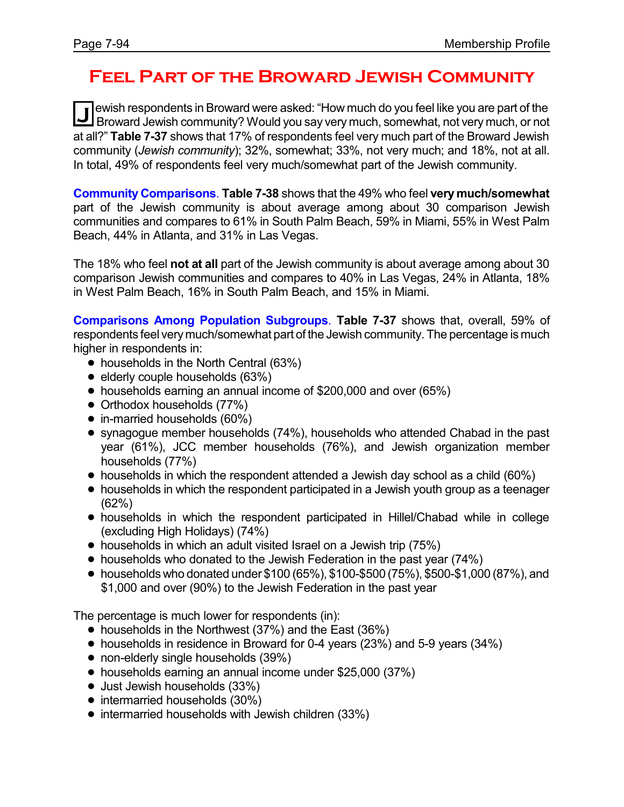# **Feel Part of the Broward Jewish Community**

**J** ewish respondents in Broward were asked: "How much do you feel like you are part of the<br>Broward Jewish community? Would you say very much, somewhat, not very much, or not ewish respondents in Broward were asked: "How much do you feel like you are part of the at all?" **Table 7-37** shows that 17% of respondents feel very much part of the Broward Jewish community (*Jewish community*); 32%, somewhat; 33%, not very much; and 18%, not at all. In total, 49% of respondents feel very much/somewhat part of the Jewish community.

**Community Comparisons**. **Table 7-38** shows that the 49% who feel **very much/somewhat** part of the Jewish community is about average among about 30 comparison Jewish communities and compares to 61% in South Palm Beach, 59% in Miami, 55% in West Palm Beach, 44% in Atlanta, and 31% in Las Vegas.

The 18% who feel **not at all** part of the Jewish community is about average among about 30 comparison Jewish communities and compares to 40% in Las Vegas, 24% in Atlanta, 18% in West Palm Beach, 16% in South Palm Beach, and 15% in Miami.

**Comparisons Among Population Subgroups**. **Table 7-37** shows that, overall, 59% of respondents feel very much/somewhat part of the Jewish community. The percentage is much higher in respondents in:

- households in the North Central (63%)
- $\bullet$  elderly couple households (63%)
- ! households earning an annual income of \$200,000 and over (65%)
- Orthodox households (77%)
- in-married households (60%)
- ! synagogue member households (74%), households who attended Chabad in the past year (61%), JCC member households (76%), and Jewish organization member households (77%)
- households in which the respondent attended a Jewish day school as a child (60%)
- households in which the respondent participated in a Jewish youth group as a teenager (62%)
- ! households in which the respondent participated in Hillel/Chabad while in college (excluding High Holidays) (74%)
- households in which an adult visited Israel on a Jewish trip (75%)
- households who donated to the Jewish Federation in the past year (74%)
- $\bullet$  households who donated under \$100 (65%), \$100-\$500 (75%), \$500-\$1,000 (87%), and \$1,000 and over (90%) to the Jewish Federation in the past year

The percentage is much lower for respondents (in):

- households in the Northwest (37%) and the East (36%)
- ! households in residence in Broward for 0-4 years (23%) and 5-9 years (34%)
- non-elderly single households (39%)
- households earning an annual income under \$25,000 (37%)
- Just Jewish households (33%)
- intermarried households (30%)
- intermarried households with Jewish children (33%)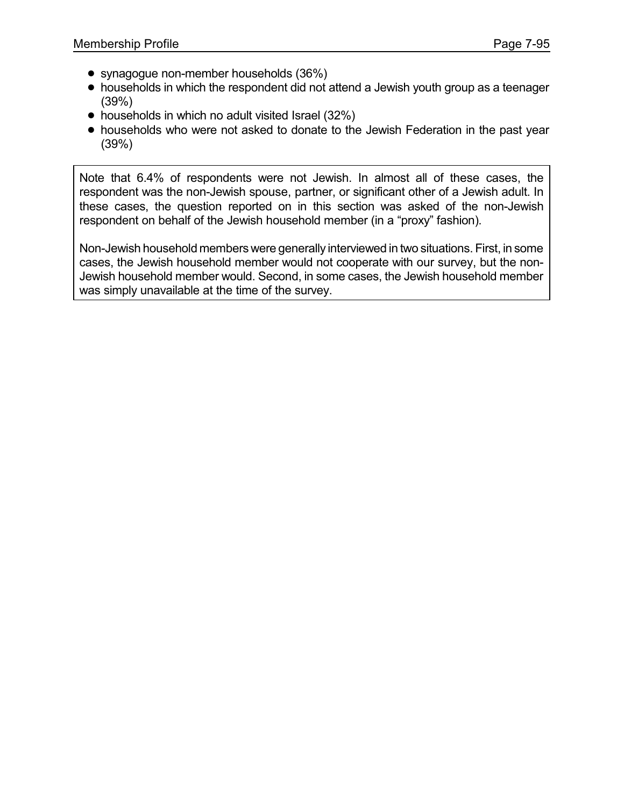- synagogue non-member households (36%)
- households in which the respondent did not attend a Jewish youth group as a teenager (39%)
- households in which no adult visited Israel (32%)
- ! households who were not asked to donate to the Jewish Federation in the past year (39%)

Note that 6.4% of respondents were not Jewish. In almost all of these cases, the respondent was the non-Jewish spouse, partner, or significant other of a Jewish adult. In these cases, the question reported on in this section was asked of the non-Jewish respondent on behalf of the Jewish household member (in a "proxy" fashion).

Non-Jewish household members were generally interviewed in two situations. First, in some cases, the Jewish household member would not cooperate with our survey, but the non-Jewish household member would. Second, in some cases, the Jewish household member was simply unavailable at the time of the survey.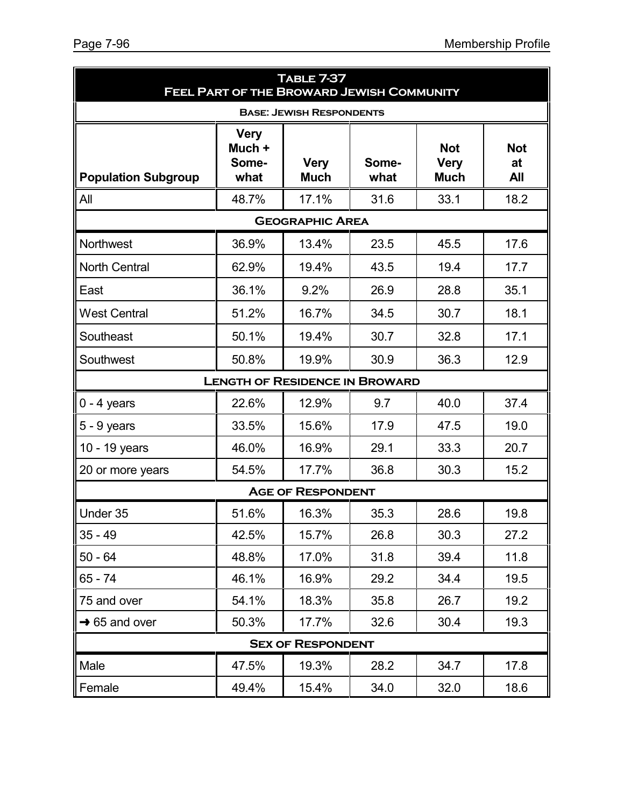| TABLE 7-37<br><b>FEEL PART OF THE BROWARD JEWISH COMMUNITY</b> |                                        |                                 |               |                                          |                                |
|----------------------------------------------------------------|----------------------------------------|---------------------------------|---------------|------------------------------------------|--------------------------------|
|                                                                |                                        | <b>BASE: JEWISH RESPONDENTS</b> |               |                                          |                                |
| <b>Population Subgroup</b>                                     | <b>Very</b><br>Much +<br>Some-<br>what | <b>Very</b><br><b>Much</b>      | Some-<br>what | <b>Not</b><br><b>Very</b><br><b>Much</b> | <b>Not</b><br>at<br><b>All</b> |
| All                                                            | 48.7%                                  | 17.1%                           | 31.6          | 33.1                                     | 18.2                           |
|                                                                |                                        | <b>GEOGRAPHIC AREA</b>          |               |                                          |                                |
| Northwest                                                      | 36.9%                                  | 13.4%                           | 23.5          | 45.5                                     | 17.6                           |
| <b>North Central</b>                                           | 62.9%                                  | 19.4%                           | 43.5          | 19.4                                     | 17.7                           |
| East                                                           | 36.1%                                  | 9.2%                            | 26.9          | 28.8                                     | 35.1                           |
| <b>West Central</b>                                            | 51.2%                                  | 16.7%                           | 34.5          | 30.7                                     | 18.1                           |
| Southeast                                                      | 50.1%                                  | 19.4%                           | 30.7          | 32.8                                     | 17.1                           |
| Southwest                                                      | 50.8%                                  | 19.9%                           | 30.9          | 36.3                                     | 12.9                           |
|                                                                | <b>LENGTH OF RESIDENCE IN BROWARD</b>  |                                 |               |                                          |                                |
| $0 - 4$ years                                                  | 22.6%                                  | 12.9%                           | 9.7           | 40.0                                     | 37.4                           |
| $5 - 9$ years                                                  | 33.5%                                  | 15.6%                           | 17.9          | 47.5                                     | 19.0                           |
| 10 - 19 years                                                  | 46.0%                                  | 16.9%                           | 29.1          | 33.3                                     | 20.7                           |
| 20 or more years                                               | 54.5%                                  | 17.7%                           | 36.8          | 30.3                                     | 15.2                           |
|                                                                |                                        | <b>AGE OF RESPONDENT</b>        |               |                                          |                                |
| Under 35                                                       | 51.6%                                  | 16.3%                           | 35.3          | 28.6                                     | 19.8                           |
| $35 - 49$                                                      | 42.5%                                  | 15.7%                           | 26.8          | 30.3                                     | 27.2                           |
| $50 - 64$                                                      | 48.8%                                  | 17.0%                           | 31.8          | 39.4                                     | 11.8                           |
| 65 - 74                                                        | 46.1%                                  | 16.9%                           | 29.2          | 34.4                                     | 19.5                           |
| 75 and over                                                    | 54.1%                                  | 18.3%                           | 35.8          | 26.7                                     | 19.2                           |
| $\rightarrow$ 65 and over                                      | 50.3%                                  | 17.7%                           | 32.6          | 30.4                                     | 19.3                           |
|                                                                |                                        | <b>SEX OF RESPONDENT</b>        |               |                                          |                                |
| Male                                                           | 47.5%                                  | 19.3%                           | 28.2          | 34.7                                     | 17.8                           |
| Female                                                         | 49.4%                                  | 15.4%                           | 34.0          | 32.0                                     | 18.6                           |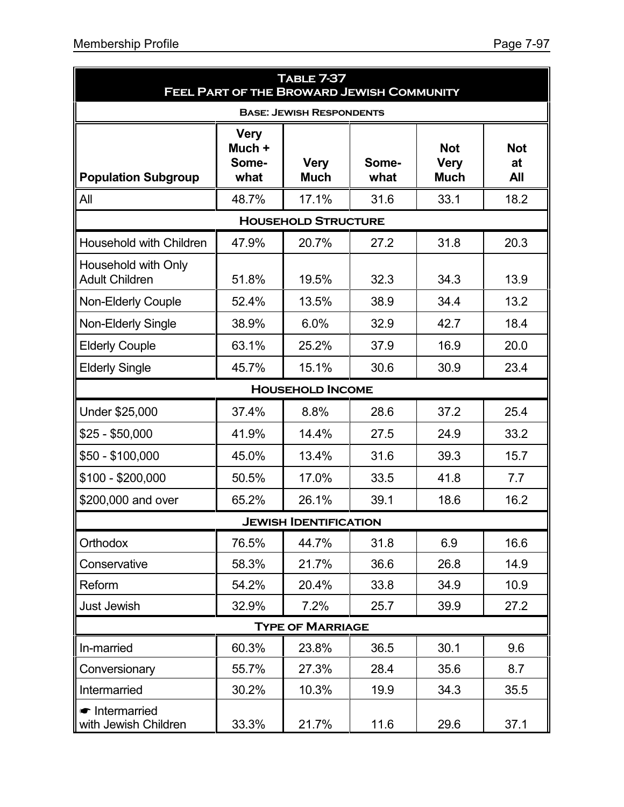• Intermarried

| <b>Membership Profile</b><br>Page 7-97       |                                        |                                                                       |               |                                          |                                |
|----------------------------------------------|----------------------------------------|-----------------------------------------------------------------------|---------------|------------------------------------------|--------------------------------|
|                                              |                                        | <b>TABLE 7-37</b><br><b>FEEL PART OF THE BROWARD JEWISH COMMUNITY</b> |               |                                          |                                |
|                                              |                                        | <b>BASE: JEWISH RESPONDENTS</b>                                       |               |                                          |                                |
| <b>Population Subgroup</b>                   | <b>Very</b><br>Much +<br>Some-<br>what | <b>Very</b><br><b>Much</b>                                            | Some-<br>what | <b>Not</b><br><b>Very</b><br><b>Much</b> | <b>Not</b><br>at<br><b>All</b> |
| All                                          | 48.7%                                  | 17.1%                                                                 | 31.6          | 33.1                                     | 18.2                           |
|                                              |                                        | <b>HOUSEHOLD STRUCTURE</b>                                            |               |                                          |                                |
| Household with Children                      | 47.9%                                  | 20.7%                                                                 | 27.2          | 31.8                                     | 20.3                           |
| Household with Only<br><b>Adult Children</b> | 51.8%                                  | 19.5%                                                                 | 32.3          | 34.3                                     | 13.9                           |
| <b>Non-Elderly Couple</b>                    | 52.4%                                  | 13.5%                                                                 | 38.9          | 34.4                                     | 13.2                           |
| Non-Elderly Single                           | 38.9%                                  | 6.0%                                                                  | 32.9          | 42.7                                     | 18.4                           |
| <b>Elderly Couple</b>                        | 63.1%                                  | 25.2%                                                                 | 37.9          | 16.9                                     | 20.0                           |
| <b>Elderly Single</b>                        | 45.7%                                  | 15.1%                                                                 | 30.6          | 30.9                                     | 23.4                           |
|                                              |                                        | <b>HOUSEHOLD INCOME</b>                                               |               |                                          |                                |
| Under \$25,000                               | 37.4%                                  | 8.8%                                                                  | 28.6          | 37.2                                     | 25.4                           |
| $$25 - $50,000$                              | 41.9%                                  | 14.4%                                                                 | 27.5          | 24.9                                     | 33.2                           |
| $$50 - $100,000$                             | 45.0%                                  | 13.4%                                                                 | 31.6          | 39.3                                     | 15.7                           |
| $$100 - $200,000$                            | 50.5%                                  | 17.0%                                                                 | 33.5          | 41.8                                     | 7.7                            |
| \$200,000 and over                           | 65.2%                                  | 26.1%                                                                 | 39.1          | 18.6                                     | 16.2                           |
|                                              |                                        | <b>JEWISH IDENTIFICATION</b>                                          |               |                                          |                                |

| \$200,000 and over           | 65.2% | 26.1% | 39.1 | 18.6 | 16.2 |  |  |
|------------------------------|-------|-------|------|------|------|--|--|
| <b>JEWISH IDENTIFICATION</b> |       |       |      |      |      |  |  |
| <b>Orthodox</b>              | 76.5% | 44.7% | 31.8 | 6.9  | 16.6 |  |  |
| Conservative                 | 58.3% | 21.7% | 36.6 | 26.8 | 14.9 |  |  |
| Reform                       | 54.2% | 20.4% | 33.8 | 34.9 | 10.9 |  |  |
| Just Jewish                  | 32.9% | 7.2%  | 25.7 | 39.9 | 27.2 |  |  |
| <b>TYPE OF MARRIAGE</b>      |       |       |      |      |      |  |  |
| In-married                   | 60.3% | 23.8% | 36.5 | 30.1 | 9.6  |  |  |
| Conversionary                | 55.7% | 27.3% | 28.4 | 35.6 | 8.7  |  |  |
|                              |       |       |      |      |      |  |  |

Intermarried 130.2% 10.3% 19.9 34.3 35.5

vith Jewish Children | 33.3% | 21.7% | 11.6 | 29.6 | 37.1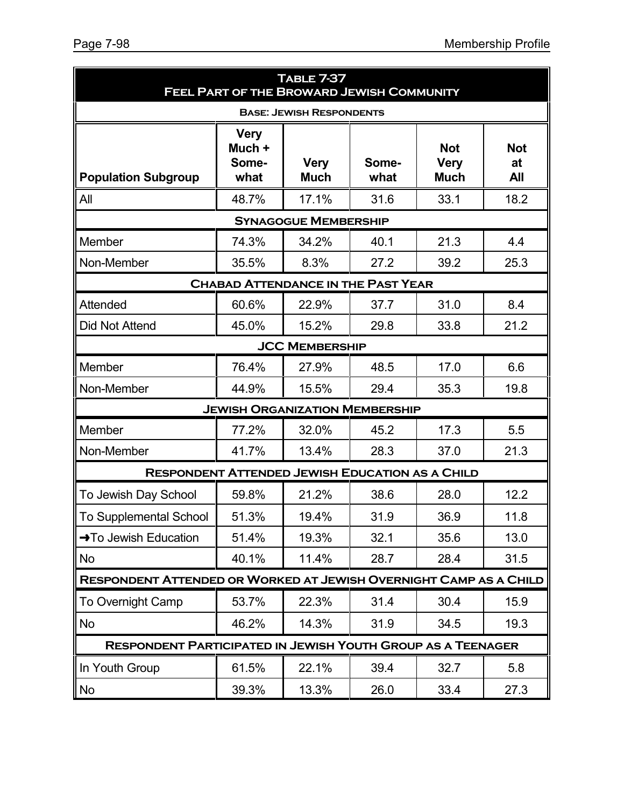| <b>TABLE 7-37</b><br>FEEL PART OF THE BROWARD JEWISH COMMUNITY     |                                        |                                 |                                           |                                          |                                |
|--------------------------------------------------------------------|----------------------------------------|---------------------------------|-------------------------------------------|------------------------------------------|--------------------------------|
|                                                                    |                                        | <b>BASE: JEWISH RESPONDENTS</b> |                                           |                                          |                                |
| <b>Population Subgroup</b>                                         | <b>Very</b><br>Much +<br>Some-<br>what | <b>Very</b><br><b>Much</b>      | Some-<br>what                             | <b>Not</b><br><b>Very</b><br><b>Much</b> | <b>Not</b><br>at<br><b>All</b> |
| All                                                                | 48.7%                                  | 17.1%                           | 31.6                                      | 33.1                                     | 18.2                           |
|                                                                    |                                        | <b>SYNAGOGUE MEMBERSHIP</b>     |                                           |                                          |                                |
| Member                                                             | 74.3%                                  | 34.2%                           | 40.1                                      | 21.3                                     | 4.4                            |
| Non-Member                                                         | 35.5%                                  | 8.3%                            | 27.2                                      | 39.2                                     | 25.3                           |
|                                                                    |                                        |                                 | <b>CHABAD ATTENDANCE IN THE PAST YEAR</b> |                                          |                                |
| Attended                                                           | 60.6%                                  | 22.9%                           | 37.7                                      | 31.0                                     | 8.4                            |
| <b>Did Not Attend</b>                                              | 45.0%                                  | 15.2%                           | 29.8                                      | 33.8                                     | 21.2                           |
|                                                                    |                                        | <b>JCC MEMBERSHIP</b>           |                                           |                                          |                                |
| Member                                                             | 76.4%                                  | 27.9%                           | 48.5                                      | 17.0                                     | 6.6                            |
| Non-Member                                                         | 44.9%                                  | 15.5%                           | 29.4                                      | 35.3                                     | 19.8                           |
|                                                                    |                                        |                                 | <b>JEWISH ORGANIZATION MEMBERSHIP</b>     |                                          |                                |
| Member                                                             | 77.2%                                  | 32.0%                           | 45.2                                      | 17.3                                     | 5.5                            |
| Non-Member                                                         | 41.7%                                  | 13.4%                           | 28.3                                      | 37.0                                     | 21.3                           |
| <b>RESPONDENT ATTENDED JEWISH EDUCATION AS A CHILD</b>             |                                        |                                 |                                           |                                          |                                |
| To Jewish Day School                                               | 59.8%                                  | 21.2%                           | 38.6                                      | 28.0                                     | 12.2                           |
| To Supplemental School                                             | 51.3%                                  | 19.4%                           | 31.9                                      | 36.9                                     | 11.8                           |
| →To Jewish Education                                               | 51.4%                                  | 19.3%                           | 32.1                                      | 35.6                                     | 13.0                           |
| No.                                                                | 40.1%                                  | 11.4%                           | 28.7                                      | 28.4                                     | 31.5                           |
| RESPONDENT ATTENDED OR WORKED AT JEWISH OVERNIGHT CAMP AS A CHILD  |                                        |                                 |                                           |                                          |                                |
| To Overnight Camp                                                  | 53.7%                                  | 22.3%                           | 31.4                                      | 30.4                                     | 15.9                           |
| No                                                                 | 46.2%                                  | 14.3%                           | 31.9                                      | 34.5                                     | 19.3                           |
| <b>RESPONDENT PARTICIPATED IN JEWISH YOUTH GROUP AS A TEENAGER</b> |                                        |                                 |                                           |                                          |                                |
| In Youth Group                                                     | 61.5%                                  | 22.1%                           | 39.4                                      | 32.7                                     | 5.8                            |
| No                                                                 | 39.3%                                  | 13.3%                           | 26.0                                      | 33.4                                     | 27.3                           |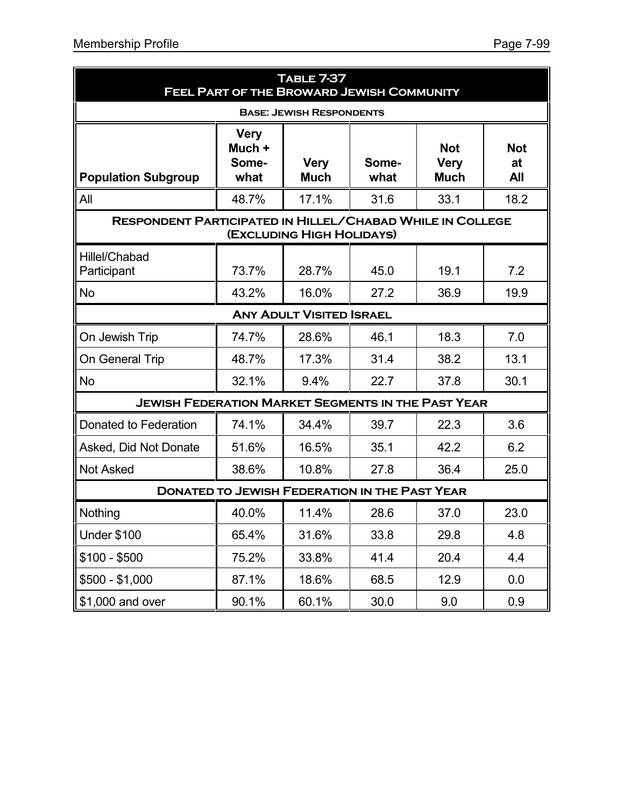| <b>TABLE 7-37</b><br>FEEL PART OF THE BROWARD JEWISH COMMUNITY   |                                        |                                 |               |                                          |                         |
|------------------------------------------------------------------|----------------------------------------|---------------------------------|---------------|------------------------------------------|-------------------------|
|                                                                  |                                        | <b>BASE: JEWISH RESPONDENTS</b> |               |                                          |                         |
| <b>Population Subgroup</b>                                       | <b>Very</b><br>Much +<br>Some-<br>what | <b>Very</b><br><b>Much</b>      | Some-<br>what | <b>Not</b><br><b>Very</b><br><b>Much</b> | <b>Not</b><br>at<br>All |
| All                                                              | 48.7%                                  | 17.1%                           | 31.6          | 33.1                                     | 18.2                    |
| <b>RESPONDENT PARTICIPATED IN HILLEL/CHABAD WHILE IN COLLEGE</b> |                                        | (EXCLUDING HIGH HOLIDAYS)       |               |                                          |                         |
| <b>Hillel/Chabad</b><br>Participant                              | 73.7%                                  | 28.7%                           | 45.0          | 19.1                                     | 7.2                     |
| <b>No</b>                                                        | 43.2%                                  | 16.0%                           | 27.2          | 36.9                                     | 19.9                    |
|                                                                  |                                        | <b>ANY ADULT VISITED ISRAEL</b> |               |                                          |                         |
| On Jewish Trip                                                   | 74.7%                                  | 28.6%                           | 46.1          | 18.3                                     | 7.0                     |
| On General Trip                                                  | 48.7%                                  | 17.3%                           | 31.4          | 38.2                                     | 13.1                    |
| No                                                               | 32.1%                                  | 9.4%                            | 22.7          | 37.8                                     | 30.1                    |
| <b>JEWISH FEDERATION MARKET SEGMENTS IN THE PAST YEAR</b>        |                                        |                                 |               |                                          |                         |
| Donated to Federation                                            | 74.1%                                  | 34.4%                           | 39.7          | 22.3                                     | 3.6                     |
| Asked, Did Not Donate                                            | 51.6%                                  | 16.5%                           | 35.1          | 42.2                                     | 6.2                     |
| <b>Not Asked</b>                                                 | 38.6%                                  | 10.8%                           | 27.8          | 36.4                                     | 25.0                    |
| <b>DONATED TO JEWISH FEDERATION IN THE PAST YEAR</b>             |                                        |                                 |               |                                          |                         |
| Nothing                                                          | 40.0%                                  | 11.4%                           | 28.6          | 37.0                                     | 23.0                    |
| <b>Under \$100</b>                                               | 65.4%                                  | 31.6%                           | 33.8          | 29.8                                     | 4.8                     |
| $$100 - $500$                                                    | 75.2%                                  | 33.8%                           | 41.4          | 20.4                                     | 4.4                     |
| \$500 - \$1,000                                                  | 87.1%                                  | 18.6%                           | 68.5          | 12.9                                     | 0.0                     |
| \$1,000 and over                                                 | 90.1%                                  | 60.1%                           | 30.0          | 9.0                                      | 0.9                     |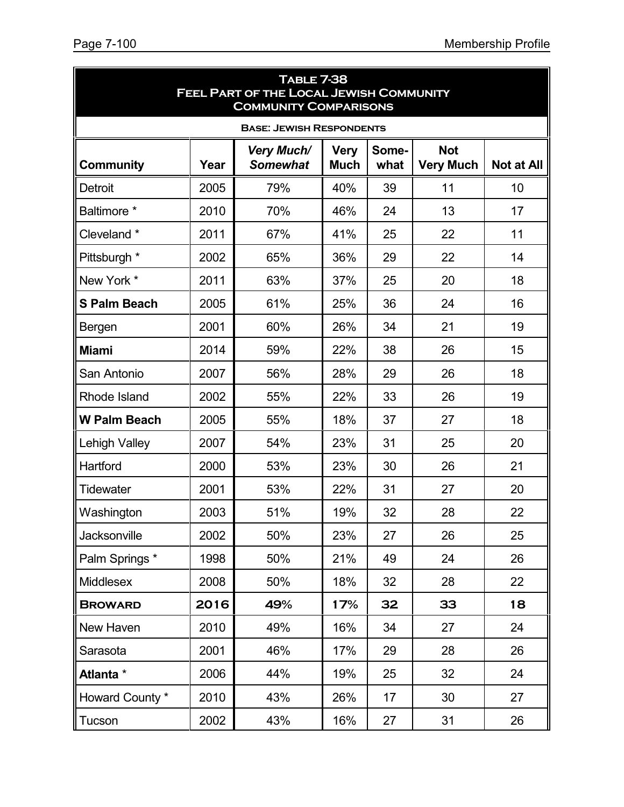| <b>TABLE 7-38</b><br>FEEL PART OF THE LOCAL JEWISH COMMUNITY<br><b>COMMUNITY COMPARISONS</b> |      |                                      |                            |               |                                |                   |
|----------------------------------------------------------------------------------------------|------|--------------------------------------|----------------------------|---------------|--------------------------------|-------------------|
|                                                                                              |      | <b>BASE: JEWISH RESPONDENTS</b>      |                            |               |                                |                   |
| Community                                                                                    | Year | <b>Very Much/</b><br><b>Somewhat</b> | <b>Very</b><br><b>Much</b> | Some-<br>what | <b>Not</b><br><b>Very Much</b> | <b>Not at All</b> |
| Detroit                                                                                      | 2005 | 79%                                  | 40%                        | 39            | 11                             | 10                |
| Baltimore *                                                                                  | 2010 | 70%                                  | 46%                        | 24            | 13                             | 17                |
| Cleveland *                                                                                  | 2011 | 67%                                  | 41%                        | 25            | 22                             | 11                |
| Pittsburgh *                                                                                 | 2002 | 65%                                  | 36%                        | 29            | 22                             | 14                |
| New York *                                                                                   | 2011 | 63%                                  | 37%                        | 25            | 20                             | 18                |
| <b>S Palm Beach</b>                                                                          | 2005 | 61%                                  | 25%                        | 36            | 24                             | 16                |
| Bergen                                                                                       | 2001 | 60%                                  | 26%                        | 34            | 21                             | 19                |
| <b>Miami</b>                                                                                 | 2014 | 59%                                  | 22%                        | 38            | 26                             | 15                |
| San Antonio                                                                                  | 2007 | 56%                                  | 28%                        | 29            | 26                             | 18                |
| Rhode Island                                                                                 | 2002 | 55%                                  | 22%                        | 33            | 26                             | 19                |
| <b>W Palm Beach</b>                                                                          | 2005 | 55%                                  | 18%                        | 37            | 27                             | 18                |
| <b>Lehigh Valley</b>                                                                         | 2007 | 54%                                  | 23%                        | 31            | 25                             | 20                |
| Hartford                                                                                     | 2000 | 53%                                  | 23%                        | 30            | 26                             | 21                |
| <b>Tidewater</b>                                                                             | 2001 | 53%                                  | 22%                        | 31            | 27                             | 20                |
| Washington                                                                                   | 2003 | 51%                                  | 19%                        | 32            | 28                             | 22                |
| Jacksonville                                                                                 | 2002 | 50%                                  | 23%                        | 27            | 26                             | 25                |
| Palm Springs *                                                                               | 1998 | 50%                                  | 21%                        | 49            | 24                             | 26                |
| <b>Middlesex</b>                                                                             | 2008 | 50%                                  | 18%                        | 32            | 28                             | 22                |
| <b>BROWARD</b>                                                                               | 2016 | 49%                                  | 17%                        | 32            | 33                             | 18                |
| New Haven                                                                                    | 2010 | 49%                                  | 16%                        | 34            | 27                             | 24                |
| Sarasota                                                                                     | 2001 | 46%                                  | 17%                        | 29            | 28                             | 26                |
| Atlanta *                                                                                    | 2006 | 44%                                  | 19%                        | 25            | 32                             | 24                |
| Howard County *                                                                              | 2010 | 43%                                  | 26%                        | 17            | 30                             | 27                |
| Tucson                                                                                       | 2002 | 43%                                  | 16%                        | 27            | 31                             | 26                |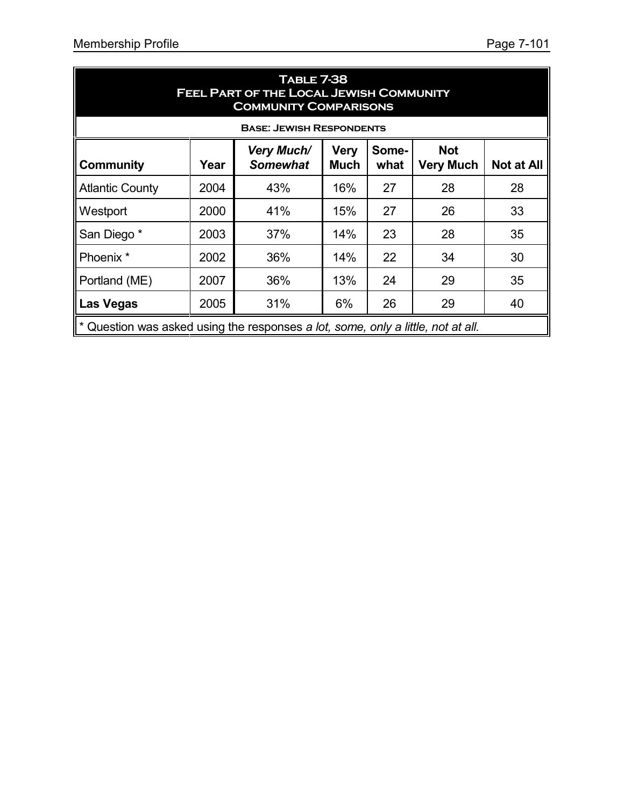| <b>TABLE 7-38</b><br><b>FEEL PART OF THE LOCAL JEWISH COMMUNITY</b><br><b>COMMUNITY COMPARISONS</b> |      |                                      |                            |               |                                |                   |
|-----------------------------------------------------------------------------------------------------|------|--------------------------------------|----------------------------|---------------|--------------------------------|-------------------|
|                                                                                                     |      | <b>BASE: JEWISH RESPONDENTS</b>      |                            |               |                                |                   |
| <b>Community</b>                                                                                    | Year | <b>Very Much/</b><br><b>Somewhat</b> | <b>Very</b><br><b>Much</b> | Some-<br>what | <b>Not</b><br><b>Very Much</b> | <b>Not at All</b> |
| <b>Atlantic County</b>                                                                              | 2004 | 43%                                  | 16%                        | 27            | 28                             | 28                |
| Westport                                                                                            | 2000 | 41%                                  | 15%                        | 27            | 26                             | 33                |
| San Diego*                                                                                          | 2003 | 37%                                  | 14%                        | 23            | 28                             | 35                |
| Phoenix <sup>*</sup>                                                                                | 2002 | 36%                                  | 14%                        | 22            | 34                             | 30                |
| Portland (ME)                                                                                       | 2007 | 36%                                  | 13%                        | 24            | 29                             | 35                |
| <b>Las Vegas</b>                                                                                    | 2005 | 31%                                  | 6%                         | 26            | 29                             | 40                |
| $\parallel^*$ Question was asked using the responses a lot, some, only a little, not at all.        |      |                                      |                            |               |                                |                   |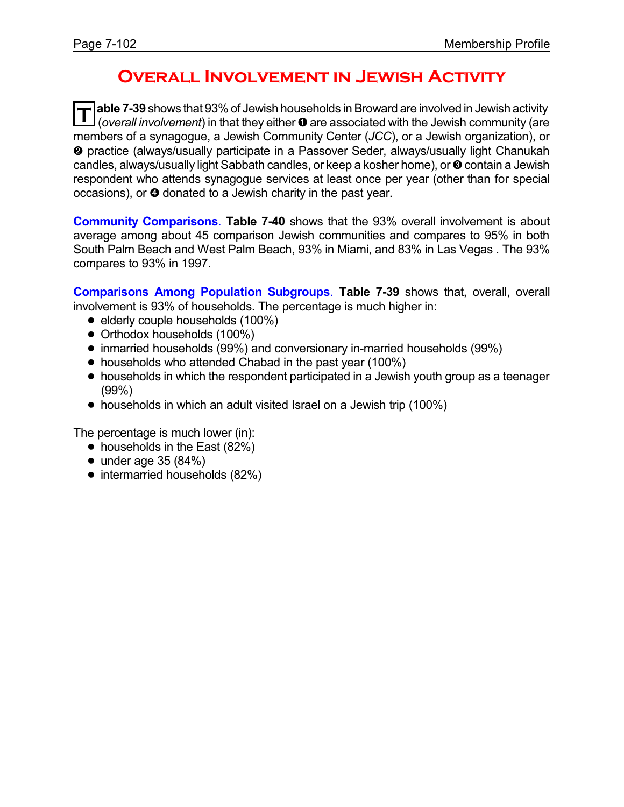# **Overall Involvement in Jewish Activity**

**T Jable 7-39** shows that 93% of Jewish households in Broward are involved in Jewish activity l (*overall involvement*) in that they either  $\bullet$  are associated with the Jewish community (are members of a synagogue, a Jewish Community Center (*JCC*), or a Jewish organization), or <sup>2</sup> practice (always/usually participate in a Passover Seder, always/usually light Chanukah candles, always/usually light Sabbath candles, or keep a kosher home), or **@** contain a Jewish respondent who attends synagogue services at least once per year (other than for special occasions), or  $\bullet$  donated to a Jewish charity in the past year.

**Community Comparisons**. **Table 7-40** shows that the 93% overall involvement is about average among about 45 comparison Jewish communities and compares to 95% in both South Palm Beach and West Palm Beach, 93% in Miami, and 83% in Las Vegas . The 93% compares to 93% in 1997.

**Comparisons Among Population Subgroups**. **Table 7-39** shows that, overall, overall involvement is 93% of households. The percentage is much higher in:

- elderly couple households (100%)
- Orthodox households (100%)
- ! inmarried households (99%) and conversionary in-married households (99%)
- households who attended Chabad in the past year (100%)
- households in which the respondent participated in a Jewish youth group as a teenager (99%)
- households in which an adult visited Israel on a Jewish trip (100%)

The percentage is much lower (in):

- households in the East (82%)
- $\bullet$  under age 35 (84%)
- intermarried households (82%)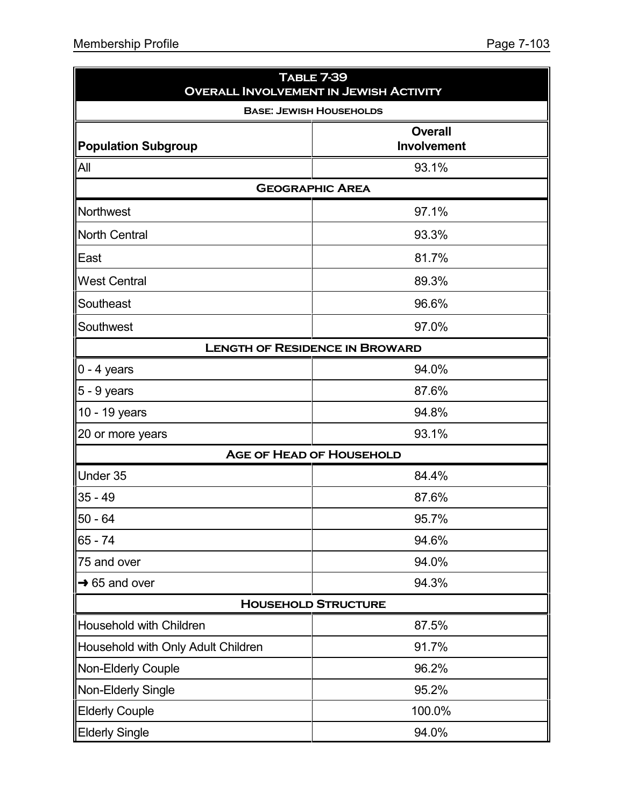| <b>TABLE 7-39</b><br><b>OVERALL INVOLVEMENT IN JEWISH ACTIVITY</b> |                                      |  |  |  |  |  |  |
|--------------------------------------------------------------------|--------------------------------------|--|--|--|--|--|--|
| <b>BASE: JEWISH HOUSEHOLDS</b>                                     |                                      |  |  |  |  |  |  |
| Population Subgroup                                                | <b>Overall</b><br><b>Involvement</b> |  |  |  |  |  |  |
| All                                                                | 93.1%                                |  |  |  |  |  |  |
| <b>GEOGRAPHIC AREA</b>                                             |                                      |  |  |  |  |  |  |
| Northwest                                                          | 97.1%                                |  |  |  |  |  |  |
| North Central                                                      | 93.3%                                |  |  |  |  |  |  |
| East                                                               | 81.7%                                |  |  |  |  |  |  |
| <b>West Central</b>                                                | 89.3%                                |  |  |  |  |  |  |
| Southeast                                                          | 96.6%                                |  |  |  |  |  |  |
| Southwest                                                          | 97.0%                                |  |  |  |  |  |  |
| <b>LENGTH OF RESIDENCE IN BROWARD</b>                              |                                      |  |  |  |  |  |  |
| $ 0 - 4$ years                                                     | 94.0%                                |  |  |  |  |  |  |
| $\vert 5 - 9$ years                                                | 87.6%                                |  |  |  |  |  |  |
| 10 - 19 years                                                      | 94.8%                                |  |  |  |  |  |  |
| 20 or more years                                                   | 93.1%                                |  |  |  |  |  |  |
|                                                                    | <b>AGE OF HEAD OF HOUSEHOLD</b>      |  |  |  |  |  |  |
| Under 35                                                           | 84.4%                                |  |  |  |  |  |  |
| $35 - 49$                                                          | 87.6%                                |  |  |  |  |  |  |
| $50 - 64$                                                          | 95.7%                                |  |  |  |  |  |  |
| 65 - 74                                                            | 94.6%                                |  |  |  |  |  |  |
| 75 and over                                                        | 94.0%                                |  |  |  |  |  |  |
| $\rightarrow$ 65 and over                                          | 94.3%                                |  |  |  |  |  |  |
|                                                                    | <b>HOUSEHOLD STRUCTURE</b>           |  |  |  |  |  |  |
| Household with Children                                            | 87.5%                                |  |  |  |  |  |  |
| Household with Only Adult Children                                 | 91.7%                                |  |  |  |  |  |  |
| Non-Elderly Couple                                                 | 96.2%                                |  |  |  |  |  |  |
| Non-Elderly Single                                                 | 95.2%                                |  |  |  |  |  |  |
| <b>Elderly Couple</b>                                              | 100.0%                               |  |  |  |  |  |  |
| <b>Elderly Single</b>                                              | 94.0%                                |  |  |  |  |  |  |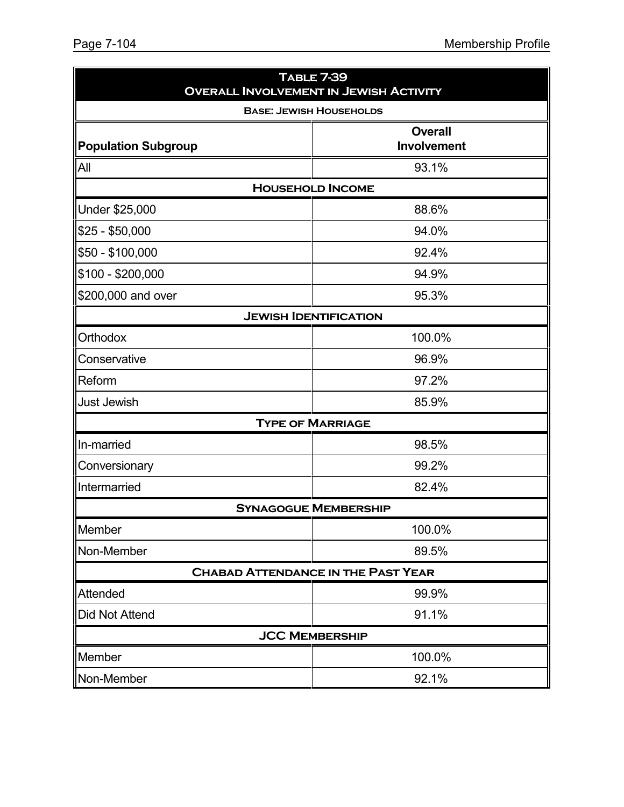| <b>TABLE 7-39</b><br><b>OVERALL INVOLVEMENT IN JEWISH ACTIVITY</b> |                                |  |  |  |
|--------------------------------------------------------------------|--------------------------------|--|--|--|
|                                                                    | <b>BASE: JEWISH HOUSEHOLDS</b> |  |  |  |
| <b>Population Subgroup</b>                                         | <b>Overall</b><br>Involvement  |  |  |  |
| All                                                                | 93.1%                          |  |  |  |
|                                                                    | <b>HOUSEHOLD INCOME</b>        |  |  |  |
| Under \$25,000                                                     | 88.6%                          |  |  |  |
| $$25 - $50,000$                                                    | 94.0%                          |  |  |  |
| \$50 - \$100,000                                                   | 92.4%                          |  |  |  |
| $$100 - $200,000$                                                  | 94.9%                          |  |  |  |
| \$200,000 and over                                                 | 95.3%                          |  |  |  |
|                                                                    | <b>JEWISH IDENTIFICATION</b>   |  |  |  |
| Orthodox                                                           | 100.0%                         |  |  |  |
| Conservative                                                       | 96.9%                          |  |  |  |
| Reform                                                             | 97.2%                          |  |  |  |
| <b>Just Jewish</b>                                                 | 85.9%                          |  |  |  |
|                                                                    | <b>TYPE OF MARRIAGE</b>        |  |  |  |
| In-married                                                         | 98.5%                          |  |  |  |
| Conversionary                                                      | 99.2%                          |  |  |  |
| Intermarried                                                       | 82.4%                          |  |  |  |
|                                                                    | <b>SYNAGOGUE MEMBERSHIP</b>    |  |  |  |
| Member                                                             | 100.0%                         |  |  |  |
| Non-Member                                                         | 89.5%                          |  |  |  |
| <b>CHABAD ATTENDANCE IN THE PAST YEAR</b>                          |                                |  |  |  |
| Attended                                                           | 99.9%                          |  |  |  |
| Did Not Attend                                                     | 91.1%                          |  |  |  |
|                                                                    | <b>JCC MEMBERSHIP</b>          |  |  |  |
| Member                                                             | 100.0%                         |  |  |  |
| 92.1%<br>Non-Member                                                |                                |  |  |  |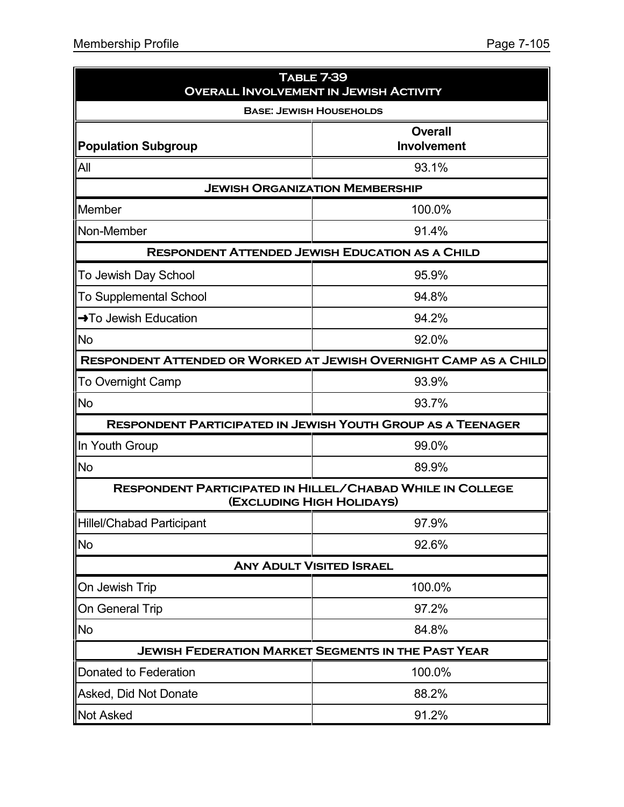| <b>TABLE 7-39</b><br><b>OVERALL INVOLVEMENT IN JEWISH ACTIVITY</b> |                                                                                               |  |  |  |
|--------------------------------------------------------------------|-----------------------------------------------------------------------------------------------|--|--|--|
|                                                                    | <b>BASE: JEWISH HOUSEHOLDS</b>                                                                |  |  |  |
| <b>Population Subgroup</b>                                         | <b>Overall</b><br><b>Involvement</b>                                                          |  |  |  |
| All                                                                | 93.1%                                                                                         |  |  |  |
|                                                                    | <b>JEWISH ORGANIZATION MEMBERSHIP</b>                                                         |  |  |  |
| Member                                                             | 100.0%                                                                                        |  |  |  |
| Non-Member                                                         | 91.4%                                                                                         |  |  |  |
|                                                                    | <b>RESPONDENT ATTENDED JEWISH EDUCATION AS A CHILD</b>                                        |  |  |  |
| To Jewish Day School                                               | 95.9%                                                                                         |  |  |  |
| <b>To Supplemental School</b>                                      | 94.8%                                                                                         |  |  |  |
| →To Jewish Education                                               | 94.2%                                                                                         |  |  |  |
| No                                                                 | 92.0%                                                                                         |  |  |  |
| RESPONDENT ATTENDED OR WORKED AT JEWISH OVERNIGHT CAMP AS A CHILD  |                                                                                               |  |  |  |
| <b>To Overnight Camp</b>                                           | 93.9%                                                                                         |  |  |  |
| No                                                                 | 93.7%                                                                                         |  |  |  |
|                                                                    | <b>RESPONDENT PARTICIPATED IN JEWISH YOUTH GROUP AS A TEENAGER</b>                            |  |  |  |
| In Youth Group                                                     | 99.0%                                                                                         |  |  |  |
| <b>No</b>                                                          | 89.9%                                                                                         |  |  |  |
|                                                                    | <b>RESPONDENT PARTICIPATED IN HILLEL/CHABAD WHILE IN COLLEGE</b><br>(EXCLUDING HIGH HOLIDAYS) |  |  |  |
| <b>Hillel/Chabad Participant</b>                                   | 97.9%                                                                                         |  |  |  |
| <b>No</b>                                                          | 92.6%                                                                                         |  |  |  |
|                                                                    | <b>ANY ADULT VISITED ISRAEL</b>                                                               |  |  |  |
| On Jewish Trip                                                     | 100.0%                                                                                        |  |  |  |
| On General Trip                                                    | 97.2%                                                                                         |  |  |  |
| <b>No</b>                                                          | 84.8%                                                                                         |  |  |  |
| <b>JEWISH FEDERATION MARKET SEGMENTS IN THE PAST YEAR</b>          |                                                                                               |  |  |  |
| Donated to Federation                                              | 100.0%                                                                                        |  |  |  |
| Asked, Did Not Donate                                              | 88.2%                                                                                         |  |  |  |
| <b>Not Asked</b>                                                   | 91.2%                                                                                         |  |  |  |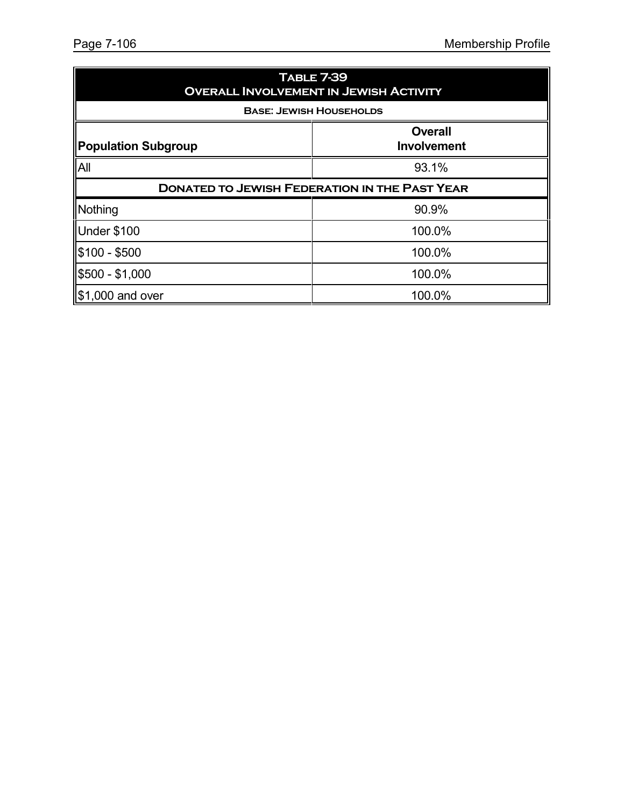| <b>TABLE 7-39</b><br><b>OVERALL INVOLVEMENT IN JEWISH ACTIVITY</b> |                                      |  |  |  |
|--------------------------------------------------------------------|--------------------------------------|--|--|--|
| <b>BASE: JEWISH HOUSEHOLDS</b>                                     |                                      |  |  |  |
| <b>Population Subgroup</b>                                         | <b>Overall</b><br><b>Involvement</b> |  |  |  |
| All                                                                | 93.1%                                |  |  |  |
| <b>DONATED TO JEWISH FEDERATION IN THE PAST YEAR</b>               |                                      |  |  |  |
| Nothing                                                            | 90.9%                                |  |  |  |
| Under \$100                                                        | 100.0%                               |  |  |  |
| \$100 - \$500                                                      | 100.0%                               |  |  |  |
| \$500 - \$1,000                                                    | 100.0%                               |  |  |  |
| $\$\,1,000$ and over                                               | 100.0%                               |  |  |  |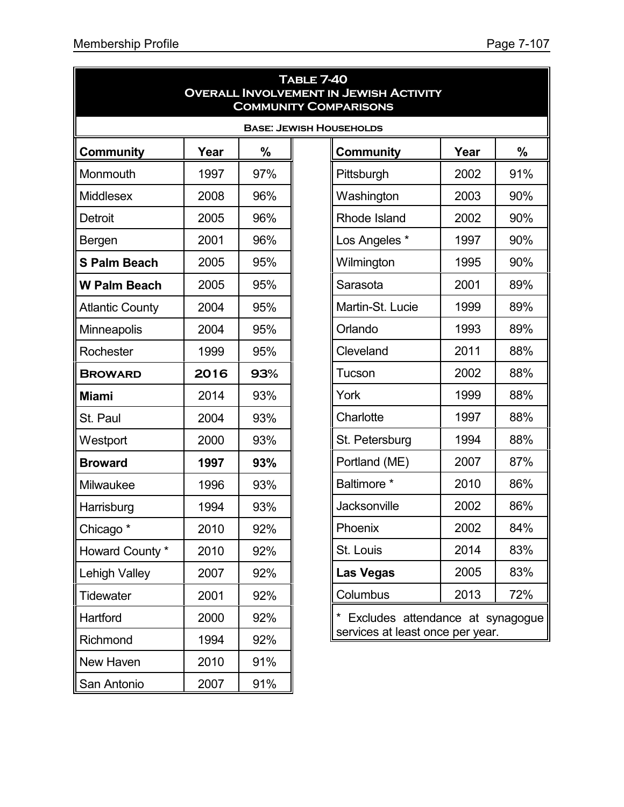| <b>TABLE 7-40</b><br><b>OVERALL INVOLVEMENT IN JEWISH ACTIVITY</b><br><b>COMMUNITY COMPARISONS</b> |      |     |                                  |      |               |  |  |
|----------------------------------------------------------------------------------------------------|------|-----|----------------------------------|------|---------------|--|--|
| <b>BASE: JEWISH HOUSEHOLDS</b>                                                                     |      |     |                                  |      |               |  |  |
| <b>Community</b>                                                                                   | Year | %   | Community                        | Year | $\frac{0}{0}$ |  |  |
| Monmouth                                                                                           | 1997 | 97% | Pittsburgh                       | 2002 | 91%           |  |  |
| <b>Middlesex</b>                                                                                   | 2008 | 96% | Washington                       | 2003 | 90%           |  |  |
| <b>Detroit</b>                                                                                     | 2005 | 96% | <b>Rhode Island</b>              | 2002 | 90%           |  |  |
| Bergen                                                                                             | 2001 | 96% | Los Angeles *                    | 1997 | 90%           |  |  |
| <b>S Palm Beach</b>                                                                                | 2005 | 95% | Wilmington                       | 1995 | 90%           |  |  |
| <b>W Palm Beach</b>                                                                                | 2005 | 95% | Sarasota                         | 2001 | 89%           |  |  |
| <b>Atlantic County</b>                                                                             | 2004 | 95% | Martin-St. Lucie                 | 1999 | 89%           |  |  |
| Minneapolis                                                                                        | 2004 | 95% | Orlando                          | 1993 | 89%           |  |  |
| Rochester                                                                                          | 1999 | 95% | Cleveland                        | 2011 | 88%           |  |  |
| <b>BROWARD</b>                                                                                     | 2016 | 93% | Tucson                           | 2002 | 88%           |  |  |
| <b>Miami</b>                                                                                       | 2014 | 93% | York                             | 1999 | 88%           |  |  |
| St. Paul                                                                                           | 2004 | 93% | Charlotte                        | 1997 | 88%           |  |  |
| Westport                                                                                           | 2000 | 93% | St. Petersburg                   | 1994 | 88%           |  |  |
| <b>Broward</b>                                                                                     | 1997 | 93% | Portland (ME)                    | 2007 | 87%           |  |  |
| Milwaukee                                                                                          | 1996 | 93% | Baltimore *                      | 2010 | 86%           |  |  |
| Harrisburg                                                                                         | 1994 | 93% | Jacksonville                     | 2002 | 86%           |  |  |
| Chicago <sup>*</sup>                                                                               | 2010 | 92% | Phoenix                          | 2002 | 84%           |  |  |
| Howard County *                                                                                    | 2010 | 92% | St. Louis                        | 2014 | 83%           |  |  |
| Lehigh Valley                                                                                      | 2007 | 92% | <b>Las Vegas</b>                 | 2005 | 83%           |  |  |
| <b>Tidewater</b>                                                                                   | 2001 | 92% | Columbus                         | 2013 | 72%           |  |  |
| Hartford                                                                                           | 2000 | 92% | Excludes attendance at synagogue |      |               |  |  |
| Richmond                                                                                           | 1994 | 92% | services at least once per year. |      |               |  |  |
| New Haven                                                                                          | 2010 | 91% |                                  |      |               |  |  |
| San Antonio                                                                                        | 2007 | 91% |                                  |      |               |  |  |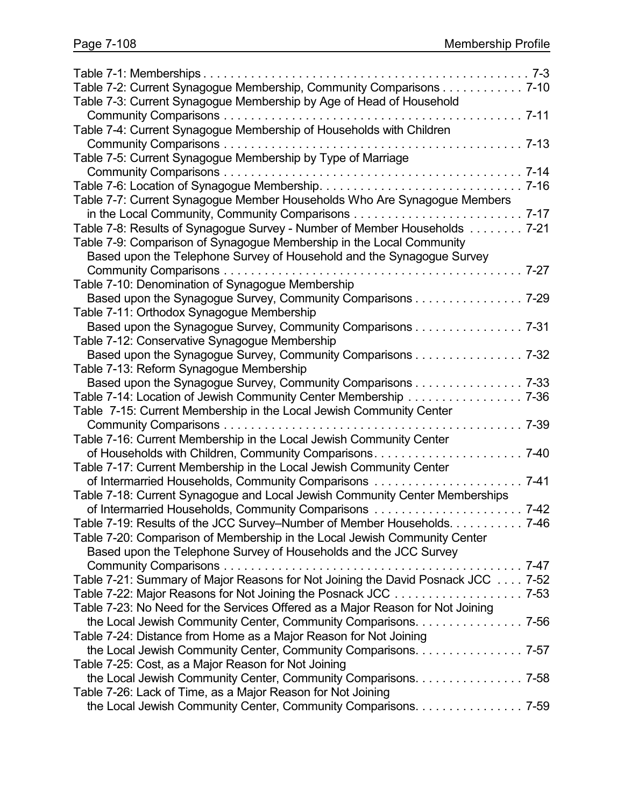| Table 7-2: Current Synagogue Membership, Community Comparisons 7-10             |          |
|---------------------------------------------------------------------------------|----------|
| Table 7-3: Current Synagogue Membership by Age of Head of Household             |          |
|                                                                                 |          |
| Table 7-4: Current Synagogue Membership of Households with Children             |          |
|                                                                                 |          |
| Table 7-5: Current Synagogue Membership by Type of Marriage                     |          |
|                                                                                 | $7 - 14$ |
|                                                                                 |          |
| Table 7-7: Current Synagogue Member Households Who Are Synagogue Members        |          |
|                                                                                 |          |
| Table 7-8: Results of Synagogue Survey - Number of Member Households 7-21       |          |
| Table 7-9: Comparison of Synagogue Membership in the Local Community            |          |
| Based upon the Telephone Survey of Household and the Synagogue Survey           |          |
|                                                                                 |          |
| Table 7-10: Denomination of Synagogue Membership                                |          |
| Based upon the Synagogue Survey, Community Comparisons 7-29                     |          |
| Table 7-11: Orthodox Synagogue Membership                                       |          |
| Based upon the Synagogue Survey, Community Comparisons 7-31                     |          |
| Table 7-12: Conservative Synagogue Membership                                   |          |
| Based upon the Synagogue Survey, Community Comparisons 7-32                     |          |
| Table 7-13: Reform Synagogue Membership                                         |          |
| Based upon the Synagogue Survey, Community Comparisons 7-33                     |          |
|                                                                                 |          |
| Table 7-15: Current Membership in the Local Jewish Community Center             |          |
| Community Comparisons<br>.                                                      | 7-39     |
| Table 7-16: Current Membership in the Local Jewish Community Center             |          |
| of Households with Children, Community Comparisons                              | $7 - 40$ |
| Table 7-17: Current Membership in the Local Jewish Community Center             |          |
|                                                                                 | $7 - 41$ |
| Table 7-18: Current Synagogue and Local Jewish Community Center Memberships     |          |
|                                                                                 |          |
| Table 7-19: Results of the JCC Survey-Number of Member Households. 7-46         |          |
| Table 7-20: Comparison of Membership in the Local Jewish Community Center       |          |
| Based upon the Telephone Survey of Households and the JCC Survey                |          |
|                                                                                 |          |
| Table 7-21: Summary of Major Reasons for Not Joining the David Posnack JCC 7-52 |          |
| Table 7-22: Major Reasons for Not Joining the Posnack JCC 7-53                  |          |
| Table 7-23: No Need for the Services Offered as a Major Reason for Not Joining  |          |
| the Local Jewish Community Center, Community Comparisons. 7-56                  |          |
| Table 7-24: Distance from Home as a Major Reason for Not Joining                |          |
| the Local Jewish Community Center, Community Comparisons. 7-57                  |          |
| Table 7-25: Cost, as a Major Reason for Not Joining                             |          |
| the Local Jewish Community Center, Community Comparisons. 7-58                  |          |
| Table 7-26: Lack of Time, as a Major Reason for Not Joining                     |          |
| the Local Jewish Community Center, Community Comparisons. 7-59                  |          |